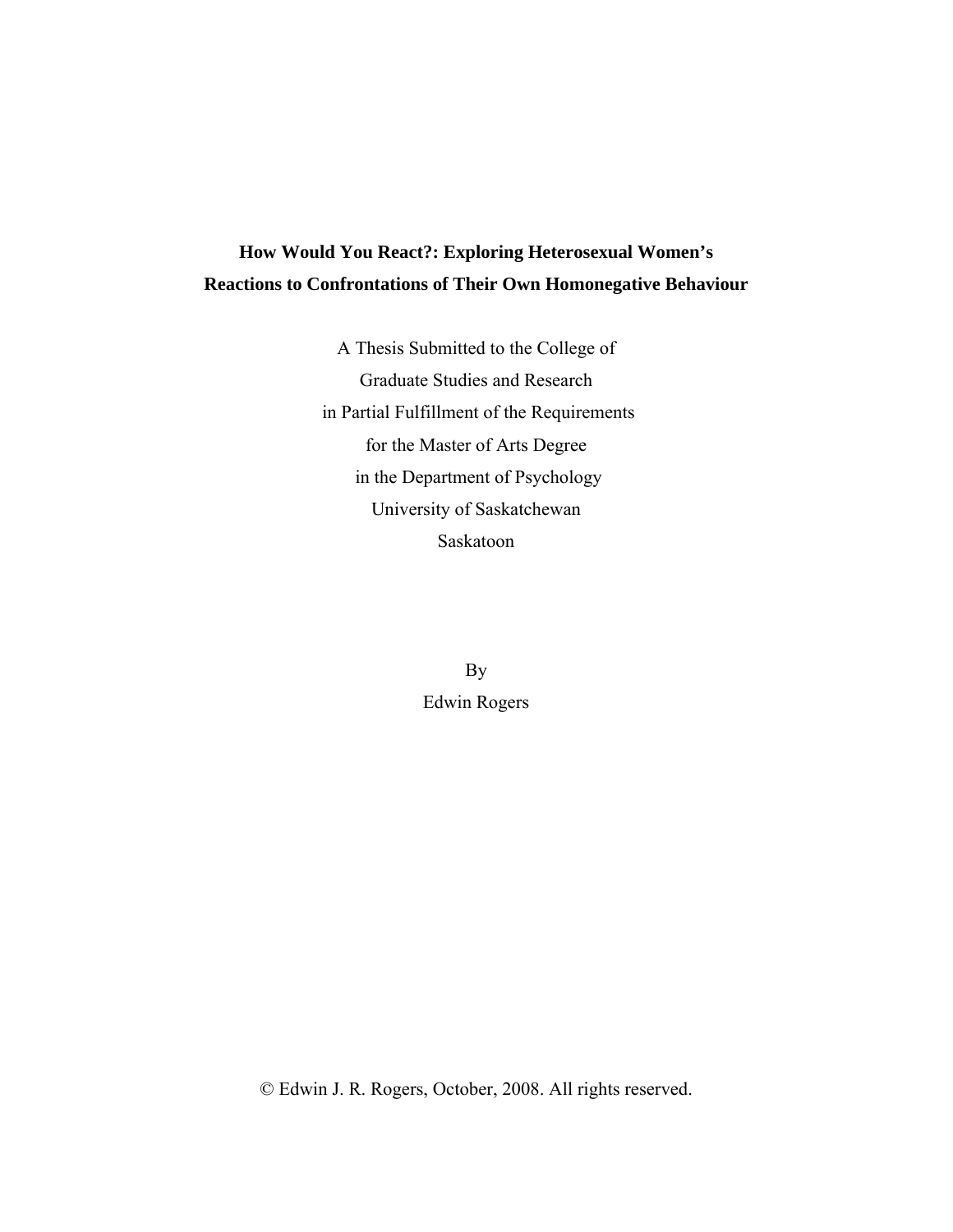# **How Would You React?: Exploring Heterosexual Women's Reactions to Confrontations of Their Own Homonegative Behaviour**

A Thesis Submitted to the College of Graduate Studies and Research in Partial Fulfillment of the Requirements for the Master of Arts Degree in the Department of Psychology University of Saskatchewan Saskatoon

> By Edwin Rogers

© Edwin J. R. Rogers, October, 2008. All rights reserved.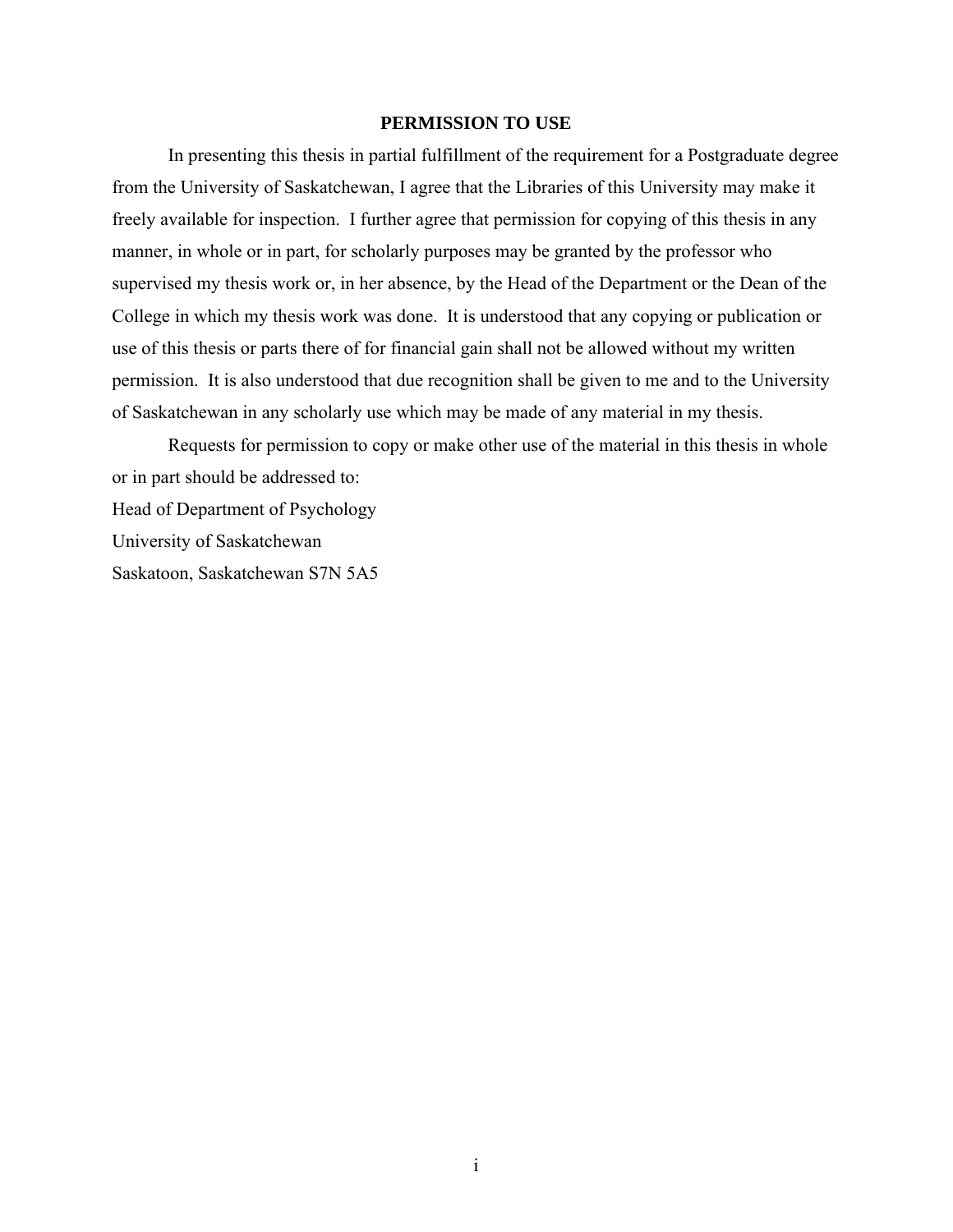#### **PERMISSION TO USE**

In presenting this thesis in partial fulfillment of the requirement for a Postgraduate degree from the University of Saskatchewan, I agree that the Libraries of this University may make it freely available for inspection. I further agree that permission for copying of this thesis in any manner, in whole or in part, for scholarly purposes may be granted by the professor who supervised my thesis work or, in her absence, by the Head of the Department or the Dean of the College in which my thesis work was done. It is understood that any copying or publication or use of this thesis or parts there of for financial gain shall not be allowed without my written permission. It is also understood that due recognition shall be given to me and to the University of Saskatchewan in any scholarly use which may be made of any material in my thesis.

Requests for permission to copy or make other use of the material in this thesis in whole or in part should be addressed to: Head of Department of Psychology University of Saskatchewan Saskatoon, Saskatchewan S7N 5A5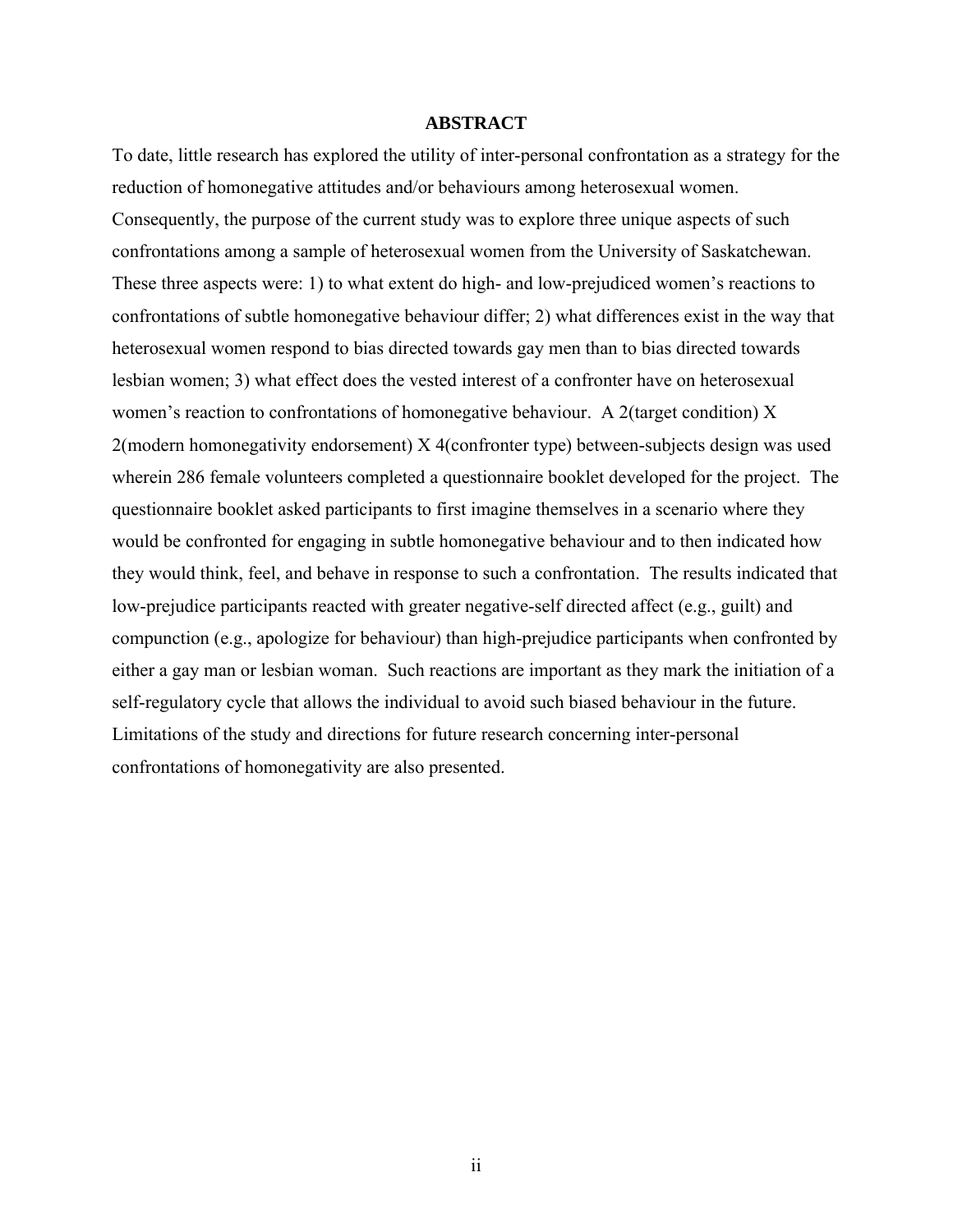#### **ABSTRACT**

To date, little research has explored the utility of inter-personal confrontation as a strategy for the reduction of homonegative attitudes and/or behaviours among heterosexual women. Consequently, the purpose of the current study was to explore three unique aspects of such confrontations among a sample of heterosexual women from the University of Saskatchewan. These three aspects were: 1) to what extent do high- and low-prejudiced women's reactions to confrontations of subtle homonegative behaviour differ; 2) what differences exist in the way that heterosexual women respond to bias directed towards gay men than to bias directed towards lesbian women; 3) what effect does the vested interest of a confronter have on heterosexual women's reaction to confrontations of homonegative behaviour. A 2(target condition) X 2(modern homonegativity endorsement) X 4(confronter type) between-subjects design was used wherein 286 female volunteers completed a questionnaire booklet developed for the project. The questionnaire booklet asked participants to first imagine themselves in a scenario where they would be confronted for engaging in subtle homonegative behaviour and to then indicated how they would think, feel, and behave in response to such a confrontation. The results indicated that low-prejudice participants reacted with greater negative-self directed affect (e.g., guilt) and compunction (e.g., apologize for behaviour) than high-prejudice participants when confronted by either a gay man or lesbian woman. Such reactions are important as they mark the initiation of a self-regulatory cycle that allows the individual to avoid such biased behaviour in the future. Limitations of the study and directions for future research concerning inter-personal confrontations of homonegativity are also presented.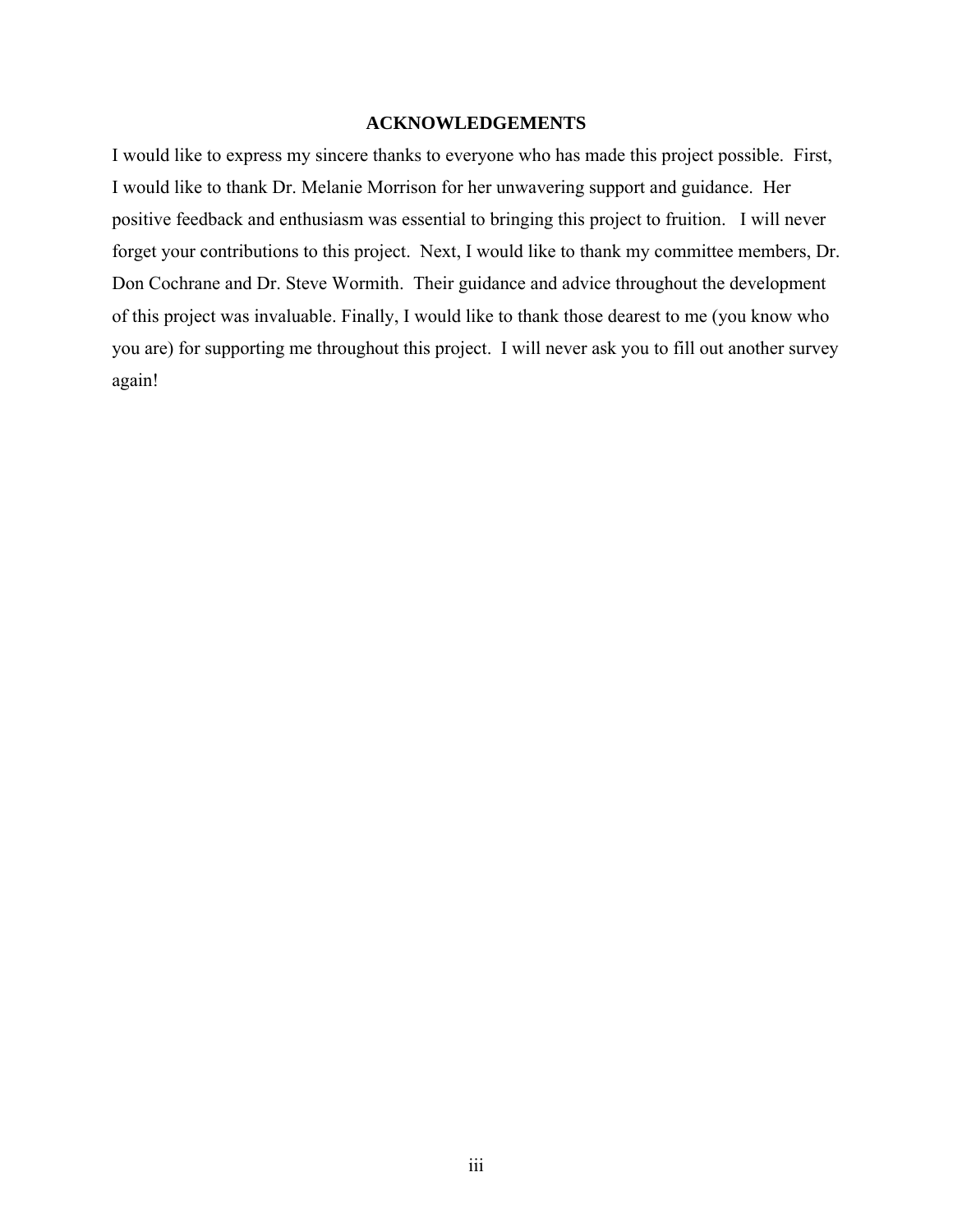### **ACKNOWLEDGEMENTS**

I would like to express my sincere thanks to everyone who has made this project possible. First, I would like to thank Dr. Melanie Morrison for her unwavering support and guidance. Her positive feedback and enthusiasm was essential to bringing this project to fruition. I will never forget your contributions to this project. Next, I would like to thank my committee members, Dr. Don Cochrane and Dr. Steve Wormith. Their guidance and advice throughout the development of this project was invaluable. Finally, I would like to thank those dearest to me (you know who you are) for supporting me throughout this project. I will never ask you to fill out another survey again!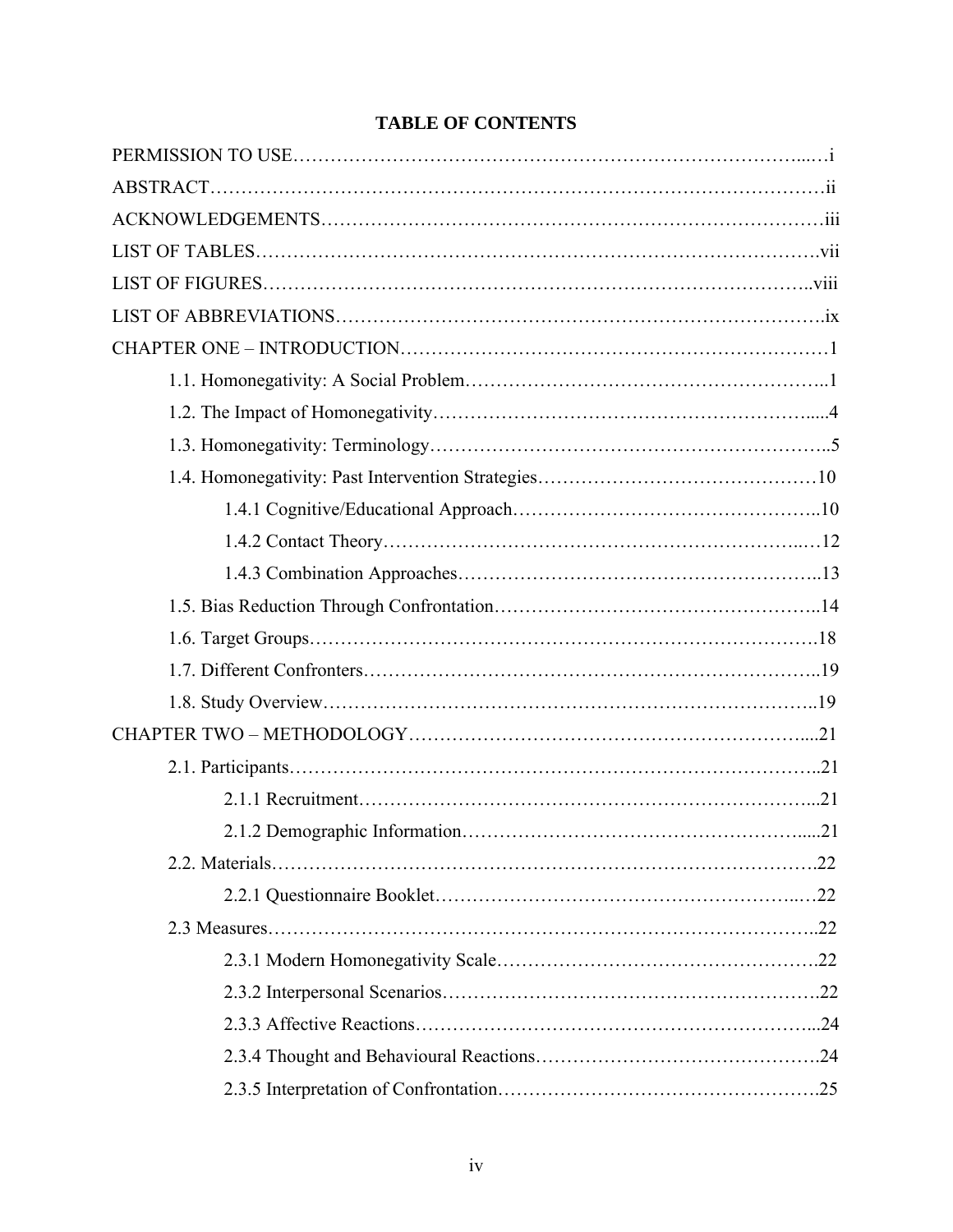## **TABLE OF CONTENTS**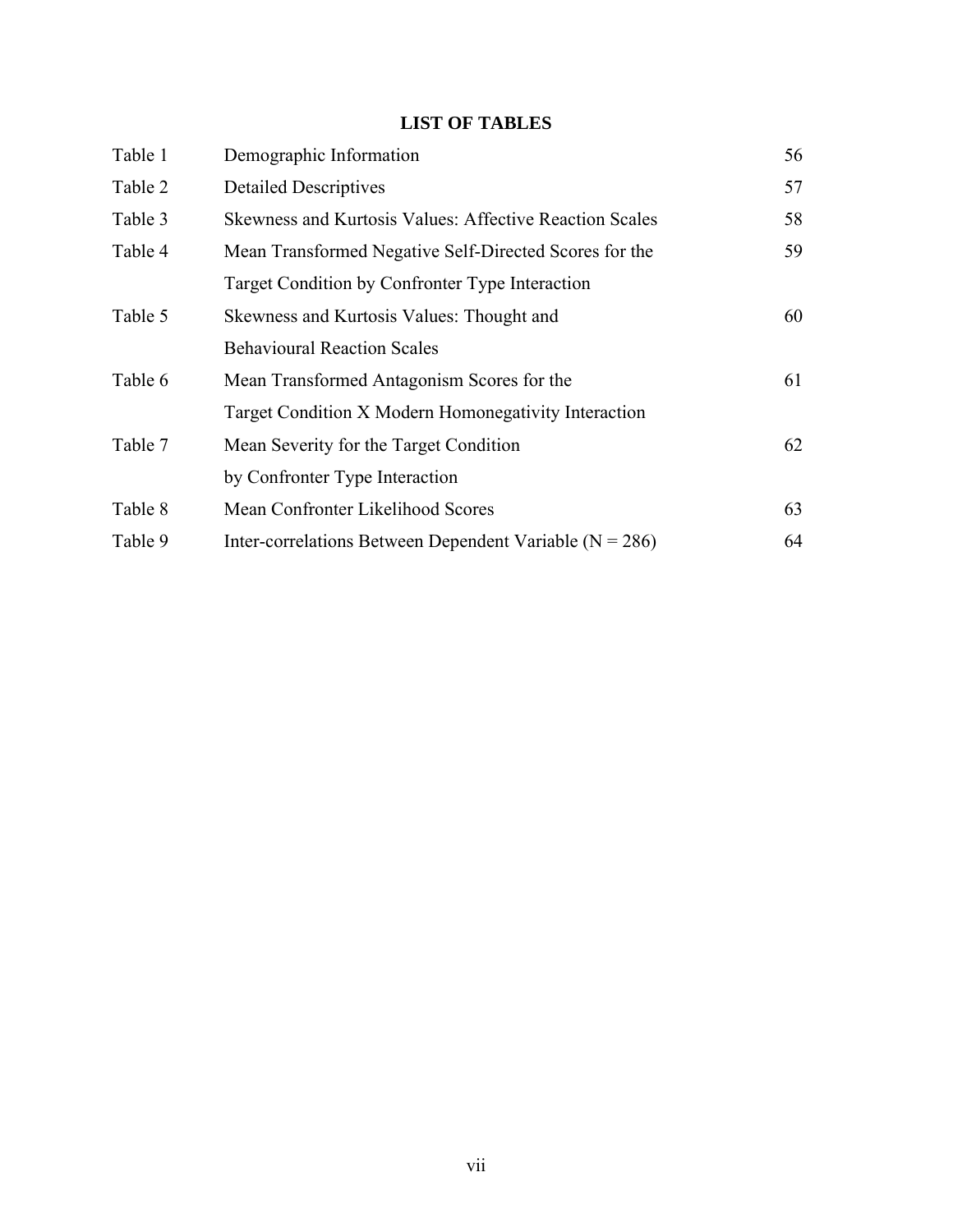## **LIST OF TABLES**

| Table 1 | Demographic Information                                        | 56 |
|---------|----------------------------------------------------------------|----|
| Table 2 | <b>Detailed Descriptives</b>                                   | 57 |
| Table 3 | <b>Skewness and Kurtosis Values: Affective Reaction Scales</b> | 58 |
| Table 4 | Mean Transformed Negative Self-Directed Scores for the         | 59 |
|         | Target Condition by Confronter Type Interaction                |    |
| Table 5 | Skewness and Kurtosis Values: Thought and                      | 60 |
|         | <b>Behavioural Reaction Scales</b>                             |    |
| Table 6 | Mean Transformed Antagonism Scores for the                     | 61 |
|         | Target Condition X Modern Homonegativity Interaction           |    |
| Table 7 | Mean Severity for the Target Condition                         | 62 |
|         | by Confronter Type Interaction                                 |    |
| Table 8 | Mean Confronter Likelihood Scores                              | 63 |
| Table 9 | Inter-correlations Between Dependent Variable ( $N = 286$ )    | 64 |
|         |                                                                |    |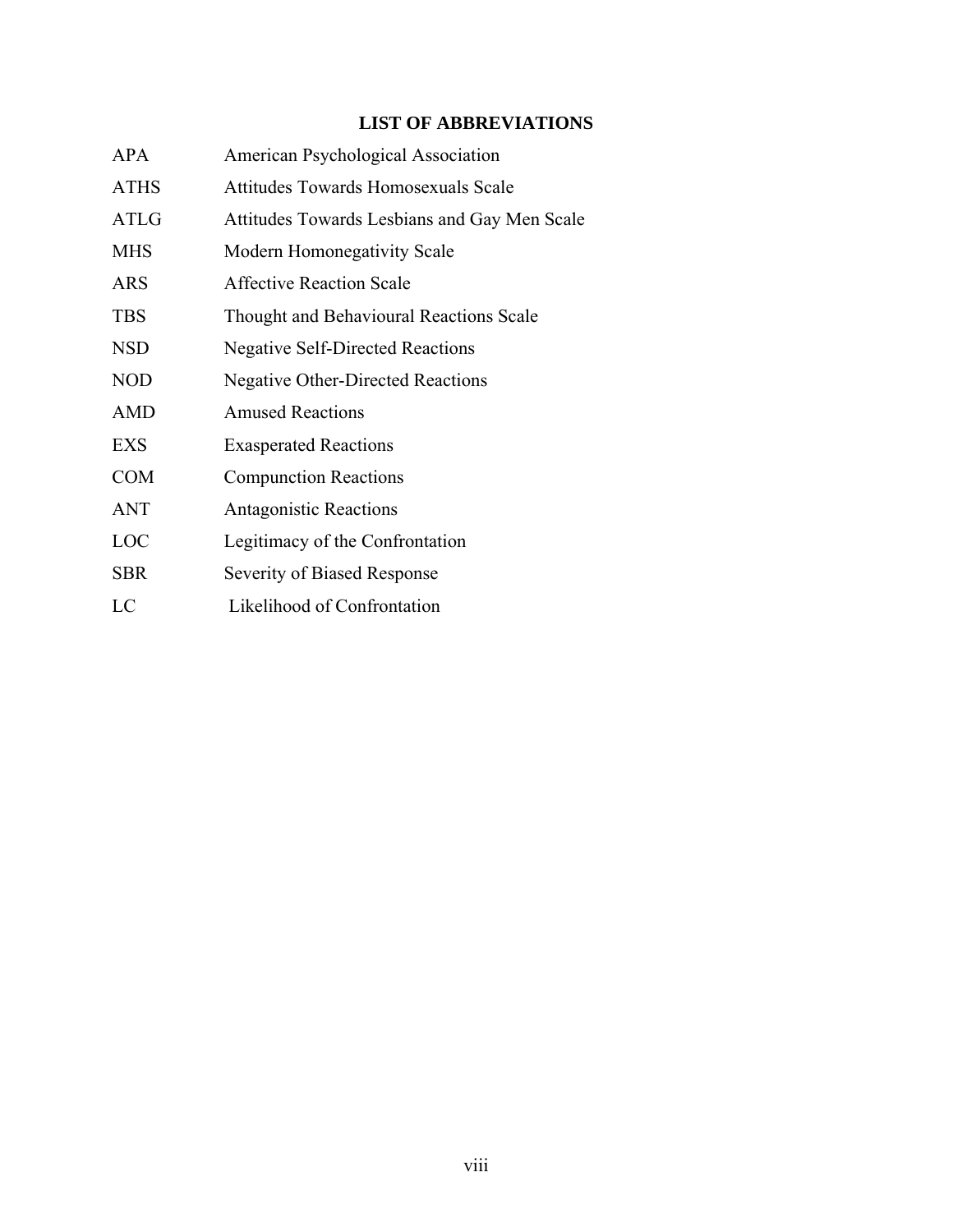## **LIST OF ABBREVIATIONS**

| <b>APA</b>  | American Psychological Association           |
|-------------|----------------------------------------------|
| <b>ATHS</b> | <b>Attitudes Towards Homosexuals Scale</b>   |
| ATLG        | Attitudes Towards Lesbians and Gay Men Scale |
| <b>MHS</b>  | Modern Homonegativity Scale                  |
| <b>ARS</b>  | <b>Affective Reaction Scale</b>              |
| <b>TBS</b>  | Thought and Behavioural Reactions Scale      |
| <b>NSD</b>  | <b>Negative Self-Directed Reactions</b>      |
| <b>NOD</b>  | <b>Negative Other-Directed Reactions</b>     |
| <b>AMD</b>  | <b>Amused Reactions</b>                      |
| <b>EXS</b>  | <b>Exasperated Reactions</b>                 |
| <b>COM</b>  | <b>Compunction Reactions</b>                 |
| ANT         | <b>Antagonistic Reactions</b>                |
| LOC         | Legitimacy of the Confrontation              |
| <b>SBR</b>  | Severity of Biased Response                  |
| LC          | Likelihood of Confrontation                  |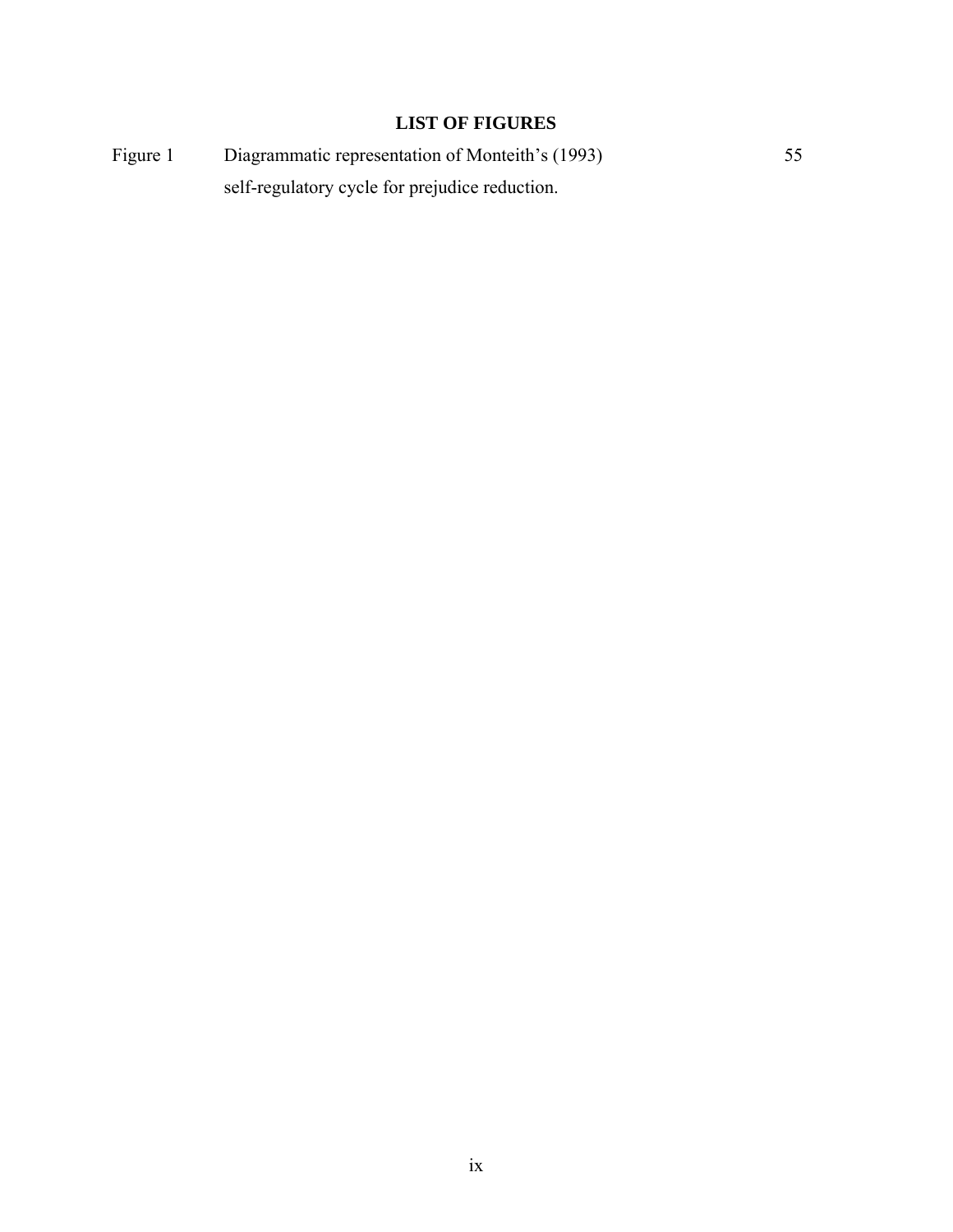## **LIST OF FIGURES**

Figure 1 Diagrammatic representation of Monteith's (1993) 55 self-regulatory cycle for prejudice reduction.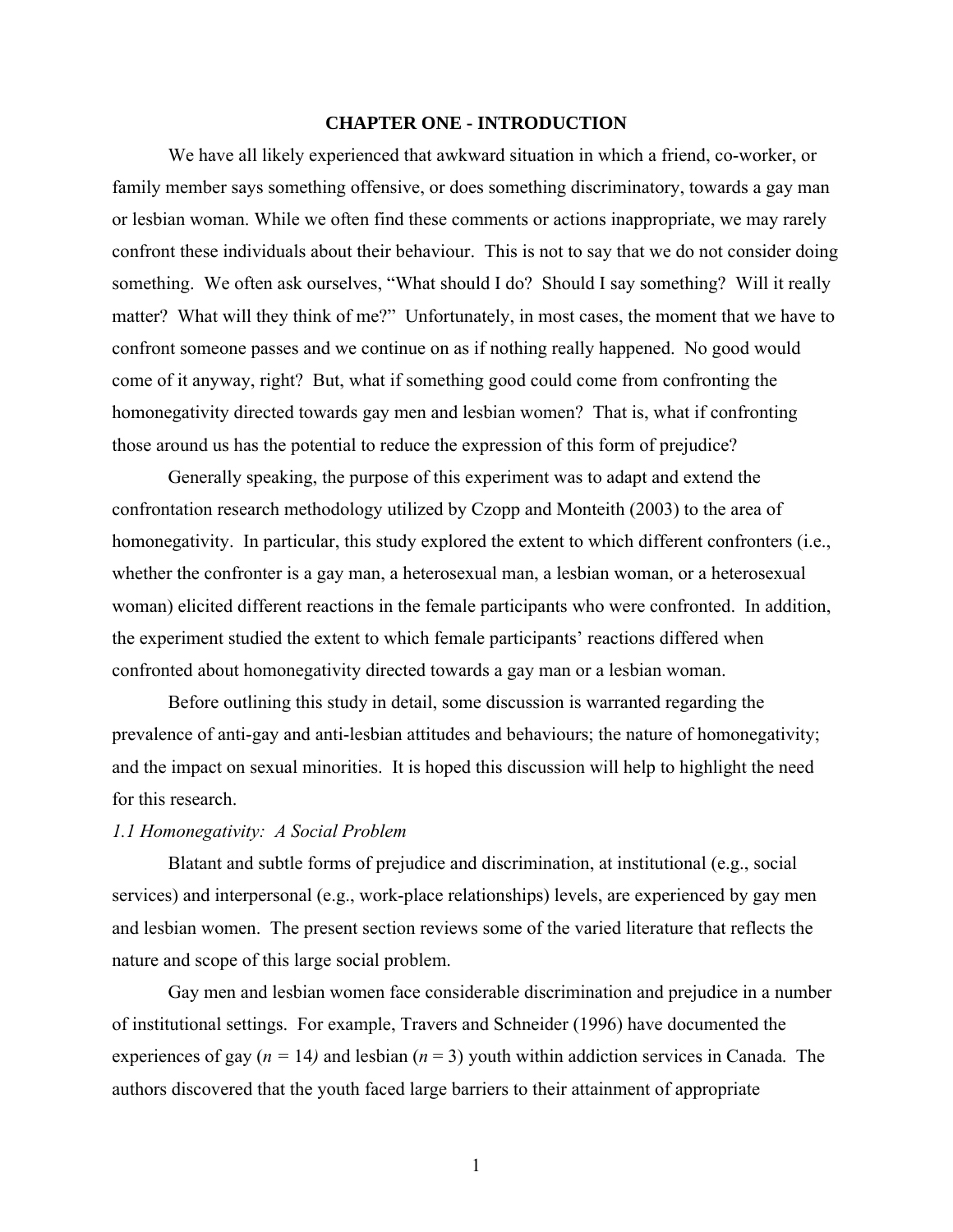#### **CHAPTER ONE - INTRODUCTION**

We have all likely experienced that awkward situation in which a friend, co-worker, or family member says something offensive, or does something discriminatory, towards a gay man or lesbian woman. While we often find these comments or actions inappropriate, we may rarely confront these individuals about their behaviour. This is not to say that we do not consider doing something. We often ask ourselves, "What should I do? Should I say something? Will it really matter? What will they think of me?" Unfortunately, in most cases, the moment that we have to confront someone passes and we continue on as if nothing really happened. No good would come of it anyway, right? But, what if something good could come from confronting the homonegativity directed towards gay men and lesbian women? That is, what if confronting those around us has the potential to reduce the expression of this form of prejudice?

Generally speaking, the purpose of this experiment was to adapt and extend the confrontation research methodology utilized by Czopp and Monteith (2003) to the area of homonegativity. In particular, this study explored the extent to which different confronters (i.e., whether the confronter is a gay man, a heterosexual man, a lesbian woman, or a heterosexual woman) elicited different reactions in the female participants who were confronted. In addition, the experiment studied the extent to which female participants' reactions differed when confronted about homonegativity directed towards a gay man or a lesbian woman.

Before outlining this study in detail, some discussion is warranted regarding the prevalence of anti-gay and anti-lesbian attitudes and behaviours; the nature of homonegativity; and the impact on sexual minorities. It is hoped this discussion will help to highlight the need for this research.

#### *1.1 Homonegativity: A Social Problem*

Blatant and subtle forms of prejudice and discrimination, at institutional (e.g., social services) and interpersonal (e.g., work-place relationships) levels, are experienced by gay men and lesbian women. The present section reviews some of the varied literature that reflects the nature and scope of this large social problem.

Gay men and lesbian women face considerable discrimination and prejudice in a number of institutional settings. For example, Travers and Schneider (1996) have documented the experiences of gay  $(n = 14)$  and lesbian  $(n = 3)$  youth within addiction services in Canada. The authors discovered that the youth faced large barriers to their attainment of appropriate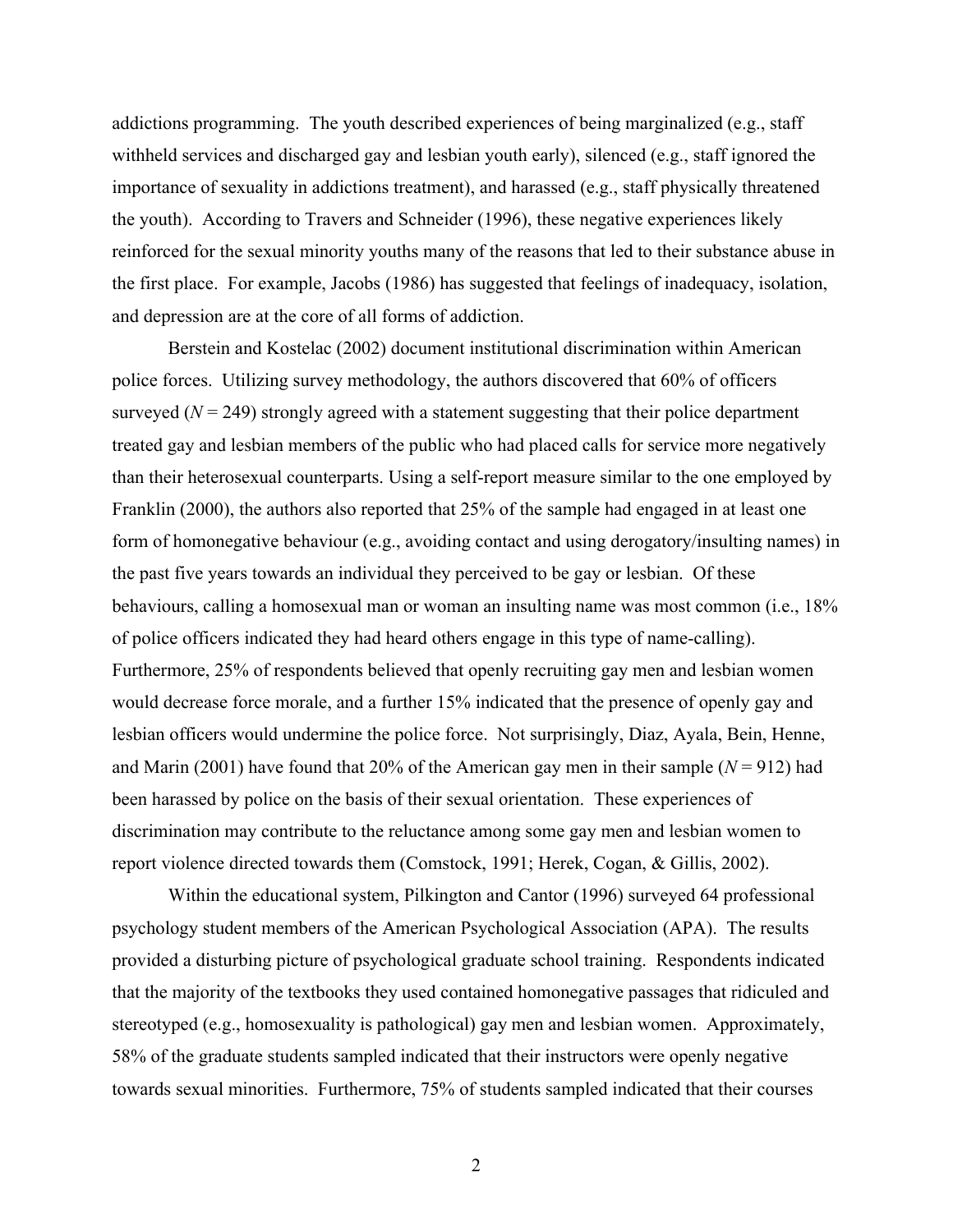addictions programming. The youth described experiences of being marginalized (e.g., staff withheld services and discharged gay and lesbian youth early), silenced (e.g., staff ignored the importance of sexuality in addictions treatment), and harassed (e.g., staff physically threatened the youth). According to Travers and Schneider (1996), these negative experiences likely reinforced for the sexual minority youths many of the reasons that led to their substance abuse in the first place. For example, Jacobs (1986) has suggested that feelings of inadequacy, isolation, and depression are at the core of all forms of addiction.

Berstein and Kostelac (2002) document institutional discrimination within American police forces. Utilizing survey methodology, the authors discovered that 60% of officers surveyed  $(N = 249)$  strongly agreed with a statement suggesting that their police department treated gay and lesbian members of the public who had placed calls for service more negatively than their heterosexual counterparts. Using a self-report measure similar to the one employed by Franklin (2000), the authors also reported that 25% of the sample had engaged in at least one form of homonegative behaviour (e.g., avoiding contact and using derogatory/insulting names) in the past five years towards an individual they perceived to be gay or lesbian. Of these behaviours, calling a homosexual man or woman an insulting name was most common (i.e., 18% of police officers indicated they had heard others engage in this type of name-calling). Furthermore, 25% of respondents believed that openly recruiting gay men and lesbian women would decrease force morale, and a further 15% indicated that the presence of openly gay and lesbian officers would undermine the police force. Not surprisingly, Diaz, Ayala, Bein, Henne, and Marin (2001) have found that 20% of the American gay men in their sample ( $N = 912$ ) had been harassed by police on the basis of their sexual orientation. These experiences of discrimination may contribute to the reluctance among some gay men and lesbian women to report violence directed towards them (Comstock, 1991; Herek, Cogan, & Gillis, 2002).

Within the educational system, Pilkington and Cantor (1996) surveyed 64 professional psychology student members of the American Psychological Association (APA). The results provided a disturbing picture of psychological graduate school training. Respondents indicated that the majority of the textbooks they used contained homonegative passages that ridiculed and stereotyped (e.g., homosexuality is pathological) gay men and lesbian women. Approximately, 58% of the graduate students sampled indicated that their instructors were openly negative towards sexual minorities. Furthermore, 75% of students sampled indicated that their courses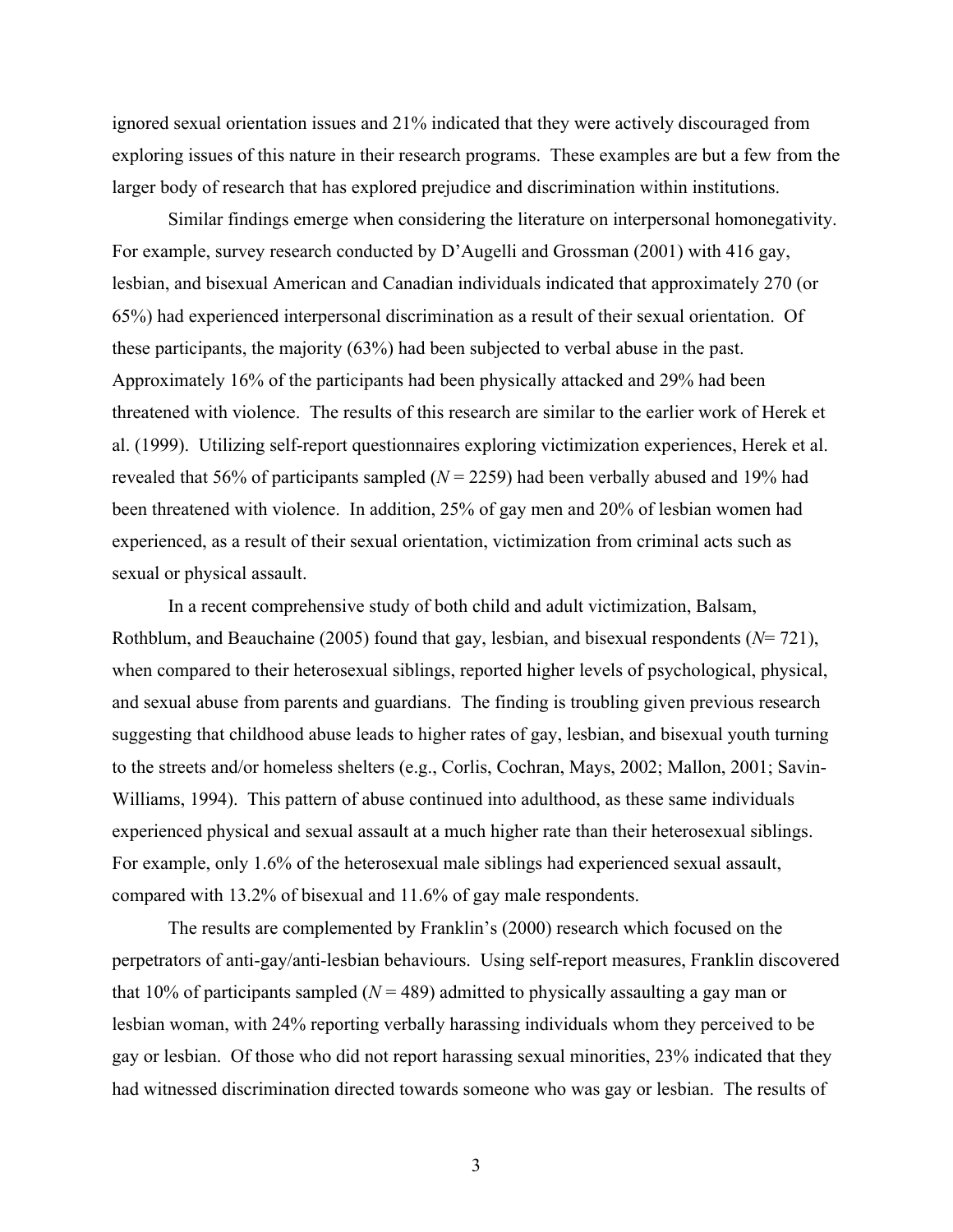ignored sexual orientation issues and 21% indicated that they were actively discouraged from exploring issues of this nature in their research programs. These examples are but a few from the larger body of research that has explored prejudice and discrimination within institutions.

Similar findings emerge when considering the literature on interpersonal homonegativity. For example, survey research conducted by D'Augelli and Grossman (2001) with 416 gay, lesbian, and bisexual American and Canadian individuals indicated that approximately 270 (or 65%) had experienced interpersonal discrimination as a result of their sexual orientation. Of these participants, the majority (63%) had been subjected to verbal abuse in the past. Approximately 16% of the participants had been physically attacked and 29% had been threatened with violence. The results of this research are similar to the earlier work of Herek et al. (1999). Utilizing self-report questionnaires exploring victimization experiences, Herek et al. revealed that 56% of participants sampled (*N* = 2259) had been verbally abused and 19% had been threatened with violence. In addition, 25% of gay men and 20% of lesbian women had experienced, as a result of their sexual orientation, victimization from criminal acts such as sexual or physical assault.

In a recent comprehensive study of both child and adult victimization, Balsam, Rothblum, and Beauchaine (2005) found that gay, lesbian, and bisexual respondents (*N*= 721), when compared to their heterosexual siblings, reported higher levels of psychological, physical, and sexual abuse from parents and guardians. The finding is troubling given previous research suggesting that childhood abuse leads to higher rates of gay, lesbian, and bisexual youth turning to the streets and/or homeless shelters (e.g., Corlis, Cochran, Mays, 2002; Mallon, 2001; Savin-Williams, 1994). This pattern of abuse continued into adulthood, as these same individuals experienced physical and sexual assault at a much higher rate than their heterosexual siblings. For example, only 1.6% of the heterosexual male siblings had experienced sexual assault, compared with 13.2% of bisexual and 11.6% of gay male respondents.

The results are complemented by Franklin's (2000) research which focused on the perpetrators of anti-gay/anti-lesbian behaviours. Using self-report measures, Franklin discovered that 10% of participants sampled ( $N = 489$ ) admitted to physically assaulting a gay man or lesbian woman, with 24% reporting verbally harassing individuals whom they perceived to be gay or lesbian. Of those who did not report harassing sexual minorities, 23% indicated that they had witnessed discrimination directed towards someone who was gay or lesbian. The results of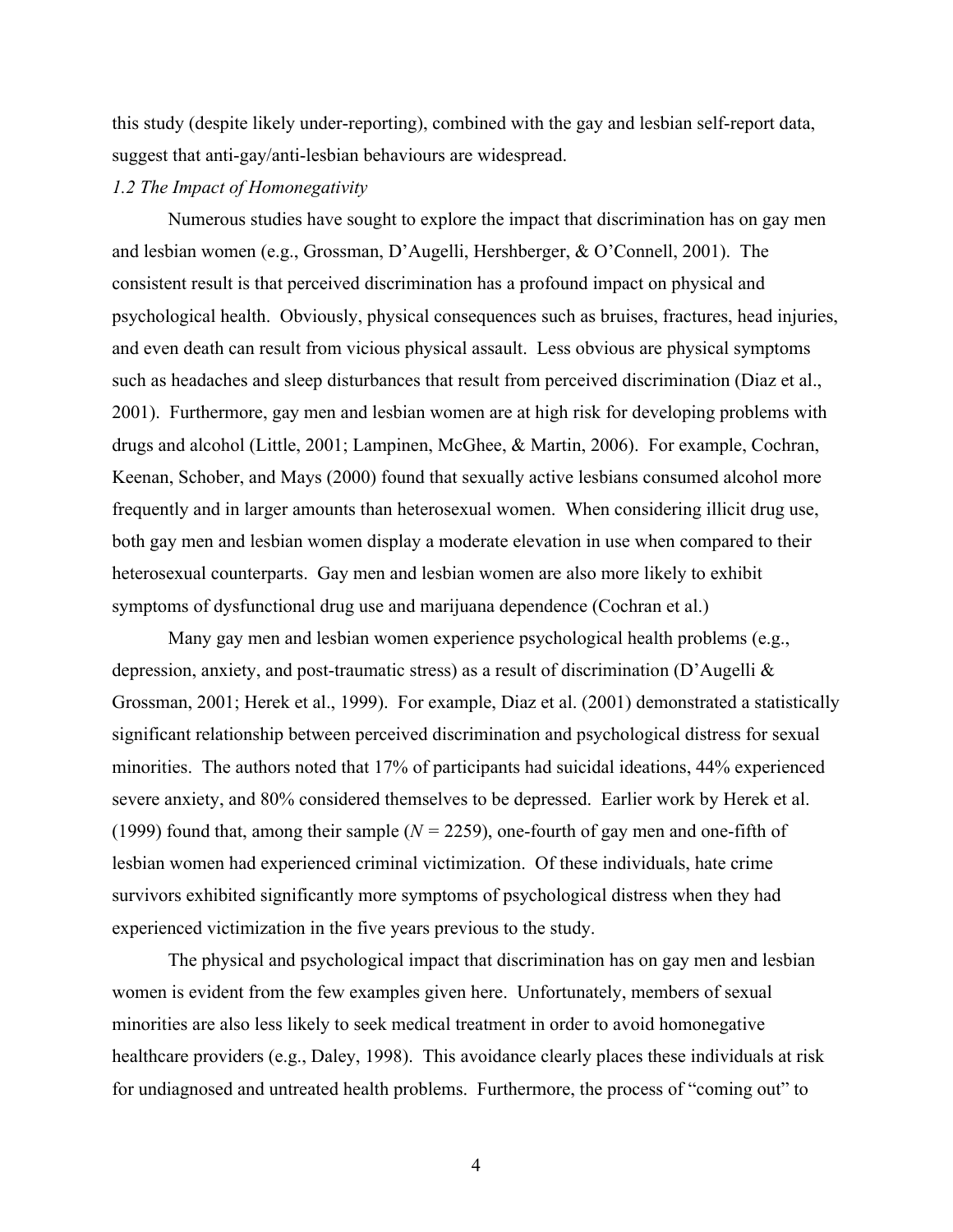this study (despite likely under-reporting), combined with the gay and lesbian self-report data, suggest that anti-gay/anti-lesbian behaviours are widespread.

### *1.2 The Impact of Homonegativity*

Numerous studies have sought to explore the impact that discrimination has on gay men and lesbian women (e.g., Grossman, D'Augelli, Hershberger, & O'Connell, 2001). The consistent result is that perceived discrimination has a profound impact on physical and psychological health. Obviously, physical consequences such as bruises, fractures, head injuries, and even death can result from vicious physical assault. Less obvious are physical symptoms such as headaches and sleep disturbances that result from perceived discrimination (Diaz et al., 2001). Furthermore, gay men and lesbian women are at high risk for developing problems with drugs and alcohol (Little, 2001; Lampinen, McGhee, & Martin, 2006). For example, Cochran, Keenan, Schober, and Mays (2000) found that sexually active lesbians consumed alcohol more frequently and in larger amounts than heterosexual women. When considering illicit drug use, both gay men and lesbian women display a moderate elevation in use when compared to their heterosexual counterparts. Gay men and lesbian women are also more likely to exhibit symptoms of dysfunctional drug use and marijuana dependence (Cochran et al.)

Many gay men and lesbian women experience psychological health problems (e.g., depression, anxiety, and post-traumatic stress) as a result of discrimination (D'Augelli & Grossman, 2001; Herek et al., 1999). For example, Diaz et al. (2001) demonstrated a statistically significant relationship between perceived discrimination and psychological distress for sexual minorities. The authors noted that 17% of participants had suicidal ideations, 44% experienced severe anxiety, and 80% considered themselves to be depressed. Earlier work by Herek et al. (1999) found that, among their sample (*N =* 2259), one-fourth of gay men and one-fifth of lesbian women had experienced criminal victimization. Of these individuals, hate crime survivors exhibited significantly more symptoms of psychological distress when they had experienced victimization in the five years previous to the study.

The physical and psychological impact that discrimination has on gay men and lesbian women is evident from the few examples given here. Unfortunately, members of sexual minorities are also less likely to seek medical treatment in order to avoid homonegative healthcare providers (e.g., Daley, 1998). This avoidance clearly places these individuals at risk for undiagnosed and untreated health problems. Furthermore, the process of "coming out" to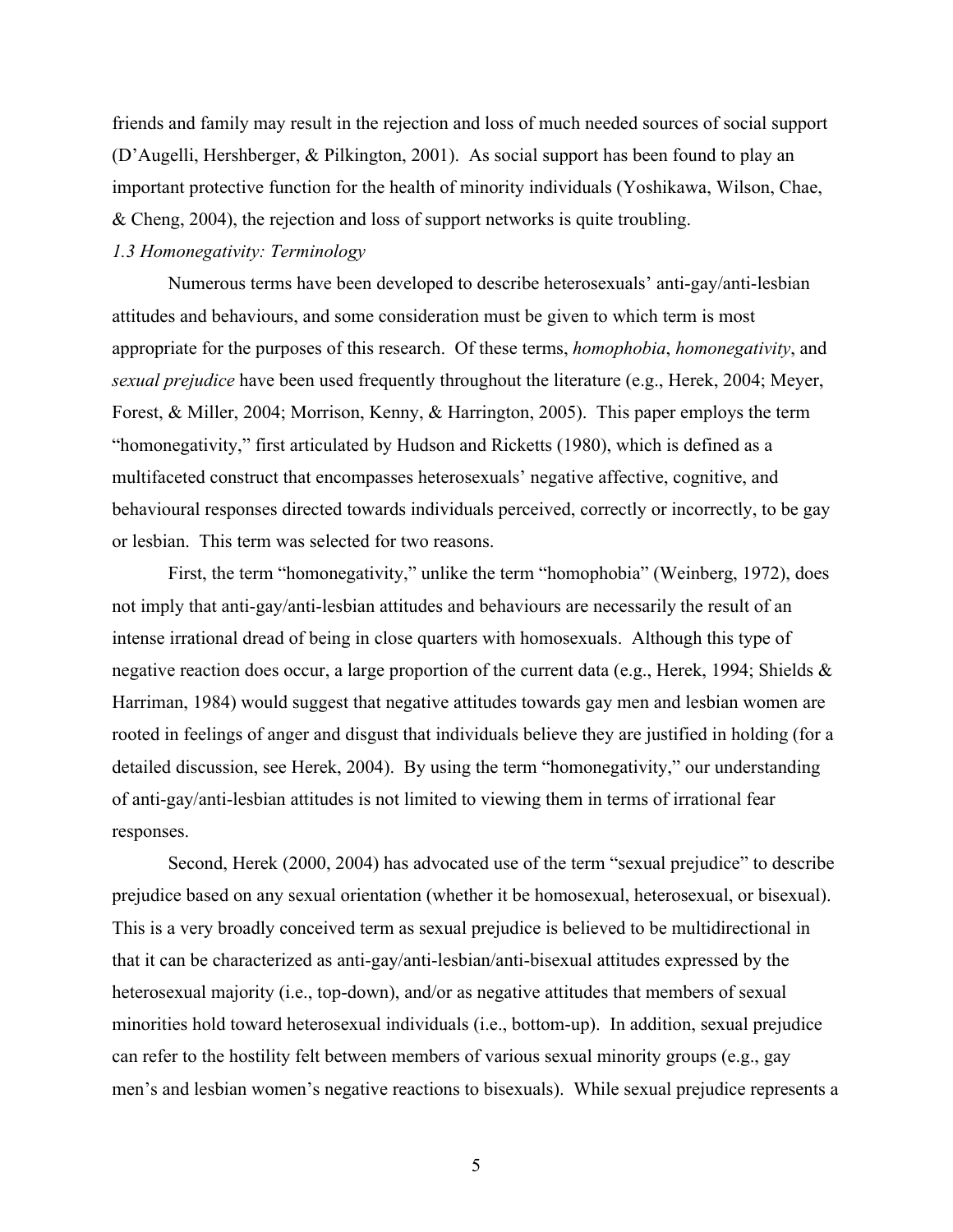friends and family may result in the rejection and loss of much needed sources of social support (D'Augelli, Hershberger, & Pilkington, 2001). As social support has been found to play an important protective function for the health of minority individuals (Yoshikawa, Wilson, Chae, & Cheng, 2004), the rejection and loss of support networks is quite troubling.

### *1.3 Homonegativity: Terminology*

Numerous terms have been developed to describe heterosexuals' anti-gay/anti-lesbian attitudes and behaviours, and some consideration must be given to which term is most appropriate for the purposes of this research. Of these terms, *homophobia*, *homonegativity*, and *sexual prejudice* have been used frequently throughout the literature (e.g., Herek, 2004; Meyer, Forest, & Miller, 2004; Morrison, Kenny, & Harrington, 2005). This paper employs the term "homonegativity," first articulated by Hudson and Ricketts (1980), which is defined as a multifaceted construct that encompasses heterosexuals' negative affective, cognitive, and behavioural responses directed towards individuals perceived, correctly or incorrectly, to be gay or lesbian. This term was selected for two reasons.

First, the term "homonegativity," unlike the term "homophobia" (Weinberg, 1972), does not imply that anti-gay/anti-lesbian attitudes and behaviours are necessarily the result of an intense irrational dread of being in close quarters with homosexuals. Although this type of negative reaction does occur, a large proportion of the current data (e.g., Herek, 1994; Shields & Harriman, 1984) would suggest that negative attitudes towards gay men and lesbian women are rooted in feelings of anger and disgust that individuals believe they are justified in holding (for a detailed discussion, see Herek, 2004). By using the term "homonegativity," our understanding of anti-gay/anti-lesbian attitudes is not limited to viewing them in terms of irrational fear responses.

Second, Herek (2000, 2004) has advocated use of the term "sexual prejudice" to describe prejudice based on any sexual orientation (whether it be homosexual, heterosexual, or bisexual). This is a very broadly conceived term as sexual prejudice is believed to be multidirectional in that it can be characterized as anti-gay/anti-lesbian/anti-bisexual attitudes expressed by the heterosexual majority (i.e., top-down), and/or as negative attitudes that members of sexual minorities hold toward heterosexual individuals (i.e., bottom-up). In addition, sexual prejudice can refer to the hostility felt between members of various sexual minority groups (e.g., gay men's and lesbian women's negative reactions to bisexuals). While sexual prejudice represents a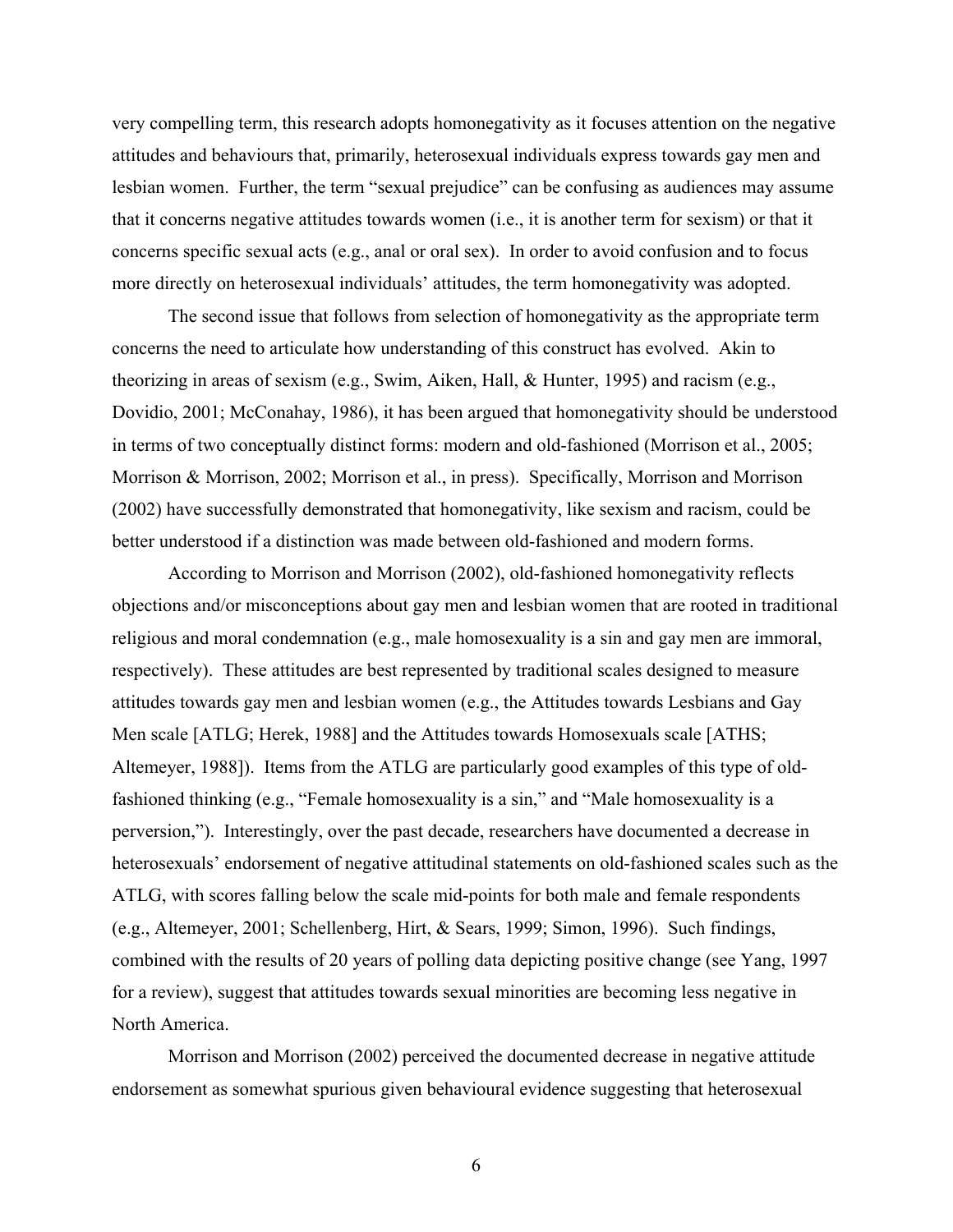very compelling term, this research adopts homonegativity as it focuses attention on the negative attitudes and behaviours that, primarily, heterosexual individuals express towards gay men and lesbian women. Further, the term "sexual prejudice" can be confusing as audiences may assume that it concerns negative attitudes towards women (i.e., it is another term for sexism) or that it concerns specific sexual acts (e.g., anal or oral sex). In order to avoid confusion and to focus more directly on heterosexual individuals' attitudes, the term homonegativity was adopted.

The second issue that follows from selection of homonegativity as the appropriate term concerns the need to articulate how understanding of this construct has evolved. Akin to theorizing in areas of sexism (e.g., Swim, Aiken, Hall, & Hunter, 1995) and racism (e.g., Dovidio, 2001; McConahay, 1986), it has been argued that homonegativity should be understood in terms of two conceptually distinct forms: modern and old-fashioned (Morrison et al., 2005; Morrison & Morrison, 2002; Morrison et al., in press). Specifically, Morrison and Morrison (2002) have successfully demonstrated that homonegativity, like sexism and racism, could be better understood if a distinction was made between old-fashioned and modern forms.

According to Morrison and Morrison (2002), old-fashioned homonegativity reflects objections and/or misconceptions about gay men and lesbian women that are rooted in traditional religious and moral condemnation (e.g., male homosexuality is a sin and gay men are immoral, respectively). These attitudes are best represented by traditional scales designed to measure attitudes towards gay men and lesbian women (e.g., the Attitudes towards Lesbians and Gay Men scale [ATLG; Herek, 1988] and the Attitudes towards Homosexuals scale [ATHS; Altemeyer, 1988]). Items from the ATLG are particularly good examples of this type of oldfashioned thinking (e.g., "Female homosexuality is a sin," and "Male homosexuality is a perversion,"). Interestingly, over the past decade, researchers have documented a decrease in heterosexuals' endorsement of negative attitudinal statements on old-fashioned scales such as the ATLG, with scores falling below the scale mid-points for both male and female respondents (e.g., Altemeyer, 2001; Schellenberg, Hirt, & Sears, 1999; Simon, 1996). Such findings, combined with the results of 20 years of polling data depicting positive change (see Yang, 1997 for a review), suggest that attitudes towards sexual minorities are becoming less negative in North America.

Morrison and Morrison (2002) perceived the documented decrease in negative attitude endorsement as somewhat spurious given behavioural evidence suggesting that heterosexual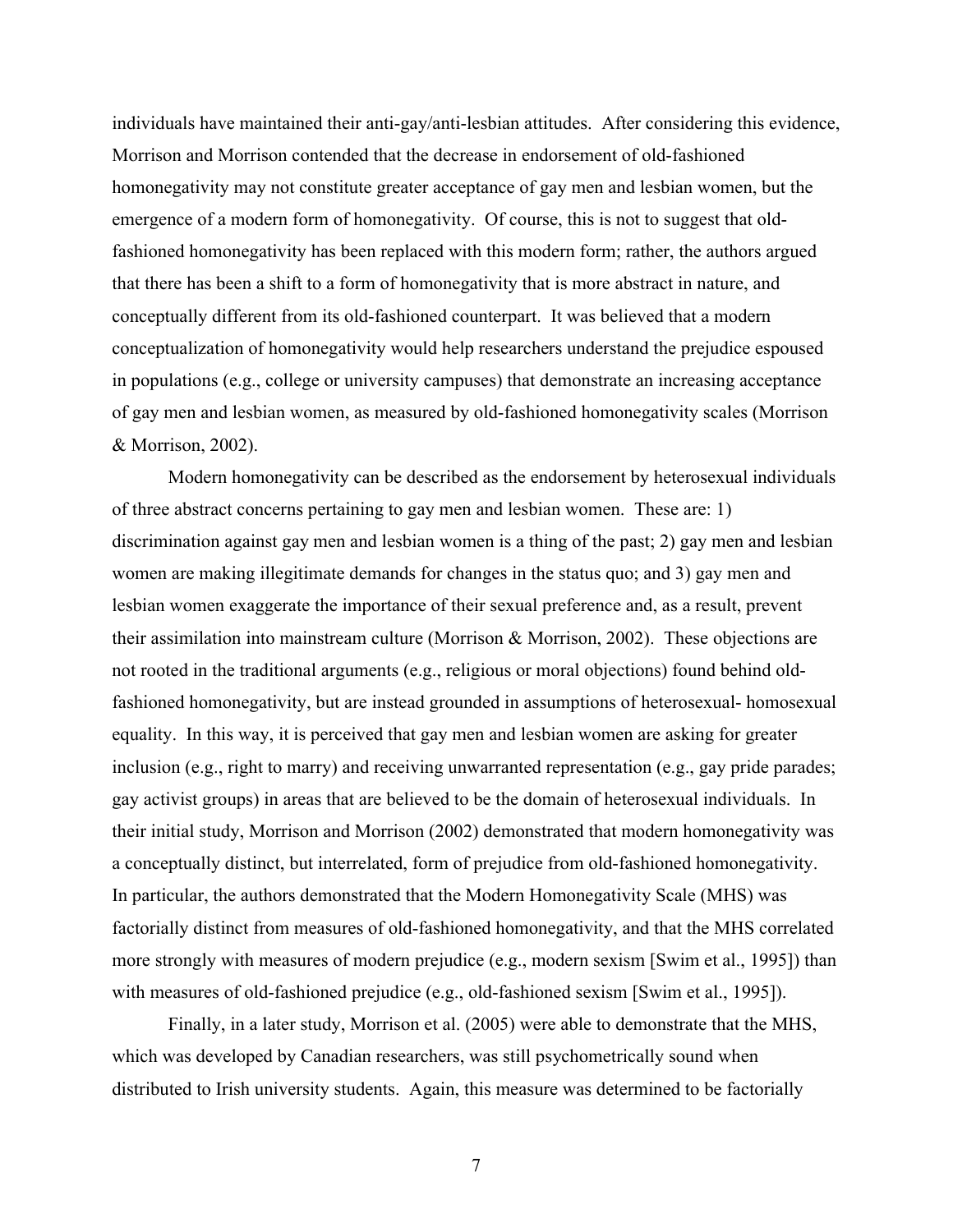individuals have maintained their anti-gay/anti-lesbian attitudes. After considering this evidence, Morrison and Morrison contended that the decrease in endorsement of old-fashioned homonegativity may not constitute greater acceptance of gay men and lesbian women, but the emergence of a modern form of homonegativity. Of course, this is not to suggest that oldfashioned homonegativity has been replaced with this modern form; rather, the authors argued that there has been a shift to a form of homonegativity that is more abstract in nature, and conceptually different from its old-fashioned counterpart. It was believed that a modern conceptualization of homonegativity would help researchers understand the prejudice espoused in populations (e.g., college or university campuses) that demonstrate an increasing acceptance of gay men and lesbian women, as measured by old-fashioned homonegativity scales (Morrison & Morrison, 2002).

Modern homonegativity can be described as the endorsement by heterosexual individuals of three abstract concerns pertaining to gay men and lesbian women. These are: 1) discrimination against gay men and lesbian women is a thing of the past; 2) gay men and lesbian women are making illegitimate demands for changes in the status quo; and 3) gay men and lesbian women exaggerate the importance of their sexual preference and, as a result, prevent their assimilation into mainstream culture (Morrison & Morrison, 2002). These objections are not rooted in the traditional arguments (e.g., religious or moral objections) found behind oldfashioned homonegativity, but are instead grounded in assumptions of heterosexual- homosexual equality. In this way, it is perceived that gay men and lesbian women are asking for greater inclusion (e.g., right to marry) and receiving unwarranted representation (e.g., gay pride parades; gay activist groups) in areas that are believed to be the domain of heterosexual individuals. In their initial study, Morrison and Morrison (2002) demonstrated that modern homonegativity was a conceptually distinct, but interrelated, form of prejudice from old-fashioned homonegativity. In particular, the authors demonstrated that the Modern Homonegativity Scale (MHS) was factorially distinct from measures of old-fashioned homonegativity, and that the MHS correlated more strongly with measures of modern prejudice (e.g., modern sexism [Swim et al., 1995]) than with measures of old-fashioned prejudice (e.g., old-fashioned sexism [Swim et al., 1995]).

Finally, in a later study, Morrison et al. (2005) were able to demonstrate that the MHS, which was developed by Canadian researchers, was still psychometrically sound when distributed to Irish university students. Again, this measure was determined to be factorially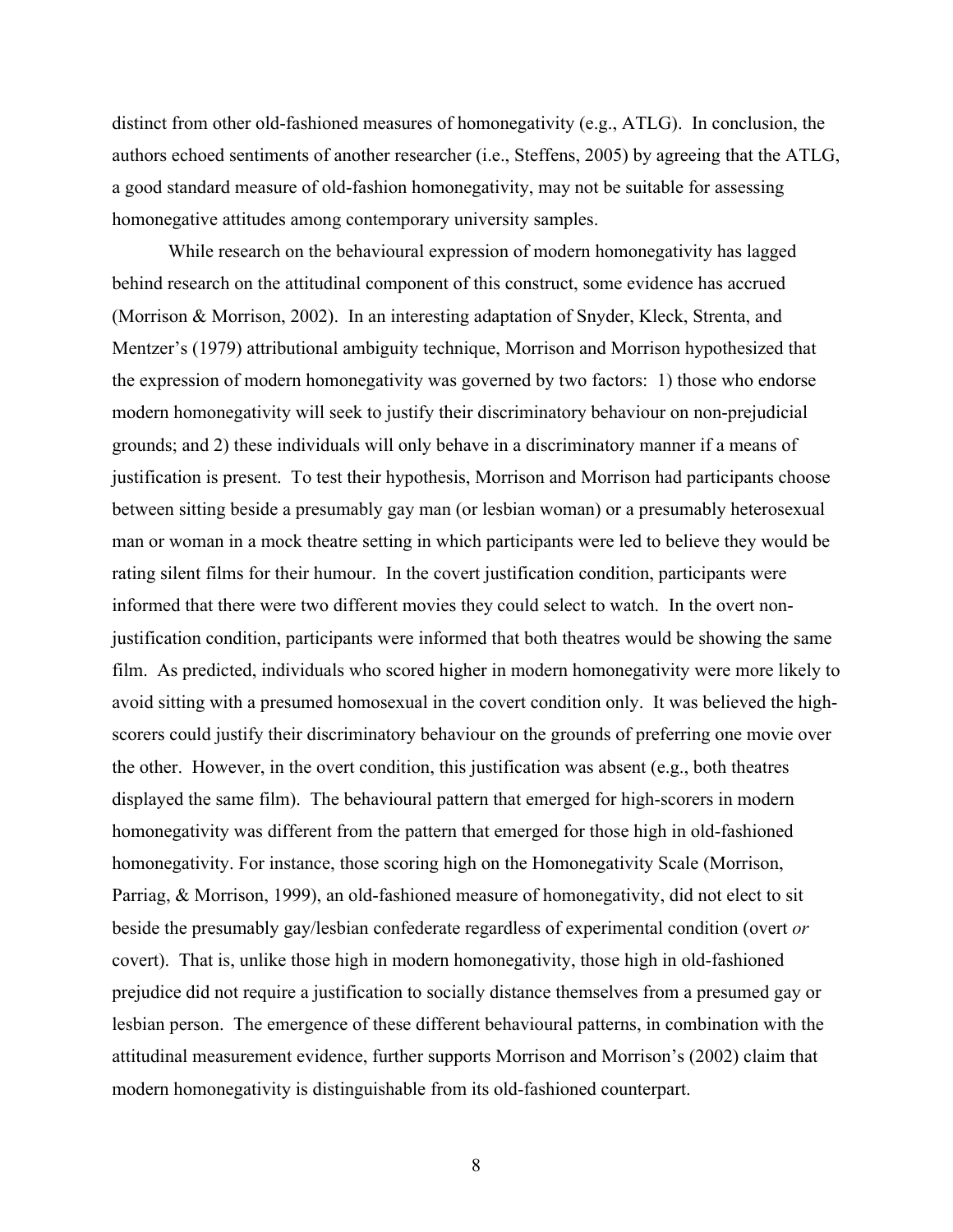distinct from other old-fashioned measures of homonegativity (e.g., ATLG). In conclusion, the authors echoed sentiments of another researcher (i.e., Steffens, 2005) by agreeing that the ATLG, a good standard measure of old-fashion homonegativity, may not be suitable for assessing homonegative attitudes among contemporary university samples.

While research on the behavioural expression of modern homonegativity has lagged behind research on the attitudinal component of this construct, some evidence has accrued (Morrison & Morrison, 2002). In an interesting adaptation of Snyder, Kleck, Strenta, and Mentzer's (1979) attributional ambiguity technique, Morrison and Morrison hypothesized that the expression of modern homonegativity was governed by two factors: 1) those who endorse modern homonegativity will seek to justify their discriminatory behaviour on non-prejudicial grounds; and 2) these individuals will only behave in a discriminatory manner if a means of justification is present. To test their hypothesis, Morrison and Morrison had participants choose between sitting beside a presumably gay man (or lesbian woman) or a presumably heterosexual man or woman in a mock theatre setting in which participants were led to believe they would be rating silent films for their humour. In the covert justification condition, participants were informed that there were two different movies they could select to watch. In the overt nonjustification condition, participants were informed that both theatres would be showing the same film. As predicted, individuals who scored higher in modern homonegativity were more likely to avoid sitting with a presumed homosexual in the covert condition only. It was believed the highscorers could justify their discriminatory behaviour on the grounds of preferring one movie over the other. However, in the overt condition, this justification was absent (e.g., both theatres displayed the same film). The behavioural pattern that emerged for high-scorers in modern homonegativity was different from the pattern that emerged for those high in old-fashioned homonegativity. For instance, those scoring high on the Homonegativity Scale (Morrison, Parriag, & Morrison, 1999), an old-fashioned measure of homonegativity, did not elect to sit beside the presumably gay/lesbian confederate regardless of experimental condition (overt *or* covert). That is, unlike those high in modern homonegativity, those high in old-fashioned prejudice did not require a justification to socially distance themselves from a presumed gay or lesbian person. The emergence of these different behavioural patterns, in combination with the attitudinal measurement evidence, further supports Morrison and Morrison's (2002) claim that modern homonegativity is distinguishable from its old-fashioned counterpart.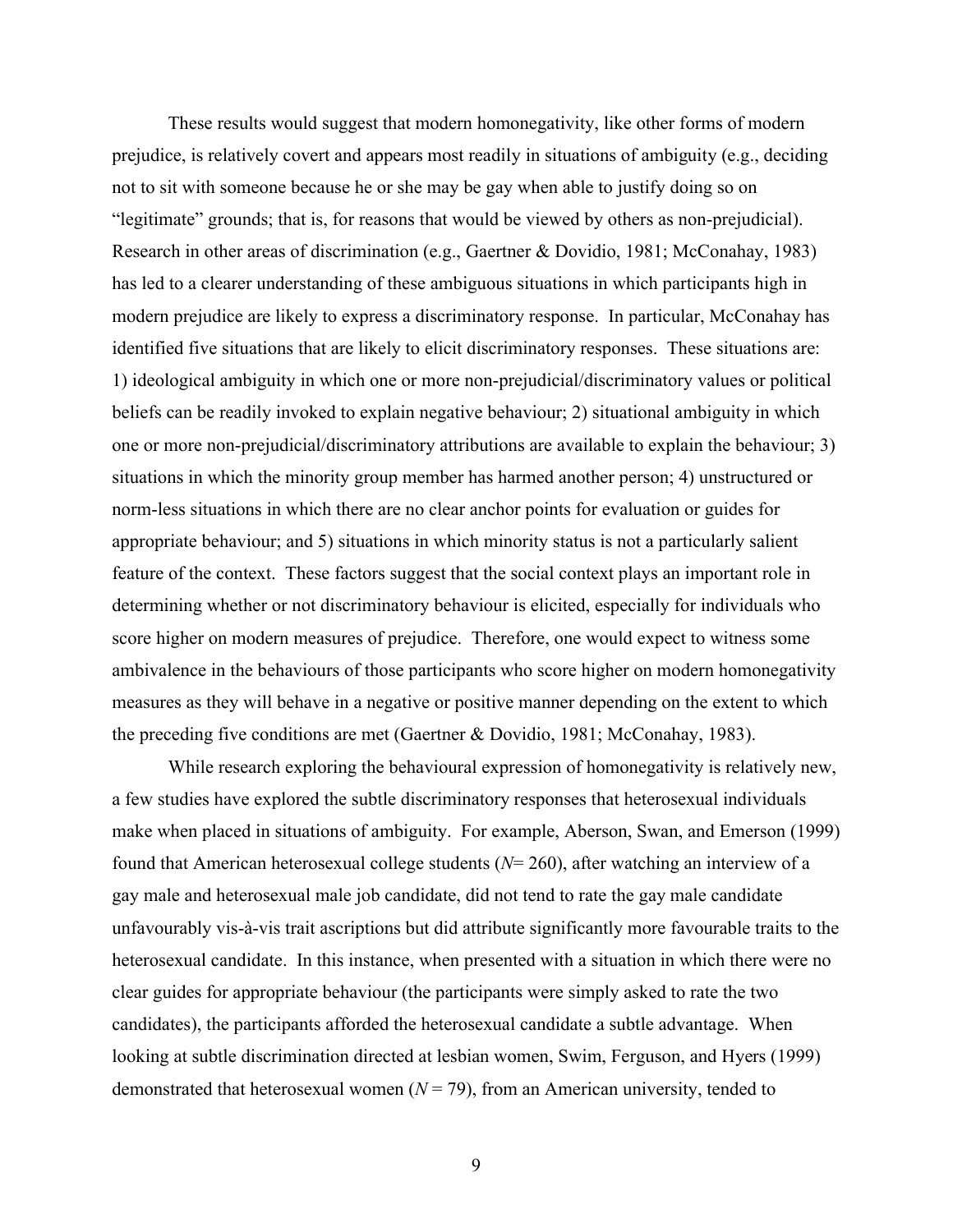These results would suggest that modern homonegativity, like other forms of modern prejudice, is relatively covert and appears most readily in situations of ambiguity (e.g., deciding not to sit with someone because he or she may be gay when able to justify doing so on "legitimate" grounds; that is, for reasons that would be viewed by others as non-prejudicial). Research in other areas of discrimination (e.g., Gaertner & Dovidio, 1981; McConahay, 1983) has led to a clearer understanding of these ambiguous situations in which participants high in modern prejudice are likely to express a discriminatory response. In particular, McConahay has identified five situations that are likely to elicit discriminatory responses. These situations are: 1) ideological ambiguity in which one or more non-prejudicial/discriminatory values or political beliefs can be readily invoked to explain negative behaviour; 2) situational ambiguity in which one or more non-prejudicial/discriminatory attributions are available to explain the behaviour; 3) situations in which the minority group member has harmed another person; 4) unstructured or norm-less situations in which there are no clear anchor points for evaluation or guides for appropriate behaviour; and 5) situations in which minority status is not a particularly salient feature of the context. These factors suggest that the social context plays an important role in determining whether or not discriminatory behaviour is elicited, especially for individuals who score higher on modern measures of prejudice. Therefore, one would expect to witness some ambivalence in the behaviours of those participants who score higher on modern homonegativity measures as they will behave in a negative or positive manner depending on the extent to which the preceding five conditions are met (Gaertner & Dovidio, 1981; McConahay, 1983).

While research exploring the behavioural expression of homonegativity is relatively new, a few studies have explored the subtle discriminatory responses that heterosexual individuals make when placed in situations of ambiguity. For example, Aberson, Swan, and Emerson (1999) found that American heterosexual college students (*N*= 260), after watching an interview of a gay male and heterosexual male job candidate, did not tend to rate the gay male candidate unfavourably vis-à-vis trait ascriptions but did attribute significantly more favourable traits to the heterosexual candidate. In this instance, when presented with a situation in which there were no clear guides for appropriate behaviour (the participants were simply asked to rate the two candidates), the participants afforded the heterosexual candidate a subtle advantage. When looking at subtle discrimination directed at lesbian women, Swim, Ferguson, and Hyers (1999) demonstrated that heterosexual women  $(N = 79)$ , from an American university, tended to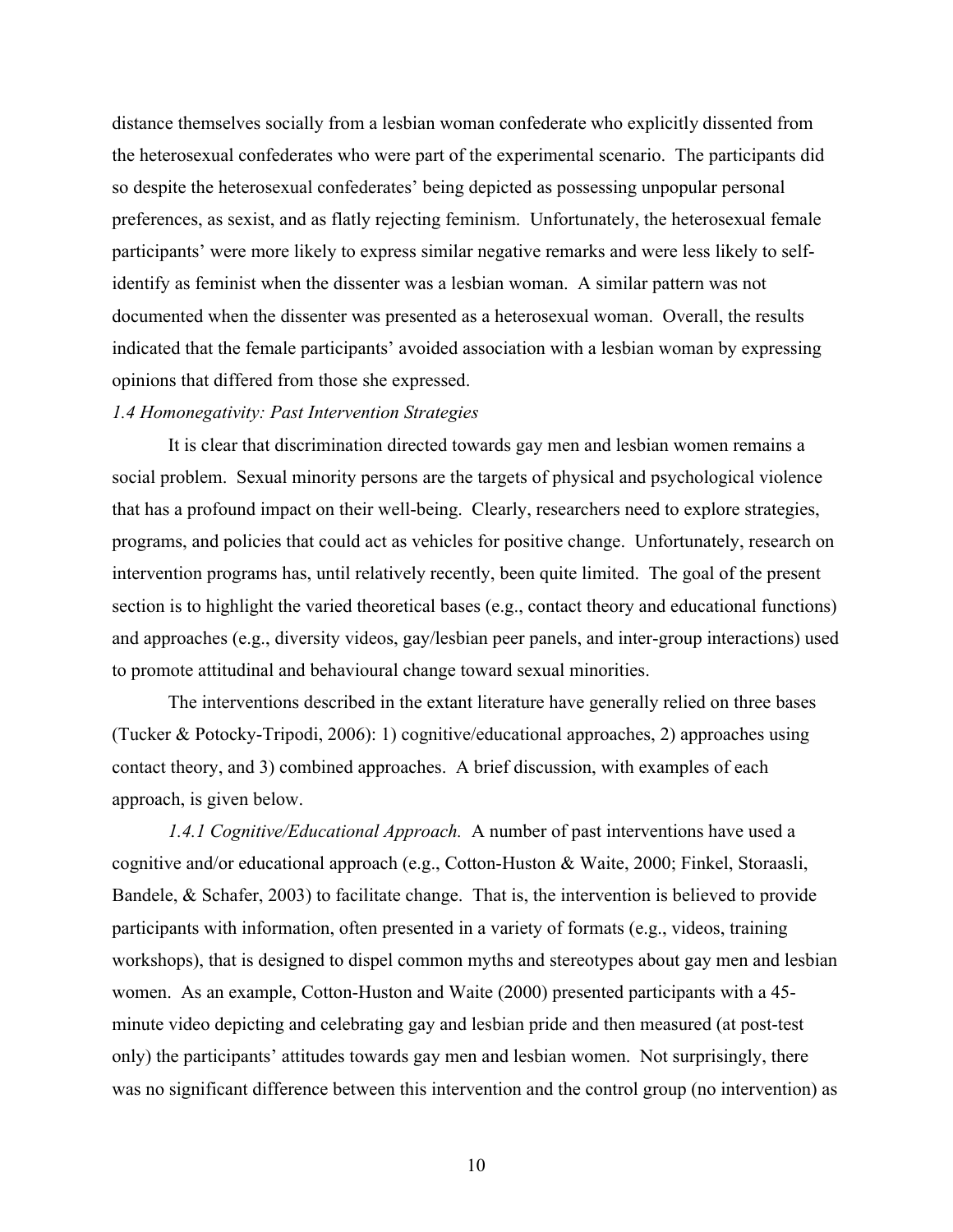distance themselves socially from a lesbian woman confederate who explicitly dissented from the heterosexual confederates who were part of the experimental scenario. The participants did so despite the heterosexual confederates' being depicted as possessing unpopular personal preferences, as sexist, and as flatly rejecting feminism. Unfortunately, the heterosexual female participants' were more likely to express similar negative remarks and were less likely to selfidentify as feminist when the dissenter was a lesbian woman. A similar pattern was not documented when the dissenter was presented as a heterosexual woman. Overall, the results indicated that the female participants' avoided association with a lesbian woman by expressing opinions that differed from those she expressed.

#### *1.4 Homonegativity: Past Intervention Strategies*

It is clear that discrimination directed towards gay men and lesbian women remains a social problem. Sexual minority persons are the targets of physical and psychological violence that has a profound impact on their well-being. Clearly, researchers need to explore strategies, programs, and policies that could act as vehicles for positive change. Unfortunately, research on intervention programs has, until relatively recently, been quite limited. The goal of the present section is to highlight the varied theoretical bases (e.g., contact theory and educational functions) and approaches (e.g., diversity videos, gay/lesbian peer panels, and inter-group interactions) used to promote attitudinal and behavioural change toward sexual minorities.

The interventions described in the extant literature have generally relied on three bases (Tucker & Potocky-Tripodi, 2006): 1) cognitive/educational approaches, 2) approaches using contact theory, and 3) combined approaches. A brief discussion, with examples of each approach, is given below.

*1.4.1 Cognitive/Educational Approach.* A number of past interventions have used a cognitive and/or educational approach (e.g., Cotton-Huston & Waite, 2000; Finkel, Storaasli, Bandele, & Schafer, 2003) to facilitate change. That is, the intervention is believed to provide participants with information, often presented in a variety of formats (e.g., videos, training workshops), that is designed to dispel common myths and stereotypes about gay men and lesbian women. As an example, Cotton-Huston and Waite (2000) presented participants with a 45 minute video depicting and celebrating gay and lesbian pride and then measured (at post-test only) the participants' attitudes towards gay men and lesbian women. Not surprisingly, there was no significant difference between this intervention and the control group (no intervention) as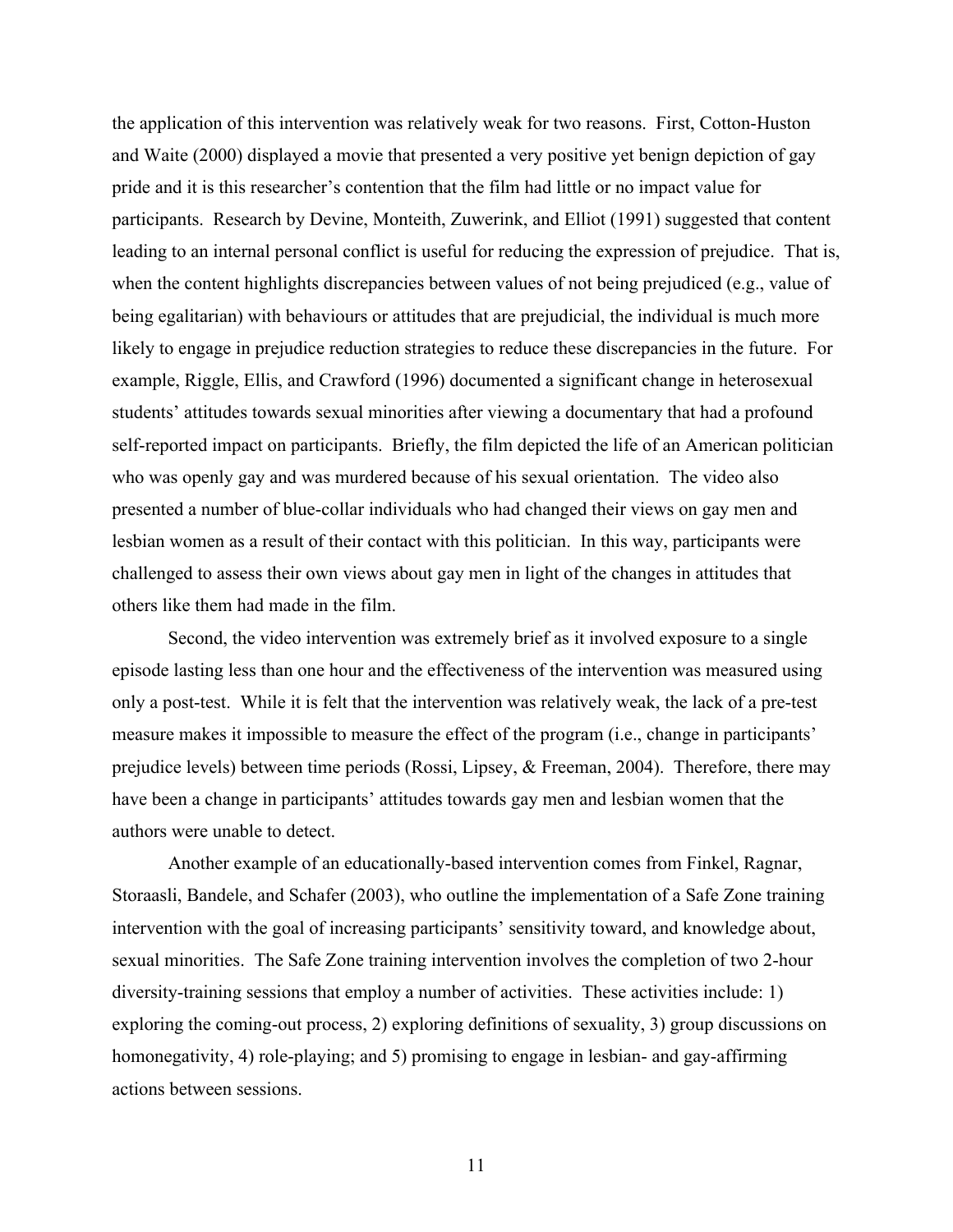the application of this intervention was relatively weak for two reasons. First, Cotton-Huston and Waite (2000) displayed a movie that presented a very positive yet benign depiction of gay pride and it is this researcher's contention that the film had little or no impact value for participants. Research by Devine, Monteith, Zuwerink, and Elliot (1991) suggested that content leading to an internal personal conflict is useful for reducing the expression of prejudice. That is, when the content highlights discrepancies between values of not being prejudiced (e.g., value of being egalitarian) with behaviours or attitudes that are prejudicial, the individual is much more likely to engage in prejudice reduction strategies to reduce these discrepancies in the future. For example, Riggle, Ellis, and Crawford (1996) documented a significant change in heterosexual students' attitudes towards sexual minorities after viewing a documentary that had a profound self-reported impact on participants. Briefly, the film depicted the life of an American politician who was openly gay and was murdered because of his sexual orientation. The video also presented a number of blue-collar individuals who had changed their views on gay men and lesbian women as a result of their contact with this politician. In this way, participants were challenged to assess their own views about gay men in light of the changes in attitudes that others like them had made in the film.

Second, the video intervention was extremely brief as it involved exposure to a single episode lasting less than one hour and the effectiveness of the intervention was measured using only a post-test. While it is felt that the intervention was relatively weak, the lack of a pre-test measure makes it impossible to measure the effect of the program (i.e., change in participants' prejudice levels) between time periods (Rossi, Lipsey, & Freeman, 2004). Therefore, there may have been a change in participants' attitudes towards gay men and lesbian women that the authors were unable to detect.

Another example of an educationally-based intervention comes from Finkel, Ragnar, Storaasli, Bandele, and Schafer (2003), who outline the implementation of a Safe Zone training intervention with the goal of increasing participants' sensitivity toward, and knowledge about, sexual minorities. The Safe Zone training intervention involves the completion of two 2-hour diversity-training sessions that employ a number of activities. These activities include: 1) exploring the coming-out process, 2) exploring definitions of sexuality, 3) group discussions on homonegativity, 4) role-playing; and 5) promising to engage in lesbian- and gay-affirming actions between sessions.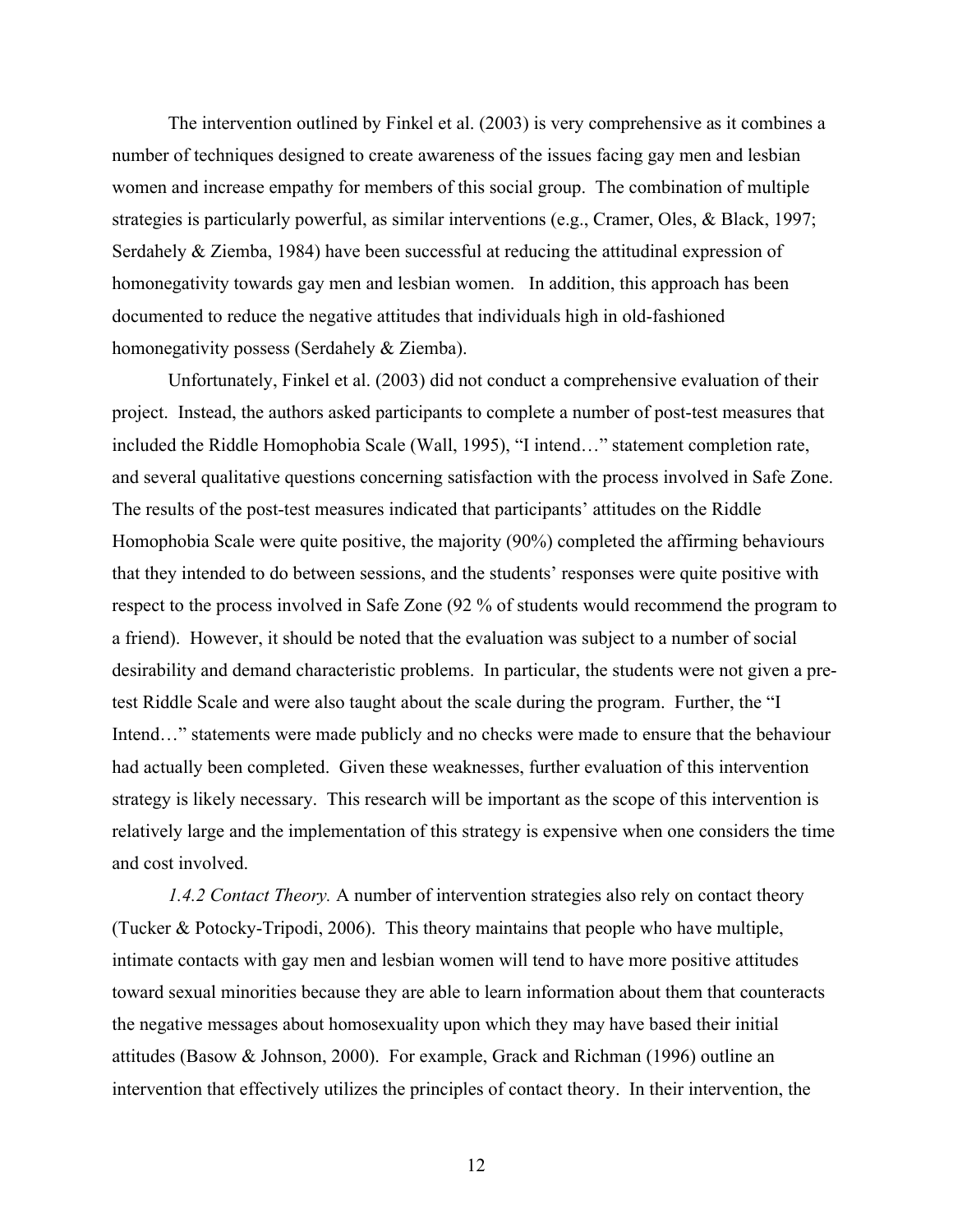The intervention outlined by Finkel et al. (2003) is very comprehensive as it combines a number of techniques designed to create awareness of the issues facing gay men and lesbian women and increase empathy for members of this social group. The combination of multiple strategies is particularly powerful, as similar interventions (e.g., Cramer, Oles, & Black, 1997; Serdahely & Ziemba, 1984) have been successful at reducing the attitudinal expression of homonegativity towards gay men and lesbian women. In addition, this approach has been documented to reduce the negative attitudes that individuals high in old-fashioned homonegativity possess (Serdahely & Ziemba).

Unfortunately, Finkel et al. (2003) did not conduct a comprehensive evaluation of their project. Instead, the authors asked participants to complete a number of post-test measures that included the Riddle Homophobia Scale (Wall, 1995), "I intend…" statement completion rate, and several qualitative questions concerning satisfaction with the process involved in Safe Zone. The results of the post-test measures indicated that participants' attitudes on the Riddle Homophobia Scale were quite positive, the majority (90%) completed the affirming behaviours that they intended to do between sessions, and the students' responses were quite positive with respect to the process involved in Safe Zone (92 % of students would recommend the program to a friend). However, it should be noted that the evaluation was subject to a number of social desirability and demand characteristic problems. In particular, the students were not given a pretest Riddle Scale and were also taught about the scale during the program. Further, the "I Intend..." statements were made publicly and no checks were made to ensure that the behaviour had actually been completed. Given these weaknesses, further evaluation of this intervention strategy is likely necessary. This research will be important as the scope of this intervention is relatively large and the implementation of this strategy is expensive when one considers the time and cost involved.

*1.4.2 Contact Theory.* A number of intervention strategies also rely on contact theory (Tucker & Potocky-Tripodi, 2006). This theory maintains that people who have multiple, intimate contacts with gay men and lesbian women will tend to have more positive attitudes toward sexual minorities because they are able to learn information about them that counteracts the negative messages about homosexuality upon which they may have based their initial attitudes (Basow & Johnson, 2000). For example, Grack and Richman (1996) outline an intervention that effectively utilizes the principles of contact theory. In their intervention, the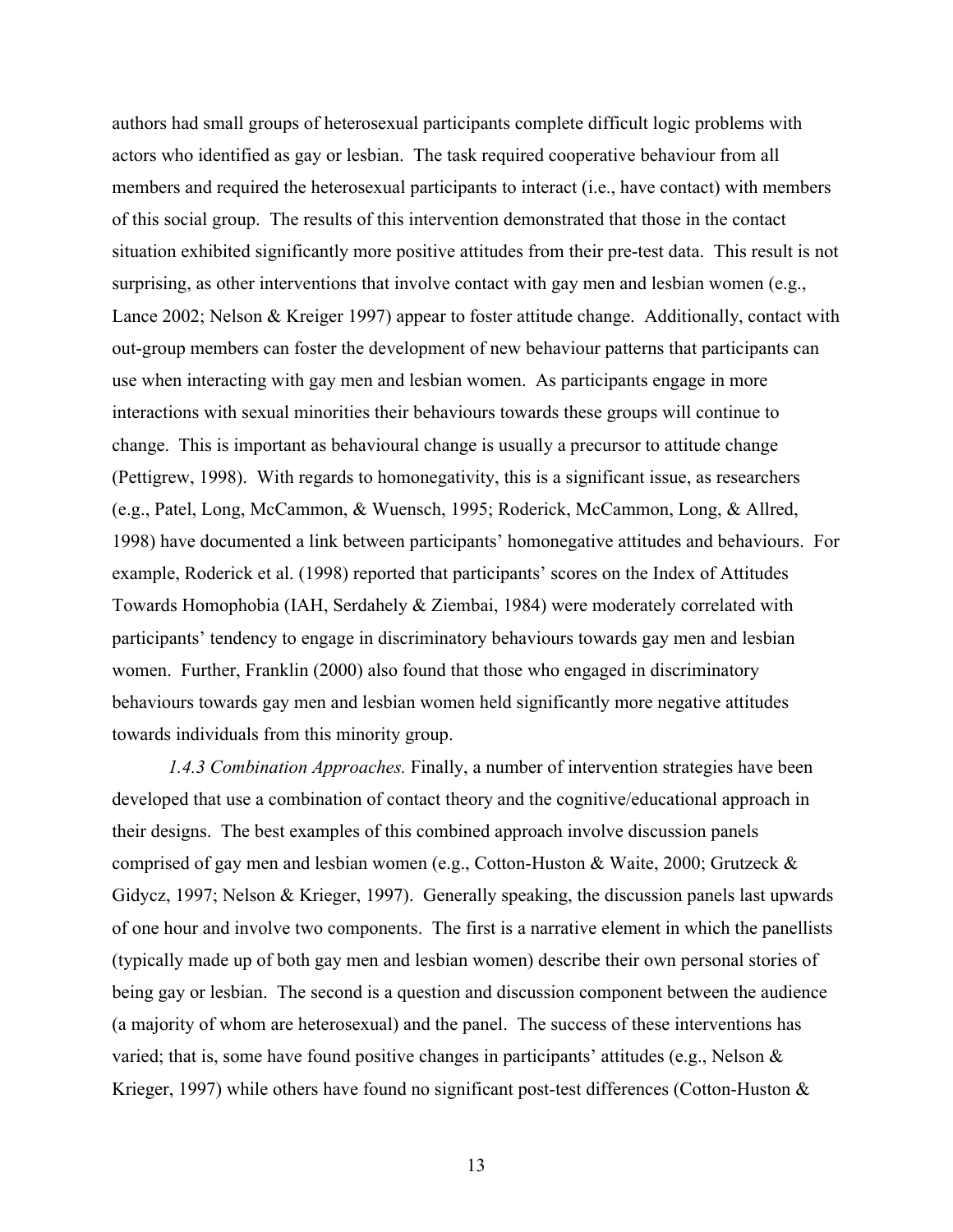authors had small groups of heterosexual participants complete difficult logic problems with actors who identified as gay or lesbian. The task required cooperative behaviour from all members and required the heterosexual participants to interact (i.e., have contact) with members of this social group. The results of this intervention demonstrated that those in the contact situation exhibited significantly more positive attitudes from their pre-test data. This result is not surprising, as other interventions that involve contact with gay men and lesbian women (e.g., Lance 2002; Nelson & Kreiger 1997) appear to foster attitude change. Additionally, contact with out-group members can foster the development of new behaviour patterns that participants can use when interacting with gay men and lesbian women. As participants engage in more interactions with sexual minorities their behaviours towards these groups will continue to change. This is important as behavioural change is usually a precursor to attitude change (Pettigrew, 1998). With regards to homonegativity, this is a significant issue, as researchers (e.g., Patel, Long, McCammon, & Wuensch, 1995; Roderick, McCammon, Long, & Allred, 1998) have documented a link between participants' homonegative attitudes and behaviours. For example, Roderick et al. (1998) reported that participants' scores on the Index of Attitudes Towards Homophobia (IAH, Serdahely & Ziembai, 1984) were moderately correlated with participants' tendency to engage in discriminatory behaviours towards gay men and lesbian women. Further, Franklin (2000) also found that those who engaged in discriminatory behaviours towards gay men and lesbian women held significantly more negative attitudes towards individuals from this minority group.

*1.4.3 Combination Approaches.* Finally, a number of intervention strategies have been developed that use a combination of contact theory and the cognitive/educational approach in their designs. The best examples of this combined approach involve discussion panels comprised of gay men and lesbian women (e.g., Cotton-Huston & Waite, 2000; Grutzeck & Gidycz, 1997; Nelson & Krieger, 1997). Generally speaking, the discussion panels last upwards of one hour and involve two components. The first is a narrative element in which the panellists (typically made up of both gay men and lesbian women) describe their own personal stories of being gay or lesbian. The second is a question and discussion component between the audience (a majority of whom are heterosexual) and the panel. The success of these interventions has varied; that is, some have found positive changes in participants' attitudes (e.g., Nelson & Krieger, 1997) while others have found no significant post-test differences (Cotton-Huston  $\&$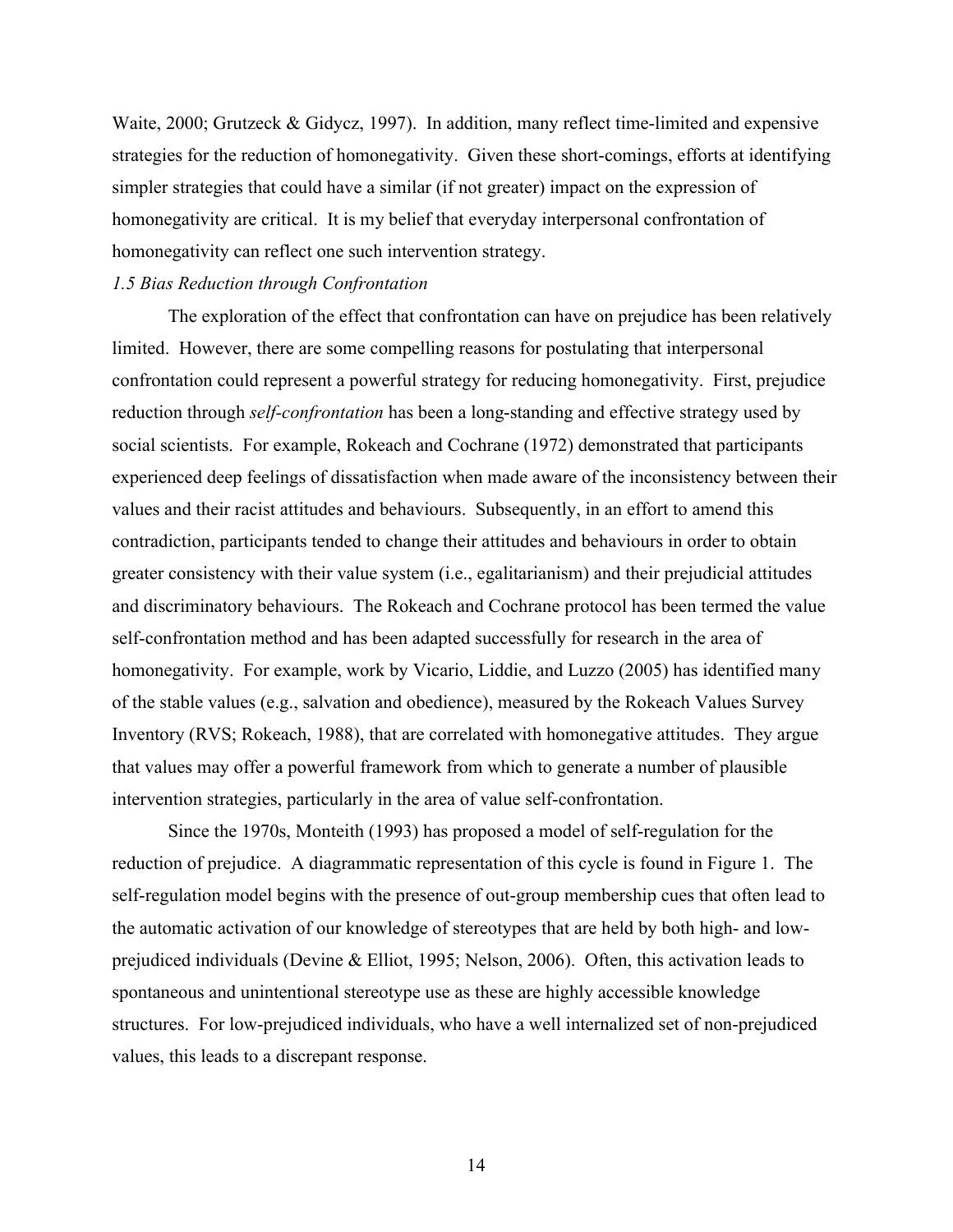Waite, 2000; Grutzeck & Gidycz, 1997). In addition, many reflect time-limited and expensive strategies for the reduction of homonegativity. Given these short-comings, efforts at identifying simpler strategies that could have a similar (if not greater) impact on the expression of homonegativity are critical. It is my belief that everyday interpersonal confrontation of homonegativity can reflect one such intervention strategy.

#### *1.5 Bias Reduction through Confrontation*

The exploration of the effect that confrontation can have on prejudice has been relatively limited. However, there are some compelling reasons for postulating that interpersonal confrontation could represent a powerful strategy for reducing homonegativity. First, prejudice reduction through *self-confrontation* has been a long-standing and effective strategy used by social scientists. For example, Rokeach and Cochrane (1972) demonstrated that participants experienced deep feelings of dissatisfaction when made aware of the inconsistency between their values and their racist attitudes and behaviours. Subsequently, in an effort to amend this contradiction, participants tended to change their attitudes and behaviours in order to obtain greater consistency with their value system (i.e., egalitarianism) and their prejudicial attitudes and discriminatory behaviours. The Rokeach and Cochrane protocol has been termed the value self-confrontation method and has been adapted successfully for research in the area of homonegativity. For example, work by Vicario, Liddie, and Luzzo (2005) has identified many of the stable values (e.g., salvation and obedience), measured by the Rokeach Values Survey Inventory (RVS; Rokeach, 1988), that are correlated with homonegative attitudes. They argue that values may offer a powerful framework from which to generate a number of plausible intervention strategies, particularly in the area of value self-confrontation.

Since the 1970s, Monteith (1993) has proposed a model of self-regulation for the reduction of prejudice. A diagrammatic representation of this cycle is found in Figure 1. The self-regulation model begins with the presence of out-group membership cues that often lead to the automatic activation of our knowledge of stereotypes that are held by both high- and lowprejudiced individuals (Devine & Elliot, 1995; Nelson, 2006). Often, this activation leads to spontaneous and unintentional stereotype use as these are highly accessible knowledge structures. For low-prejudiced individuals, who have a well internalized set of non-prejudiced values, this leads to a discrepant response.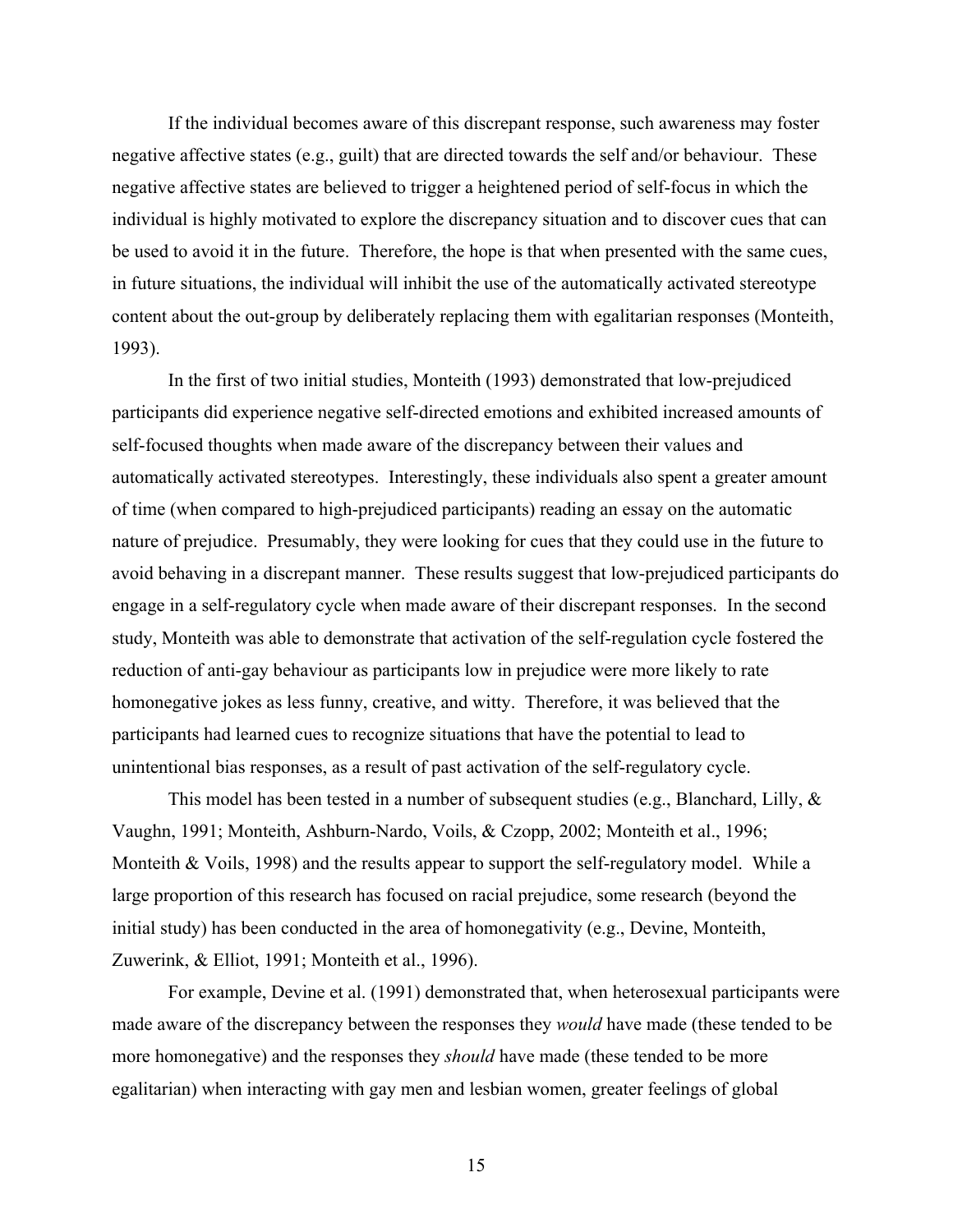If the individual becomes aware of this discrepant response, such awareness may foster negative affective states (e.g., guilt) that are directed towards the self and/or behaviour. These negative affective states are believed to trigger a heightened period of self-focus in which the individual is highly motivated to explore the discrepancy situation and to discover cues that can be used to avoid it in the future. Therefore, the hope is that when presented with the same cues, in future situations, the individual will inhibit the use of the automatically activated stereotype content about the out-group by deliberately replacing them with egalitarian responses (Monteith, 1993).

In the first of two initial studies, Monteith (1993) demonstrated that low-prejudiced participants did experience negative self-directed emotions and exhibited increased amounts of self-focused thoughts when made aware of the discrepancy between their values and automatically activated stereotypes. Interestingly, these individuals also spent a greater amount of time (when compared to high-prejudiced participants) reading an essay on the automatic nature of prejudice. Presumably, they were looking for cues that they could use in the future to avoid behaving in a discrepant manner. These results suggest that low-prejudiced participants do engage in a self-regulatory cycle when made aware of their discrepant responses. In the second study, Monteith was able to demonstrate that activation of the self-regulation cycle fostered the reduction of anti-gay behaviour as participants low in prejudice were more likely to rate homonegative jokes as less funny, creative, and witty. Therefore, it was believed that the participants had learned cues to recognize situations that have the potential to lead to unintentional bias responses, as a result of past activation of the self-regulatory cycle.

This model has been tested in a number of subsequent studies (e.g., Blanchard, Lilly, & Vaughn, 1991; Monteith, Ashburn-Nardo, Voils, & Czopp, 2002; Monteith et al., 1996; Monteith & Voils, 1998) and the results appear to support the self-regulatory model. While a large proportion of this research has focused on racial prejudice, some research (beyond the initial study) has been conducted in the area of homonegativity (e.g., Devine, Monteith, Zuwerink, & Elliot, 1991; Monteith et al., 1996).

For example, Devine et al. (1991) demonstrated that, when heterosexual participants were made aware of the discrepancy between the responses they *would* have made (these tended to be more homonegative) and the responses they *should* have made (these tended to be more egalitarian) when interacting with gay men and lesbian women, greater feelings of global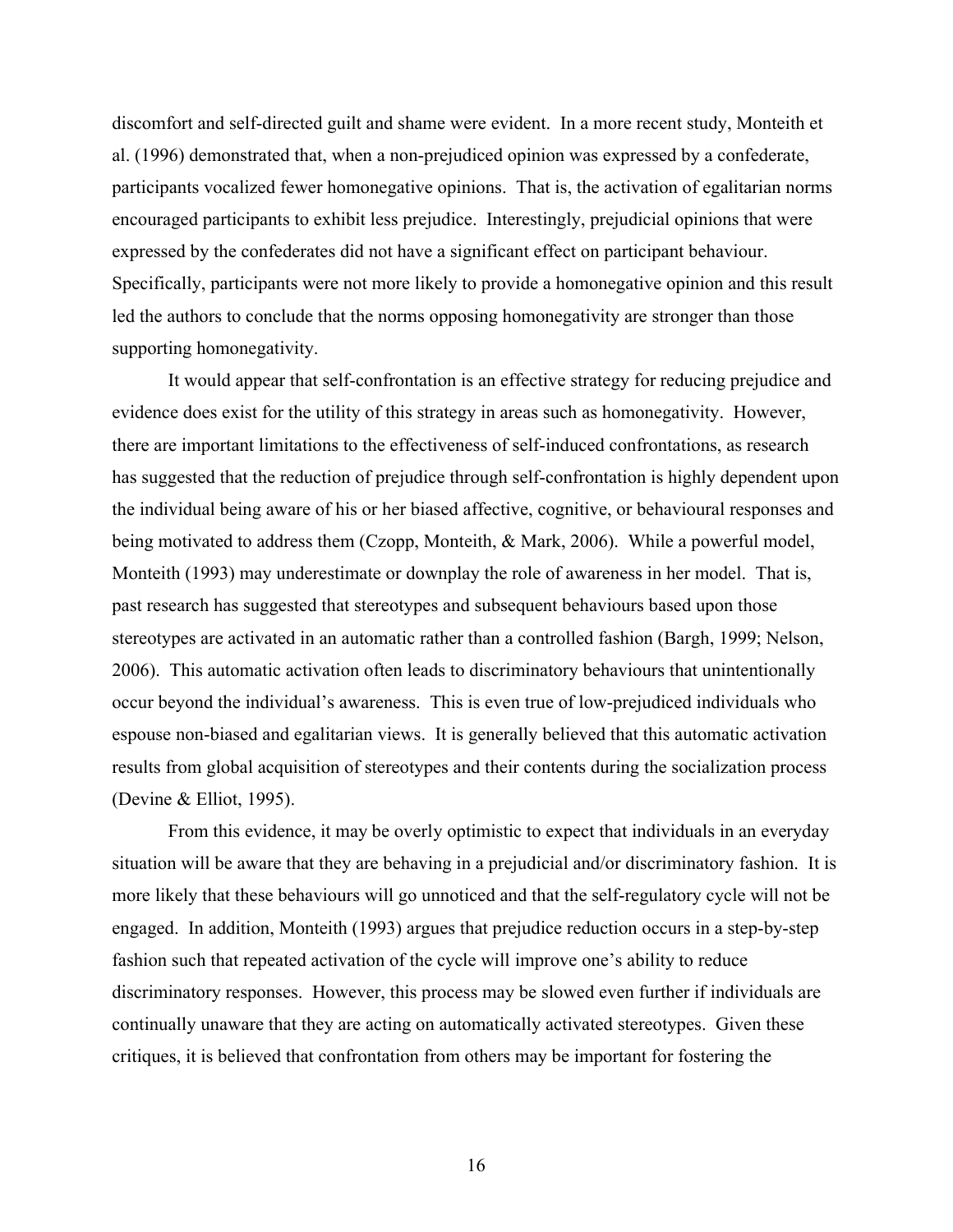discomfort and self-directed guilt and shame were evident. In a more recent study, Monteith et al. (1996) demonstrated that, when a non-prejudiced opinion was expressed by a confederate, participants vocalized fewer homonegative opinions. That is, the activation of egalitarian norms encouraged participants to exhibit less prejudice. Interestingly, prejudicial opinions that were expressed by the confederates did not have a significant effect on participant behaviour. Specifically, participants were not more likely to provide a homonegative opinion and this result led the authors to conclude that the norms opposing homonegativity are stronger than those supporting homonegativity.

It would appear that self-confrontation is an effective strategy for reducing prejudice and evidence does exist for the utility of this strategy in areas such as homonegativity. However, there are important limitations to the effectiveness of self-induced confrontations, as research has suggested that the reduction of prejudice through self-confrontation is highly dependent upon the individual being aware of his or her biased affective, cognitive, or behavioural responses and being motivated to address them (Czopp, Monteith, & Mark, 2006). While a powerful model, Monteith (1993) may underestimate or downplay the role of awareness in her model. That is, past research has suggested that stereotypes and subsequent behaviours based upon those stereotypes are activated in an automatic rather than a controlled fashion (Bargh, 1999; Nelson, 2006). This automatic activation often leads to discriminatory behaviours that unintentionally occur beyond the individual's awareness. This is even true of low-prejudiced individuals who espouse non-biased and egalitarian views. It is generally believed that this automatic activation results from global acquisition of stereotypes and their contents during the socialization process (Devine & Elliot, 1995).

From this evidence, it may be overly optimistic to expect that individuals in an everyday situation will be aware that they are behaving in a prejudicial and/or discriminatory fashion. It is more likely that these behaviours will go unnoticed and that the self-regulatory cycle will not be engaged. In addition, Monteith (1993) argues that prejudice reduction occurs in a step-by-step fashion such that repeated activation of the cycle will improve one's ability to reduce discriminatory responses. However, this process may be slowed even further if individuals are continually unaware that they are acting on automatically activated stereotypes. Given these critiques, it is believed that confrontation from others may be important for fostering the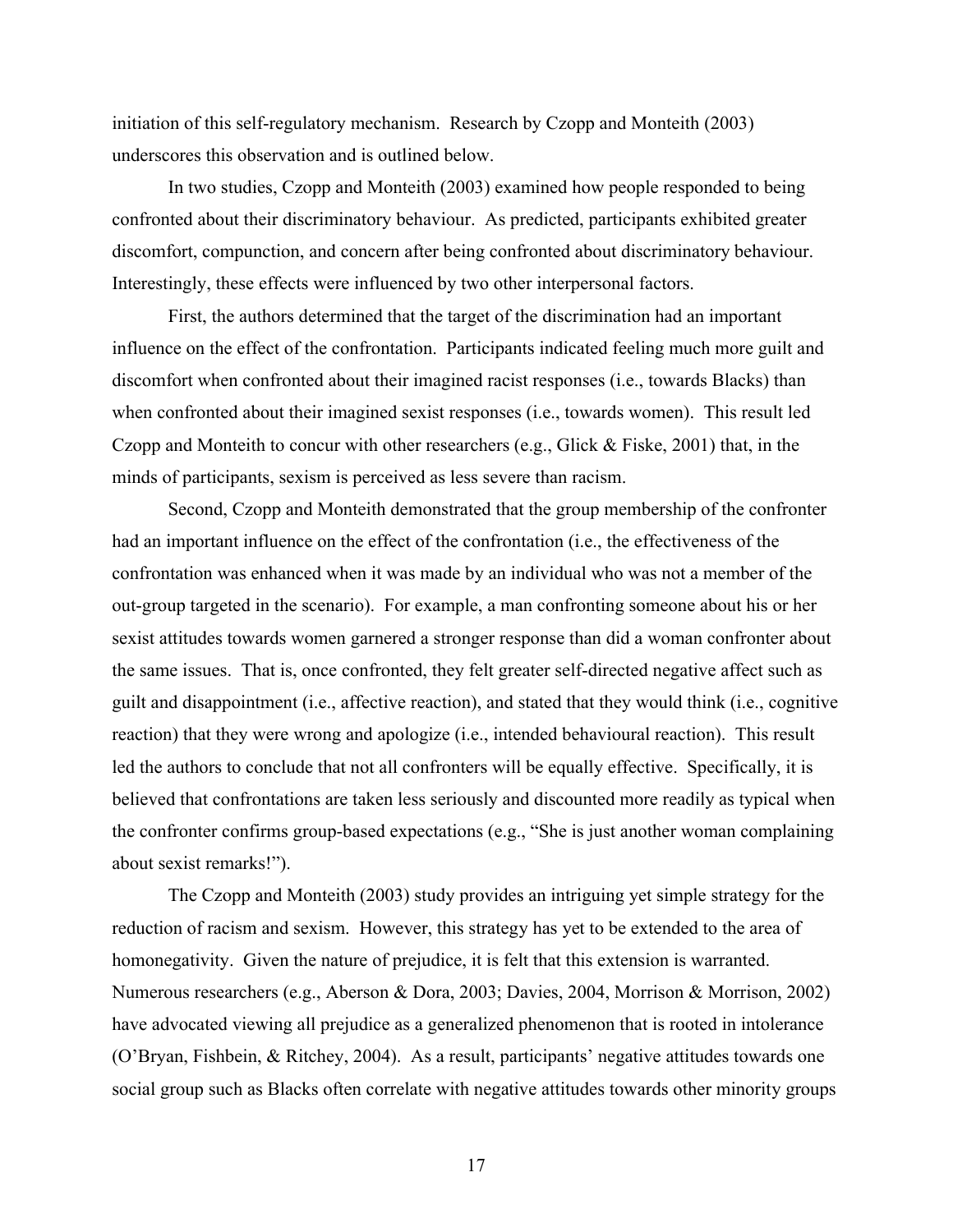initiation of this self-regulatory mechanism. Research by Czopp and Monteith (2003) underscores this observation and is outlined below.

In two studies, Czopp and Monteith (2003) examined how people responded to being confronted about their discriminatory behaviour. As predicted, participants exhibited greater discomfort, compunction, and concern after being confronted about discriminatory behaviour. Interestingly, these effects were influenced by two other interpersonal factors.

First, the authors determined that the target of the discrimination had an important influence on the effect of the confrontation. Participants indicated feeling much more guilt and discomfort when confronted about their imagined racist responses (i.e., towards Blacks) than when confronted about their imagined sexist responses (i.e., towards women). This result led Czopp and Monteith to concur with other researchers (e.g., Glick & Fiske, 2001) that, in the minds of participants, sexism is perceived as less severe than racism.

Second, Czopp and Monteith demonstrated that the group membership of the confronter had an important influence on the effect of the confrontation (i.e., the effectiveness of the confrontation was enhanced when it was made by an individual who was not a member of the out-group targeted in the scenario). For example, a man confronting someone about his or her sexist attitudes towards women garnered a stronger response than did a woman confronter about the same issues. That is, once confronted, they felt greater self-directed negative affect such as guilt and disappointment (i.e., affective reaction), and stated that they would think (i.e., cognitive reaction) that they were wrong and apologize (i.e., intended behavioural reaction). This result led the authors to conclude that not all confronters will be equally effective. Specifically, it is believed that confrontations are taken less seriously and discounted more readily as typical when the confronter confirms group-based expectations (e.g., "She is just another woman complaining about sexist remarks!").

The Czopp and Monteith (2003) study provides an intriguing yet simple strategy for the reduction of racism and sexism. However, this strategy has yet to be extended to the area of homonegativity. Given the nature of prejudice, it is felt that this extension is warranted. Numerous researchers (e.g., Aberson & Dora, 2003; Davies, 2004, Morrison & Morrison, 2002) have advocated viewing all prejudice as a generalized phenomenon that is rooted in intolerance (O'Bryan, Fishbein, & Ritchey, 2004). As a result, participants' negative attitudes towards one social group such as Blacks often correlate with negative attitudes towards other minority groups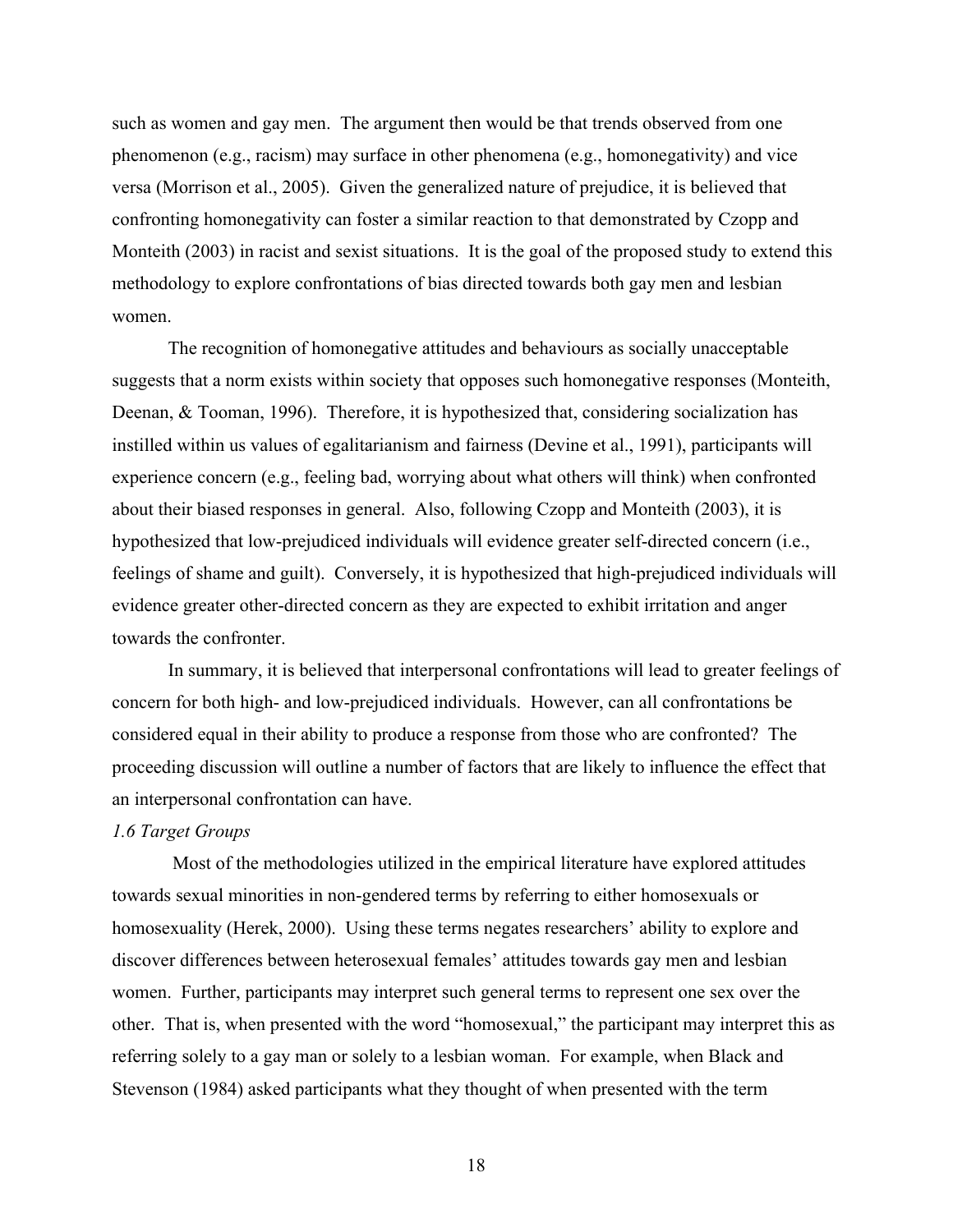such as women and gay men. The argument then would be that trends observed from one phenomenon (e.g., racism) may surface in other phenomena (e.g., homonegativity) and vice versa (Morrison et al., 2005). Given the generalized nature of prejudice, it is believed that confronting homonegativity can foster a similar reaction to that demonstrated by Czopp and Monteith (2003) in racist and sexist situations. It is the goal of the proposed study to extend this methodology to explore confrontations of bias directed towards both gay men and lesbian women.

The recognition of homonegative attitudes and behaviours as socially unacceptable suggests that a norm exists within society that opposes such homonegative responses (Monteith, Deenan, & Tooman, 1996). Therefore, it is hypothesized that, considering socialization has instilled within us values of egalitarianism and fairness (Devine et al., 1991), participants will experience concern (e.g., feeling bad, worrying about what others will think) when confronted about their biased responses in general. Also, following Czopp and Monteith (2003), it is hypothesized that low-prejudiced individuals will evidence greater self-directed concern (i.e., feelings of shame and guilt). Conversely, it is hypothesized that high-prejudiced individuals will evidence greater other-directed concern as they are expected to exhibit irritation and anger towards the confronter.

In summary, it is believed that interpersonal confrontations will lead to greater feelings of concern for both high- and low-prejudiced individuals. However, can all confrontations be considered equal in their ability to produce a response from those who are confronted? The proceeding discussion will outline a number of factors that are likely to influence the effect that an interpersonal confrontation can have.

#### *1.6 Target Groups*

Most of the methodologies utilized in the empirical literature have explored attitudes towards sexual minorities in non-gendered terms by referring to either homosexuals or homosexuality (Herek, 2000). Using these terms negates researchers' ability to explore and discover differences between heterosexual females' attitudes towards gay men and lesbian women. Further, participants may interpret such general terms to represent one sex over the other. That is, when presented with the word "homosexual," the participant may interpret this as referring solely to a gay man or solely to a lesbian woman. For example, when Black and Stevenson (1984) asked participants what they thought of when presented with the term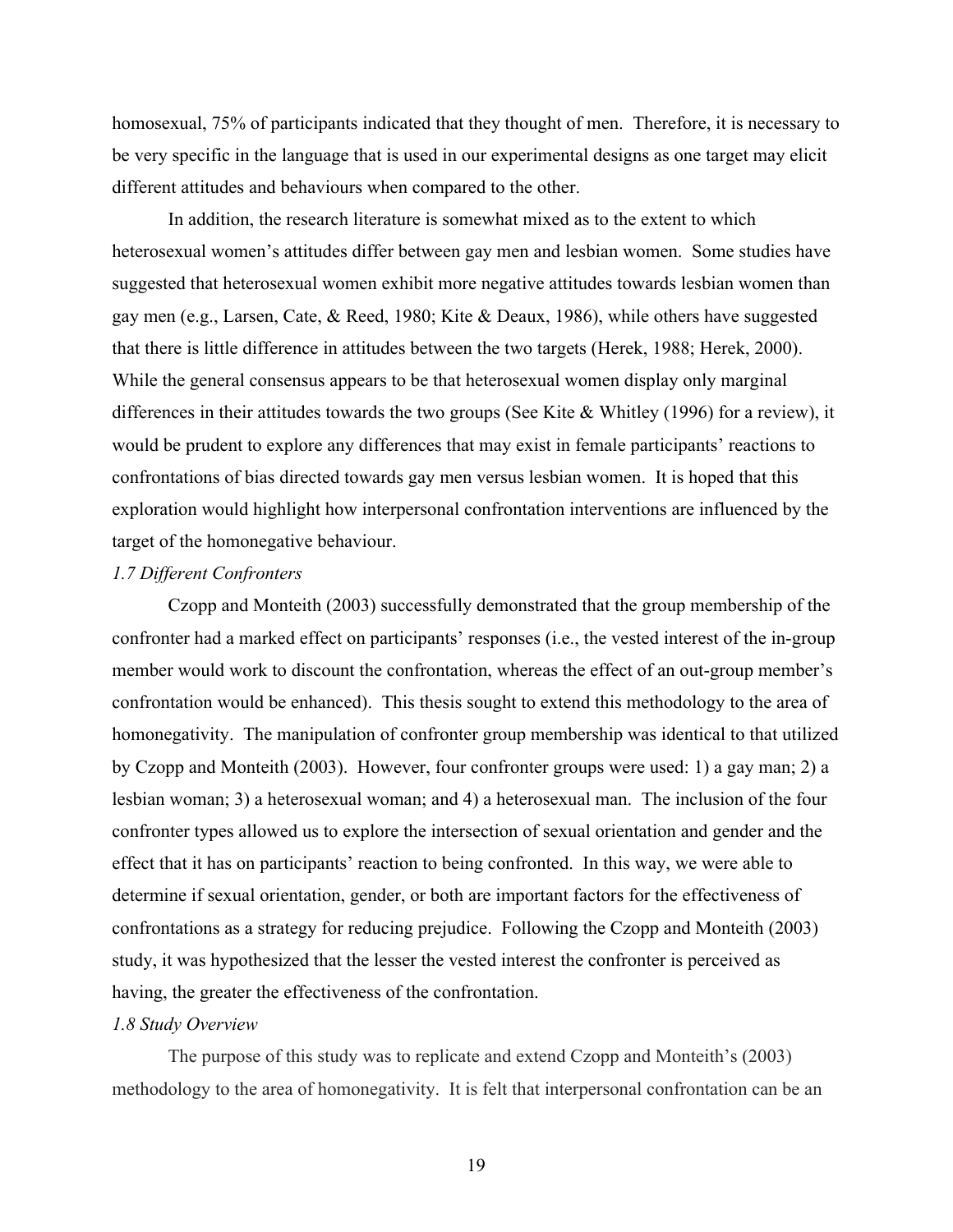homosexual, 75% of participants indicated that they thought of men. Therefore, it is necessary to be very specific in the language that is used in our experimental designs as one target may elicit different attitudes and behaviours when compared to the other.

In addition, the research literature is somewhat mixed as to the extent to which heterosexual women's attitudes differ between gay men and lesbian women. Some studies have suggested that heterosexual women exhibit more negative attitudes towards lesbian women than gay men (e.g., Larsen, Cate, & Reed, 1980; Kite & Deaux, 1986), while others have suggested that there is little difference in attitudes between the two targets (Herek, 1988; Herek, 2000). While the general consensus appears to be that heterosexual women display only marginal differences in their attitudes towards the two groups (See Kite & Whitley (1996) for a review), it would be prudent to explore any differences that may exist in female participants' reactions to confrontations of bias directed towards gay men versus lesbian women. It is hoped that this exploration would highlight how interpersonal confrontation interventions are influenced by the target of the homonegative behaviour.

### *1.7 Different Confronters*

Czopp and Monteith (2003) successfully demonstrated that the group membership of the confronter had a marked effect on participants' responses (i.e., the vested interest of the in-group member would work to discount the confrontation, whereas the effect of an out-group member's confrontation would be enhanced). This thesis sought to extend this methodology to the area of homonegativity. The manipulation of confronter group membership was identical to that utilized by Czopp and Monteith (2003). However, four confronter groups were used: 1) a gay man; 2) a lesbian woman; 3) a heterosexual woman; and 4) a heterosexual man. The inclusion of the four confronter types allowed us to explore the intersection of sexual orientation and gender and the effect that it has on participants' reaction to being confronted. In this way, we were able to determine if sexual orientation, gender, or both are important factors for the effectiveness of confrontations as a strategy for reducing prejudice. Following the Czopp and Monteith (2003) study, it was hypothesized that the lesser the vested interest the confronter is perceived as having, the greater the effectiveness of the confrontation.

#### *1.8 Study Overview*

The purpose of this study was to replicate and extend Czopp and Monteith's (2003) methodology to the area of homonegativity. It is felt that interpersonal confrontation can be an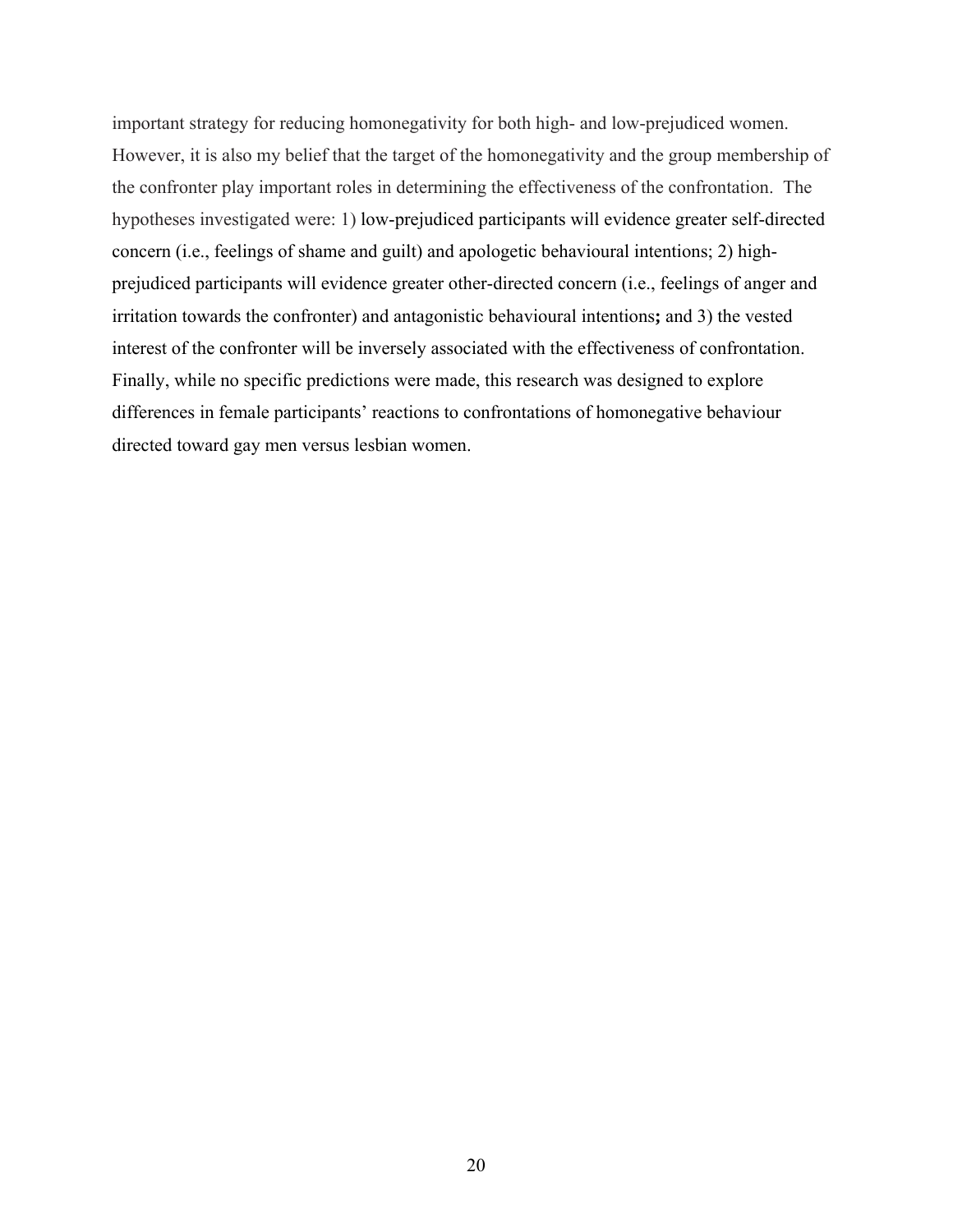important strategy for reducing homonegativity for both high- and low-prejudiced women. However, it is also my belief that the target of the homonegativity and the group membership of the confronter play important roles in determining the effectiveness of the confrontation. The hypotheses investigated were: 1) low-prejudiced participants will evidence greater self-directed concern (i.e., feelings of shame and guilt) and apologetic behavioural intentions; 2) highprejudiced participants will evidence greater other-directed concern (i.e., feelings of anger and irritation towards the confronter) and antagonistic behavioural intentions**;** and 3) the vested interest of the confronter will be inversely associated with the effectiveness of confrontation. Finally, while no specific predictions were made, this research was designed to explore differences in female participants' reactions to confrontations of homonegative behaviour directed toward gay men versus lesbian women.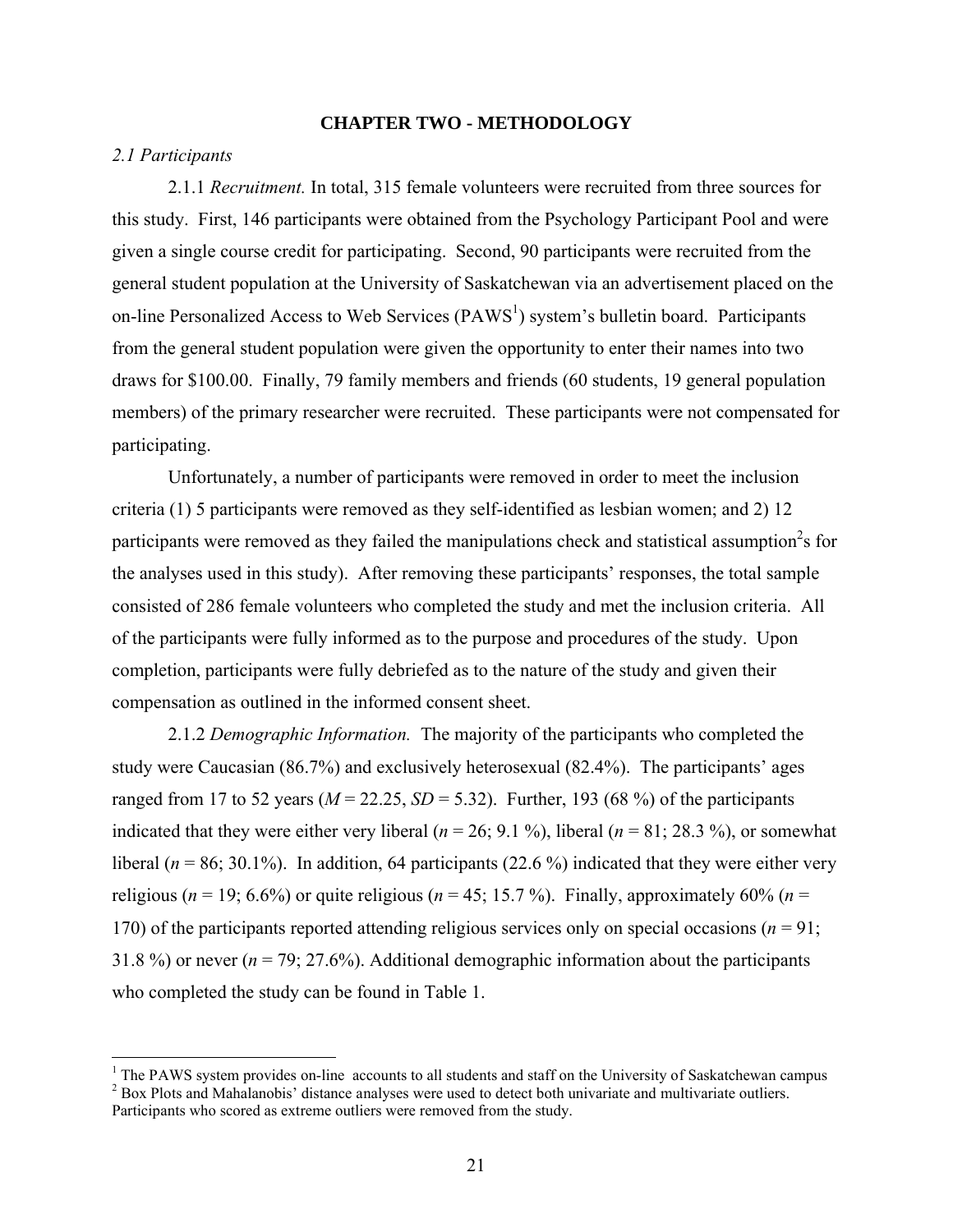#### **CHAPTER TWO - METHODOLOGY**

#### *2.1 Participants*

2.1.1 *Recruitment.* In total, 315 female volunteers were recruited from three sources for this study. First, 146 participants were obtained from the Psychology Participant Pool and were given a single course credit for participating. Second, 90 participants were recruited from the general student population at the University of Saskatchewan via an advertisement placed on the on-line Personalized Access to Web Services (PAWS<sup>1</sup>) system's bulletin board. Participants from the general student population were given the opportunity to enter their names into two draws for \$100.00. Finally, 79 family members and friends (60 students, 19 general population members) of the primary researcher were recruited. These participants were not compensated for participating.

Unfortunately, a number of participants were removed in order to meet the inclusion criteria (1) 5 participants were removed as they self-identified as lesbian women; and 2) 12 participants were removed as they failed the manipulations check and statistical assumption<sup>2</sup>s for the analyses used in this study). After removing these participants' responses, the total sample consisted of 286 female volunteers who completed the study and met the inclusion criteria. All of the participants were fully informed as to the purpose and procedures of the study. Upon completion, participants were fully debriefed as to the nature of the study and given their compensation as outlined in the informed consent sheet.

2.1.2 *Demographic Information.* The majority of the participants who completed the study were Caucasian (86.7%) and exclusively heterosexual (82.4%). The participants' ages ranged from 17 to 52 years ( $M = 22.25$ ,  $SD = 5.32$ ). Further, 193 (68 %) of the participants indicated that they were either very liberal ( $n = 26$ ; 9.1 %), liberal ( $n = 81$ ; 28.3 %), or somewhat liberal ( $n = 86$ ; 30.1%). In addition, 64 participants (22.6%) indicated that they were either very religious ( $n = 19$ ; 6.6%) or quite religious ( $n = 45$ ; 15.7%). Finally, approximately 60% ( $n =$ 170) of the participants reported attending religious services only on special occasions ( $n = 91$ ; 31.8 %) or never  $(n = 79; 27.6%)$ . Additional demographic information about the participants who completed the study can be found in Table 1.

<sup>&</sup>lt;sup>1</sup> The PAWS system provides on-line accounts to all students and staff on the University of Saskatchewan campus <sup>2</sup> Box Plots and Mahalanobis' distance analyses were used to detect both univariate and multivariate outliers. Participants who scored as extreme outliers were removed from the study.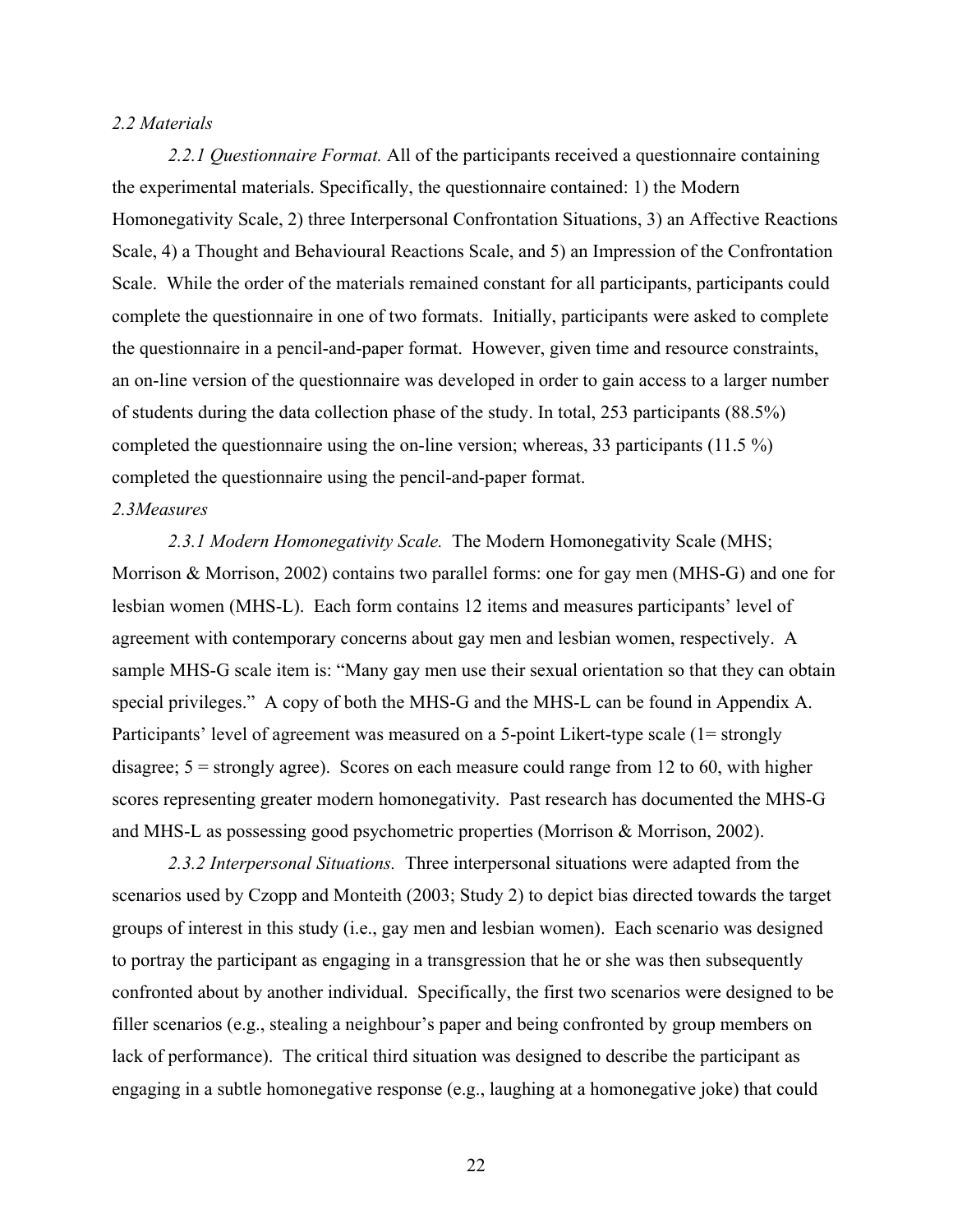#### *2.2 Materials*

*2.2.1 Questionnaire Format.* All of the participants received a questionnaire containing the experimental materials. Specifically, the questionnaire contained: 1) the Modern Homonegativity Scale, 2) three Interpersonal Confrontation Situations, 3) an Affective Reactions Scale, 4) a Thought and Behavioural Reactions Scale, and 5) an Impression of the Confrontation Scale. While the order of the materials remained constant for all participants, participants could complete the questionnaire in one of two formats. Initially, participants were asked to complete the questionnaire in a pencil-and-paper format. However, given time and resource constraints, an on-line version of the questionnaire was developed in order to gain access to a larger number of students during the data collection phase of the study. In total, 253 participants (88.5%) completed the questionnaire using the on-line version; whereas, 33 participants (11.5 %) completed the questionnaire using the pencil-and-paper format.

#### *2.3Measures*

*2.3.1 Modern Homonegativity Scale.* The Modern Homonegativity Scale (MHS; Morrison & Morrison, 2002) contains two parallel forms: one for gay men (MHS-G) and one for lesbian women (MHS-L). Each form contains 12 items and measures participants' level of agreement with contemporary concerns about gay men and lesbian women, respectively. A sample MHS-G scale item is: "Many gay men use their sexual orientation so that they can obtain special privileges." A copy of both the MHS-G and the MHS-L can be found in Appendix A. Participants' level of agreement was measured on a 5-point Likert-type scale (1= strongly disagree; 5 = strongly agree). Scores on each measure could range from 12 to 60, with higher scores representing greater modern homonegativity. Past research has documented the MHS-G and MHS-L as possessing good psychometric properties (Morrison & Morrison, 2002).

*2.3.2 Interpersonal Situations.* Three interpersonal situations were adapted from the scenarios used by Czopp and Monteith (2003; Study 2) to depict bias directed towards the target groups of interest in this study (i.e., gay men and lesbian women). Each scenario was designed to portray the participant as engaging in a transgression that he or she was then subsequently confronted about by another individual. Specifically, the first two scenarios were designed to be filler scenarios (e.g., stealing a neighbour's paper and being confronted by group members on lack of performance). The critical third situation was designed to describe the participant as engaging in a subtle homonegative response (e.g., laughing at a homonegative joke) that could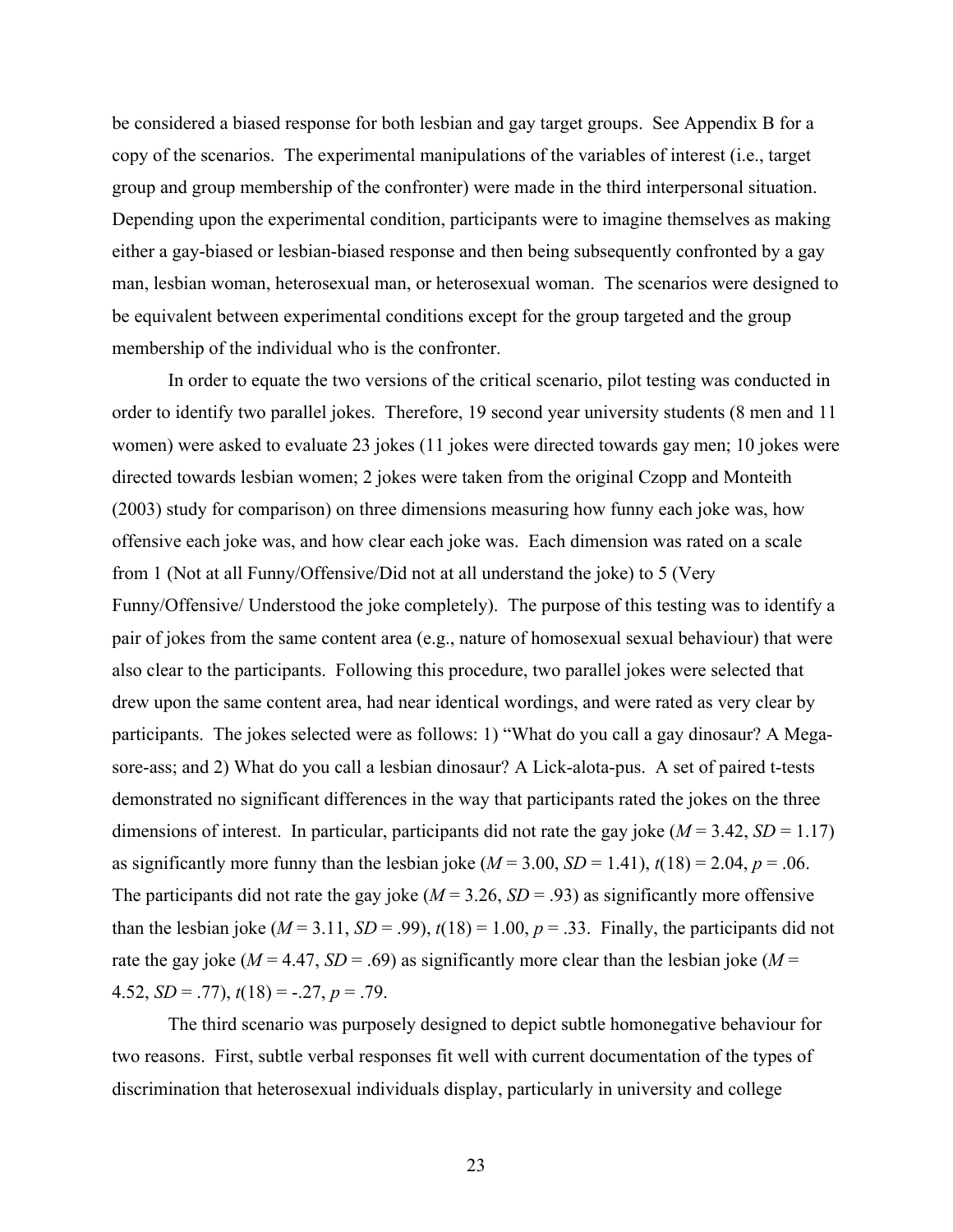be considered a biased response for both lesbian and gay target groups. See Appendix B for a copy of the scenarios. The experimental manipulations of the variables of interest (i.e., target group and group membership of the confronter) were made in the third interpersonal situation. Depending upon the experimental condition, participants were to imagine themselves as making either a gay-biased or lesbian-biased response and then being subsequently confronted by a gay man, lesbian woman, heterosexual man, or heterosexual woman. The scenarios were designed to be equivalent between experimental conditions except for the group targeted and the group membership of the individual who is the confronter.

In order to equate the two versions of the critical scenario, pilot testing was conducted in order to identify two parallel jokes. Therefore, 19 second year university students (8 men and 11 women) were asked to evaluate 23 jokes (11 jokes were directed towards gay men; 10 jokes were directed towards lesbian women; 2 jokes were taken from the original Czopp and Monteith (2003) study for comparison) on three dimensions measuring how funny each joke was, how offensive each joke was, and how clear each joke was. Each dimension was rated on a scale from 1 (Not at all Funny/Offensive/Did not at all understand the joke) to 5 (Very Funny/Offensive/ Understood the joke completely). The purpose of this testing was to identify a pair of jokes from the same content area (e.g., nature of homosexual sexual behaviour) that were also clear to the participants. Following this procedure, two parallel jokes were selected that drew upon the same content area, had near identical wordings, and were rated as very clear by participants. The jokes selected were as follows: 1) "What do you call a gay dinosaur? A Megasore-ass; and 2) What do you call a lesbian dinosaur? A Lick-alota-pus. A set of paired t-tests demonstrated no significant differences in the way that participants rated the jokes on the three dimensions of interest. In particular, participants did not rate the gay joke  $(M = 3.42, SD = 1.17)$ as significantly more funny than the lesbian joke  $(M = 3.00, SD = 1.41)$ ,  $t(18) = 2.04$ ,  $p = .06$ . The participants did not rate the gay joke ( $M = 3.26$ ,  $SD = .93$ ) as significantly more offensive than the lesbian joke ( $M = 3.11$ ,  $SD = .99$ ),  $t(18) = 1.00$ ,  $p = .33$ . Finally, the participants did not rate the gay joke ( $M = 4.47$ ,  $SD = .69$ ) as significantly more clear than the lesbian joke ( $M =$ 4.52,  $SD = .77$ ,  $t(18) = -.27$ ,  $p = .79$ .

The third scenario was purposely designed to depict subtle homonegative behaviour for two reasons. First, subtle verbal responses fit well with current documentation of the types of discrimination that heterosexual individuals display, particularly in university and college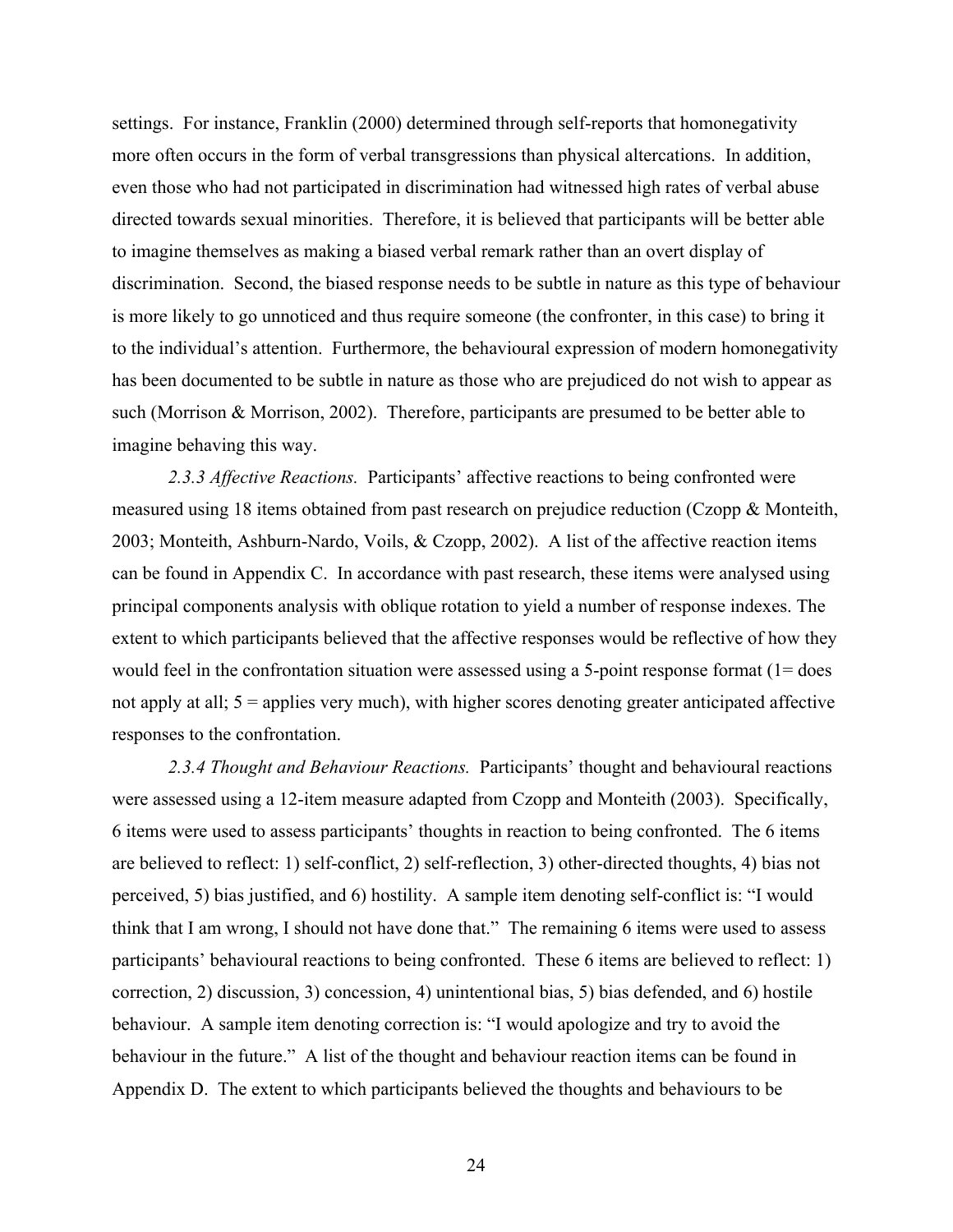settings. For instance, Franklin (2000) determined through self-reports that homonegativity more often occurs in the form of verbal transgressions than physical altercations. In addition, even those who had not participated in discrimination had witnessed high rates of verbal abuse directed towards sexual minorities. Therefore, it is believed that participants will be better able to imagine themselves as making a biased verbal remark rather than an overt display of discrimination. Second, the biased response needs to be subtle in nature as this type of behaviour is more likely to go unnoticed and thus require someone (the confronter, in this case) to bring it to the individual's attention. Furthermore, the behavioural expression of modern homonegativity has been documented to be subtle in nature as those who are prejudiced do not wish to appear as such (Morrison & Morrison, 2002). Therefore, participants are presumed to be better able to imagine behaving this way.

*2.3.3 Affective Reactions.* Participants' affective reactions to being confronted were measured using 18 items obtained from past research on prejudice reduction (Czopp & Monteith, 2003; Monteith, Ashburn-Nardo, Voils, & Czopp, 2002). A list of the affective reaction items can be found in Appendix C. In accordance with past research, these items were analysed using principal components analysis with oblique rotation to yield a number of response indexes. The extent to which participants believed that the affective responses would be reflective of how they would feel in the confrontation situation were assessed using a 5-point response format (1= does not apply at all; 5 = applies very much), with higher scores denoting greater anticipated affective responses to the confrontation.

*2.3.4 Thought and Behaviour Reactions.* Participants' thought and behavioural reactions were assessed using a 12-item measure adapted from Czopp and Monteith (2003). Specifically, 6 items were used to assess participants' thoughts in reaction to being confronted. The 6 items are believed to reflect: 1) self-conflict, 2) self-reflection, 3) other-directed thoughts, 4) bias not perceived, 5) bias justified, and 6) hostility. A sample item denoting self-conflict is: "I would think that I am wrong, I should not have done that." The remaining 6 items were used to assess participants' behavioural reactions to being confronted. These 6 items are believed to reflect: 1) correction, 2) discussion, 3) concession, 4) unintentional bias, 5) bias defended, and 6) hostile behaviour. A sample item denoting correction is: "I would apologize and try to avoid the behaviour in the future." A list of the thought and behaviour reaction items can be found in Appendix D. The extent to which participants believed the thoughts and behaviours to be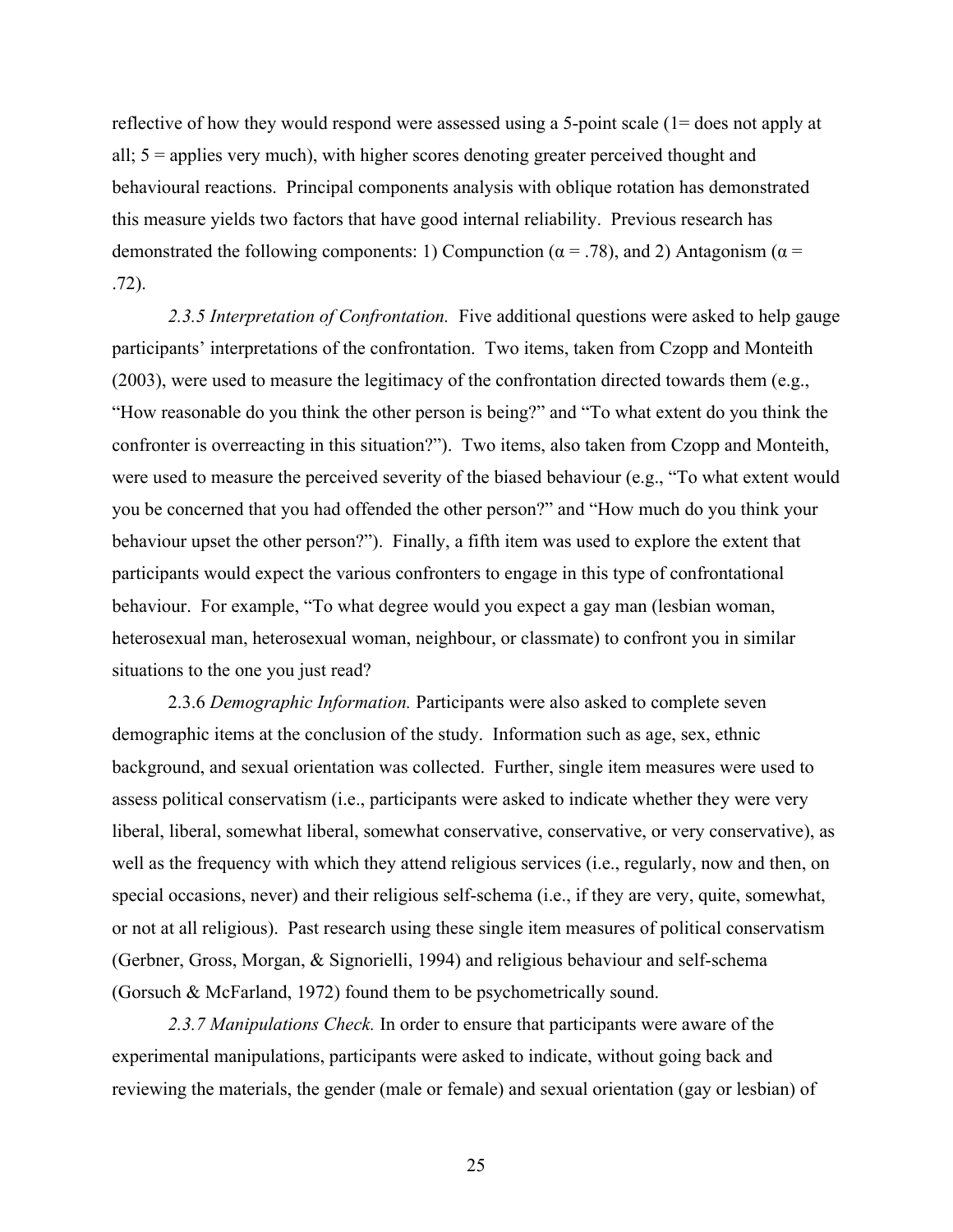reflective of how they would respond were assessed using a 5-point scale (1= does not apply at all; 5 = applies very much), with higher scores denoting greater perceived thought and behavioural reactions. Principal components analysis with oblique rotation has demonstrated this measure yields two factors that have good internal reliability. Previous research has demonstrated the following components: 1) Compunction ( $\alpha$  = .78), and 2) Antagonism ( $\alpha$  = .72).

*2.3.5 Interpretation of Confrontation.* Five additional questions were asked to help gauge participants' interpretations of the confrontation. Two items, taken from Czopp and Monteith (2003), were used to measure the legitimacy of the confrontation directed towards them (e.g., "How reasonable do you think the other person is being?" and "To what extent do you think the confronter is overreacting in this situation?"). Two items, also taken from Czopp and Monteith, were used to measure the perceived severity of the biased behaviour (e.g., "To what extent would you be concerned that you had offended the other person?" and "How much do you think your behaviour upset the other person?"). Finally, a fifth item was used to explore the extent that participants would expect the various confronters to engage in this type of confrontational behaviour. For example, "To what degree would you expect a gay man (lesbian woman, heterosexual man, heterosexual woman, neighbour, or classmate) to confront you in similar situations to the one you just read?

2.3.6 *Demographic Information.* Participants were also asked to complete seven demographic items at the conclusion of the study. Information such as age, sex, ethnic background, and sexual orientation was collected. Further, single item measures were used to assess political conservatism (i.e., participants were asked to indicate whether they were very liberal, liberal, somewhat liberal, somewhat conservative, conservative, or very conservative), as well as the frequency with which they attend religious services (i.e., regularly, now and then, on special occasions, never) and their religious self-schema (i.e., if they are very, quite, somewhat, or not at all religious). Past research using these single item measures of political conservatism (Gerbner, Gross, Morgan, & Signorielli, 1994) and religious behaviour and self-schema (Gorsuch & McFarland, 1972) found them to be psychometrically sound.

*2.3.7 Manipulations Check.* In order to ensure that participants were aware of the experimental manipulations, participants were asked to indicate, without going back and reviewing the materials, the gender (male or female) and sexual orientation (gay or lesbian) of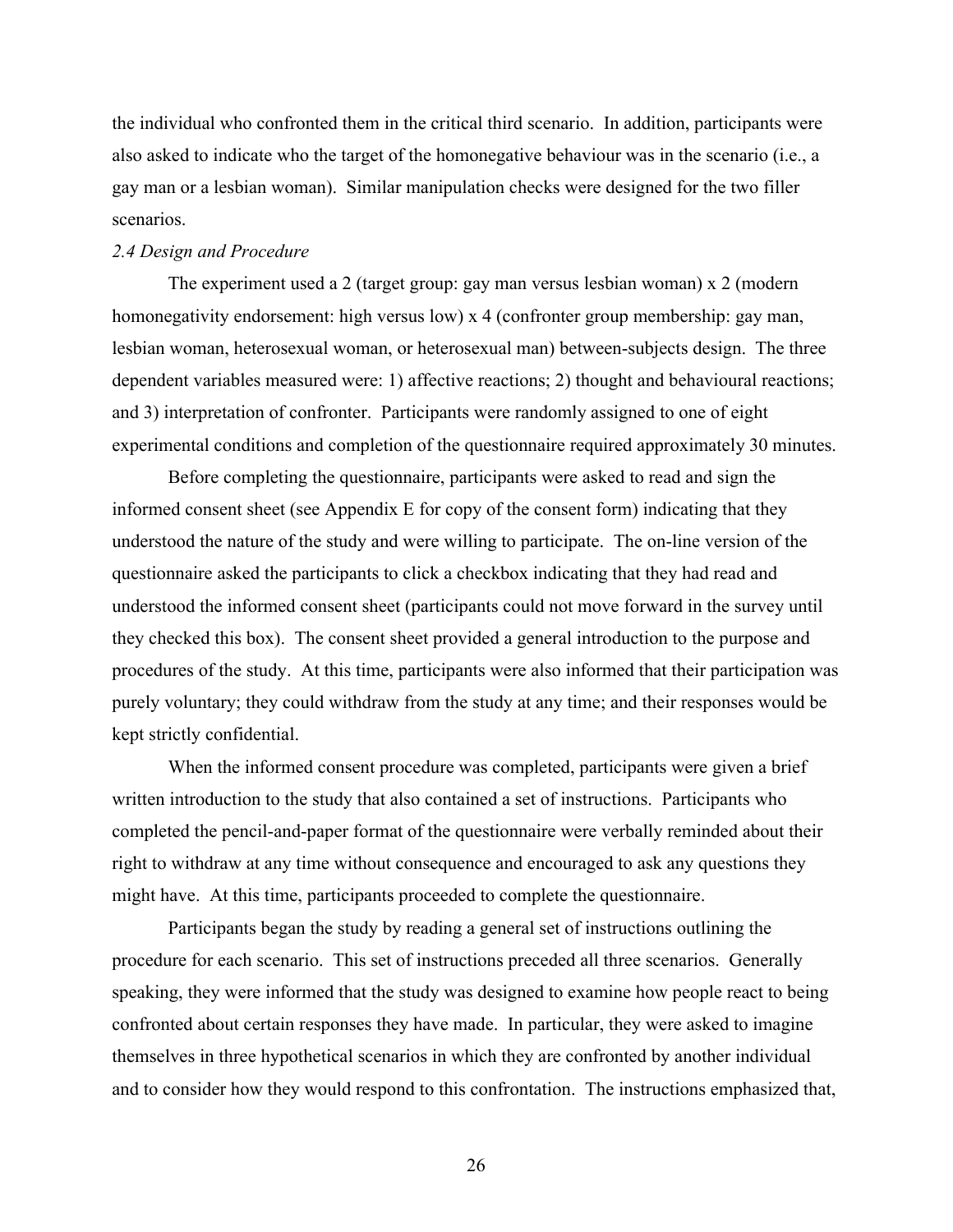the individual who confronted them in the critical third scenario. In addition, participants were also asked to indicate who the target of the homonegative behaviour was in the scenario (i.e., a gay man or a lesbian woman). Similar manipulation checks were designed for the two filler scenarios.

#### *2.4 Design and Procedure*

The experiment used a 2 (target group: gay man versus lesbian woman) x 2 (modern homonegativity endorsement: high versus low) x 4 (confronter group membership: gay man, lesbian woman, heterosexual woman, or heterosexual man) between-subjects design. The three dependent variables measured were: 1) affective reactions; 2) thought and behavioural reactions; and 3) interpretation of confronter. Participants were randomly assigned to one of eight experimental conditions and completion of the questionnaire required approximately 30 minutes.

Before completing the questionnaire, participants were asked to read and sign the informed consent sheet (see Appendix E for copy of the consent form) indicating that they understood the nature of the study and were willing to participate. The on-line version of the questionnaire asked the participants to click a checkbox indicating that they had read and understood the informed consent sheet (participants could not move forward in the survey until they checked this box). The consent sheet provided a general introduction to the purpose and procedures of the study. At this time, participants were also informed that their participation was purely voluntary; they could withdraw from the study at any time; and their responses would be kept strictly confidential.

When the informed consent procedure was completed, participants were given a brief written introduction to the study that also contained a set of instructions. Participants who completed the pencil-and-paper format of the questionnaire were verbally reminded about their right to withdraw at any time without consequence and encouraged to ask any questions they might have. At this time, participants proceeded to complete the questionnaire.

Participants began the study by reading a general set of instructions outlining the procedure for each scenario. This set of instructions preceded all three scenarios. Generally speaking, they were informed that the study was designed to examine how people react to being confronted about certain responses they have made. In particular, they were asked to imagine themselves in three hypothetical scenarios in which they are confronted by another individual and to consider how they would respond to this confrontation. The instructions emphasized that,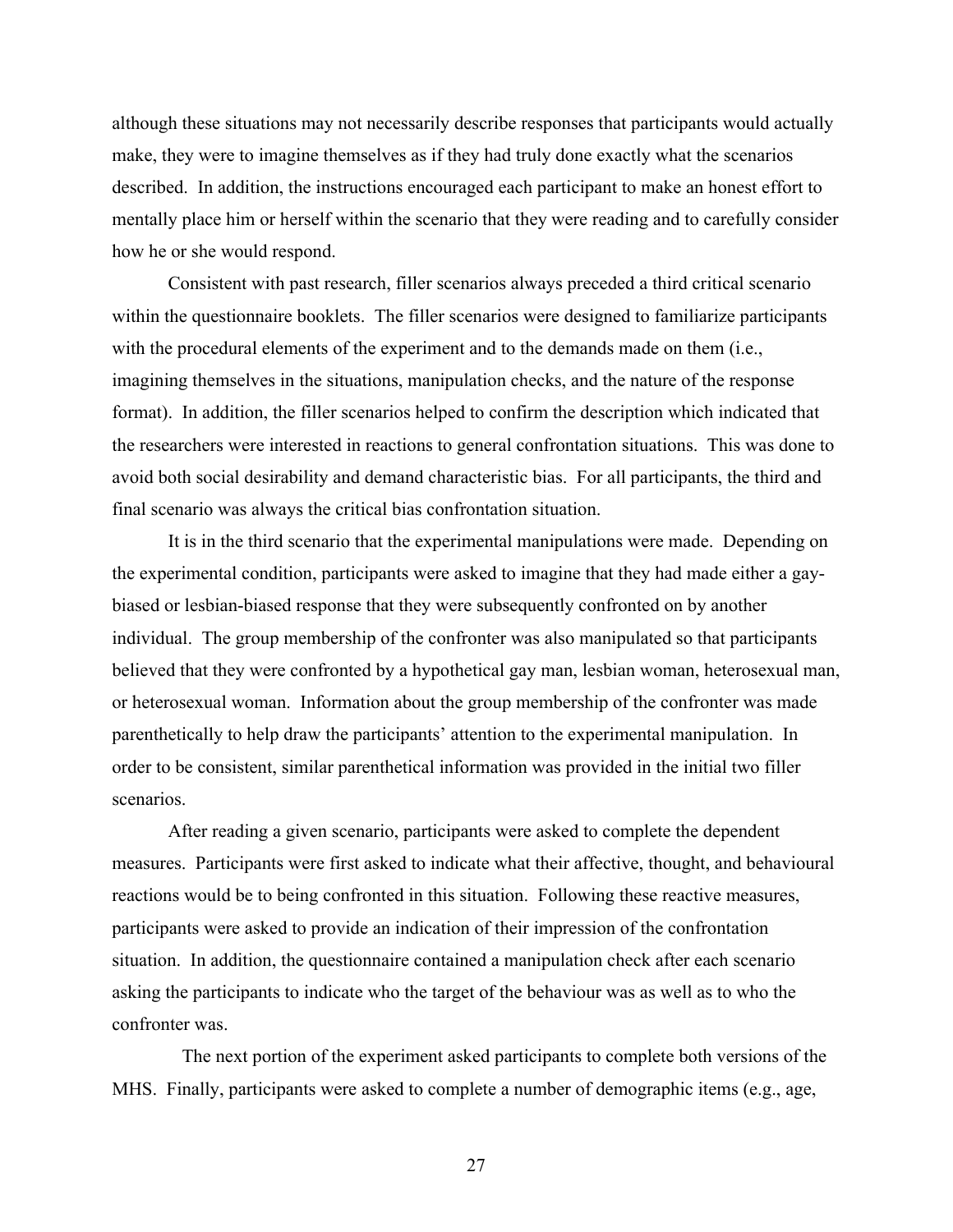although these situations may not necessarily describe responses that participants would actually make, they were to imagine themselves as if they had truly done exactly what the scenarios described. In addition, the instructions encouraged each participant to make an honest effort to mentally place him or herself within the scenario that they were reading and to carefully consider how he or she would respond.

Consistent with past research, filler scenarios always preceded a third critical scenario within the questionnaire booklets. The filler scenarios were designed to familiarize participants with the procedural elements of the experiment and to the demands made on them (i.e., imagining themselves in the situations, manipulation checks, and the nature of the response format). In addition, the filler scenarios helped to confirm the description which indicated that the researchers were interested in reactions to general confrontation situations. This was done to avoid both social desirability and demand characteristic bias. For all participants, the third and final scenario was always the critical bias confrontation situation.

It is in the third scenario that the experimental manipulations were made. Depending on the experimental condition, participants were asked to imagine that they had made either a gaybiased or lesbian-biased response that they were subsequently confronted on by another individual. The group membership of the confronter was also manipulated so that participants believed that they were confronted by a hypothetical gay man, lesbian woman, heterosexual man, or heterosexual woman. Information about the group membership of the confronter was made parenthetically to help draw the participants' attention to the experimental manipulation. In order to be consistent, similar parenthetical information was provided in the initial two filler scenarios.

After reading a given scenario, participants were asked to complete the dependent measures. Participants were first asked to indicate what their affective, thought, and behavioural reactions would be to being confronted in this situation. Following these reactive measures, participants were asked to provide an indication of their impression of the confrontation situation. In addition, the questionnaire contained a manipulation check after each scenario asking the participants to indicate who the target of the behaviour was as well as to who the confronter was.

 The next portion of the experiment asked participants to complete both versions of the MHS. Finally, participants were asked to complete a number of demographic items (e.g., age,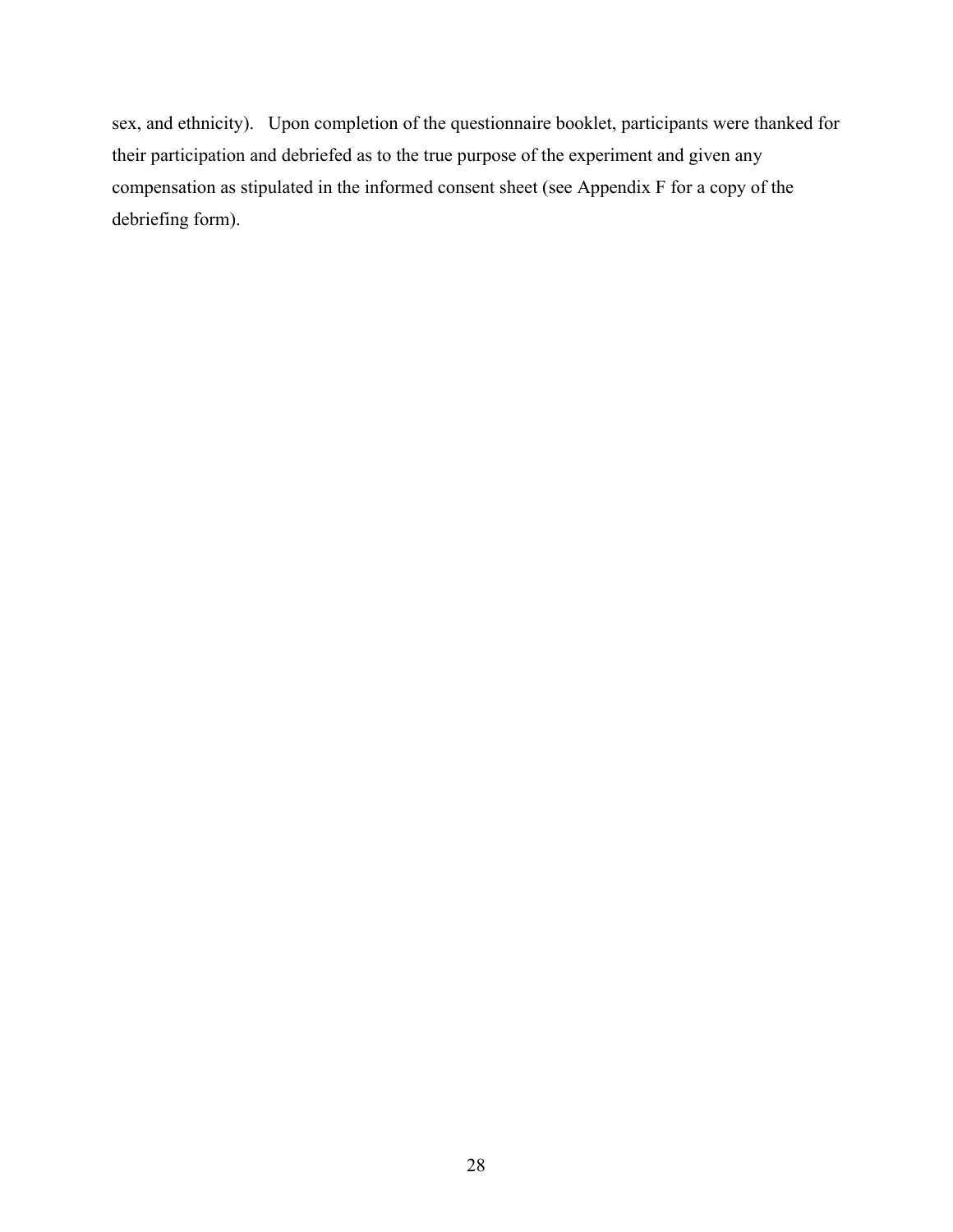sex, and ethnicity). Upon completion of the questionnaire booklet, participants were thanked for their participation and debriefed as to the true purpose of the experiment and given any compensation as stipulated in the informed consent sheet (see Appendix F for a copy of the debriefing form).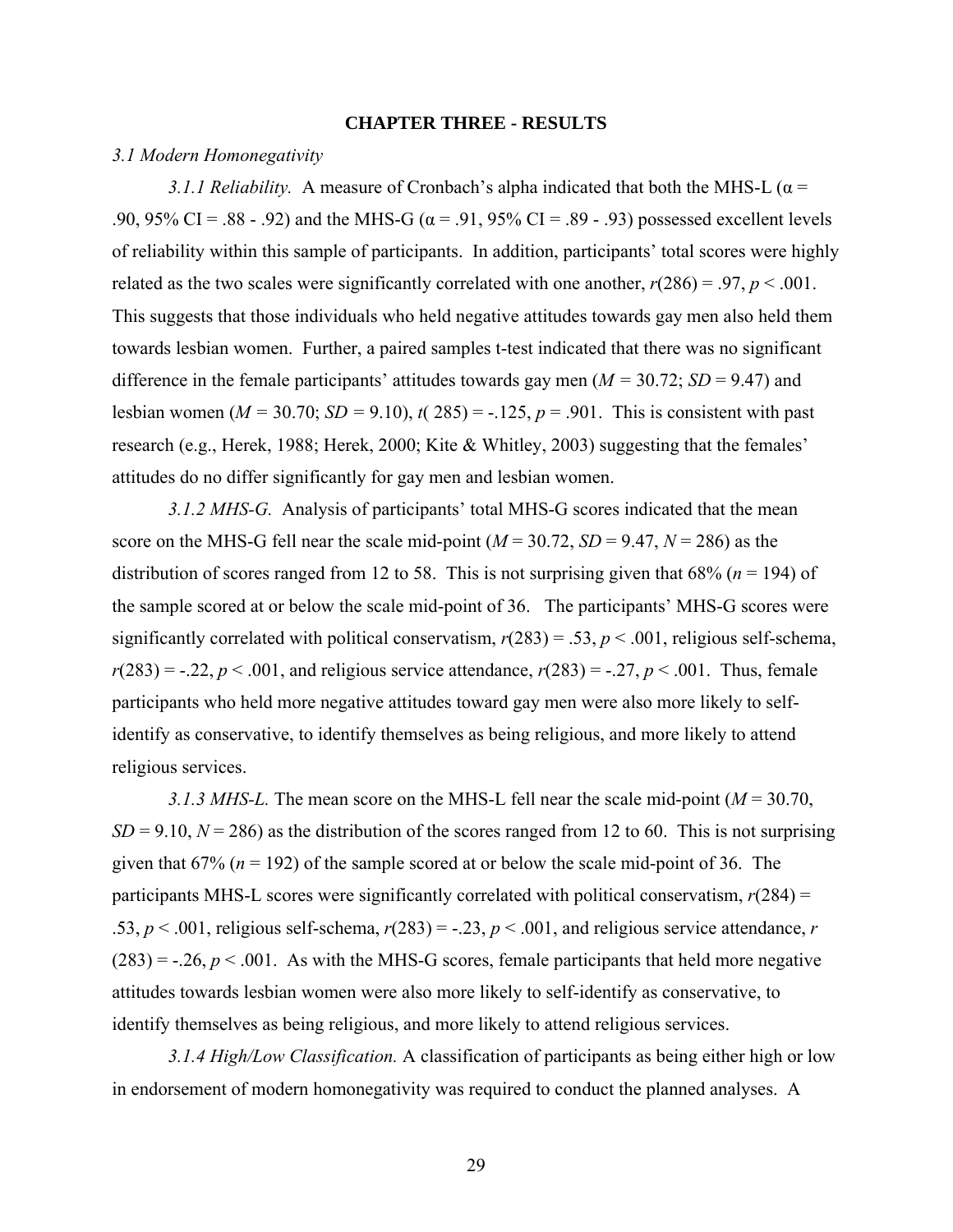#### **CHAPTER THREE - RESULTS**

#### *3.1 Modern Homonegativity*

*3.1.1 Reliability.* A measure of Cronbach's alpha indicated that both the MHS-L ( $\alpha$  = .90, 95% CI = .88 - .92) and the MHS-G ( $\alpha$  = .91, 95% CI = .89 - .93) possessed excellent levels of reliability within this sample of participants. In addition, participants' total scores were highly related as the two scales were significantly correlated with one another,  $r(286) = .97$ ,  $p < .001$ . This suggests that those individuals who held negative attitudes towards gay men also held them towards lesbian women. Further, a paired samples t-test indicated that there was no significant difference in the female participants' attitudes towards gay men  $(M = 30.72; SD = 9.47)$  and lesbian women ( $M = 30.70$ ;  $SD = 9.10$ ),  $t(285) = -0.125$ ,  $p = 0.901$ . This is consistent with past research (e.g., Herek, 1988; Herek, 2000; Kite & Whitley, 2003) suggesting that the females' attitudes do no differ significantly for gay men and lesbian women.

*3.1.2 MHS-G.* Analysis of participants' total MHS-G scores indicated that the mean score on the MHS-G fell near the scale mid-point  $(M = 30.72, SD = 9.47, N = 286)$  as the distribution of scores ranged from 12 to 58. This is not surprising given that  $68\%$  ( $n = 194$ ) of the sample scored at or below the scale mid-point of 36. The participants' MHS-G scores were significantly correlated with political conservatism,  $r(283) = .53$ ,  $p < .001$ , religious self-schema,  $r(283) = -.22, p < .001$ , and religious service attendance,  $r(283) = -.27, p < .001$ . Thus, female participants who held more negative attitudes toward gay men were also more likely to selfidentify as conservative, to identify themselves as being religious, and more likely to attend religious services.

*3.1.3 MHS-L.* The mean score on the MHS-L fell near the scale mid-point (*M* = 30.70,  $SD = 9.10$ ,  $N = 286$ ) as the distribution of the scores ranged from 12 to 60. This is not surprising given that  $67\%$  ( $n = 192$ ) of the sample scored at or below the scale mid-point of 36. The participants MHS-L scores were significantly correlated with political conservatism,  $r(284) =$ .53,  $p < .001$ , religious self-schema,  $r(283) = -.23$ ,  $p < .001$ , and religious service attendance, *r*  $(283) = -.26, p < .001$ . As with the MHS-G scores, female participants that held more negative attitudes towards lesbian women were also more likely to self-identify as conservative, to identify themselves as being religious, and more likely to attend religious services.

*3.1.4 High/Low Classification.* A classification of participants as being either high or low in endorsement of modern homonegativity was required to conduct the planned analyses. A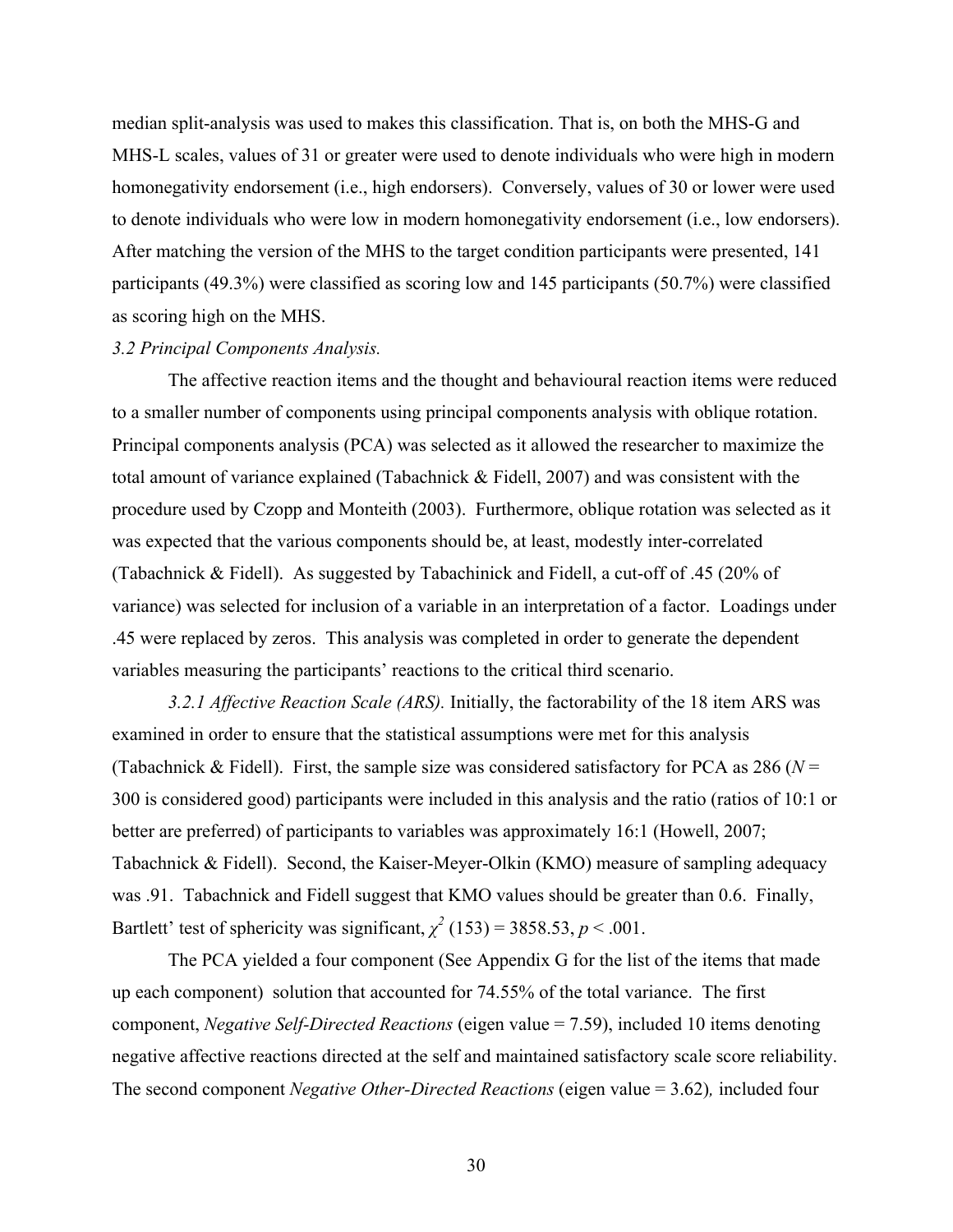median split-analysis was used to makes this classification. That is, on both the MHS-G and MHS-L scales, values of 31 or greater were used to denote individuals who were high in modern homonegativity endorsement (i.e., high endorsers). Conversely, values of 30 or lower were used to denote individuals who were low in modern homonegativity endorsement (i.e., low endorsers). After matching the version of the MHS to the target condition participants were presented, 141 participants (49.3%) were classified as scoring low and 145 participants (50.7%) were classified as scoring high on the MHS.

#### *3.2 Principal Components Analysis.*

The affective reaction items and the thought and behavioural reaction items were reduced to a smaller number of components using principal components analysis with oblique rotation. Principal components analysis (PCA) was selected as it allowed the researcher to maximize the total amount of variance explained (Tabachnick & Fidell, 2007) and was consistent with the procedure used by Czopp and Monteith (2003). Furthermore, oblique rotation was selected as it was expected that the various components should be, at least, modestly inter-correlated (Tabachnick & Fidell). As suggested by Tabachinick and Fidell, a cut-off of .45 (20% of variance) was selected for inclusion of a variable in an interpretation of a factor. Loadings under .45 were replaced by zeros. This analysis was completed in order to generate the dependent variables measuring the participants' reactions to the critical third scenario.

*3.2.1 Affective Reaction Scale (ARS).* Initially, the factorability of the 18 item ARS was examined in order to ensure that the statistical assumptions were met for this analysis (Tabachnick & Fidell). First, the sample size was considered satisfactory for PCA as 286 ( $N =$ 300 is considered good) participants were included in this analysis and the ratio (ratios of 10:1 or better are preferred) of participants to variables was approximately 16:1 (Howell, 2007; Tabachnick & Fidell). Second, the Kaiser-Meyer-Olkin (KMO) measure of sampling adequacy was .91. Tabachnick and Fidell suggest that KMO values should be greater than 0.6. Finally, Bartlett' test of sphericity was significant,  $\chi^2$  (153) = 3858.53, *p* < .001.

The PCA yielded a four component (See Appendix G for the list of the items that made up each component) solution that accounted for 74.55% of the total variance. The first component, *Negative Self-Directed Reactions* (eigen value = 7.59), included 10 items denoting negative affective reactions directed at the self and maintained satisfactory scale score reliability. The second component *Negative Other-Directed Reactions* (eigen value = 3.62)*,* included four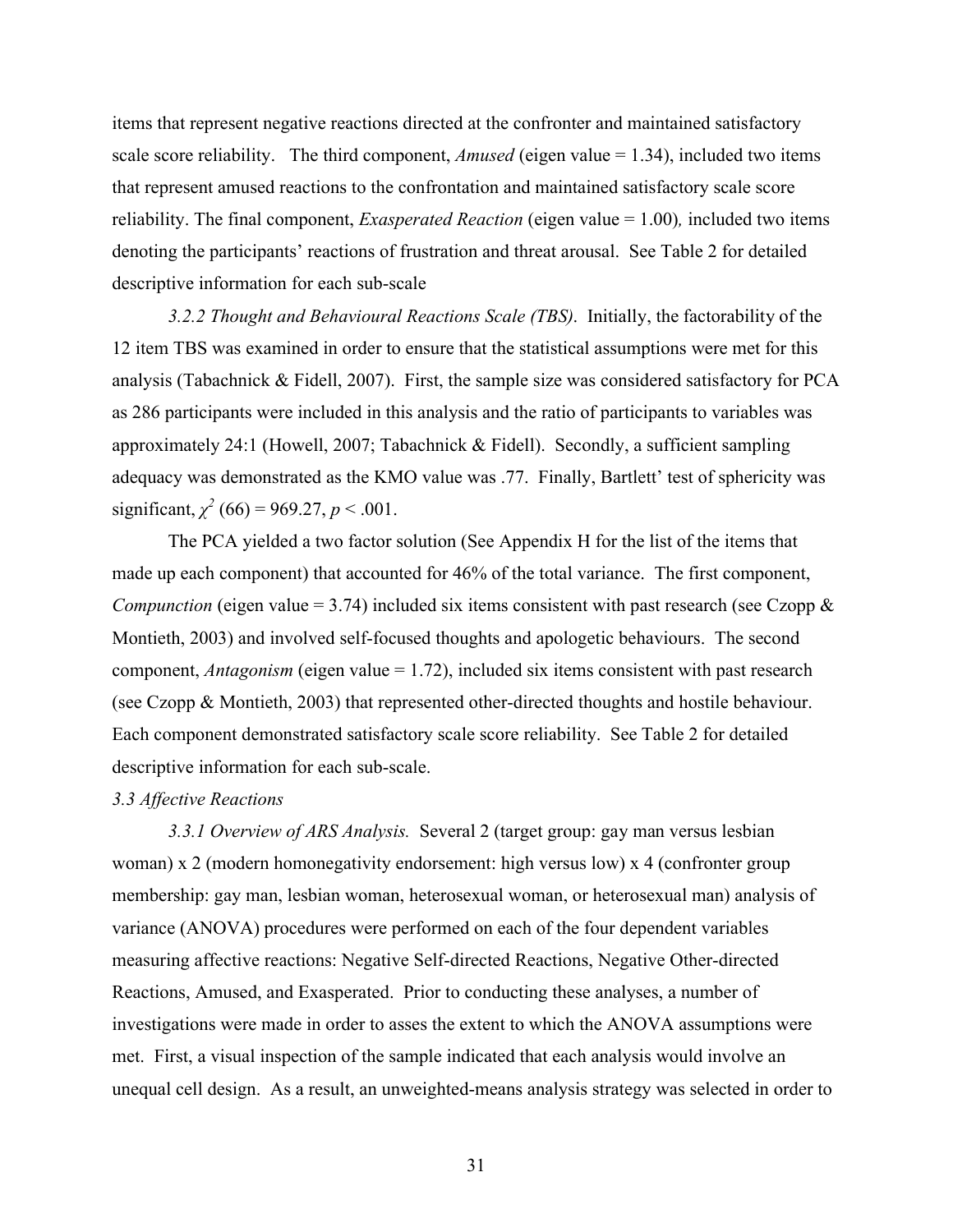items that represent negative reactions directed at the confronter and maintained satisfactory scale score reliability. The third component, *Amused* (eigen value = 1.34), included two items that represent amused reactions to the confrontation and maintained satisfactory scale score reliability. The final component, *Exasperated Reaction* (eigen value = 1.00)*,* included two items denoting the participants' reactions of frustration and threat arousal. See Table 2 for detailed descriptive information for each sub-scale

*3.2.2 Thought and Behavioural Reactions Scale (TBS)*. Initially, the factorability of the 12 item TBS was examined in order to ensure that the statistical assumptions were met for this analysis (Tabachnick & Fidell, 2007). First, the sample size was considered satisfactory for PCA as 286 participants were included in this analysis and the ratio of participants to variables was approximately 24:1 (Howell, 2007; Tabachnick & Fidell). Secondly, a sufficient sampling adequacy was demonstrated as the KMO value was .77. Finally, Bartlett' test of sphericity was significant,  $\chi^2$  (66) = 969.27, *p* < .001.

The PCA yielded a two factor solution (See Appendix H for the list of the items that made up each component) that accounted for 46% of the total variance. The first component, *Compunction* (eigen value = 3.74) included six items consistent with past research (see Czopp  $\&$ Montieth, 2003) and involved self-focused thoughts and apologetic behaviours. The second component, *Antagonism* (eigen value = 1.72), included six items consistent with past research (see Czopp & Montieth, 2003) that represented other-directed thoughts and hostile behaviour. Each component demonstrated satisfactory scale score reliability. See Table 2 for detailed descriptive information for each sub-scale.

#### *3.3 Affective Reactions*

*3.3.1 Overview of ARS Analysis.* Several 2 (target group: gay man versus lesbian woman) x 2 (modern homonegativity endorsement: high versus low) x 4 (confronter group membership: gay man, lesbian woman, heterosexual woman, or heterosexual man) analysis of variance (ANOVA) procedures were performed on each of the four dependent variables measuring affective reactions: Negative Self-directed Reactions, Negative Other-directed Reactions, Amused, and Exasperated. Prior to conducting these analyses, a number of investigations were made in order to asses the extent to which the ANOVA assumptions were met. First, a visual inspection of the sample indicated that each analysis would involve an unequal cell design. As a result, an unweighted-means analysis strategy was selected in order to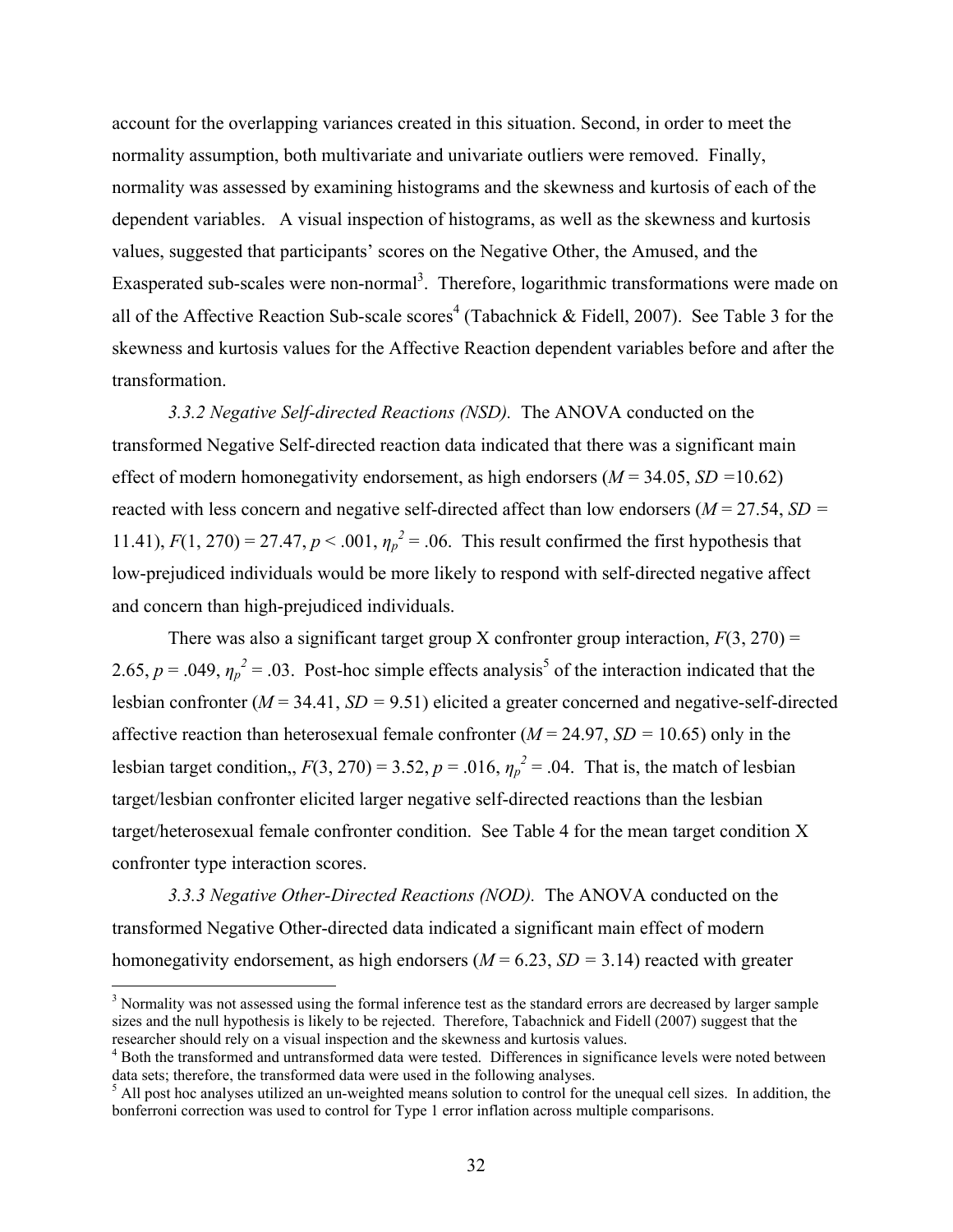account for the overlapping variances created in this situation. Second, in order to meet the normality assumption, both multivariate and univariate outliers were removed. Finally, normality was assessed by examining histograms and the skewness and kurtosis of each of the dependent variables. A visual inspection of histograms, as well as the skewness and kurtosis values, suggested that participants' scores on the Negative Other, the Amused, and the Exasperated sub-scales were non-normal<sup>3</sup>. Therefore, logarithmic transformations were made on all of the Affective Reaction Sub-scale scores<sup>4</sup> (Tabachnick & Fidell, 2007). See Table 3 for the skewness and kurtosis values for the Affective Reaction dependent variables before and after the transformation.

*3.3.2 Negative Self-directed Reactions (NSD).* The ANOVA conducted on the transformed Negative Self-directed reaction data indicated that there was a significant main effect of modern homonegativity endorsement, as high endorsers (*M* = 34.05, *SD =*10.62) reacted with less concern and negative self-directed affect than low endorsers (*M* = 27.54, *SD =*  11.41),  $F(1, 270) = 27.47$ ,  $p < .001$ ,  $\eta_p^2 = .06$ . This result confirmed the first hypothesis that low-prejudiced individuals would be more likely to respond with self-directed negative affect and concern than high-prejudiced individuals.

There was also a significant target group X confronter group interaction,  $F(3, 270) =$ 2.65,  $p = .049$ ,  $\eta_p^2 = .03$ . Post-hoc simple effects analysis<sup>5</sup> of the interaction indicated that the lesbian confronter (*M* = 34.41, *SD =* 9.51) elicited a greater concerned and negative-self-directed affective reaction than heterosexual female confronter (*M* = 24.97, *SD =* 10.65) only in the lesbian target condition,,  $F(3, 270) = 3.52$ ,  $p = .016$ ,  $\eta_p^2 = .04$ . That is, the match of lesbian target/lesbian confronter elicited larger negative self-directed reactions than the lesbian target/heterosexual female confronter condition. See Table 4 for the mean target condition X confronter type interaction scores.

*3.3.3 Negative Other-Directed Reactions (NOD).* The ANOVA conducted on the transformed Negative Other-directed data indicated a significant main effect of modern homonegativity endorsement, as high endorsers (*M* = 6.23, *SD =* 3.14) reacted with greater

<sup>&</sup>lt;sup>3</sup> Normality was not assessed using the formal inference test as the standard errors are decreased by larger sample sizes and the null hypothesis is likely to be rejected. Therefore, Tabachnick and Fidell (2007) suggest that the researcher should rely on a visual inspection and the skewness and kurtosis values.

<sup>4</sup> Both the transformed and untransformed data were tested. Differences in significance levels were noted between data sets; therefore, the transformed data were used in the following analyses.

 $<sup>5</sup>$  All post hoc analyses utilized an un-weighted means solution to control for the unequal cell sizes. In addition, the</sup> bonferroni correction was used to control for Type 1 error inflation across multiple comparisons.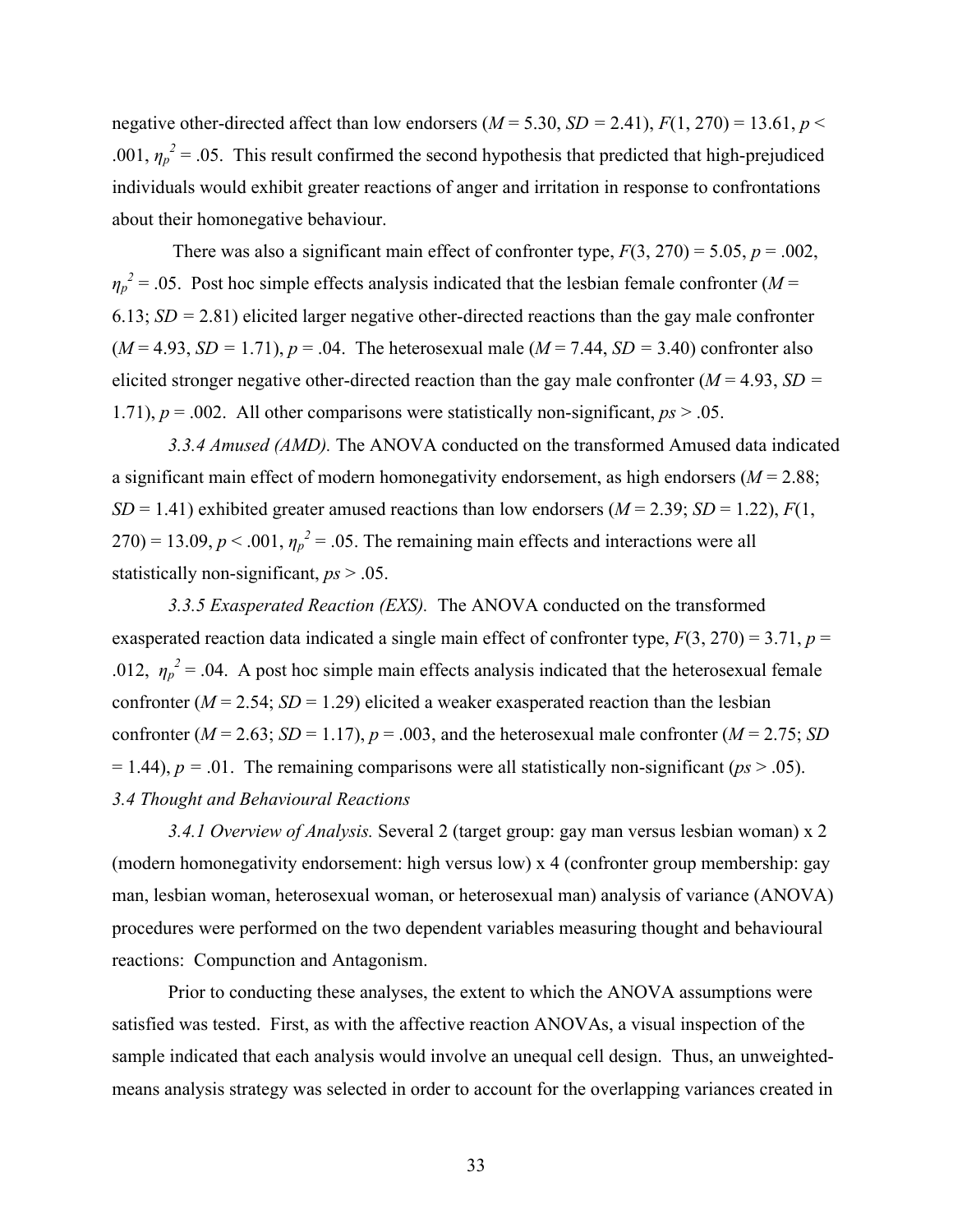negative other-directed affect than low endorsers ( $M = 5.30$ ,  $SD = 2.41$ ),  $F(1, 270) = 13.61$ ,  $p <$ .001,  $\eta_p^2$  = .05. This result confirmed the second hypothesis that predicted that high-prejudiced individuals would exhibit greater reactions of anger and irritation in response to confrontations about their homonegative behaviour.

There was also a significant main effect of confronter type,  $F(3, 270) = 5.05$ ,  $p = .002$ ,  $\eta_p^2$  = .05. Post hoc simple effects analysis indicated that the lesbian female confronter (*M* = 6.13; *SD =* 2.81) elicited larger negative other-directed reactions than the gay male confronter  $(M = 4.93, SD = 1.71), p = .04.$  The heterosexual male  $(M = 7.44, SD = 3.40)$  confronter also elicited stronger negative other-directed reaction than the gay male confronter ( $M = 4.93$ ,  $SD =$ 1.71),  $p = .002$ . All other comparisons were statistically non-significant,  $p_s > .05$ .

*3.3.4 Amused (AMD).* The ANOVA conducted on the transformed Amused data indicated a significant main effect of modern homonegativity endorsement, as high endorsers (*M* = 2.88; *SD* = 1.41) exhibited greater amused reactions than low endorsers ( $M = 2.39$ ; *SD* = 1.22),  $F(1, 1)$  $270$ ) = 13.09,  $p < .001$ ,  $\eta_p^2 = .05$ . The remaining main effects and interactions were all statistically non-significant, *ps* > .05.

*3.3.5 Exasperated Reaction (EXS).* The ANOVA conducted on the transformed exasperated reaction data indicated a single main effect of confronter type, *F*(3, 270) = 3.71, *p* = .012,  $\eta_p^2$  = .04. A post hoc simple main effects analysis indicated that the heterosexual female confronter  $(M = 2.54; SD = 1.29)$  elicited a weaker exasperated reaction than the lesbian confronter ( $M = 2.63$ ;  $SD = 1.17$ ),  $p = .003$ , and the heterosexual male confronter ( $M = 2.75$ ; *SD*  $= 1.44$ ),  $p = .01$ . The remaining comparisons were all statistically non-significant ( $ps > .05$ ). *3.4 Thought and Behavioural Reactions*

*3.4.1 Overview of Analysis.* Several 2 (target group: gay man versus lesbian woman) x 2 (modern homonegativity endorsement: high versus low) x 4 (confronter group membership: gay man, lesbian woman, heterosexual woman, or heterosexual man) analysis of variance (ANOVA) procedures were performed on the two dependent variables measuring thought and behavioural reactions: Compunction and Antagonism.

Prior to conducting these analyses, the extent to which the ANOVA assumptions were satisfied was tested. First, as with the affective reaction ANOVAs, a visual inspection of the sample indicated that each analysis would involve an unequal cell design. Thus, an unweightedmeans analysis strategy was selected in order to account for the overlapping variances created in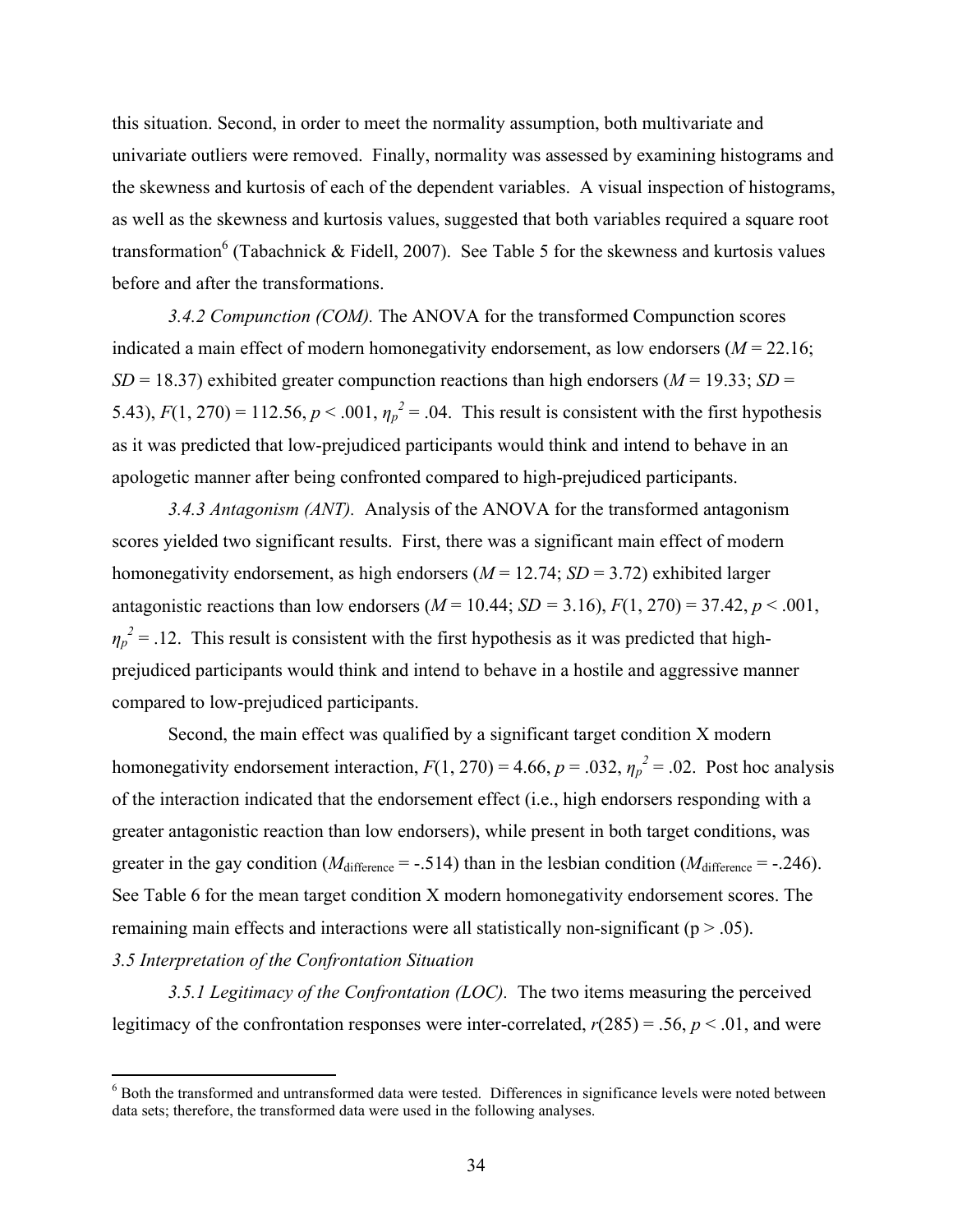this situation. Second, in order to meet the normality assumption, both multivariate and univariate outliers were removed. Finally, normality was assessed by examining histograms and the skewness and kurtosis of each of the dependent variables. A visual inspection of histograms, as well as the skewness and kurtosis values, suggested that both variables required a square root transformation<sup>6</sup> (Tabachnick & Fidell, 2007). See Table 5 for the skewness and kurtosis values before and after the transformations.

*3.4.2 Compunction (COM).* The ANOVA for the transformed Compunction scores indicated a main effect of modern homonegativity endorsement, as low endorsers  $(M = 22.16)$ ; *SD* = 18.37) exhibited greater compunction reactions than high endorsers ( $M = 19.33$ ; *SD* = 5.43),  $F(1, 270) = 112.56$ ,  $p < .001$ ,  $\eta_p^2 = .04$ . This result is consistent with the first hypothesis as it was predicted that low-prejudiced participants would think and intend to behave in an apologetic manner after being confronted compared to high-prejudiced participants.

*3.4.3 Antagonism (ANT).* Analysis of the ANOVA for the transformed antagonism scores yielded two significant results. First, there was a significant main effect of modern homonegativity endorsement, as high endorsers (*M* = 12.74; *SD* = 3.72) exhibited larger antagonistic reactions than low endorsers ( $M = 10.44$ ;  $SD = 3.16$ ),  $F(1, 270) = 37.42$ ,  $p < .001$ ,  $\eta_p^2$  = .12. This result is consistent with the first hypothesis as it was predicted that highprejudiced participants would think and intend to behave in a hostile and aggressive manner compared to low-prejudiced participants.

Second, the main effect was qualified by a significant target condition X modern homonegativity endorsement interaction,  $F(1, 270) = 4.66$ ,  $p = .032$ ,  $\eta_p^2 = .02$ . Post hoc analysis of the interaction indicated that the endorsement effect (i.e., high endorsers responding with a greater antagonistic reaction than low endorsers), while present in both target conditions, was greater in the gay condition ( $M<sub>difference</sub> = -.514$ ) than in the lesbian condition ( $M<sub>difference</sub> = -.246$ ). See Table 6 for the mean target condition X modern homonegativity endorsement scores. The remaining main effects and interactions were all statistically non-significant ( $p > .05$ ).

### *3.5 Interpretation of the Confrontation Situation*

1

*3.5.1 Legitimacy of the Confrontation (LOC).* The two items measuring the perceived legitimacy of the confrontation responses were inter-correlated,  $r(285) = .56$ ,  $p < .01$ , and were

<sup>&</sup>lt;sup>6</sup> Both the transformed and untransformed data were tested. Differences in significance levels were noted between data sets; therefore, the transformed data were used in the following analyses.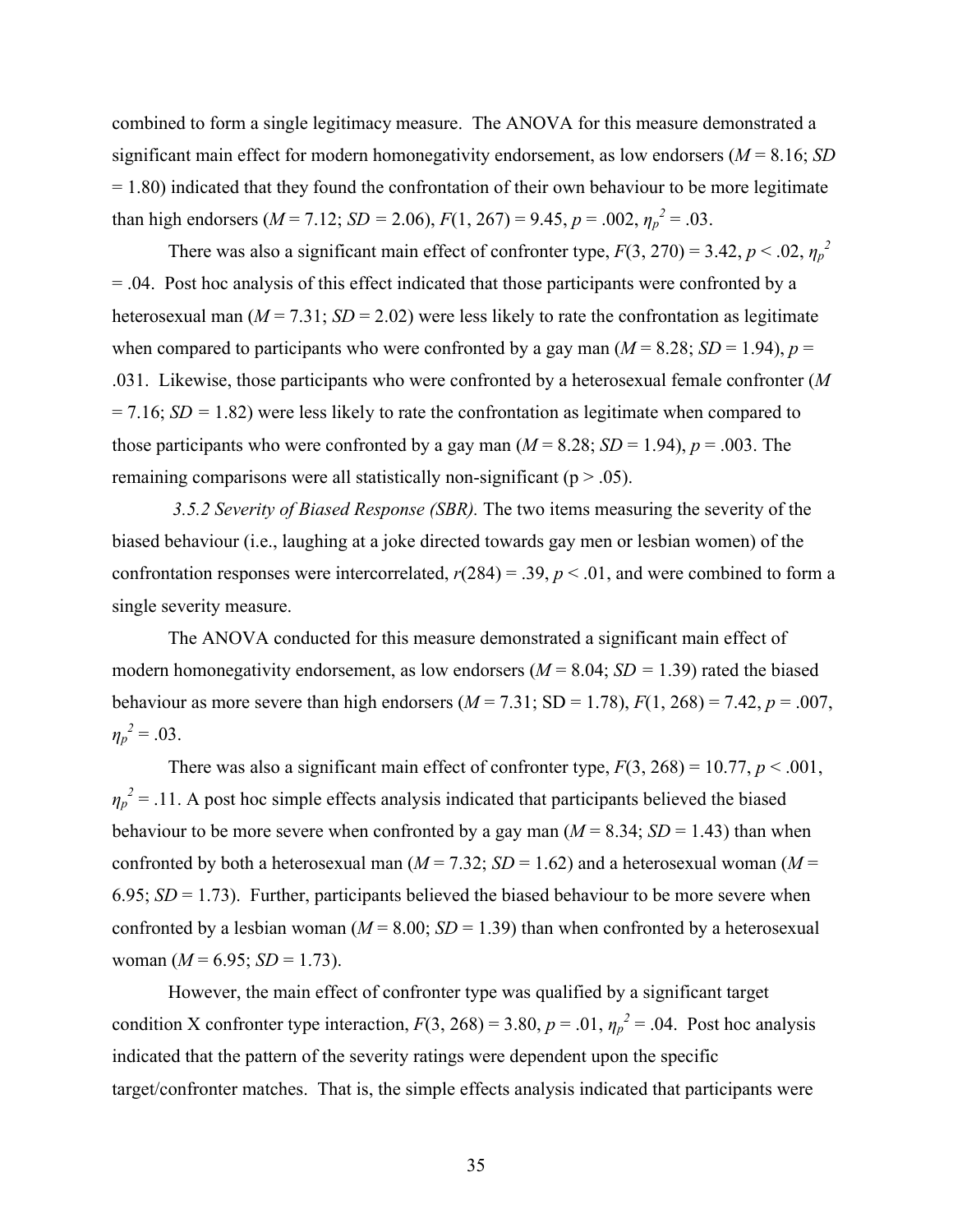combined to form a single legitimacy measure. The ANOVA for this measure demonstrated a significant main effect for modern homonegativity endorsement, as low endorsers (*M* = 8.16; *SD* = 1.80) indicated that they found the confrontation of their own behaviour to be more legitimate than high endorsers ( $M = 7.12$ ;  $SD = 2.06$ ),  $F(1, 267) = 9.45$ ,  $p = .002$ ,  $\eta_p^2 = .03$ .

There was also a significant main effect of confronter type,  $F(3, 270) = 3.42$ ,  $p < .02$ ,  $\eta_p^2$ = .04. Post hoc analysis of this effect indicated that those participants were confronted by a heterosexual man  $(M = 7.31; SD = 2.02)$  were less likely to rate the confrontation as legitimate when compared to participants who were confronted by a gay man  $(M = 8.28; SD = 1.94)$ ,  $p =$ .031. Likewise, those participants who were confronted by a heterosexual female confronter (*M*  = 7.16; *SD =* 1.82) were less likely to rate the confrontation as legitimate when compared to those participants who were confronted by a gay man  $(M = 8.28; SD = 1.94)$ ,  $p = .003$ . The remaining comparisons were all statistically non-significant ( $p > .05$ ).

*3.5.2 Severity of Biased Response (SBR).* The two items measuring the severity of the biased behaviour (i.e., laughing at a joke directed towards gay men or lesbian women) of the confrontation responses were intercorrelated,  $r(284) = .39$ ,  $p < .01$ , and were combined to form a single severity measure.

The ANOVA conducted for this measure demonstrated a significant main effect of modern homonegativity endorsement, as low endorsers (*M* = 8.04; *SD =* 1.39) rated the biased behaviour as more severe than high endorsers  $(M = 7.31; SD = 1.78)$ ,  $F(1, 268) = 7.42$ ,  $p = .007$ ,  $\eta_p^2 = .03$ .

There was also a significant main effect of confronter type,  $F(3, 268) = 10.77$ ,  $p < .001$ ,  $\eta_p^2$  = .11. A post hoc simple effects analysis indicated that participants believed the biased behaviour to be more severe when confronted by a gay man  $(M = 8.34; SD = 1.43)$  than when confronted by both a heterosexual man ( $M = 7.32$ ;  $SD = 1.62$ ) and a heterosexual woman ( $M =$ 6.95;  $SD = 1.73$ ). Further, participants believed the biased behaviour to be more severe when confronted by a lesbian woman ( $M = 8.00$ ;  $SD = 1.39$ ) than when confronted by a heterosexual woman  $(M = 6.95; SD = 1.73)$ .

However, the main effect of confronter type was qualified by a significant target condition X confronter type interaction,  $F(3, 268) = 3.80$ ,  $p = .01$ ,  $\eta_p^2 = .04$ . Post hoc analysis indicated that the pattern of the severity ratings were dependent upon the specific target/confronter matches. That is, the simple effects analysis indicated that participants were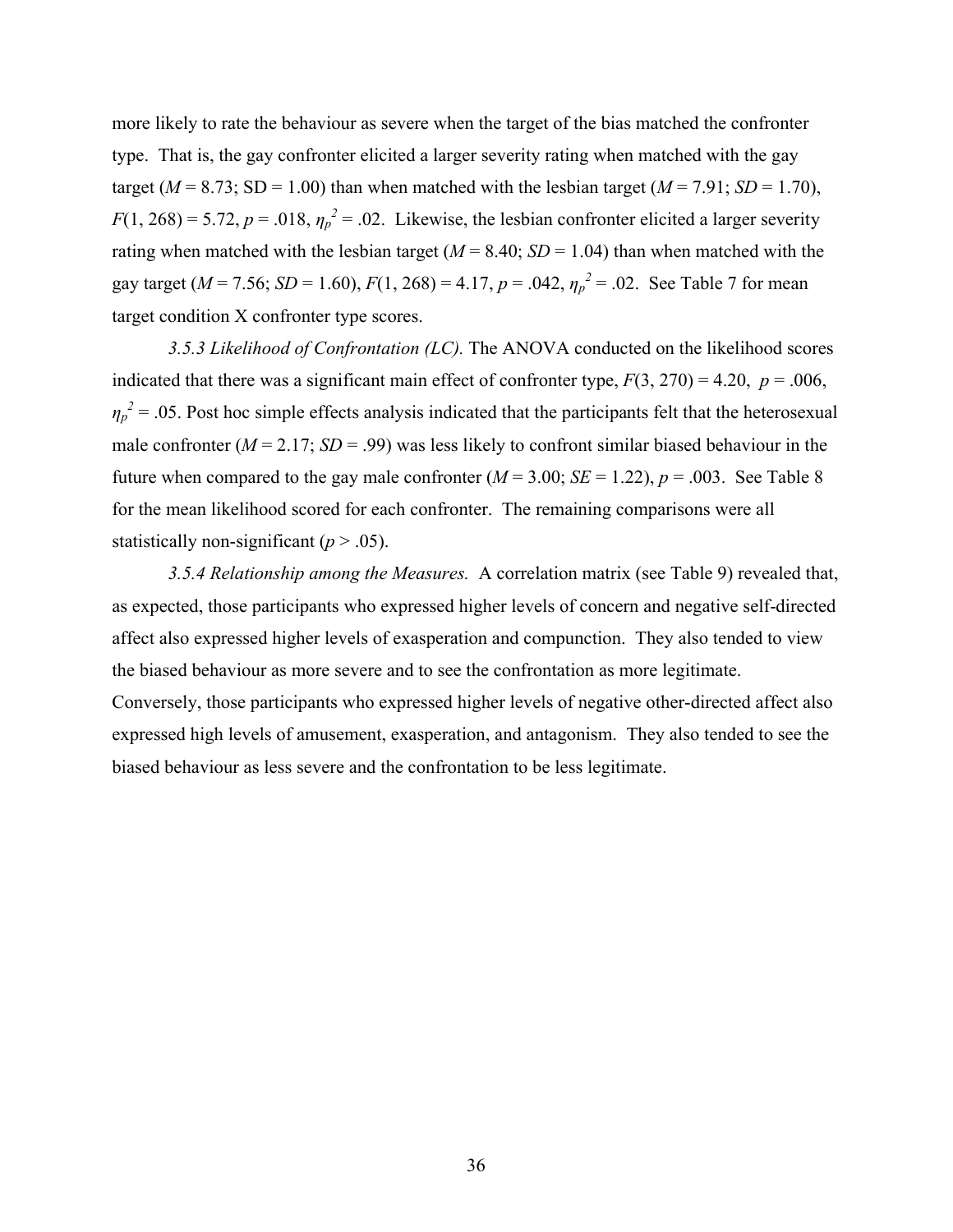more likely to rate the behaviour as severe when the target of the bias matched the confronter type. That is, the gay confronter elicited a larger severity rating when matched with the gay target ( $M = 8.73$ ; SD = 1.00) than when matched with the lesbian target ( $M = 7.91$ ; SD = 1.70),  $F(1, 268) = 5.72, p = .018, \eta_p^2 = .02$ . Likewise, the lesbian confronter elicited a larger severity rating when matched with the lesbian target ( $M = 8.40$ ;  $SD = 1.04$ ) than when matched with the gay target ( $M = 7.56$ ;  $SD = 1.60$ ),  $F(1, 268) = 4.17$ ,  $p = .042$ ,  $\eta_p^2 = .02$ . See Table 7 for mean target condition X confronter type scores.

*3.5.3 Likelihood of Confrontation (LC).* The ANOVA conducted on the likelihood scores indicated that there was a significant main effect of confronter type,  $F(3, 270) = 4.20$ ,  $p = .006$ ,  $\eta_p^2$  = .05. Post hoc simple effects analysis indicated that the participants felt that the heterosexual male confronter  $(M = 2.17; SD = .99)$  was less likely to confront similar biased behaviour in the future when compared to the gay male confronter  $(M = 3.00; SE = 1.22)$ ,  $p = .003$ . See Table 8 for the mean likelihood scored for each confronter. The remaining comparisons were all statistically non-significant  $(p > .05)$ .

*3.5.4 Relationship among the Measures.* A correlation matrix (see Table 9) revealed that, as expected, those participants who expressed higher levels of concern and negative self-directed affect also expressed higher levels of exasperation and compunction. They also tended to view the biased behaviour as more severe and to see the confrontation as more legitimate. Conversely, those participants who expressed higher levels of negative other-directed affect also expressed high levels of amusement, exasperation, and antagonism. They also tended to see the biased behaviour as less severe and the confrontation to be less legitimate.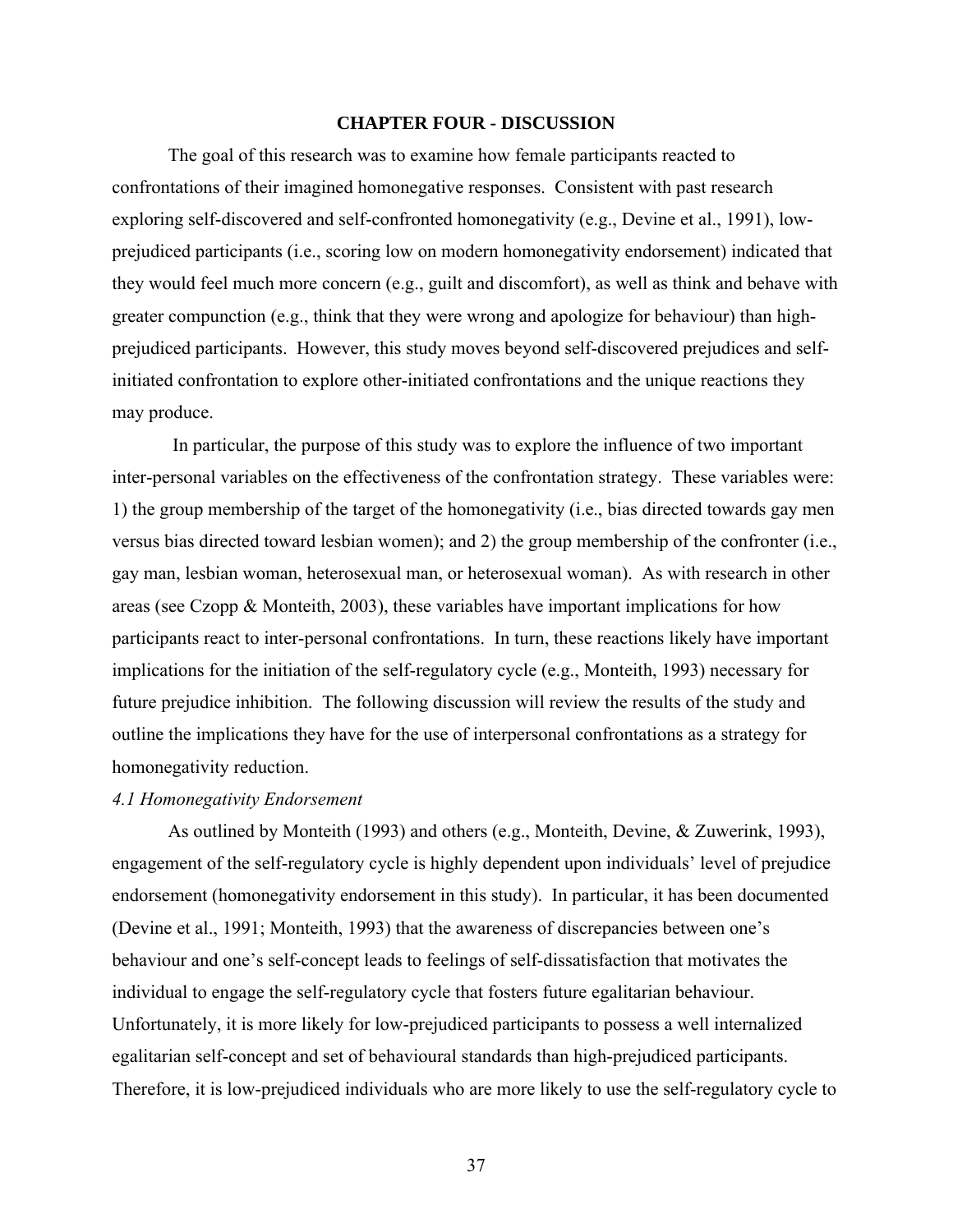#### **CHAPTER FOUR - DISCUSSION**

The goal of this research was to examine how female participants reacted to confrontations of their imagined homonegative responses. Consistent with past research exploring self-discovered and self-confronted homonegativity (e.g., Devine et al., 1991), lowprejudiced participants (i.e., scoring low on modern homonegativity endorsement) indicated that they would feel much more concern (e.g., guilt and discomfort), as well as think and behave with greater compunction (e.g., think that they were wrong and apologize for behaviour) than highprejudiced participants. However, this study moves beyond self-discovered prejudices and selfinitiated confrontation to explore other-initiated confrontations and the unique reactions they may produce.

 In particular, the purpose of this study was to explore the influence of two important inter-personal variables on the effectiveness of the confrontation strategy. These variables were: 1) the group membership of the target of the homonegativity (i.e., bias directed towards gay men versus bias directed toward lesbian women); and 2) the group membership of the confronter (i.e., gay man, lesbian woman, heterosexual man, or heterosexual woman). As with research in other areas (see Czopp & Monteith, 2003), these variables have important implications for how participants react to inter-personal confrontations. In turn, these reactions likely have important implications for the initiation of the self-regulatory cycle (e.g., Monteith, 1993) necessary for future prejudice inhibition. The following discussion will review the results of the study and outline the implications they have for the use of interpersonal confrontations as a strategy for homonegativity reduction.

#### *4.1 Homonegativity Endorsement*

As outlined by Monteith (1993) and others (e.g., Monteith, Devine, & Zuwerink, 1993), engagement of the self-regulatory cycle is highly dependent upon individuals' level of prejudice endorsement (homonegativity endorsement in this study). In particular, it has been documented (Devine et al., 1991; Monteith, 1993) that the awareness of discrepancies between one's behaviour and one's self-concept leads to feelings of self-dissatisfaction that motivates the individual to engage the self-regulatory cycle that fosters future egalitarian behaviour. Unfortunately, it is more likely for low-prejudiced participants to possess a well internalized egalitarian self-concept and set of behavioural standards than high-prejudiced participants. Therefore, it is low-prejudiced individuals who are more likely to use the self-regulatory cycle to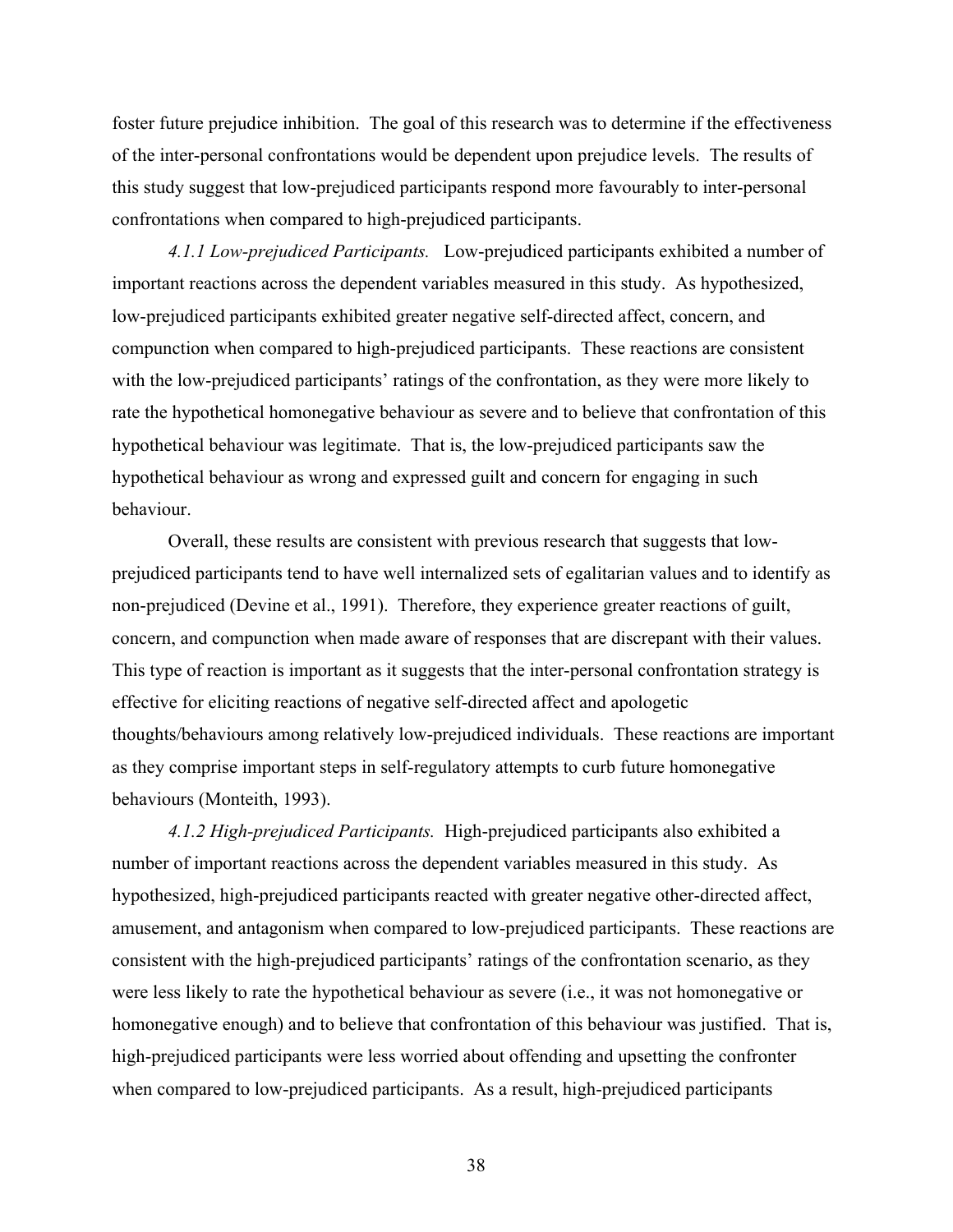foster future prejudice inhibition. The goal of this research was to determine if the effectiveness of the inter-personal confrontations would be dependent upon prejudice levels. The results of this study suggest that low-prejudiced participants respond more favourably to inter-personal confrontations when compared to high-prejudiced participants.

*4.1.1 Low-prejudiced Participants.* Low-prejudiced participants exhibited a number of important reactions across the dependent variables measured in this study. As hypothesized, low-prejudiced participants exhibited greater negative self-directed affect, concern, and compunction when compared to high-prejudiced participants. These reactions are consistent with the low-prejudiced participants' ratings of the confrontation, as they were more likely to rate the hypothetical homonegative behaviour as severe and to believe that confrontation of this hypothetical behaviour was legitimate. That is, the low-prejudiced participants saw the hypothetical behaviour as wrong and expressed guilt and concern for engaging in such behaviour.

Overall, these results are consistent with previous research that suggests that lowprejudiced participants tend to have well internalized sets of egalitarian values and to identify as non-prejudiced (Devine et al., 1991). Therefore, they experience greater reactions of guilt, concern, and compunction when made aware of responses that are discrepant with their values. This type of reaction is important as it suggests that the inter-personal confrontation strategy is effective for eliciting reactions of negative self-directed affect and apologetic thoughts/behaviours among relatively low-prejudiced individuals. These reactions are important as they comprise important steps in self-regulatory attempts to curb future homonegative behaviours (Monteith, 1993).

*4.1.2 High-prejudiced Participants.* High-prejudiced participants also exhibited a number of important reactions across the dependent variables measured in this study. As hypothesized, high-prejudiced participants reacted with greater negative other-directed affect, amusement, and antagonism when compared to low-prejudiced participants. These reactions are consistent with the high-prejudiced participants' ratings of the confrontation scenario, as they were less likely to rate the hypothetical behaviour as severe (i.e., it was not homonegative or homonegative enough) and to believe that confrontation of this behaviour was justified. That is, high-prejudiced participants were less worried about offending and upsetting the confronter when compared to low-prejudiced participants. As a result, high-prejudiced participants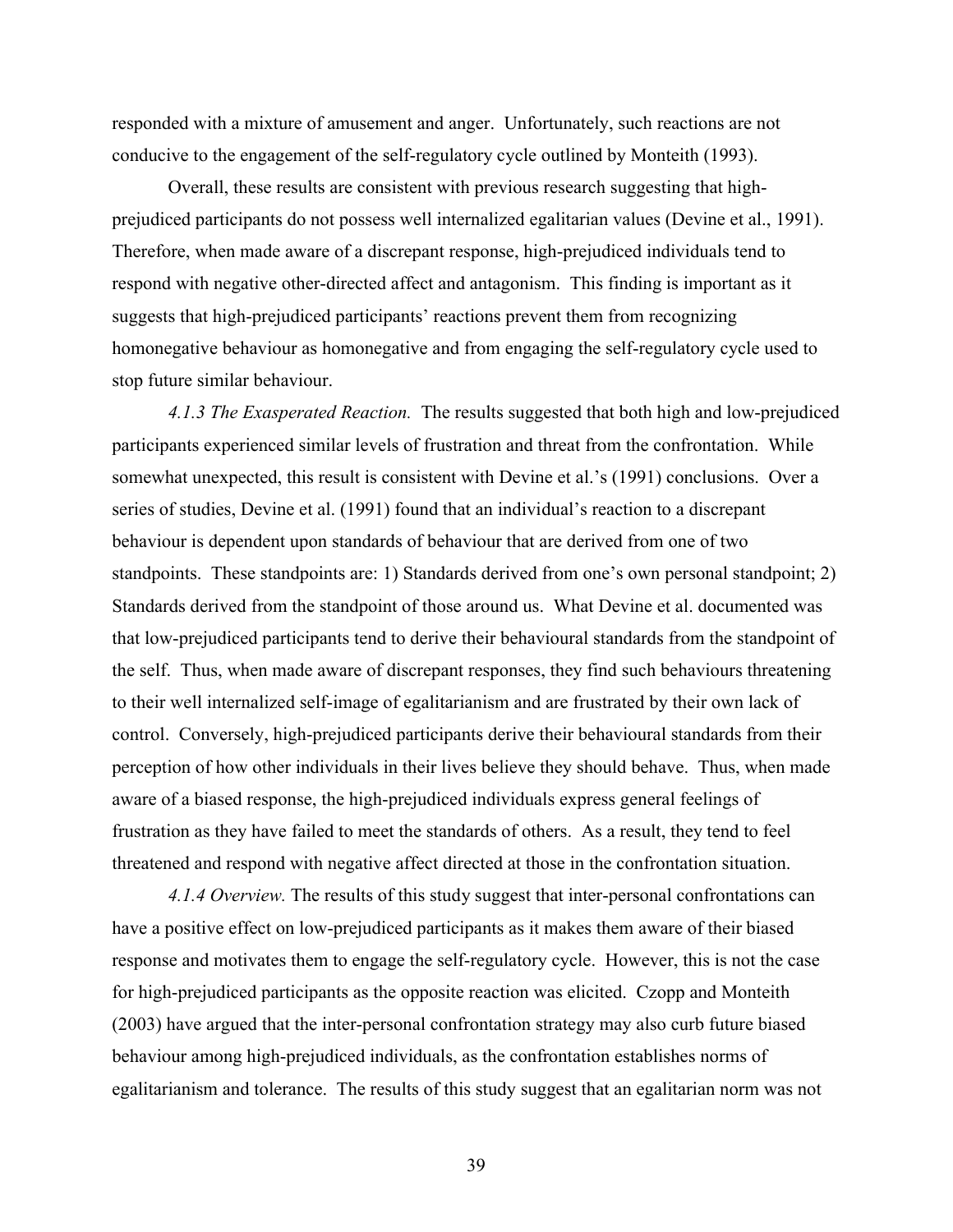responded with a mixture of amusement and anger. Unfortunately, such reactions are not conducive to the engagement of the self-regulatory cycle outlined by Monteith (1993).

Overall, these results are consistent with previous research suggesting that highprejudiced participants do not possess well internalized egalitarian values (Devine et al., 1991). Therefore, when made aware of a discrepant response, high-prejudiced individuals tend to respond with negative other-directed affect and antagonism. This finding is important as it suggests that high-prejudiced participants' reactions prevent them from recognizing homonegative behaviour as homonegative and from engaging the self-regulatory cycle used to stop future similar behaviour.

*4.1.3 The Exasperated Reaction.* The results suggested that both high and low-prejudiced participants experienced similar levels of frustration and threat from the confrontation. While somewhat unexpected, this result is consistent with Devine et al.'s (1991) conclusions. Over a series of studies, Devine et al. (1991) found that an individual's reaction to a discrepant behaviour is dependent upon standards of behaviour that are derived from one of two standpoints. These standpoints are: 1) Standards derived from one's own personal standpoint; 2) Standards derived from the standpoint of those around us. What Devine et al. documented was that low-prejudiced participants tend to derive their behavioural standards from the standpoint of the self. Thus, when made aware of discrepant responses, they find such behaviours threatening to their well internalized self-image of egalitarianism and are frustrated by their own lack of control. Conversely, high-prejudiced participants derive their behavioural standards from their perception of how other individuals in their lives believe they should behave. Thus, when made aware of a biased response, the high-prejudiced individuals express general feelings of frustration as they have failed to meet the standards of others. As a result, they tend to feel threatened and respond with negative affect directed at those in the confrontation situation.

*4.1.4 Overview.* The results of this study suggest that inter-personal confrontations can have a positive effect on low-prejudiced participants as it makes them aware of their biased response and motivates them to engage the self-regulatory cycle. However, this is not the case for high-prejudiced participants as the opposite reaction was elicited. Czopp and Monteith (2003) have argued that the inter-personal confrontation strategy may also curb future biased behaviour among high-prejudiced individuals, as the confrontation establishes norms of egalitarianism and tolerance. The results of this study suggest that an egalitarian norm was not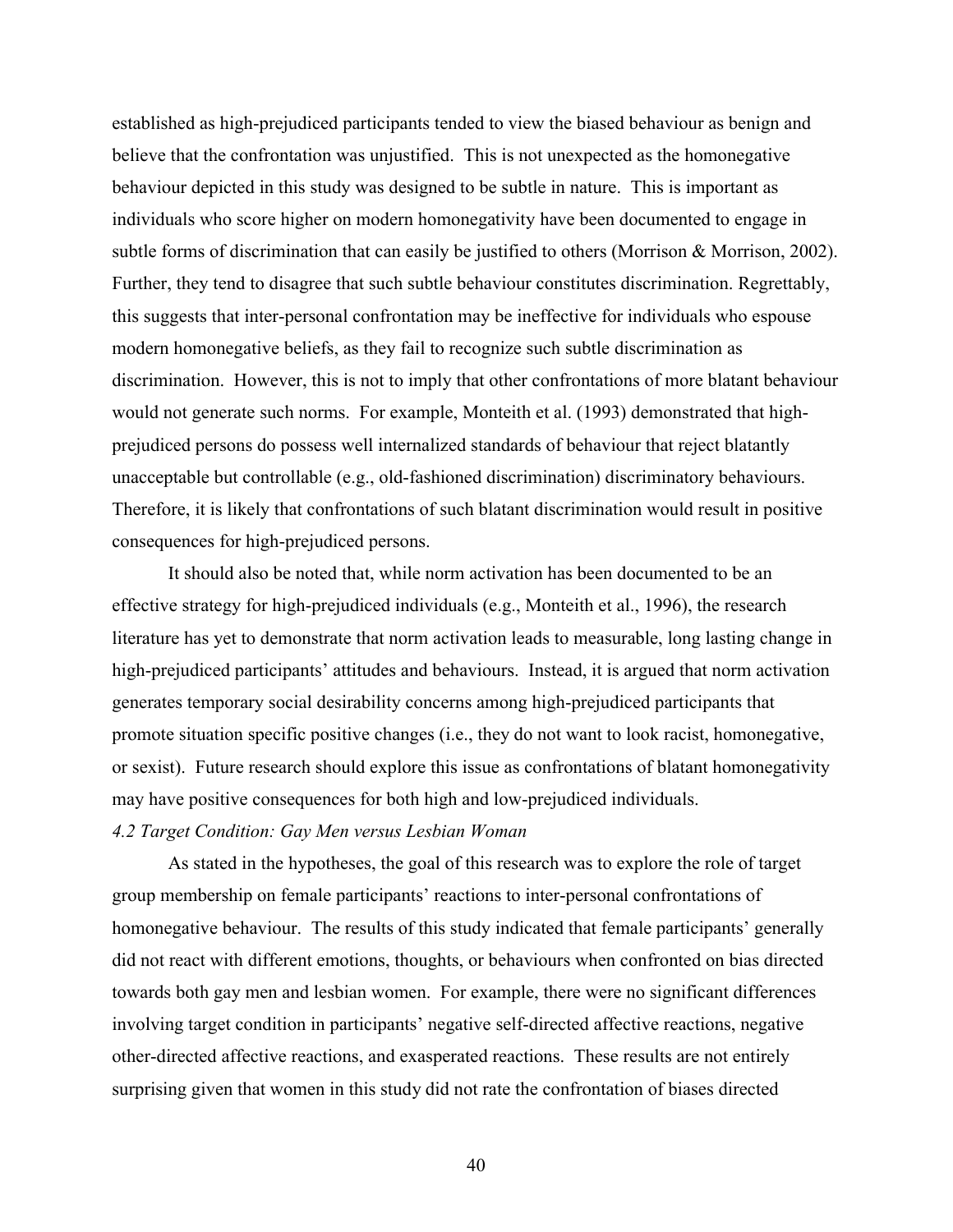established as high-prejudiced participants tended to view the biased behaviour as benign and believe that the confrontation was unjustified. This is not unexpected as the homonegative behaviour depicted in this study was designed to be subtle in nature. This is important as individuals who score higher on modern homonegativity have been documented to engage in subtle forms of discrimination that can easily be justified to others (Morrison & Morrison, 2002). Further, they tend to disagree that such subtle behaviour constitutes discrimination. Regrettably, this suggests that inter-personal confrontation may be ineffective for individuals who espouse modern homonegative beliefs, as they fail to recognize such subtle discrimination as discrimination. However, this is not to imply that other confrontations of more blatant behaviour would not generate such norms. For example, Monteith et al. (1993) demonstrated that highprejudiced persons do possess well internalized standards of behaviour that reject blatantly unacceptable but controllable (e.g., old-fashioned discrimination) discriminatory behaviours. Therefore, it is likely that confrontations of such blatant discrimination would result in positive consequences for high-prejudiced persons.

It should also be noted that, while norm activation has been documented to be an effective strategy for high-prejudiced individuals (e.g., Monteith et al., 1996), the research literature has yet to demonstrate that norm activation leads to measurable, long lasting change in high-prejudiced participants' attitudes and behaviours. Instead, it is argued that norm activation generates temporary social desirability concerns among high-prejudiced participants that promote situation specific positive changes (i.e., they do not want to look racist, homonegative, or sexist). Future research should explore this issue as confrontations of blatant homonegativity may have positive consequences for both high and low-prejudiced individuals.

### *4.2 Target Condition: Gay Men versus Lesbian Woman*

As stated in the hypotheses, the goal of this research was to explore the role of target group membership on female participants' reactions to inter-personal confrontations of homonegative behaviour. The results of this study indicated that female participants' generally did not react with different emotions, thoughts, or behaviours when confronted on bias directed towards both gay men and lesbian women. For example, there were no significant differences involving target condition in participants' negative self-directed affective reactions, negative other-directed affective reactions, and exasperated reactions. These results are not entirely surprising given that women in this study did not rate the confrontation of biases directed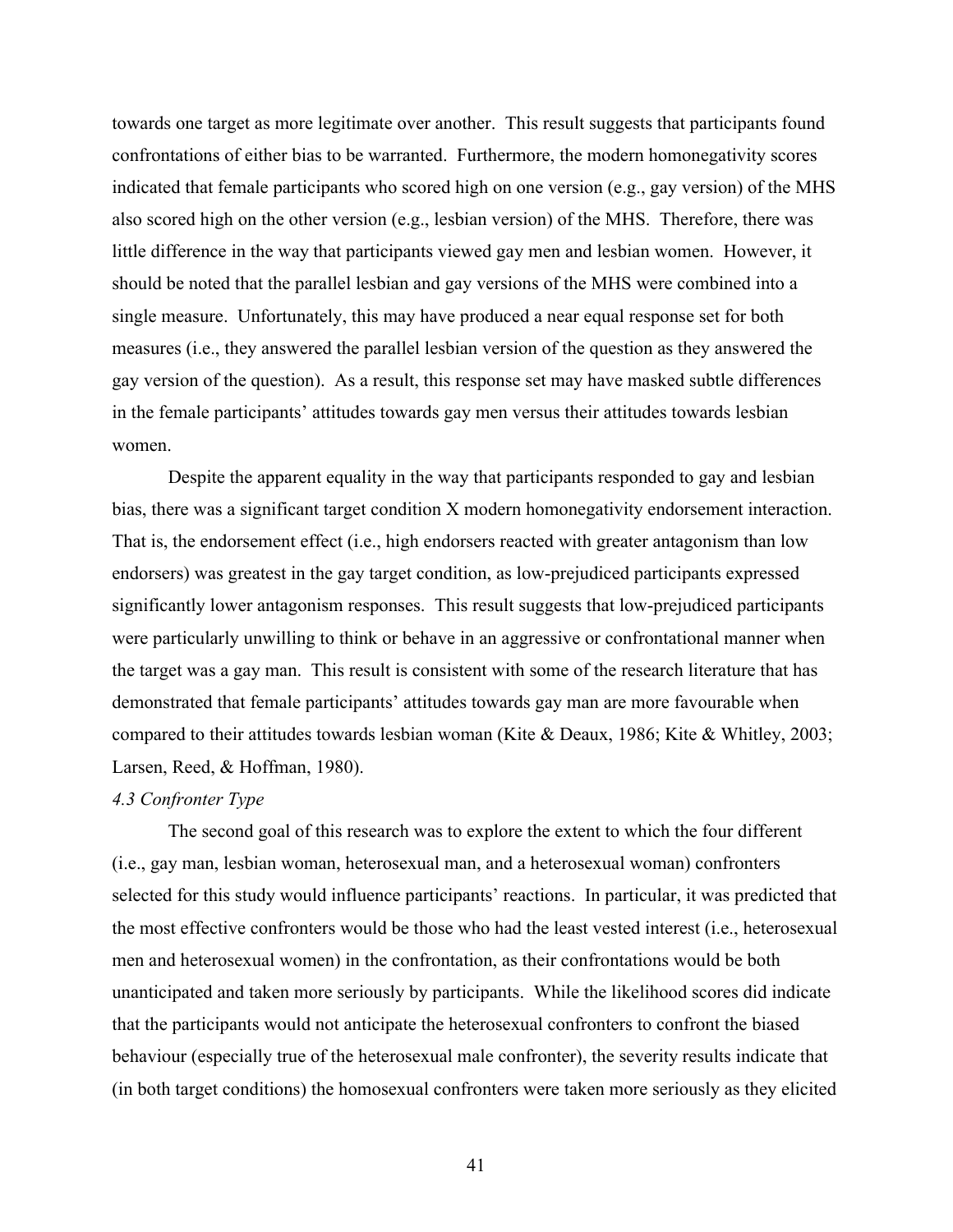towards one target as more legitimate over another. This result suggests that participants found confrontations of either bias to be warranted. Furthermore, the modern homonegativity scores indicated that female participants who scored high on one version (e.g., gay version) of the MHS also scored high on the other version (e.g., lesbian version) of the MHS. Therefore, there was little difference in the way that participants viewed gay men and lesbian women. However, it should be noted that the parallel lesbian and gay versions of the MHS were combined into a single measure. Unfortunately, this may have produced a near equal response set for both measures (i.e., they answered the parallel lesbian version of the question as they answered the gay version of the question). As a result, this response set may have masked subtle differences in the female participants' attitudes towards gay men versus their attitudes towards lesbian women.

Despite the apparent equality in the way that participants responded to gay and lesbian bias, there was a significant target condition X modern homonegativity endorsement interaction. That is, the endorsement effect (i.e., high endorsers reacted with greater antagonism than low endorsers) was greatest in the gay target condition, as low-prejudiced participants expressed significantly lower antagonism responses. This result suggests that low-prejudiced participants were particularly unwilling to think or behave in an aggressive or confrontational manner when the target was a gay man. This result is consistent with some of the research literature that has demonstrated that female participants' attitudes towards gay man are more favourable when compared to their attitudes towards lesbian woman (Kite & Deaux, 1986; Kite & Whitley, 2003; Larsen, Reed, & Hoffman, 1980).

#### *4.3 Confronter Type*

The second goal of this research was to explore the extent to which the four different (i.e., gay man, lesbian woman, heterosexual man, and a heterosexual woman) confronters selected for this study would influence participants' reactions. In particular, it was predicted that the most effective confronters would be those who had the least vested interest (i.e., heterosexual men and heterosexual women) in the confrontation, as their confrontations would be both unanticipated and taken more seriously by participants. While the likelihood scores did indicate that the participants would not anticipate the heterosexual confronters to confront the biased behaviour (especially true of the heterosexual male confronter), the severity results indicate that (in both target conditions) the homosexual confronters were taken more seriously as they elicited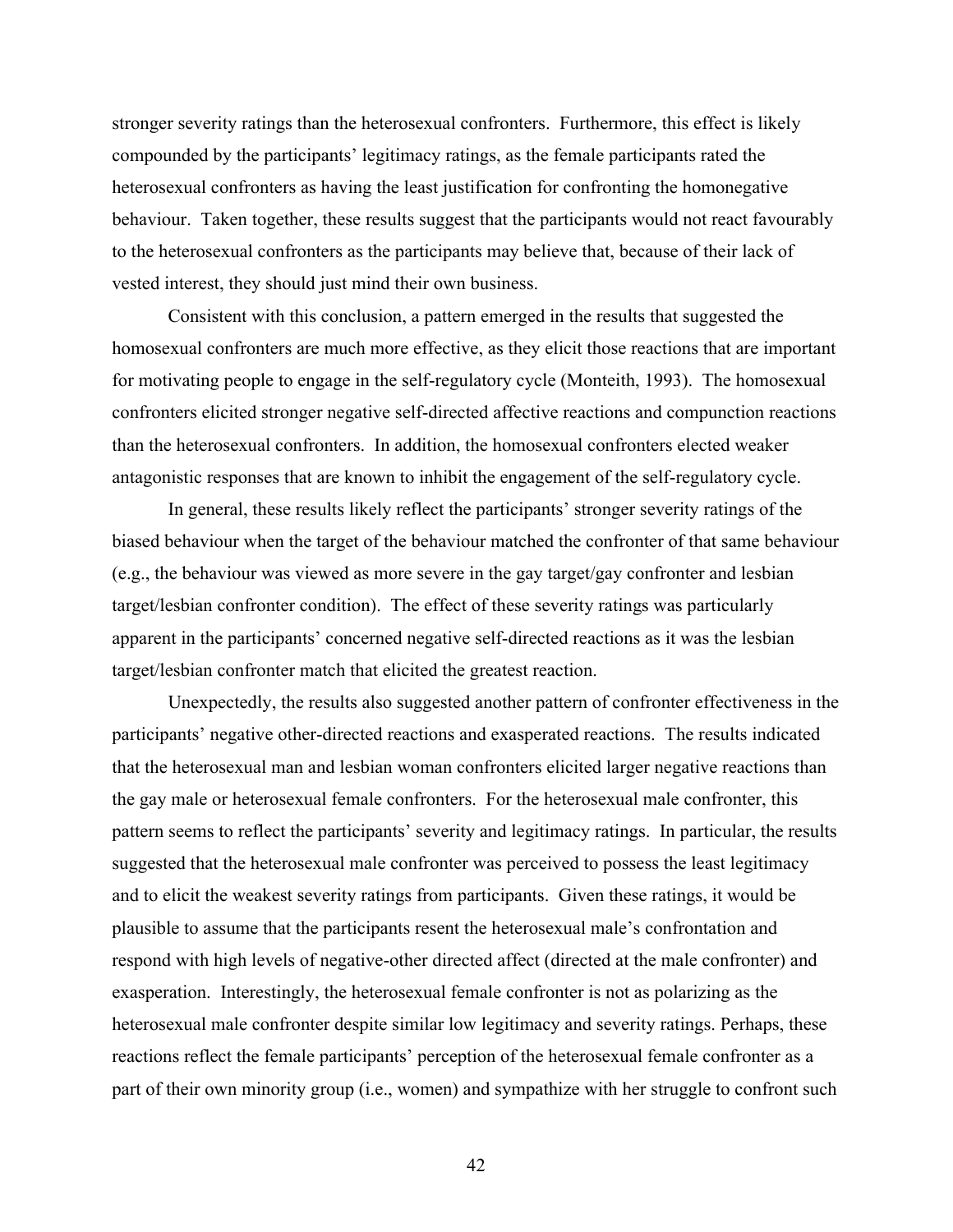stronger severity ratings than the heterosexual confronters. Furthermore, this effect is likely compounded by the participants' legitimacy ratings, as the female participants rated the heterosexual confronters as having the least justification for confronting the homonegative behaviour. Taken together, these results suggest that the participants would not react favourably to the heterosexual confronters as the participants may believe that, because of their lack of vested interest, they should just mind their own business.

Consistent with this conclusion, a pattern emerged in the results that suggested the homosexual confronters are much more effective, as they elicit those reactions that are important for motivating people to engage in the self-regulatory cycle (Monteith, 1993). The homosexual confronters elicited stronger negative self-directed affective reactions and compunction reactions than the heterosexual confronters. In addition, the homosexual confronters elected weaker antagonistic responses that are known to inhibit the engagement of the self-regulatory cycle.

In general, these results likely reflect the participants' stronger severity ratings of the biased behaviour when the target of the behaviour matched the confronter of that same behaviour (e.g., the behaviour was viewed as more severe in the gay target/gay confronter and lesbian target/lesbian confronter condition). The effect of these severity ratings was particularly apparent in the participants' concerned negative self-directed reactions as it was the lesbian target/lesbian confronter match that elicited the greatest reaction.

Unexpectedly, the results also suggested another pattern of confronter effectiveness in the participants' negative other-directed reactions and exasperated reactions. The results indicated that the heterosexual man and lesbian woman confronters elicited larger negative reactions than the gay male or heterosexual female confronters. For the heterosexual male confronter, this pattern seems to reflect the participants' severity and legitimacy ratings. In particular, the results suggested that the heterosexual male confronter was perceived to possess the least legitimacy and to elicit the weakest severity ratings from participants. Given these ratings, it would be plausible to assume that the participants resent the heterosexual male's confrontation and respond with high levels of negative-other directed affect (directed at the male confronter) and exasperation. Interestingly, the heterosexual female confronter is not as polarizing as the heterosexual male confronter despite similar low legitimacy and severity ratings. Perhaps, these reactions reflect the female participants' perception of the heterosexual female confronter as a part of their own minority group (i.e., women) and sympathize with her struggle to confront such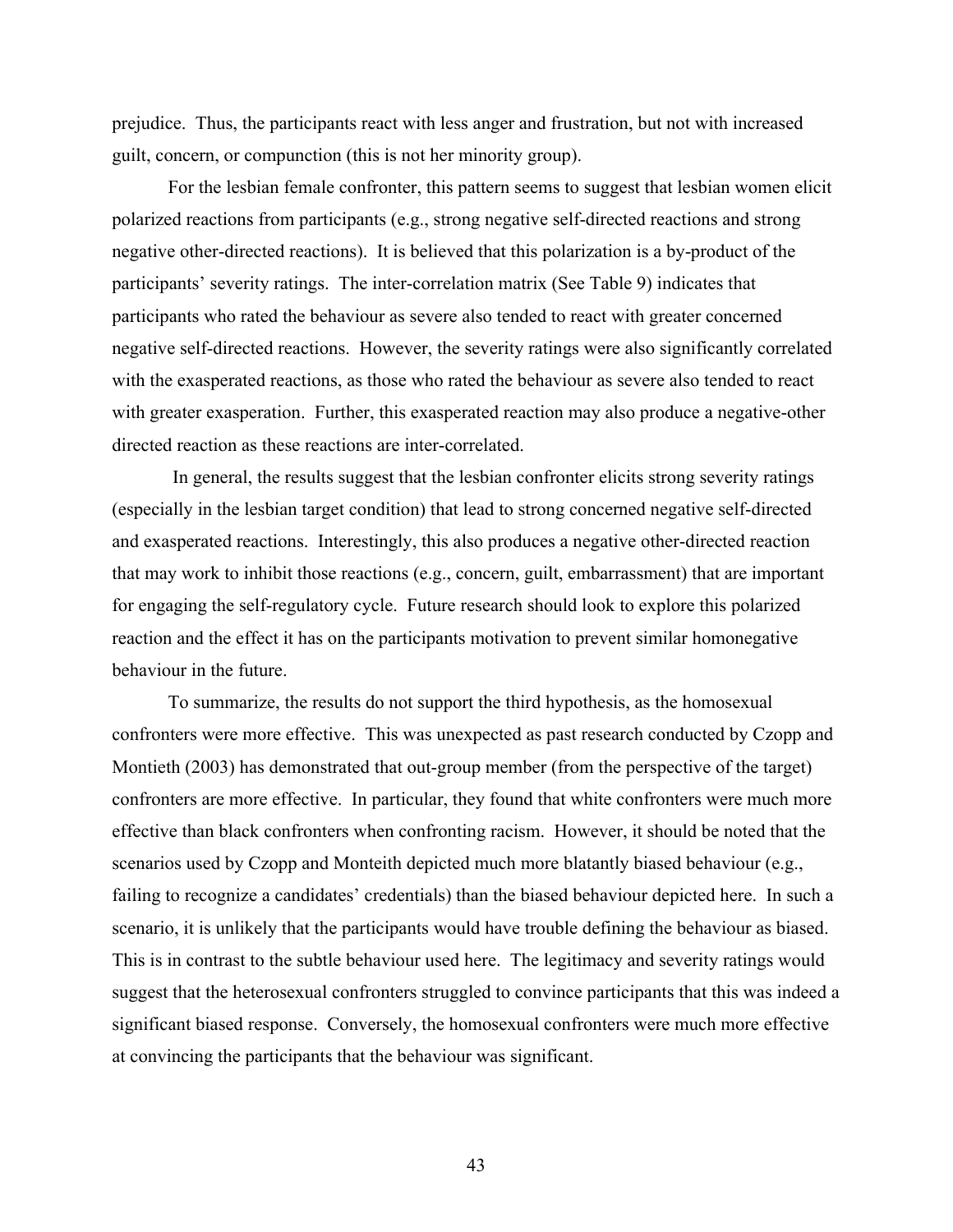prejudice. Thus, the participants react with less anger and frustration, but not with increased guilt, concern, or compunction (this is not her minority group).

 For the lesbian female confronter, this pattern seems to suggest that lesbian women elicit polarized reactions from participants (e.g., strong negative self-directed reactions and strong negative other-directed reactions). It is believed that this polarization is a by-product of the participants' severity ratings. The inter-correlation matrix (See Table 9) indicates that participants who rated the behaviour as severe also tended to react with greater concerned negative self-directed reactions. However, the severity ratings were also significantly correlated with the exasperated reactions, as those who rated the behaviour as severe also tended to react with greater exasperation. Further, this exasperated reaction may also produce a negative-other directed reaction as these reactions are inter-correlated.

 In general, the results suggest that the lesbian confronter elicits strong severity ratings (especially in the lesbian target condition) that lead to strong concerned negative self-directed and exasperated reactions. Interestingly, this also produces a negative other-directed reaction that may work to inhibit those reactions (e.g., concern, guilt, embarrassment) that are important for engaging the self-regulatory cycle. Future research should look to explore this polarized reaction and the effect it has on the participants motivation to prevent similar homonegative behaviour in the future.

To summarize, the results do not support the third hypothesis, as the homosexual confronters were more effective. This was unexpected as past research conducted by Czopp and Montieth (2003) has demonstrated that out-group member (from the perspective of the target) confronters are more effective. In particular, they found that white confronters were much more effective than black confronters when confronting racism. However, it should be noted that the scenarios used by Czopp and Monteith depicted much more blatantly biased behaviour (e.g., failing to recognize a candidates' credentials) than the biased behaviour depicted here. In such a scenario, it is unlikely that the participants would have trouble defining the behaviour as biased. This is in contrast to the subtle behaviour used here. The legitimacy and severity ratings would suggest that the heterosexual confronters struggled to convince participants that this was indeed a significant biased response. Conversely, the homosexual confronters were much more effective at convincing the participants that the behaviour was significant.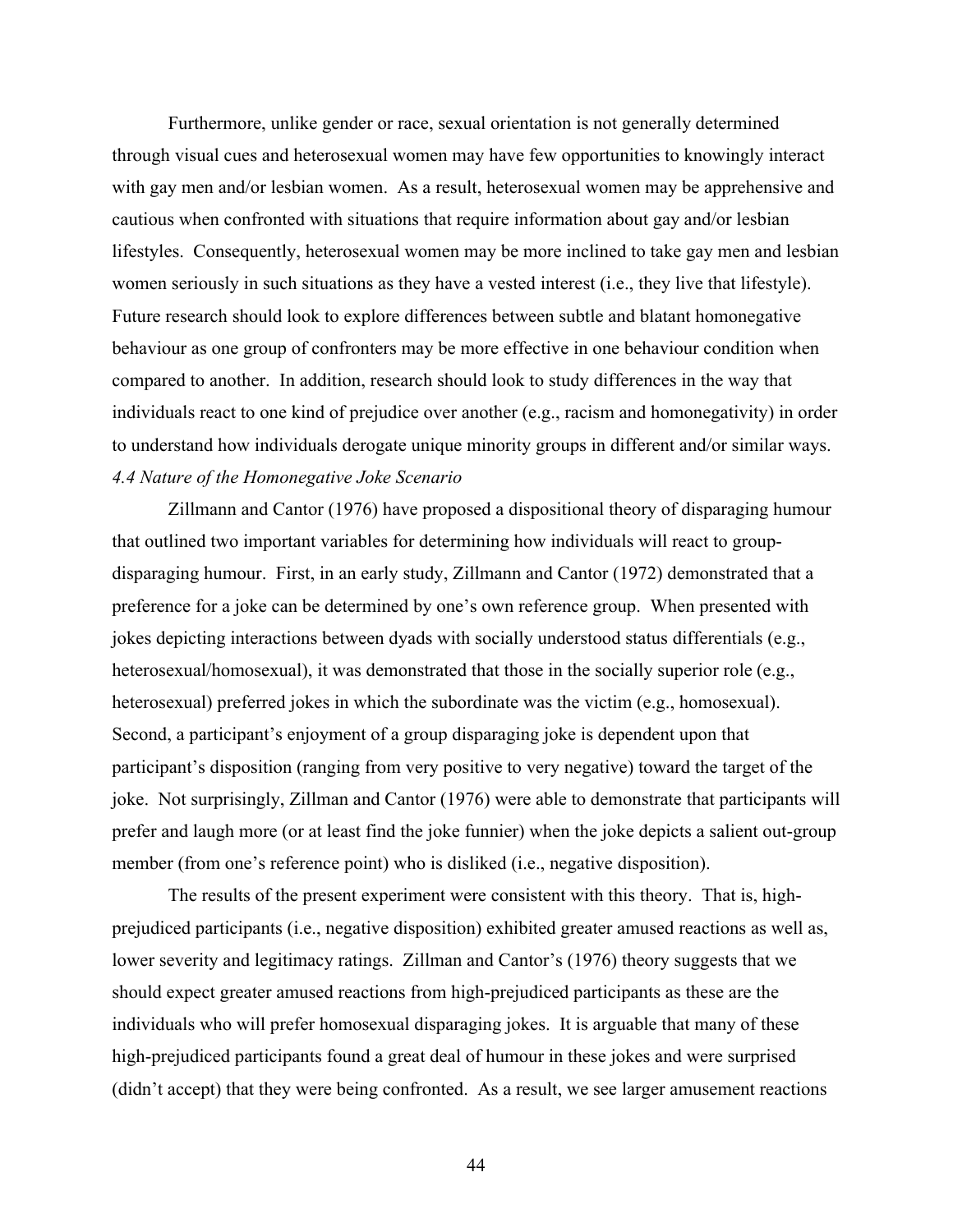Furthermore, unlike gender or race, sexual orientation is not generally determined through visual cues and heterosexual women may have few opportunities to knowingly interact with gay men and/or lesbian women. As a result, heterosexual women may be apprehensive and cautious when confronted with situations that require information about gay and/or lesbian lifestyles. Consequently, heterosexual women may be more inclined to take gay men and lesbian women seriously in such situations as they have a vested interest (i.e., they live that lifestyle). Future research should look to explore differences between subtle and blatant homonegative behaviour as one group of confronters may be more effective in one behaviour condition when compared to another. In addition, research should look to study differences in the way that individuals react to one kind of prejudice over another (e.g., racism and homonegativity) in order to understand how individuals derogate unique minority groups in different and/or similar ways. *4.4 Nature of the Homonegative Joke Scenario*

Zillmann and Cantor (1976) have proposed a dispositional theory of disparaging humour that outlined two important variables for determining how individuals will react to groupdisparaging humour. First, in an early study, Zillmann and Cantor (1972) demonstrated that a preference for a joke can be determined by one's own reference group. When presented with jokes depicting interactions between dyads with socially understood status differentials (e.g., heterosexual/homosexual), it was demonstrated that those in the socially superior role (e.g., heterosexual) preferred jokes in which the subordinate was the victim (e.g., homosexual). Second, a participant's enjoyment of a group disparaging joke is dependent upon that participant's disposition (ranging from very positive to very negative) toward the target of the joke. Not surprisingly, Zillman and Cantor (1976) were able to demonstrate that participants will prefer and laugh more (or at least find the joke funnier) when the joke depicts a salient out-group member (from one's reference point) who is disliked (i.e., negative disposition).

The results of the present experiment were consistent with this theory. That is, highprejudiced participants (i.e., negative disposition) exhibited greater amused reactions as well as, lower severity and legitimacy ratings. Zillman and Cantor's (1976) theory suggests that we should expect greater amused reactions from high-prejudiced participants as these are the individuals who will prefer homosexual disparaging jokes. It is arguable that many of these high-prejudiced participants found a great deal of humour in these jokes and were surprised (didn't accept) that they were being confronted. As a result, we see larger amusement reactions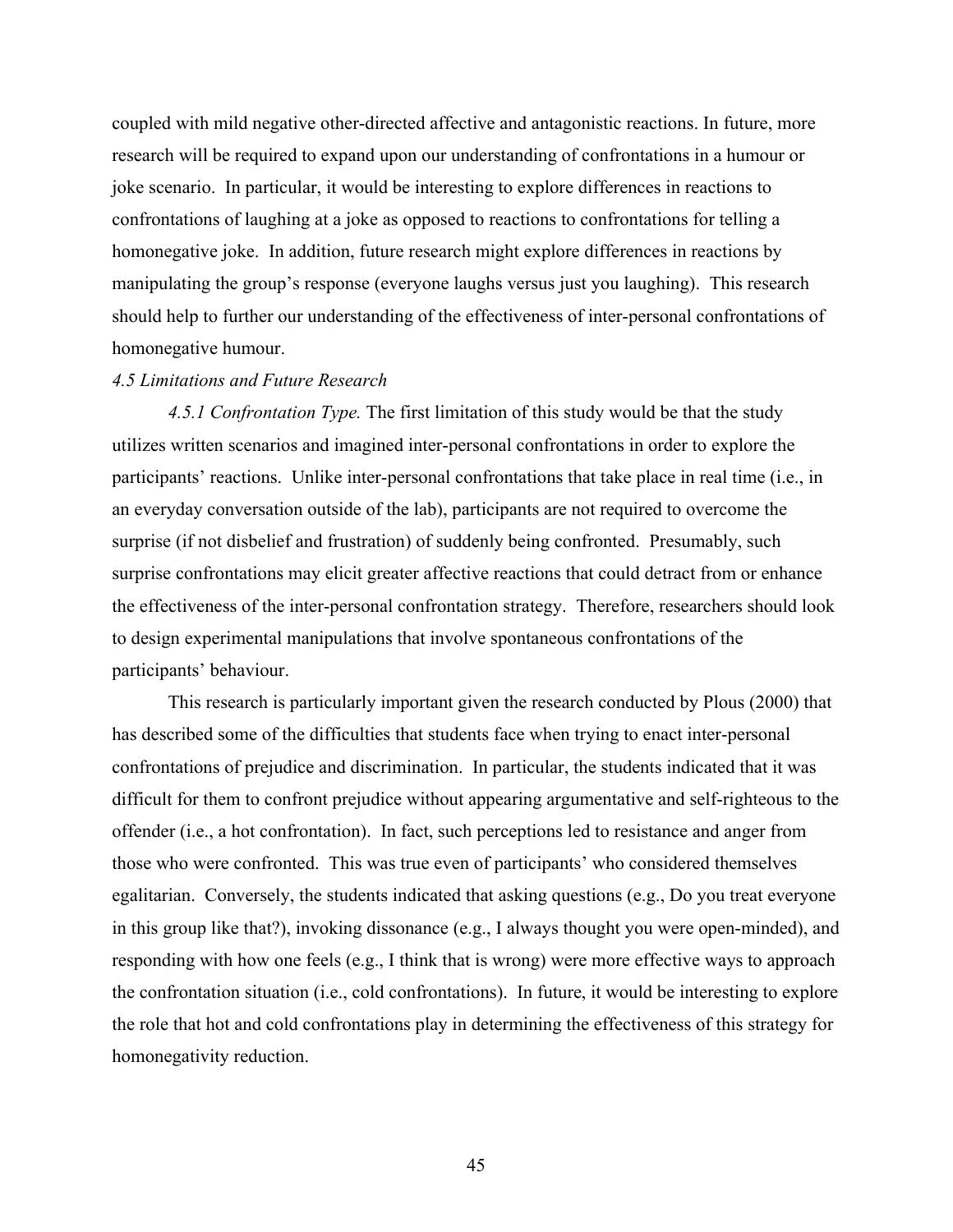coupled with mild negative other-directed affective and antagonistic reactions. In future, more research will be required to expand upon our understanding of confrontations in a humour or joke scenario. In particular, it would be interesting to explore differences in reactions to confrontations of laughing at a joke as opposed to reactions to confrontations for telling a homonegative joke. In addition, future research might explore differences in reactions by manipulating the group's response (everyone laughs versus just you laughing). This research should help to further our understanding of the effectiveness of inter-personal confrontations of homonegative humour.

#### *4.5 Limitations and Future Research*

*4.5.1 Confrontation Type.* The first limitation of this study would be that the study utilizes written scenarios and imagined inter-personal confrontations in order to explore the participants' reactions. Unlike inter-personal confrontations that take place in real time (i.e., in an everyday conversation outside of the lab), participants are not required to overcome the surprise (if not disbelief and frustration) of suddenly being confronted. Presumably, such surprise confrontations may elicit greater affective reactions that could detract from or enhance the effectiveness of the inter-personal confrontation strategy. Therefore, researchers should look to design experimental manipulations that involve spontaneous confrontations of the participants' behaviour.

This research is particularly important given the research conducted by Plous (2000) that has described some of the difficulties that students face when trying to enact inter-personal confrontations of prejudice and discrimination. In particular, the students indicated that it was difficult for them to confront prejudice without appearing argumentative and self-righteous to the offender (i.e., a hot confrontation). In fact, such perceptions led to resistance and anger from those who were confronted. This was true even of participants' who considered themselves egalitarian. Conversely, the students indicated that asking questions (e.g., Do you treat everyone in this group like that?), invoking dissonance (e.g., I always thought you were open-minded), and responding with how one feels (e.g., I think that is wrong) were more effective ways to approach the confrontation situation (i.e., cold confrontations). In future, it would be interesting to explore the role that hot and cold confrontations play in determining the effectiveness of this strategy for homonegativity reduction.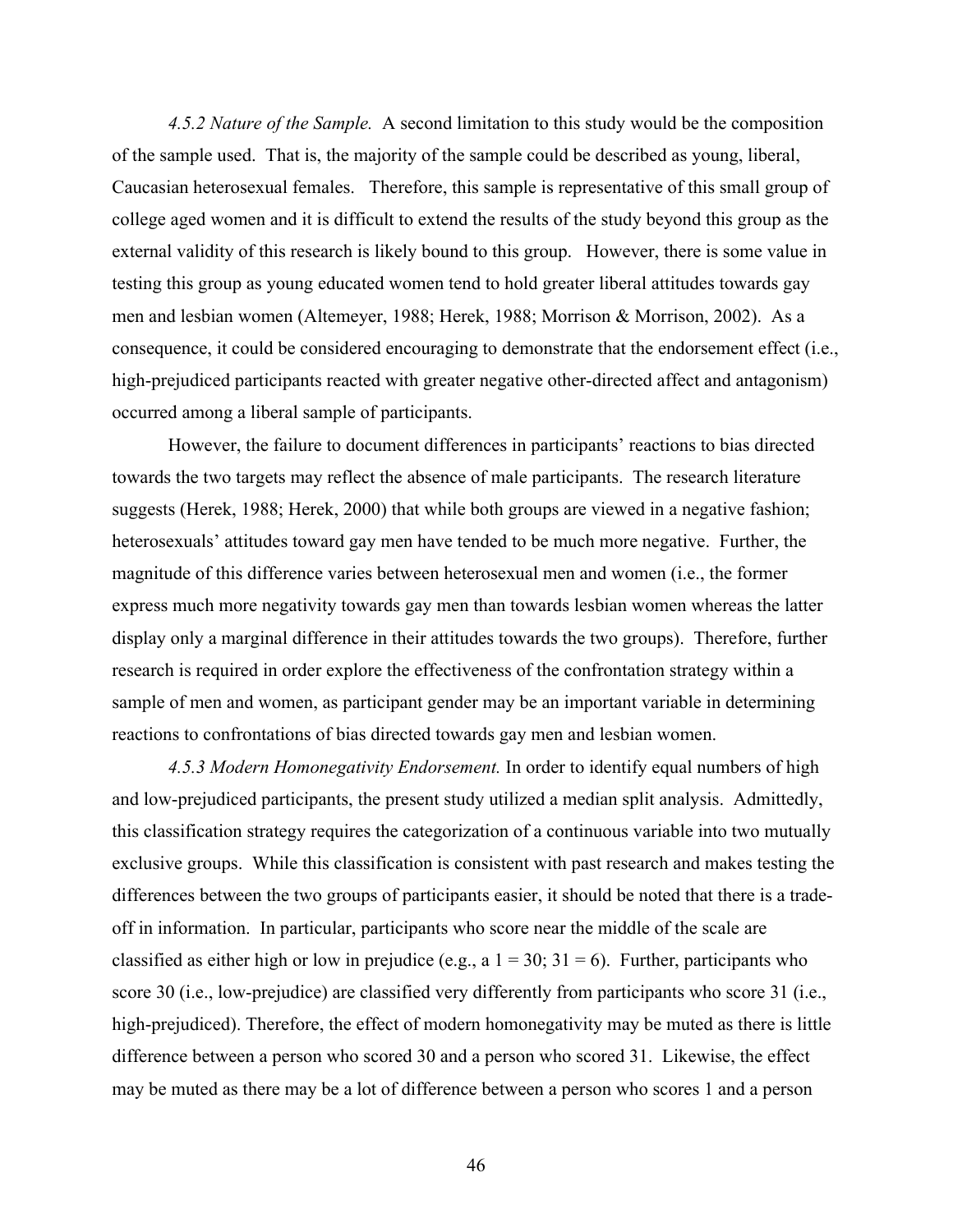*4.5.2 Nature of the Sample.* A second limitation to this study would be the composition of the sample used. That is, the majority of the sample could be described as young, liberal, Caucasian heterosexual females. Therefore, this sample is representative of this small group of college aged women and it is difficult to extend the results of the study beyond this group as the external validity of this research is likely bound to this group. However, there is some value in testing this group as young educated women tend to hold greater liberal attitudes towards gay men and lesbian women (Altemeyer, 1988; Herek, 1988; Morrison & Morrison, 2002). As a consequence, it could be considered encouraging to demonstrate that the endorsement effect (i.e., high-prejudiced participants reacted with greater negative other-directed affect and antagonism) occurred among a liberal sample of participants.

However, the failure to document differences in participants' reactions to bias directed towards the two targets may reflect the absence of male participants. The research literature suggests (Herek, 1988; Herek, 2000) that while both groups are viewed in a negative fashion; heterosexuals' attitudes toward gay men have tended to be much more negative. Further, the magnitude of this difference varies between heterosexual men and women (i.e., the former express much more negativity towards gay men than towards lesbian women whereas the latter display only a marginal difference in their attitudes towards the two groups). Therefore, further research is required in order explore the effectiveness of the confrontation strategy within a sample of men and women, as participant gender may be an important variable in determining reactions to confrontations of bias directed towards gay men and lesbian women.

*4.5.3 Modern Homonegativity Endorsement.* In order to identify equal numbers of high and low-prejudiced participants, the present study utilized a median split analysis. Admittedly, this classification strategy requires the categorization of a continuous variable into two mutually exclusive groups. While this classification is consistent with past research and makes testing the differences between the two groups of participants easier, it should be noted that there is a tradeoff in information. In particular, participants who score near the middle of the scale are classified as either high or low in prejudice (e.g., a  $1 = 30$ ;  $31 = 6$ ). Further, participants who score 30 (i.e., low-prejudice) are classified very differently from participants who score 31 (i.e., high-prejudiced). Therefore, the effect of modern homonegativity may be muted as there is little difference between a person who scored 30 and a person who scored 31. Likewise, the effect may be muted as there may be a lot of difference between a person who scores 1 and a person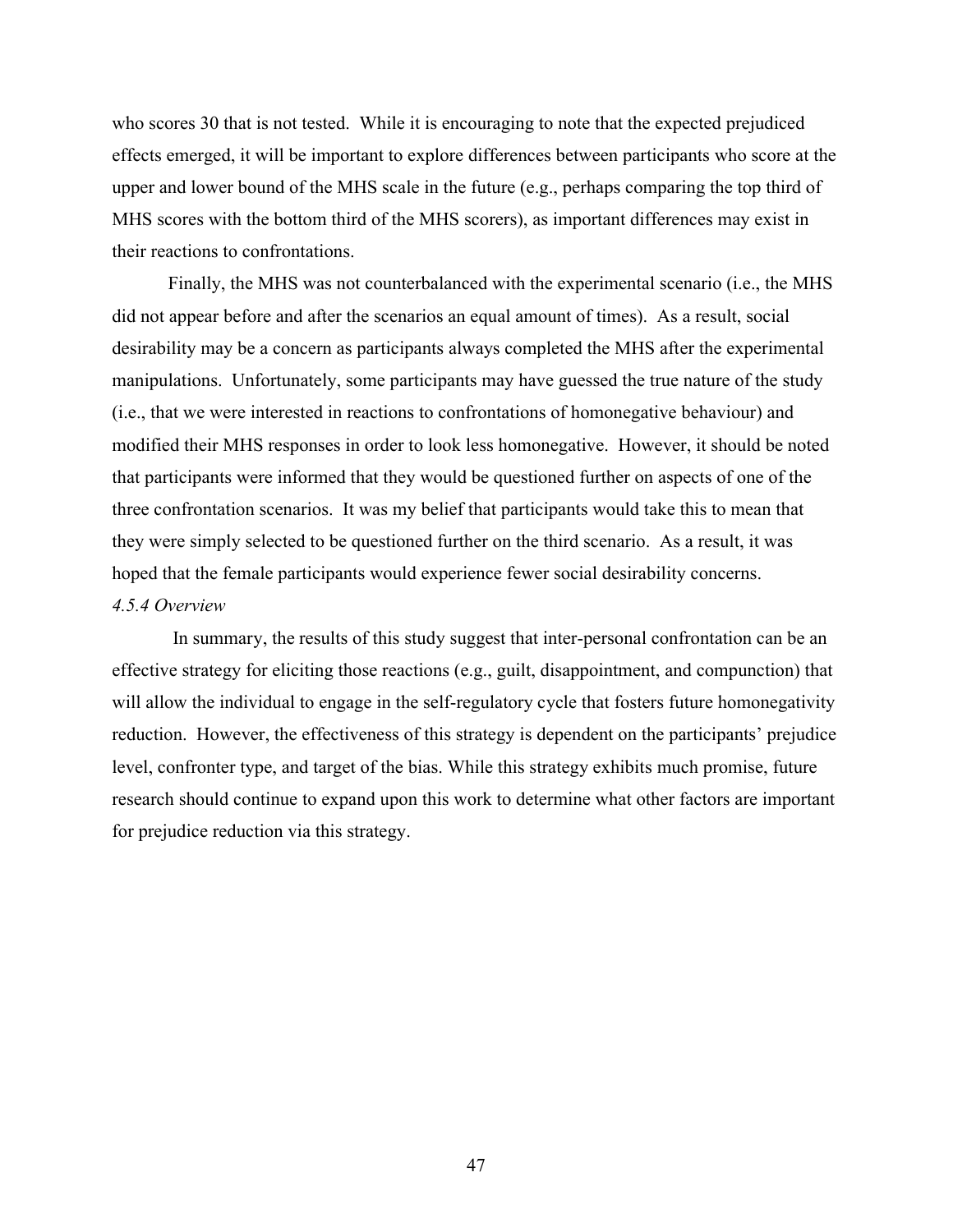who scores 30 that is not tested. While it is encouraging to note that the expected prejudiced effects emerged, it will be important to explore differences between participants who score at the upper and lower bound of the MHS scale in the future (e.g., perhaps comparing the top third of MHS scores with the bottom third of the MHS scorers), as important differences may exist in their reactions to confrontations.

Finally, the MHS was not counterbalanced with the experimental scenario (i.e., the MHS did not appear before and after the scenarios an equal amount of times). As a result, social desirability may be a concern as participants always completed the MHS after the experimental manipulations. Unfortunately, some participants may have guessed the true nature of the study (i.e., that we were interested in reactions to confrontations of homonegative behaviour) and modified their MHS responses in order to look less homonegative. However, it should be noted that participants were informed that they would be questioned further on aspects of one of the three confrontation scenarios. It was my belief that participants would take this to mean that they were simply selected to be questioned further on the third scenario. As a result, it was hoped that the female participants would experience fewer social desirability concerns. *4.5.4 Overview*

In summary, the results of this study suggest that inter-personal confrontation can be an effective strategy for eliciting those reactions (e.g., guilt, disappointment, and compunction) that will allow the individual to engage in the self-regulatory cycle that fosters future homonegativity reduction. However, the effectiveness of this strategy is dependent on the participants' prejudice level, confronter type, and target of the bias. While this strategy exhibits much promise, future research should continue to expand upon this work to determine what other factors are important for prejudice reduction via this strategy.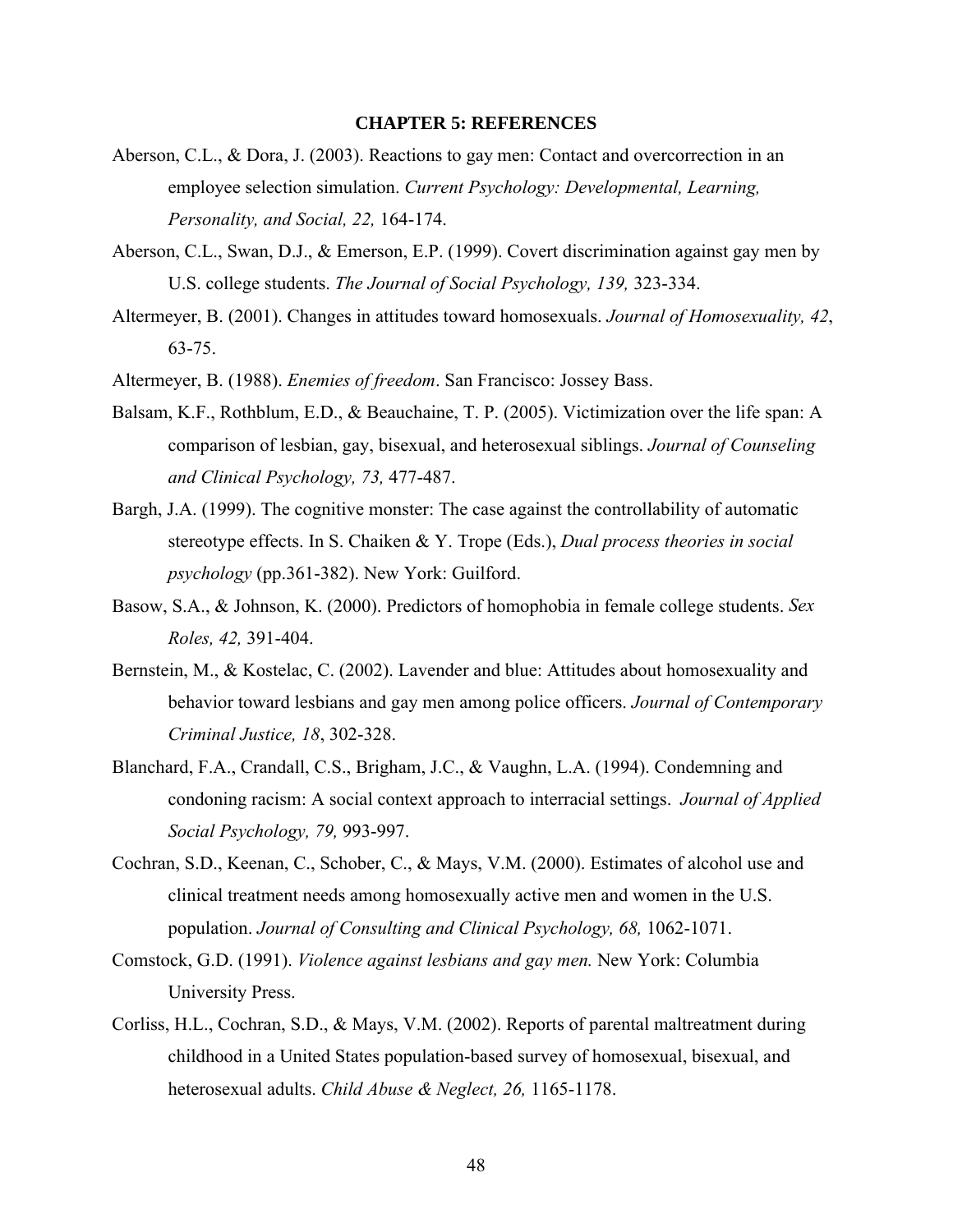#### **CHAPTER 5: REFERENCES**

- Aberson, C.L., & Dora, J. (2003). Reactions to gay men: Contact and overcorrection in an employee selection simulation. *Current Psychology: Developmental, Learning, Personality, and Social, 22,* 164-174.
- Aberson, C.L., Swan, D.J., & Emerson, E.P. (1999). Covert discrimination against gay men by U.S. college students. *The Journal of Social Psychology, 139,* 323-334.
- Altermeyer, B. (2001). Changes in attitudes toward homosexuals. *Journal of Homosexuality, 42*, 63-75.
- Altermeyer, B. (1988). *Enemies of freedom*. San Francisco: Jossey Bass.
- Balsam, K.F., Rothblum, E.D., & Beauchaine, T. P. (2005). Victimization over the life span: A comparison of lesbian, gay, bisexual, and heterosexual siblings. *Journal of Counseling and Clinical Psychology, 73,* 477-487.
- Bargh, J.A. (1999). The cognitive monster: The case against the controllability of automatic stereotype effects. In S. Chaiken & Y. Trope (Eds.), *Dual process theories in social psychology* (pp.361-382). New York: Guilford.
- Basow, S.A., & Johnson, K. (2000). Predictors of homophobia in female college students. *Sex Roles, 42,* 391-404.
- Bernstein, M., & Kostelac, C. (2002). Lavender and blue: Attitudes about homosexuality and behavior toward lesbians and gay men among police officers. *Journal of Contemporary Criminal Justice, 18*, 302-328.
- Blanchard, F.A., Crandall, C.S., Brigham, J.C., & Vaughn, L.A. (1994). Condemning and condoning racism: A social context approach to interracial settings. *Journal of Applied Social Psychology, 79,* 993-997.
- Cochran, S.D., Keenan, C., Schober, C., & Mays, V.M. (2000). Estimates of alcohol use and clinical treatment needs among homosexually active men and women in the U.S. population. *Journal of Consulting and Clinical Psychology, 68,* 1062-1071.
- Comstock, G.D. (1991). *Violence against lesbians and gay men.* New York: Columbia University Press.
- Corliss, H.L., Cochran, S.D., & Mays, V.M. (2002). Reports of parental maltreatment during childhood in a United States population-based survey of homosexual, bisexual, and heterosexual adults. *Child Abuse & Neglect, 26,* 1165-1178.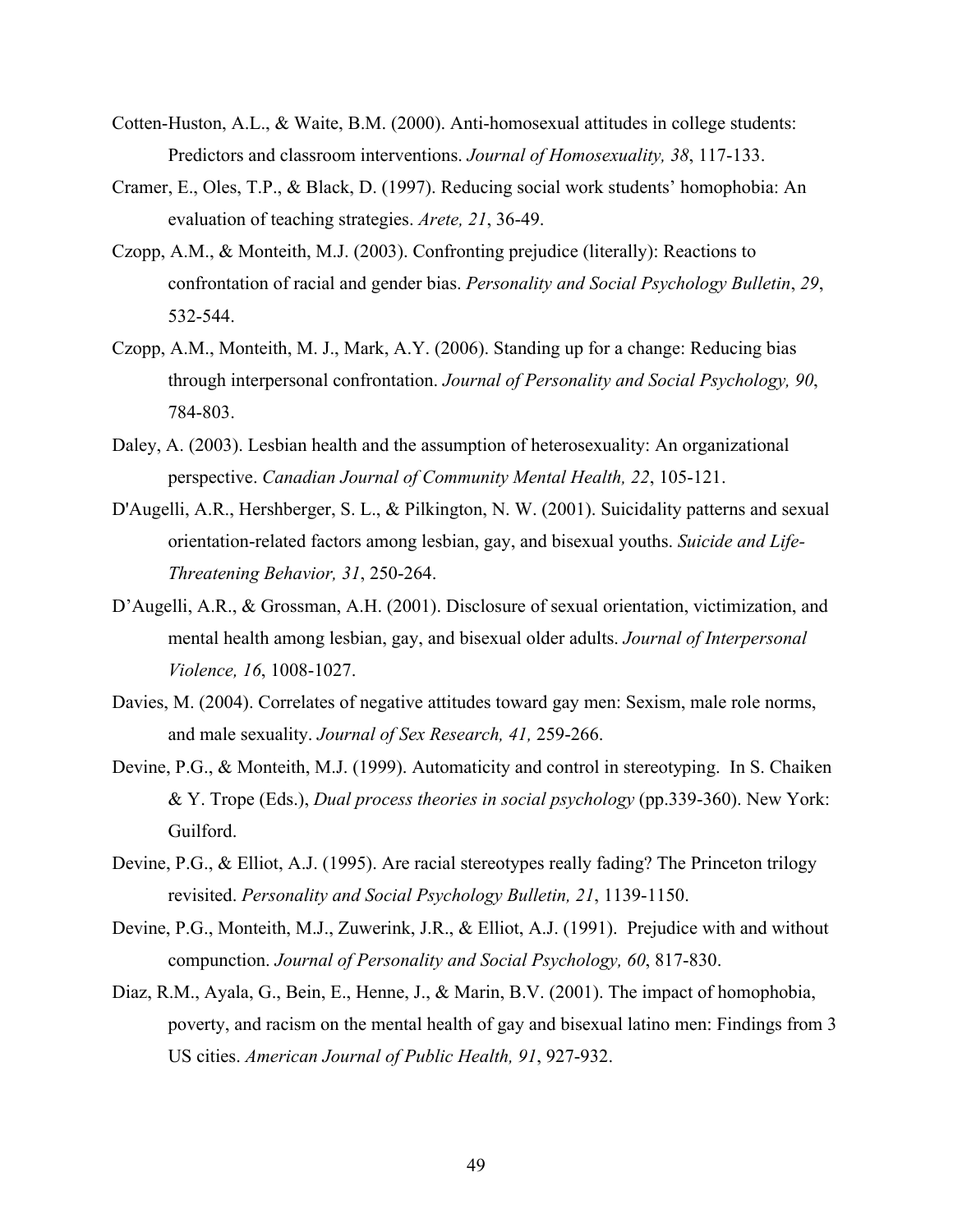- Cotten-Huston, A.L., & Waite, B.M. (2000). Anti-homosexual attitudes in college students: Predictors and classroom interventions. *Journal of Homosexuality, 38*, 117-133.
- Cramer, E., Oles, T.P., & Black, D. (1997). Reducing social work students' homophobia: An evaluation of teaching strategies. *Arete, 21*, 36-49.
- Czopp, A.M., & Monteith, M.J. (2003). Confronting prejudice (literally): Reactions to confrontation of racial and gender bias. *Personality and Social Psychology Bulletin*, *29*, 532-544.
- Czopp, A.M., Monteith, M. J., Mark, A.Y. (2006). Standing up for a change: Reducing bias through interpersonal confrontation. *Journal of Personality and Social Psychology, 90*, 784-803.
- Daley, A. (2003). Lesbian health and the assumption of heterosexuality: An organizational perspective. *Canadian Journal of Community Mental Health, 22*, 105-121.
- D'Augelli, A.R., Hershberger, S. L., & Pilkington, N. W. (2001). Suicidality patterns and sexual orientation-related factors among lesbian, gay, and bisexual youths. *Suicide and Life-Threatening Behavior, 31*, 250-264.
- D'Augelli, A.R., & Grossman, A.H. (2001). Disclosure of sexual orientation, victimization, and mental health among lesbian, gay, and bisexual older adults. *Journal of Interpersonal Violence, 16*, 1008-1027.
- Davies, M. (2004). Correlates of negative attitudes toward gay men: Sexism, male role norms, and male sexuality. *Journal of Sex Research, 41,* 259-266.
- Devine, P.G., & Monteith, M.J. (1999). Automaticity and control in stereotyping. In S. Chaiken & Y. Trope (Eds.), *Dual process theories in social psychology* (pp.339-360). New York: Guilford.
- Devine, P.G., & Elliot, A.J. (1995). Are racial stereotypes really fading? The Princeton trilogy revisited. *Personality and Social Psychology Bulletin, 21*, 1139-1150.
- Devine, P.G., Monteith, M.J., Zuwerink, J.R., & Elliot, A.J. (1991). Prejudice with and without compunction. *Journal of Personality and Social Psychology, 60*, 817-830.
- Diaz, R.M., Ayala, G., Bein, E., Henne, J., & Marin, B.V. (2001). The impact of homophobia, poverty, and racism on the mental health of gay and bisexual latino men: Findings from 3 US cities. *American Journal of Public Health, 91*, 927-932.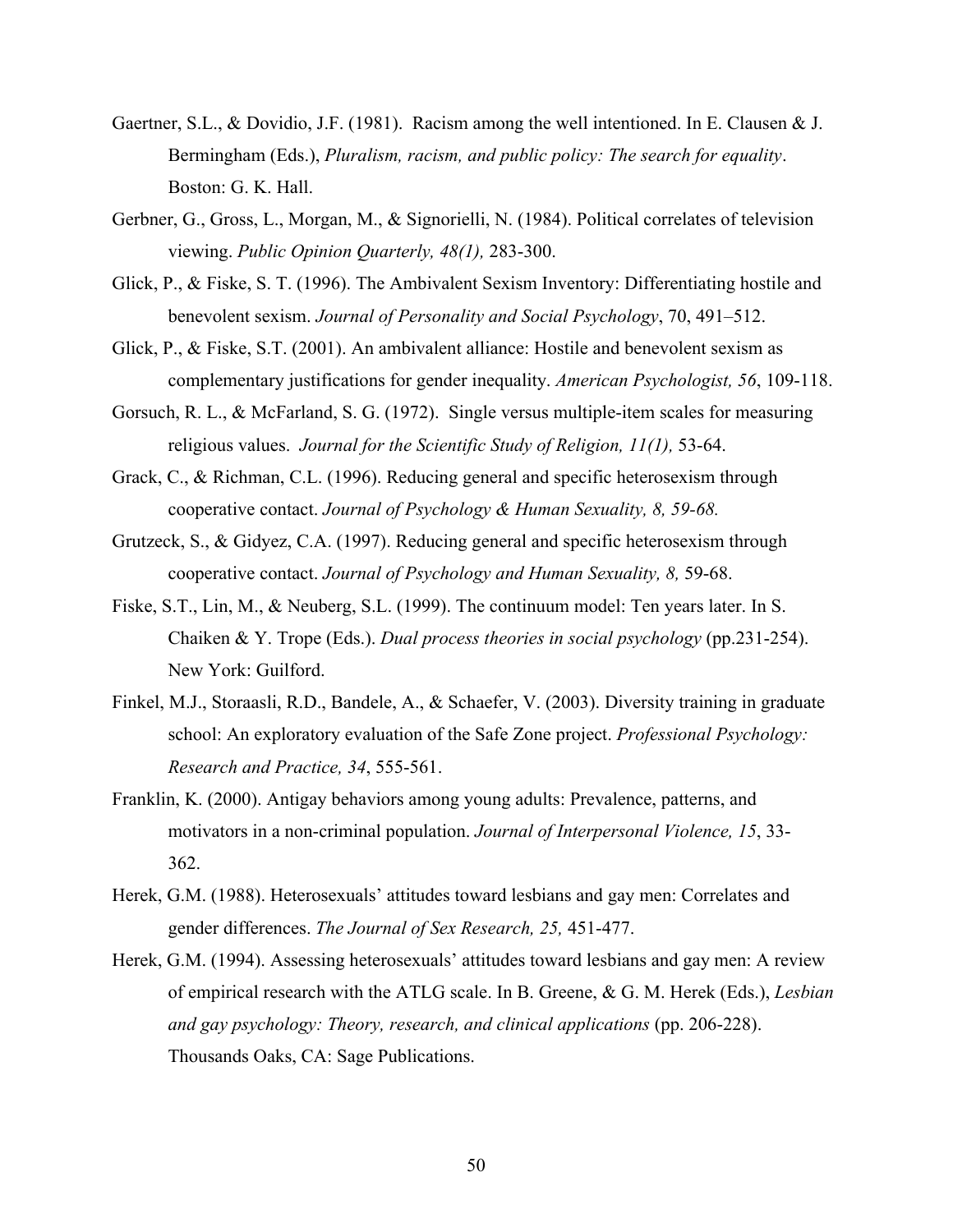- Gaertner, S.L., & Dovidio, J.F. (1981). Racism among the well intentioned. In E. Clausen & J. Bermingham (Eds.), *Pluralism, racism, and public policy: The search for equality*. Boston: G. K. Hall.
- Gerbner, G., Gross, L., Morgan, M., & Signorielli, N. (1984). Political correlates of television viewing. *Public Opinion Quarterly, 48(1),* 283-300.
- Glick, P., & Fiske, S. T. (1996). The Ambivalent Sexism Inventory: Differentiating hostile and benevolent sexism. *Journal of Personality and Social Psychology*, 70, 491–512.
- Glick, P., & Fiske, S.T. (2001). An ambivalent alliance: Hostile and benevolent sexism as complementary justifications for gender inequality. *American Psychologist, 56*, 109-118.
- Gorsuch, R. L., & McFarland, S. G. (1972). Single versus multiple-item scales for measuring religious values. *Journal for the Scientific Study of Religion, 11(1),* 53-64.
- Grack, C., & Richman, C.L. (1996). Reducing general and specific heterosexism through cooperative contact. *Journal of Psychology & Human Sexuality, 8, 59-68.*
- Grutzeck, S., & Gidyez, C.A. (1997). Reducing general and specific heterosexism through cooperative contact. *Journal of Psychology and Human Sexuality, 8,* 59-68.
- Fiske, S.T., Lin, M., & Neuberg, S.L. (1999). The continuum model: Ten years later. In S. Chaiken & Y. Trope (Eds.). *Dual process theories in social psychology* (pp.231-254). New York: Guilford.
- Finkel, M.J., Storaasli, R.D., Bandele, A., & Schaefer, V. (2003). Diversity training in graduate school: An exploratory evaluation of the Safe Zone project. *Professional Psychology: Research and Practice, 34*, 555-561.
- Franklin, K. (2000). Antigay behaviors among young adults: Prevalence, patterns, and motivators in a non-criminal population. *Journal of Interpersonal Violence, 15*, 33- 362.
- Herek, G.M. (1988). Heterosexuals' attitudes toward lesbians and gay men: Correlates and gender differences. *The Journal of Sex Research, 25,* 451-477.
- Herek, G.M. (1994). Assessing heterosexuals' attitudes toward lesbians and gay men: A review of empirical research with the ATLG scale. In B. Greene, & G. M. Herek (Eds.), *Lesbian and gay psychology: Theory, research, and clinical applications* (pp. 206-228). Thousands Oaks, CA: Sage Publications.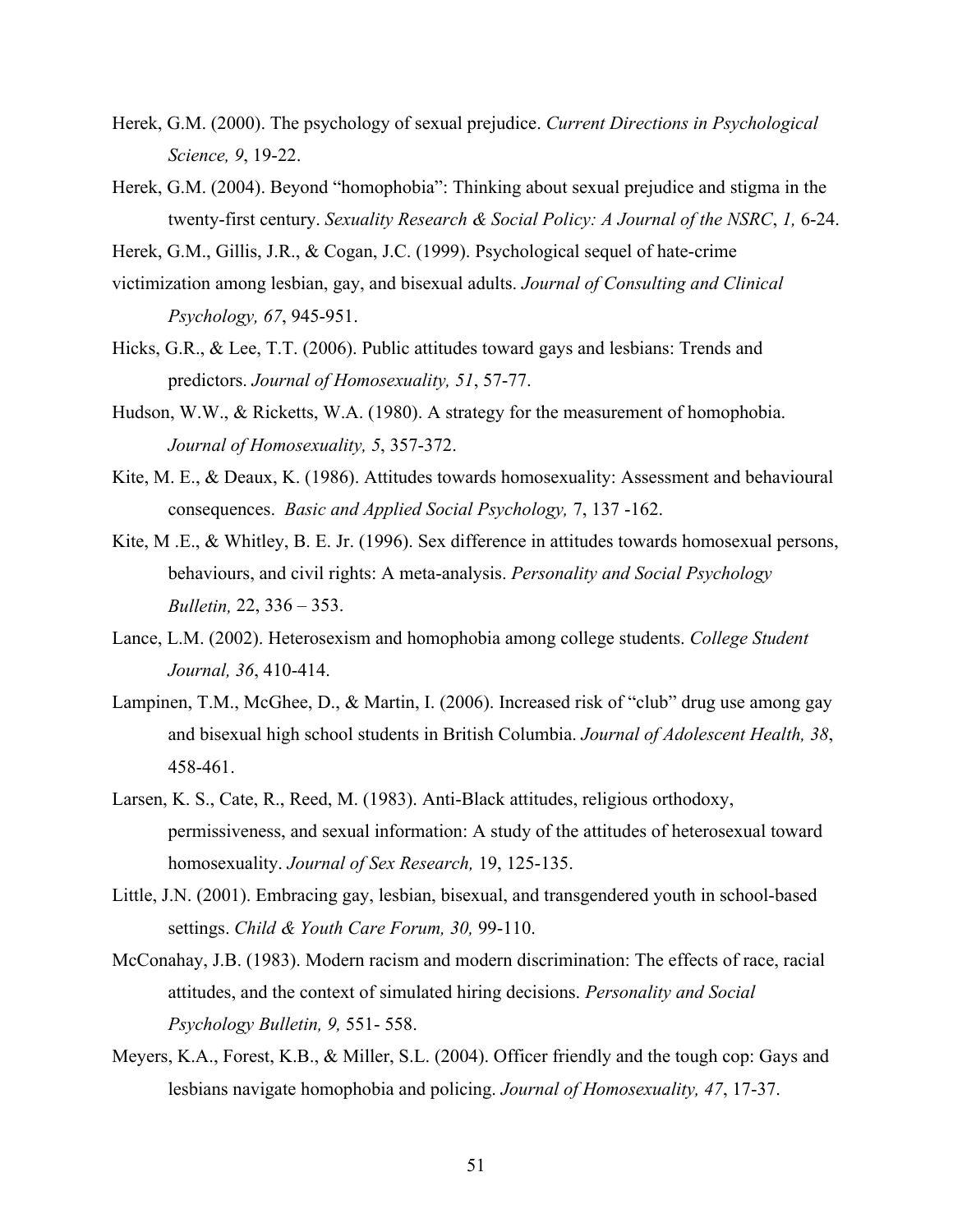- Herek, G.M. (2000). The psychology of sexual prejudice. *Current Directions in Psychological Science, 9*, 19-22.
- Herek, G.M. (2004). Beyond "homophobia": Thinking about sexual prejudice and stigma in the twenty-first century. *Sexuality Research & Social Policy: A Journal of the NSRC*, *1,* 6-24.
- Herek, G.M., Gillis, J.R., & Cogan, J.C. (1999). Psychological sequel of hate-crime
- victimization among lesbian, gay, and bisexual adults. *Journal of Consulting and Clinical Psychology, 67*, 945-951.
- Hicks, G.R., & Lee, T.T. (2006). Public attitudes toward gays and lesbians: Trends and predictors. *Journal of Homosexuality, 51*, 57-77.
- Hudson, W.W., & Ricketts, W.A. (1980). A strategy for the measurement of homophobia. *Journal of Homosexuality, 5*, 357-372.
- Kite, M. E., & Deaux, K. (1986). Attitudes towards homosexuality: Assessment and behavioural consequences. *Basic and Applied Social Psychology,* 7, 137 -162.
- Kite, M .E., & Whitley, B. E. Jr. (1996). Sex difference in attitudes towards homosexual persons, behaviours, and civil rights: A meta-analysis. *Personality and Social Psychology Bulletin,* 22, 336 – 353.
- Lance, L.M. (2002). Heterosexism and homophobia among college students. *College Student Journal, 36*, 410-414.
- Lampinen, T.M., McGhee, D., & Martin, I. (2006). Increased risk of "club" drug use among gay and bisexual high school students in British Columbia. *Journal of Adolescent Health, 38*, 458-461.
- Larsen, K. S., Cate, R., Reed, M. (1983). Anti-Black attitudes, religious orthodoxy, permissiveness, and sexual information: A study of the attitudes of heterosexual toward homosexuality. *Journal of Sex Research,* 19, 125-135.
- Little, J.N. (2001). Embracing gay, lesbian, bisexual, and transgendered youth in school-based settings. *Child & Youth Care Forum, 30,* 99-110.
- McConahay, J.B. (1983). Modern racism and modern discrimination: The effects of race, racial attitudes, and the context of simulated hiring decisions. *Personality and Social Psychology Bulletin, 9,* 551- 558.
- Meyers, K.A., Forest, K.B., & Miller, S.L. (2004). Officer friendly and the tough cop: Gays and lesbians navigate homophobia and policing. *Journal of Homosexuality, 47*, 17-37.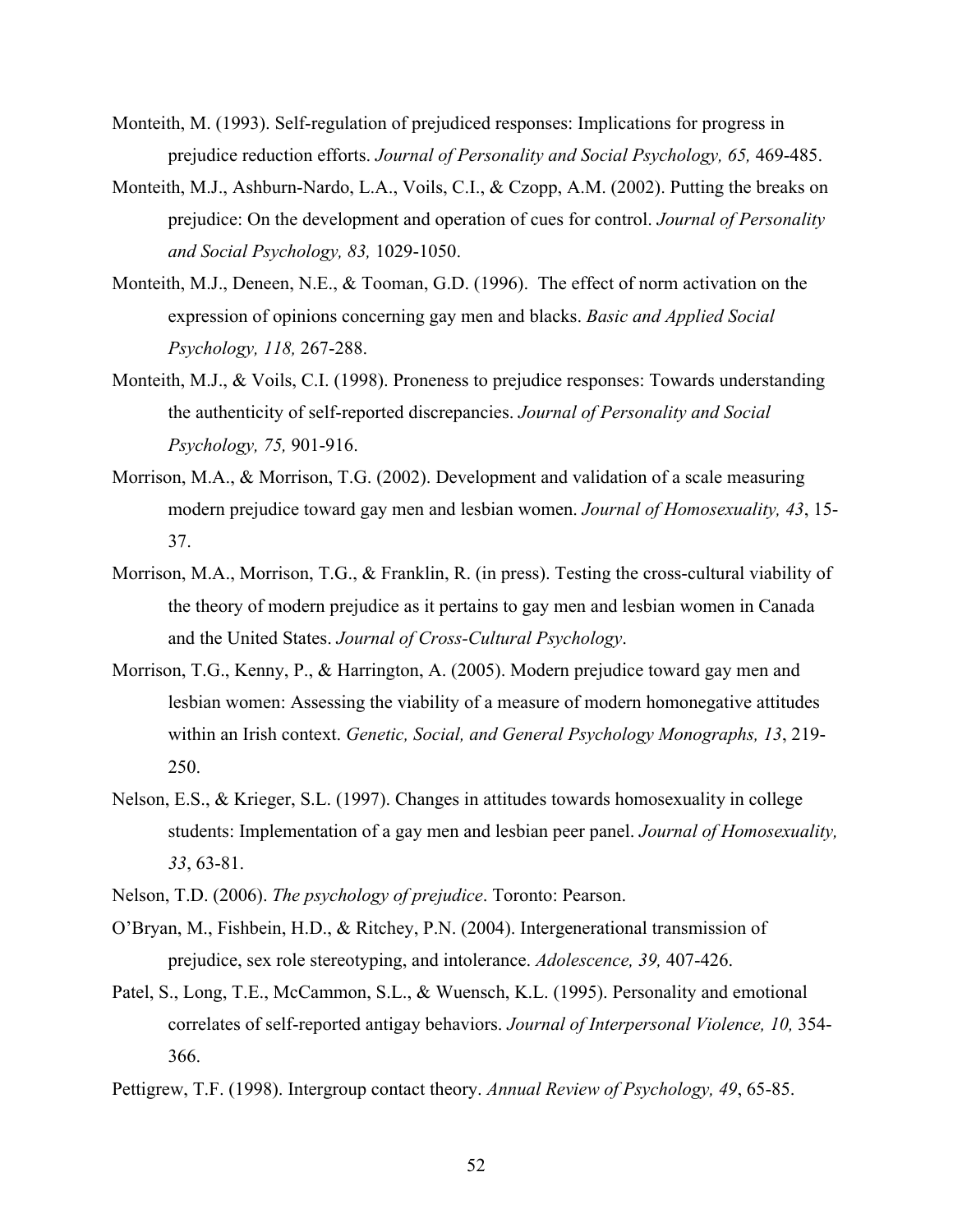- Monteith, M. (1993). Self-regulation of prejudiced responses: Implications for progress in prejudice reduction efforts. *Journal of Personality and Social Psychology, 65,* 469-485.
- Monteith, M.J., Ashburn-Nardo, L.A., Voils, C.I., & Czopp, A.M. (2002). Putting the breaks on prejudice: On the development and operation of cues for control. *Journal of Personality and Social Psychology, 83,* 1029-1050.
- Monteith, M.J., Deneen, N.E., & Tooman, G.D. (1996). The effect of norm activation on the expression of opinions concerning gay men and blacks. *Basic and Applied Social Psychology, 118,* 267-288.
- Monteith, M.J., & Voils, C.I. (1998). Proneness to prejudice responses: Towards understanding the authenticity of self-reported discrepancies. *Journal of Personality and Social Psychology, 75,* 901-916.
- Morrison, M.A., & Morrison, T.G. (2002). Development and validation of a scale measuring modern prejudice toward gay men and lesbian women. *Journal of Homosexuality, 43*, 15- 37.
- Morrison, M.A., Morrison, T.G., & Franklin, R. (in press). Testing the cross-cultural viability of the theory of modern prejudice as it pertains to gay men and lesbian women in Canada and the United States. *Journal of Cross-Cultural Psychology*.
- Morrison, T.G., Kenny, P., & Harrington, A. (2005). Modern prejudice toward gay men and lesbian women: Assessing the viability of a measure of modern homonegative attitudes within an Irish context. *Genetic, Social, and General Psychology Monographs, 13*, 219- 250.
- Nelson, E.S., & Krieger, S.L. (1997). Changes in attitudes towards homosexuality in college students: Implementation of a gay men and lesbian peer panel. *Journal of Homosexuality, 33*, 63-81.
- Nelson, T.D. (2006). *The psychology of prejudice*. Toronto: Pearson.
- O'Bryan, M., Fishbein, H.D., & Ritchey, P.N. (2004). Intergenerational transmission of prejudice, sex role stereotyping, and intolerance. *Adolescence, 39,* 407-426.
- Patel, S., Long, T.E., McCammon, S.L., & Wuensch, K.L. (1995). Personality and emotional correlates of self-reported antigay behaviors. *Journal of Interpersonal Violence, 10,* 354- 366.
- Pettigrew, T.F. (1998). Intergroup contact theory. *Annual Review of Psychology, 49*, 65-85.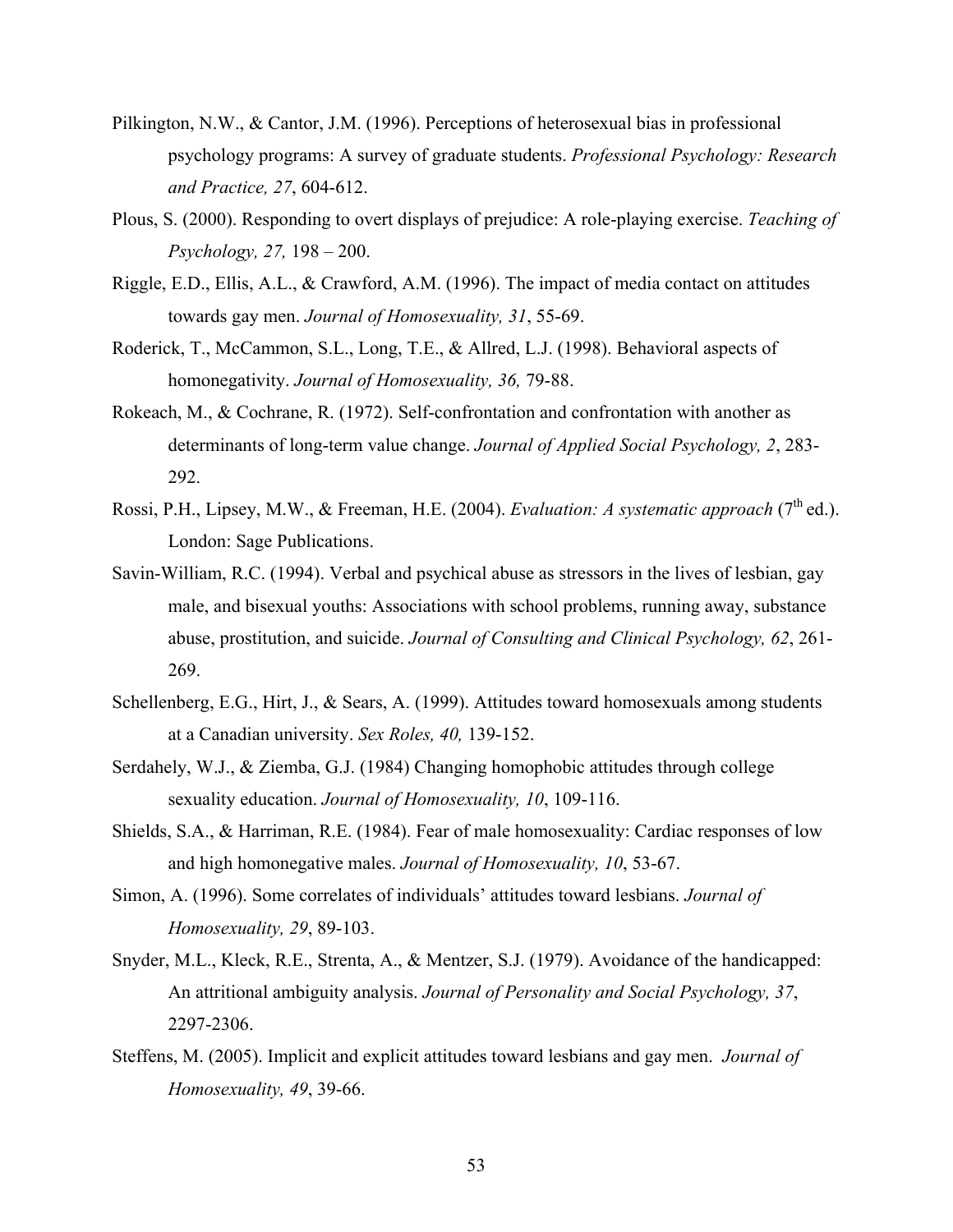- Pilkington, N.W., & Cantor, J.M. (1996). Perceptions of heterosexual bias in professional psychology programs: A survey of graduate students. *Professional Psychology: Research and Practice, 27*, 604-612.
- Plous, S. (2000). Responding to overt displays of prejudice: A role-playing exercise. *Teaching of Psychology, 27,* 198 – 200.
- Riggle, E.D., Ellis, A.L., & Crawford, A.M. (1996). The impact of media contact on attitudes towards gay men. *Journal of Homosexuality, 31*, 55-69.
- Roderick, T., McCammon, S.L., Long, T.E., & Allred, L.J. (1998). Behavioral aspects of homonegativity. *Journal of Homosexuality, 36,* 79-88.
- Rokeach, M., & Cochrane, R. (1972). Self-confrontation and confrontation with another as determinants of long-term value change. *Journal of Applied Social Psychology, 2*, 283- 292.
- Rossi, P.H., Lipsey, M.W., & Freeman, H.E. (2004). *Evaluation: A systematic approach* (7<sup>th</sup> ed.). London: Sage Publications.
- Savin-William, R.C. (1994). Verbal and psychical abuse as stressors in the lives of lesbian, gay male, and bisexual youths: Associations with school problems, running away, substance abuse, prostitution, and suicide. *Journal of Consulting and Clinical Psychology, 62*, 261- 269.
- Schellenberg, E.G., Hirt, J., & Sears, A. (1999). Attitudes toward homosexuals among students at a Canadian university. *Sex Roles, 40,* 139-152.
- Serdahely, W.J., & Ziemba, G.J. (1984) Changing homophobic attitudes through college sexuality education. *Journal of Homosexuality, 10*, 109-116.
- Shields, S.A., & Harriman, R.E. (1984). Fear of male homosexuality: Cardiac responses of low and high homonegative males. *Journal of Homosexuality, 10*, 53-67.
- Simon, A. (1996). Some correlates of individuals' attitudes toward lesbians. *Journal of Homosexuality, 29*, 89-103.
- Snyder, M.L., Kleck, R.E., Strenta, A., & Mentzer, S.J. (1979). Avoidance of the handicapped: An attritional ambiguity analysis. *Journal of Personality and Social Psychology, 37*, 2297-2306.
- Steffens, M. (2005). Implicit and explicit attitudes toward lesbians and gay men. *Journal of Homosexuality, 49*, 39-66.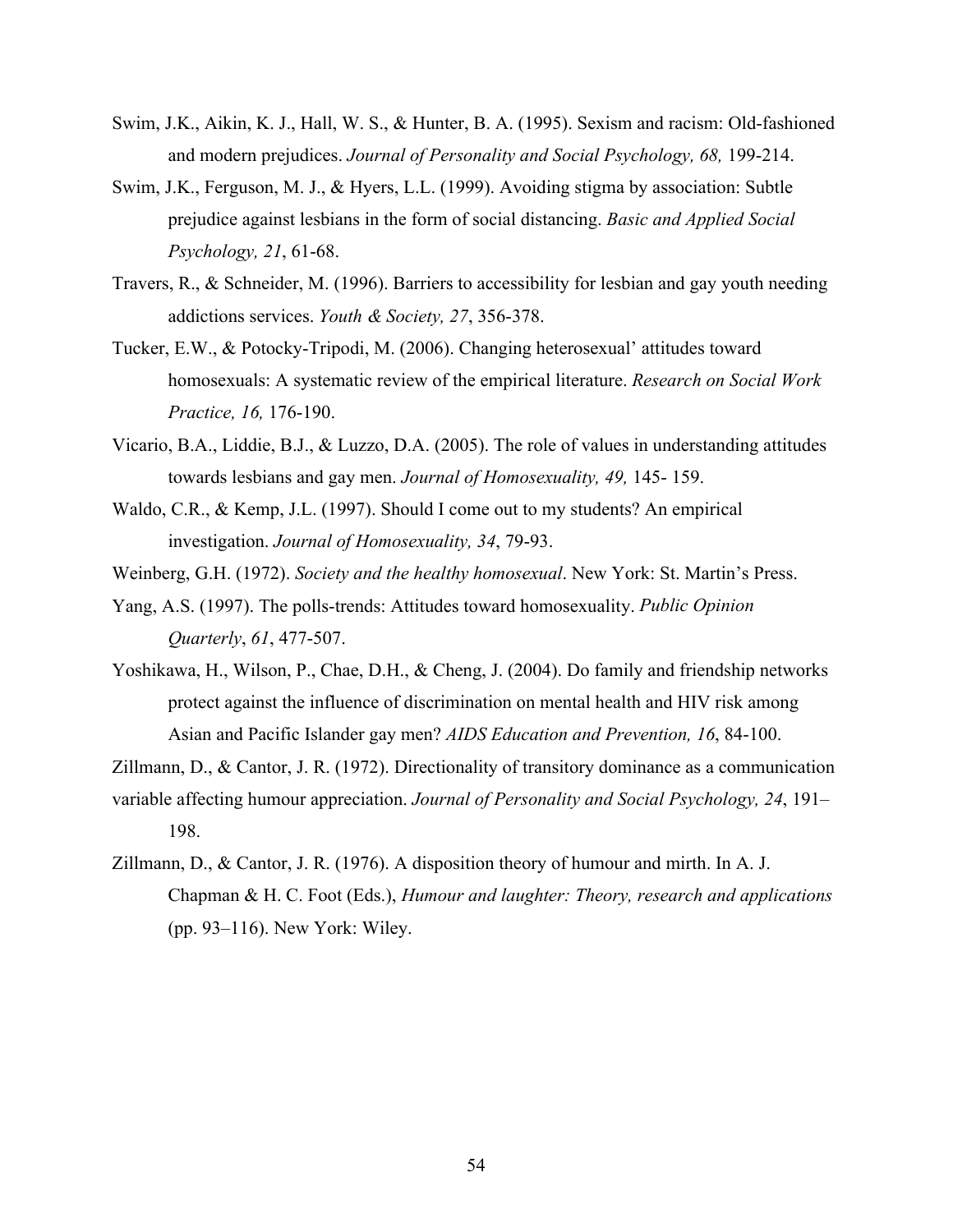- Swim, J.K., Aikin, K. J., Hall, W. S., & Hunter, B. A. (1995). Sexism and racism: Old-fashioned and modern prejudices. *Journal of Personality and Social Psychology, 68,* 199-214.
- Swim, J.K., Ferguson, M. J., & Hyers, L.L. (1999). Avoiding stigma by association: Subtle prejudice against lesbians in the form of social distancing. *Basic and Applied Social Psychology, 21*, 61-68.
- Travers, R., & Schneider, M. (1996). Barriers to accessibility for lesbian and gay youth needing addictions services. *Youth & Society, 27*, 356-378.
- Tucker, E.W., & Potocky-Tripodi, M. (2006). Changing heterosexual' attitudes toward homosexuals: A systematic review of the empirical literature. *Research on Social Work Practice, 16,* 176-190.
- Vicario, B.A., Liddie, B.J., & Luzzo, D.A. (2005). The role of values in understanding attitudes towards lesbians and gay men. *Journal of Homosexuality, 49,* 145- 159.
- Waldo, C.R., & Kemp, J.L. (1997). Should I come out to my students? An empirical investigation. *Journal of Homosexuality, 34*, 79-93.
- Weinberg, G.H. (1972). *Society and the healthy homosexual*. New York: St. Martin's Press.
- Yang, A.S. (1997). The polls-trends: Attitudes toward homosexuality. *Public Opinion Quarterly*, *61*, 477-507.
- Yoshikawa, H., Wilson, P., Chae, D.H., & Cheng, J. (2004). Do family and friendship networks protect against the influence of discrimination on mental health and HIV risk among Asian and Pacific Islander gay men? *AIDS Education and Prevention, 16*, 84-100.
- Zillmann, D., & Cantor, J. R. (1972). Directionality of transitory dominance as a communication variable affecting humour appreciation. *Journal of Personality and Social Psychology, 24*, 191– 198.
- Zillmann, D., & Cantor, J. R. (1976). A disposition theory of humour and mirth. In A. J. Chapman & H. C. Foot (Eds.), *Humour and laughter: Theory, research and applications*  (pp. 93–116). New York: Wiley.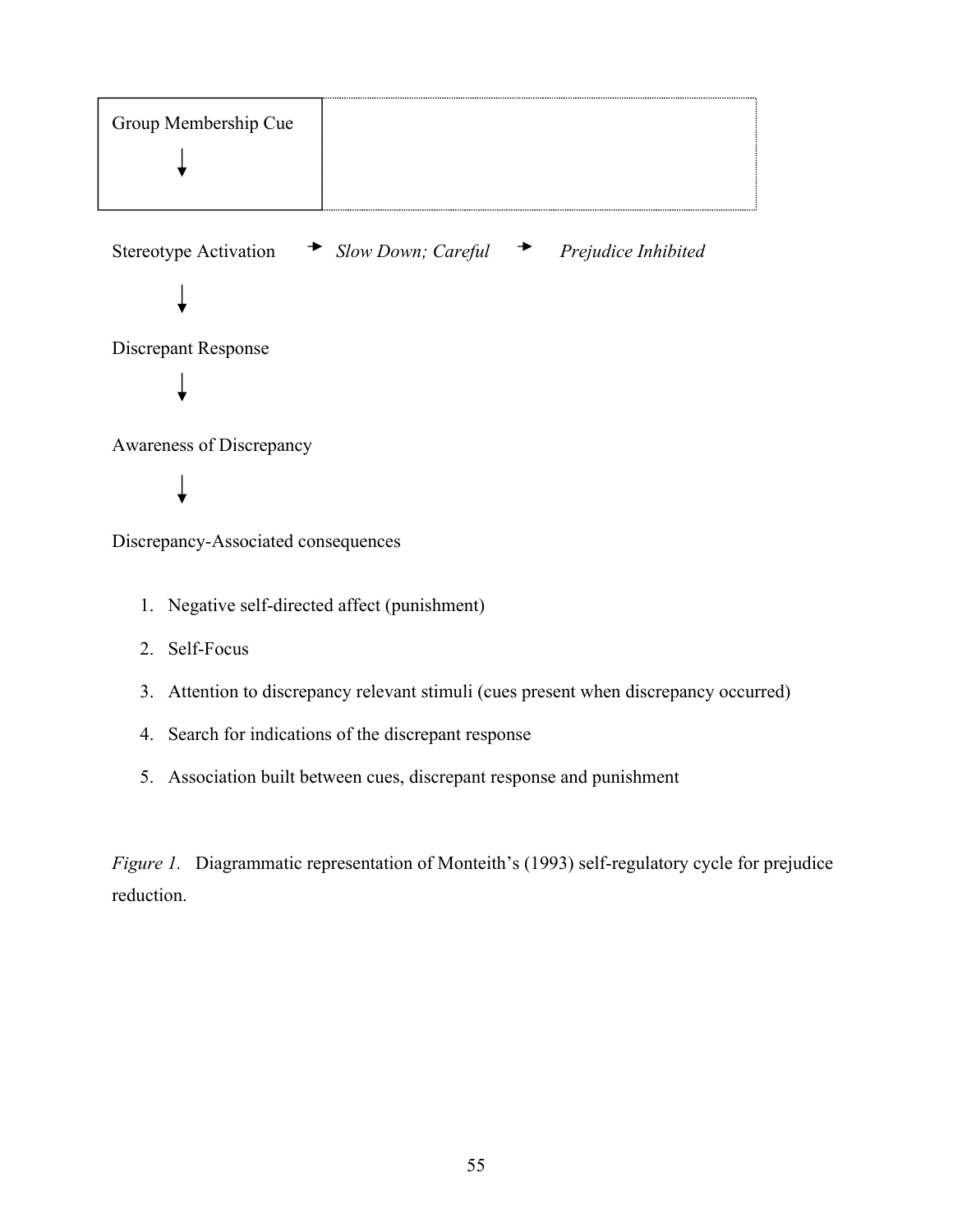

Discrepancy-Associated consequences

- 1. Negative self-directed affect (punishment)
- 2. Self-Focus
- 3. Attention to discrepancy relevant stimuli (cues present when discrepancy occurred)
- 4. Search for indications of the discrepant response
- 5. Association built between cues, discrepant response and punishment

*Figure 1.* Diagrammatic representation of Monteith's (1993) self-regulatory cycle for prejudice reduction.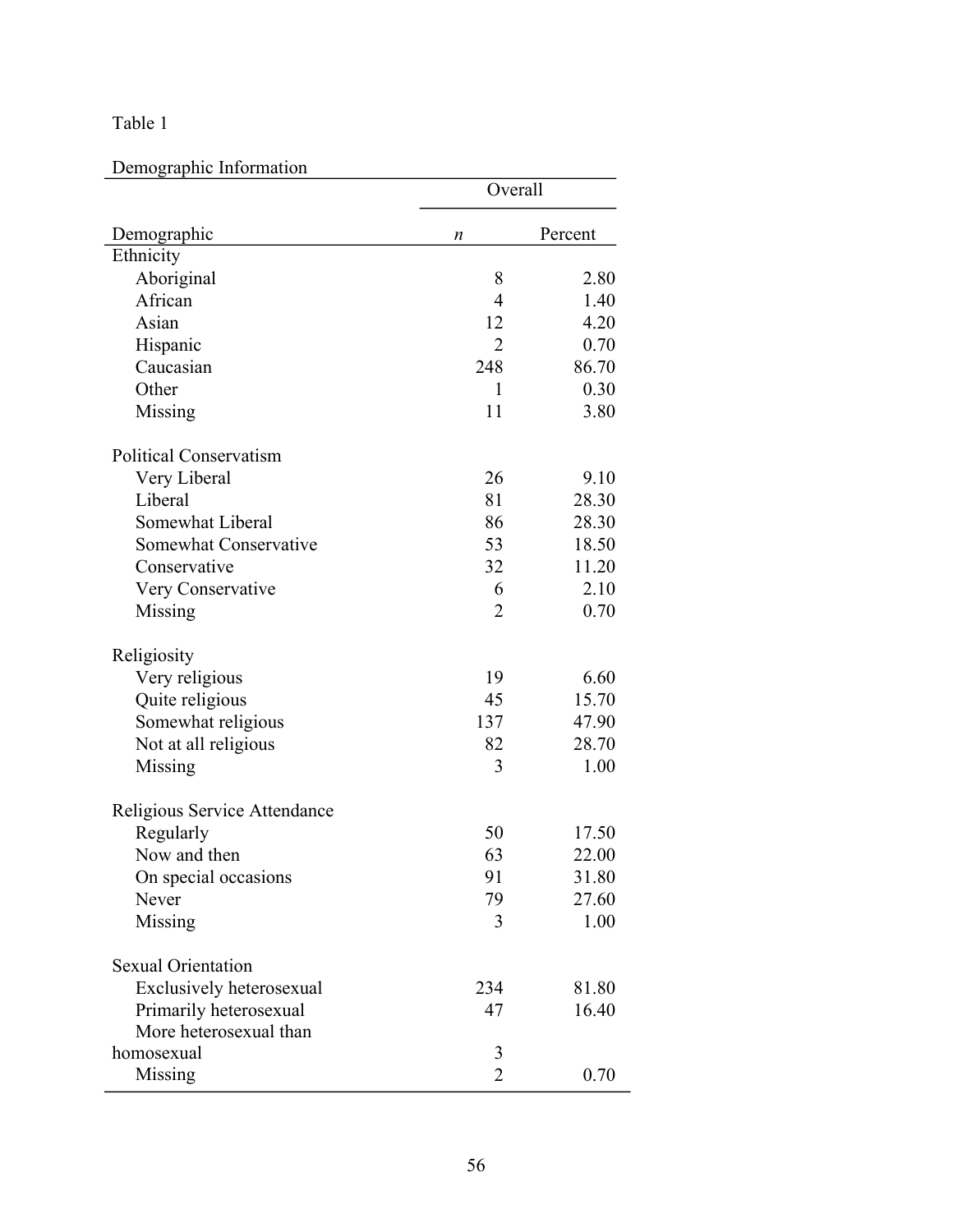Demographic Information

|                               | Overall        |         |
|-------------------------------|----------------|---------|
| Demographic                   | n              | Percent |
| Ethnicity                     |                |         |
| Aboriginal                    | 8              | 2.80    |
| African                       | 4              | 1.40    |
| Asian                         | 12             | 4.20    |
| Hispanic                      | $\overline{2}$ | 0.70    |
| Caucasian                     | 248            | 86.70   |
| Other                         | 1              | 0.30    |
| Missing                       | 11             | 3.80    |
| <b>Political Conservatism</b> |                |         |
| Very Liberal                  | 26             | 9.10    |
| Liberal                       | 81             | 28.30   |
| Somewhat Liberal              | 86             | 28.30   |
| Somewhat Conservative         | 53             | 18.50   |
| Conservative                  | 32             | 11.20   |
| Very Conservative             | 6              | 2.10    |
| Missing                       | $\overline{2}$ | 0.70    |
| Religiosity                   |                |         |
| Very religious                | 19             | 6.60    |
| Quite religious               | 45             | 15.70   |
| Somewhat religious            | 137            | 47.90   |
| Not at all religious          | 82             | 28.70   |
| Missing                       | 3              | 1.00    |
| Religious Service Attendance  |                |         |
| Regularly                     | 50             | 17.50   |
| Now and then                  | 63             | 22.00   |
| On special occasions          | 91             | 31.80   |
| Never                         | 79             | 27.60   |
| Missing                       | 3              | 1.00    |
| <b>Sexual Orientation</b>     |                |         |
| Exclusively heterosexual      | 234            | 81.80   |
| Primarily heterosexual        | 47             | 16.40   |
| More heterosexual than        |                |         |
| homosexual                    | 3              |         |
| Missing                       | $\overline{2}$ | 0.70    |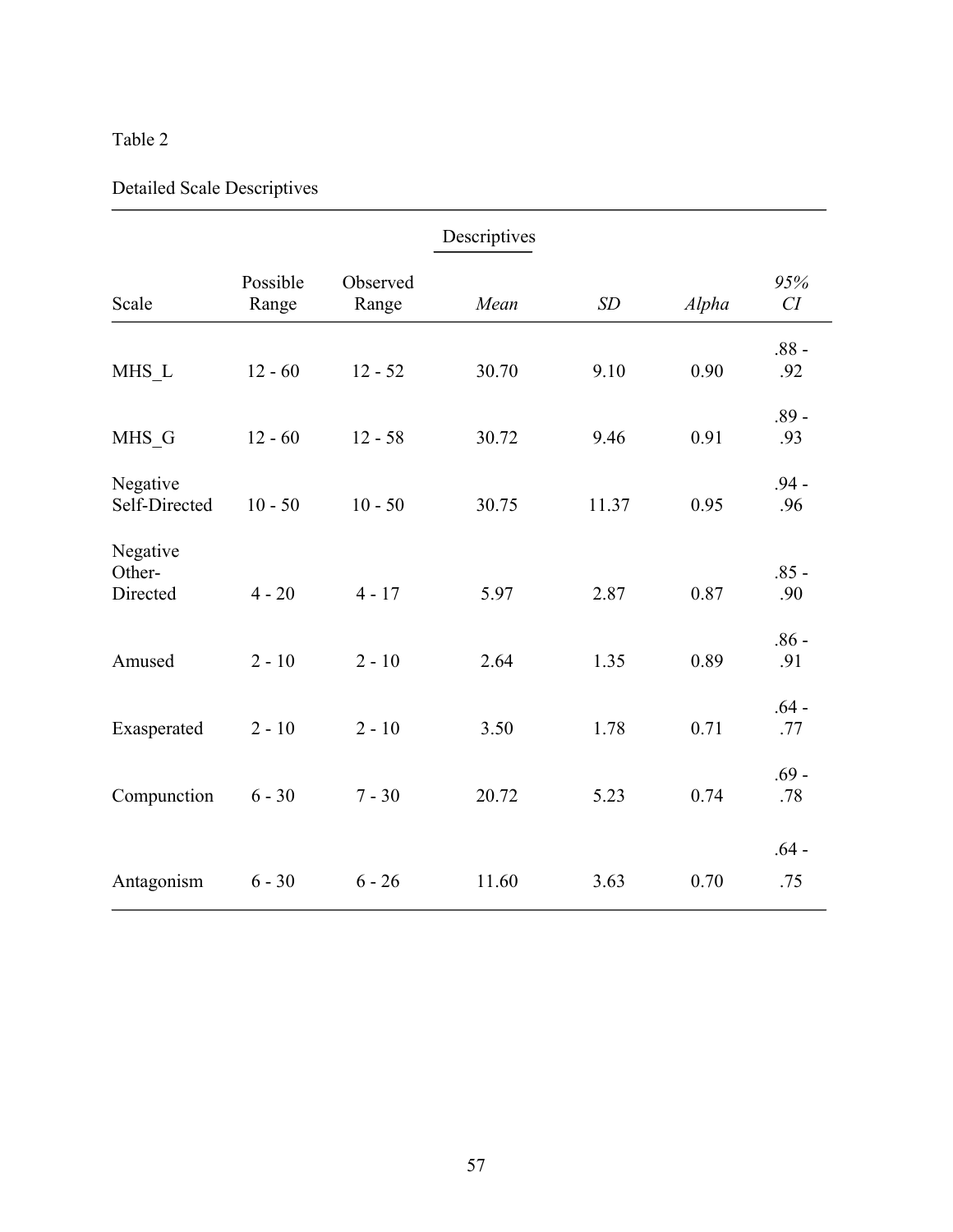# Detailed Scale Descriptives

|                                |                   |                   | Descriptives |       |       |                |
|--------------------------------|-------------------|-------------------|--------------|-------|-------|----------------|
| Scale                          | Possible<br>Range | Observed<br>Range | Mean         | SD    | Alpha | 95%<br>CI      |
| MHS L                          | $12 - 60$         | $12 - 52$         | 30.70        | 9.10  | 0.90  | $.88 -$<br>.92 |
| MHS_G                          | $12 - 60$         | $12 - 58$         | 30.72        | 9.46  | 0.91  | $.89 -$<br>.93 |
| Negative<br>Self-Directed      | $10 - 50$         | $10 - 50$         | 30.75        | 11.37 | 0.95  | $.94 -$<br>.96 |
| Negative<br>Other-<br>Directed | $4 - 20$          | $4 - 17$          | 5.97         | 2.87  | 0.87  | $.85 -$<br>.90 |
| Amused                         | $2 - 10$          | $2 - 10$          | 2.64         | 1.35  | 0.89  | $.86 -$<br>.91 |
| Exasperated                    | $2 - 10$          | $2 - 10$          | 3.50         | 1.78  | 0.71  | $.64 -$<br>.77 |
| Compunction                    | $6 - 30$          | $7 - 30$          | 20.72        | 5.23  | 0.74  | $.69 -$<br>.78 |
| Antagonism                     | $6 - 30$          | $6 - 26$          | 11.60        | 3.63  | 0.70  | $.64 -$<br>.75 |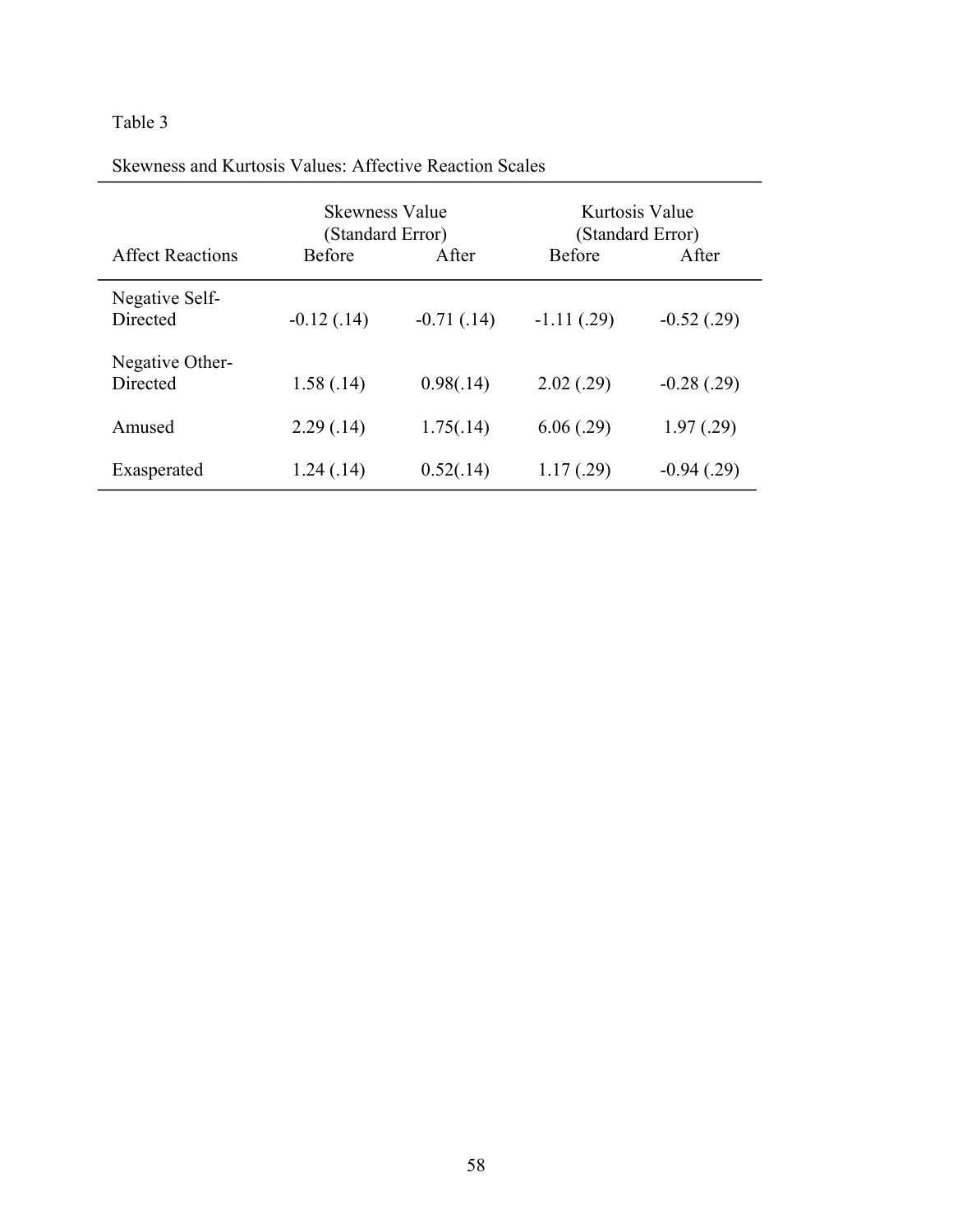| SKUMIJUSS AIJU IXIHUOSIS VAHUOS. ATTUUTTVU IXUAUTUIT SUAIUS |                                    |               |                                    |                 |
|-------------------------------------------------------------|------------------------------------|---------------|------------------------------------|-----------------|
|                                                             | Skewness Value<br>(Standard Error) |               | Kurtosis Value<br>(Standard Error) |                 |
| <b>Affect Reactions</b>                                     | <b>Before</b>                      | After         | <b>Before</b>                      | After           |
| Negative Self-<br>Directed                                  | $-0.12(0.14)$                      | $-0.71(0.14)$ | $-1.11(0.29)$                      | $-0.52(0.29)$   |
| Negative Other-<br>Directed                                 | 1.58(.14)                          | 0.98(.14)     | 2.02(.29)                          | $-0.28$ $(.29)$ |
| Amused                                                      | 2.29(0.14)                         | 1.75(.14)     | 6.06(0.29)                         | 1.97(0.29)      |
| Exasperated                                                 | 1.24(0.14)                         | 0.52(.14)     | 1.17(0.29)                         | $-0.94(0.29)$   |

Skewness and Kurtosis Values: Affective Reaction Scales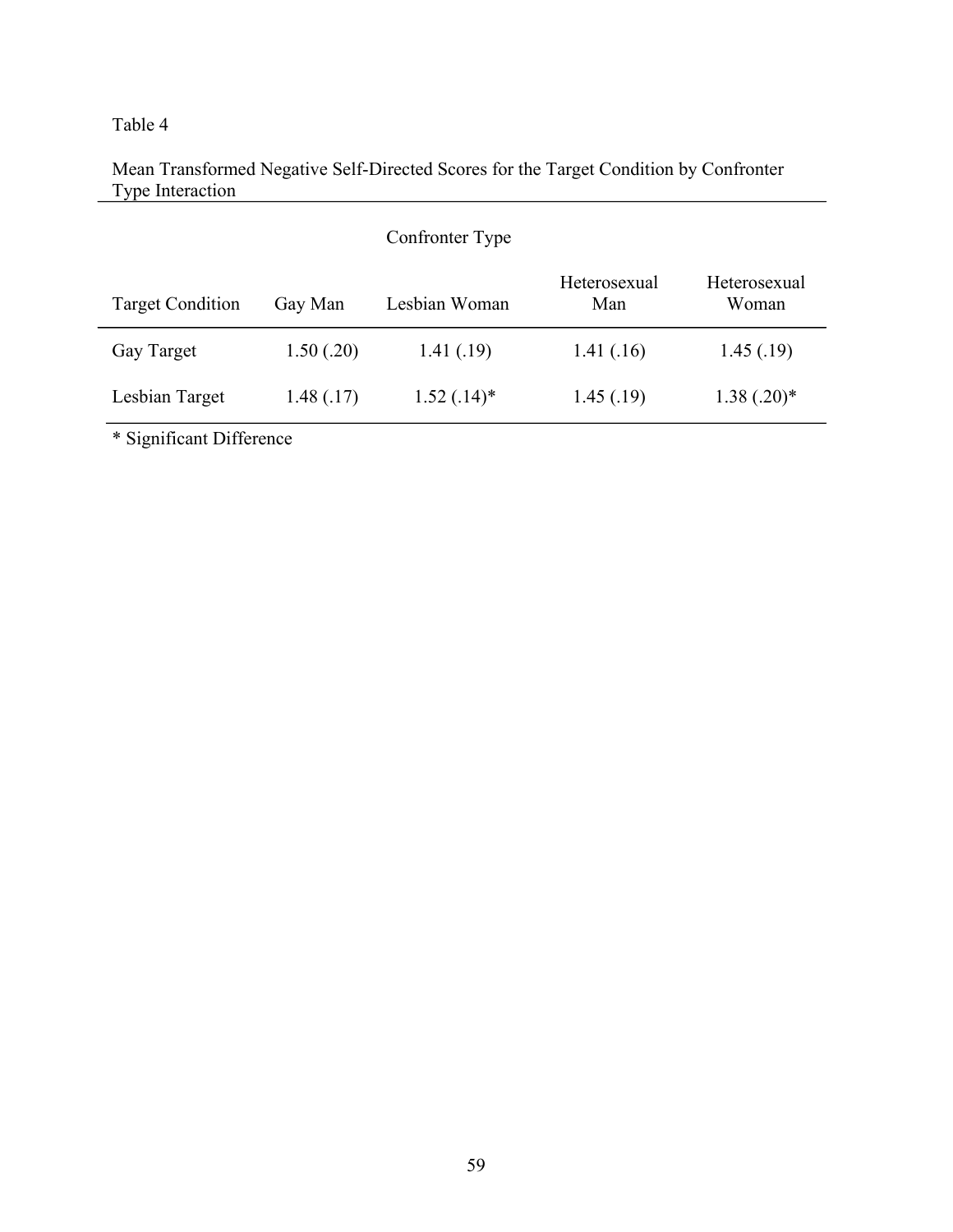# Mean Transformed Negative Self-Directed Scores for the Target Condition by Confronter Type Interaction

|                         |            | Confronter Type |                     |                       |  |
|-------------------------|------------|-----------------|---------------------|-----------------------|--|
| <b>Target Condition</b> | Gay Man    | Lesbian Woman   | Heterosexual<br>Man | Heterosexual<br>Woman |  |
| Gay Target              | 1.50(.20)  | 1.41(0.19)      | 1.41(0.16)          | 1.45(0.19)            |  |
| Lesbian Target          | 1.48(0.17) | $1.52(.14)^*$   | 1.45(0.19)          | $1.38(.20)^*$         |  |

\* Significant Difference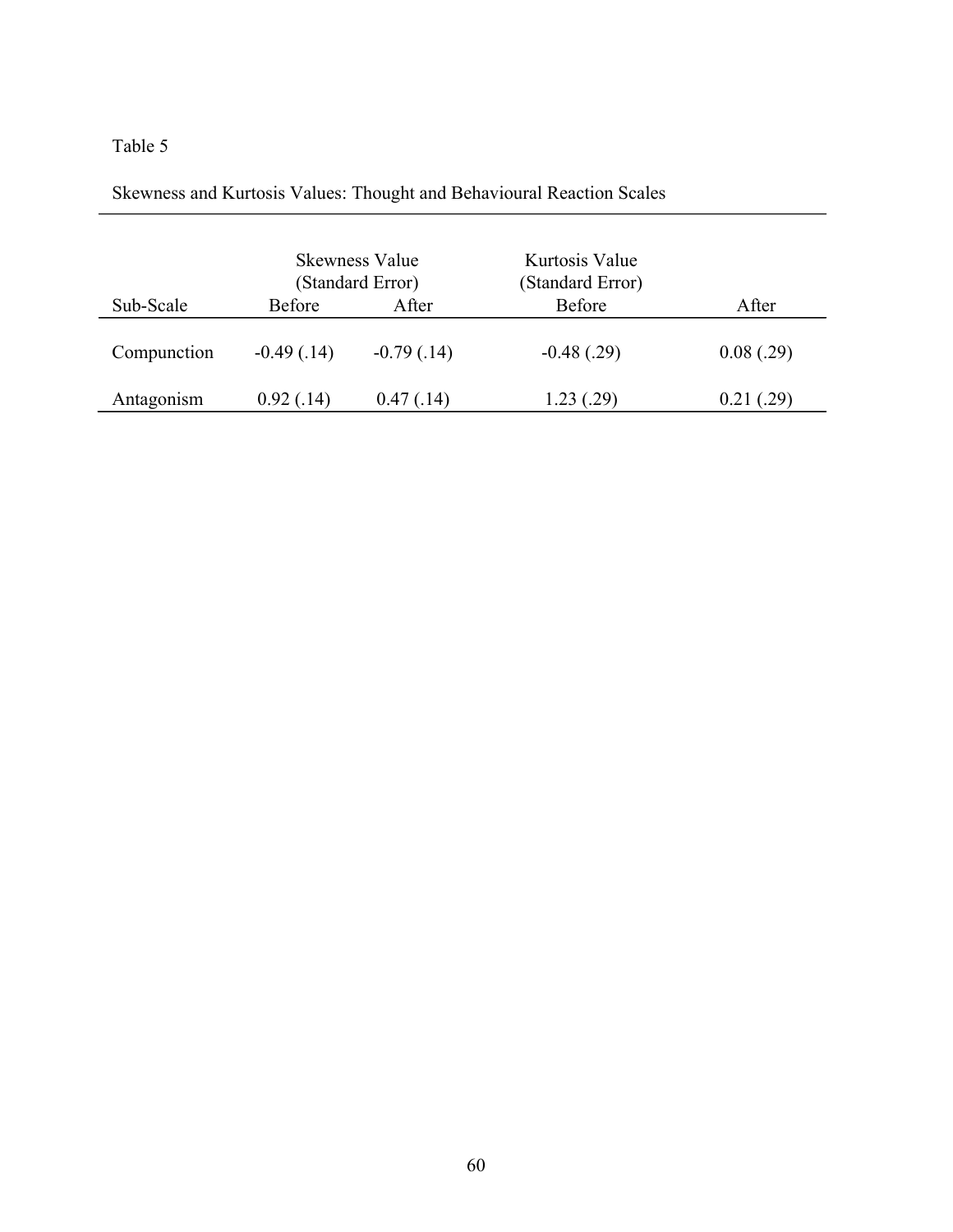| Skewness and Kurtosis Values: Thought and Behavioural Reaction Scales |  |
|-----------------------------------------------------------------------|--|
|                                                                       |  |

|             | <b>Skewness Value</b><br>(Standard Error) |               | Kurtosis Value<br>(Standard Error) |            |  |
|-------------|-------------------------------------------|---------------|------------------------------------|------------|--|
| Sub-Scale   | <b>Before</b>                             | After         | <b>Before</b>                      | After      |  |
| Compunction | $-0.49(0.14)$                             | $-0.79(0.14)$ | $-0.48(0.29)$                      | 0.08(.29)  |  |
| Antagonism  | 0.92(0.14)                                | 0.47(0.14)    | 1.23(0.29)                         | 0.21(0.29) |  |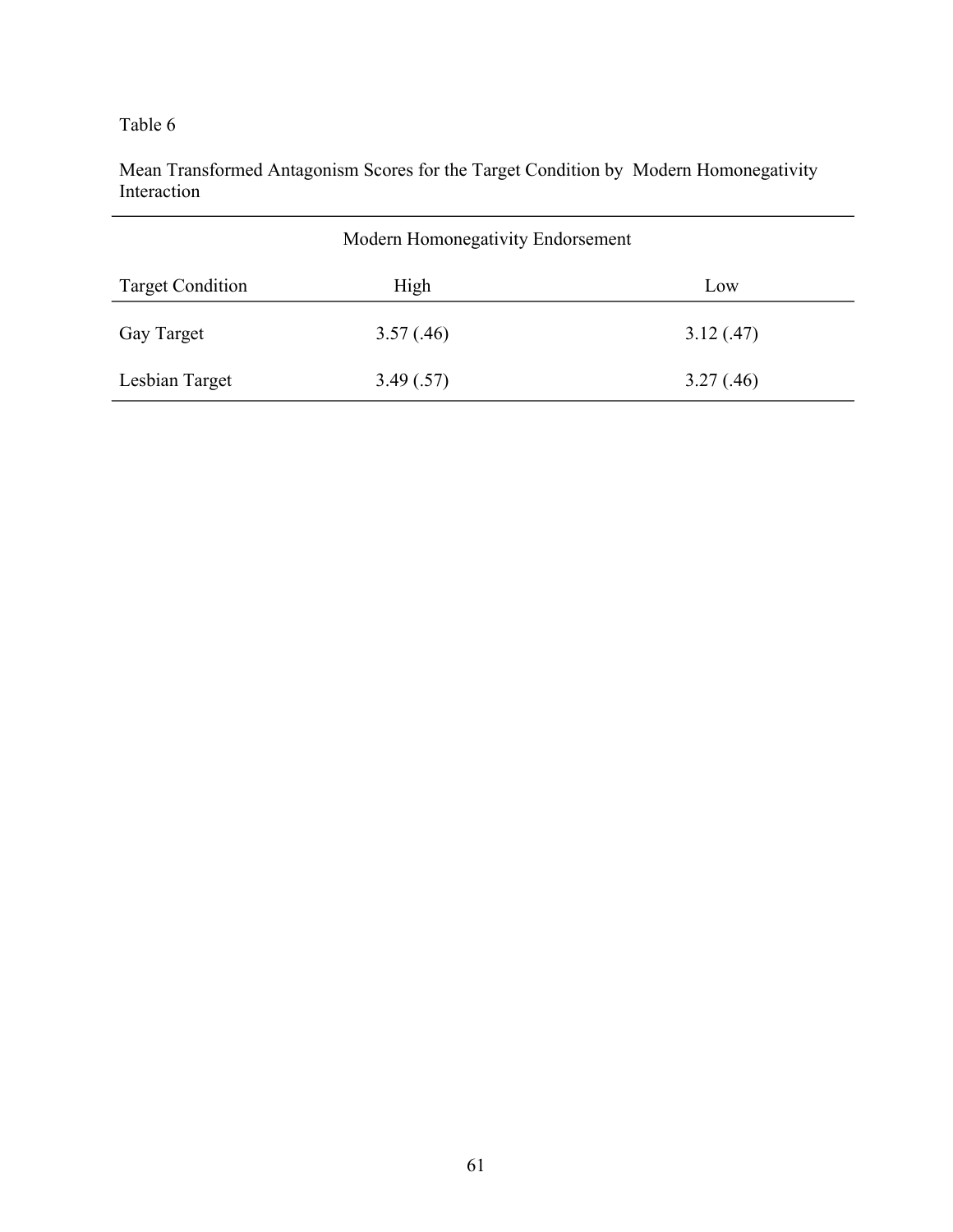Mean Transformed Antagonism Scores for the Target Condition by Modern Homonegativity Interaction

| Modern Homonegativity Endorsement |            |           |  |  |
|-----------------------------------|------------|-----------|--|--|
| <b>Target Condition</b>           | High       | Low       |  |  |
| Gay Target                        | 3.57(0.46) | 3.12(.47) |  |  |
| Lesbian Target                    | 3.49(.57)  | 3.27(.46) |  |  |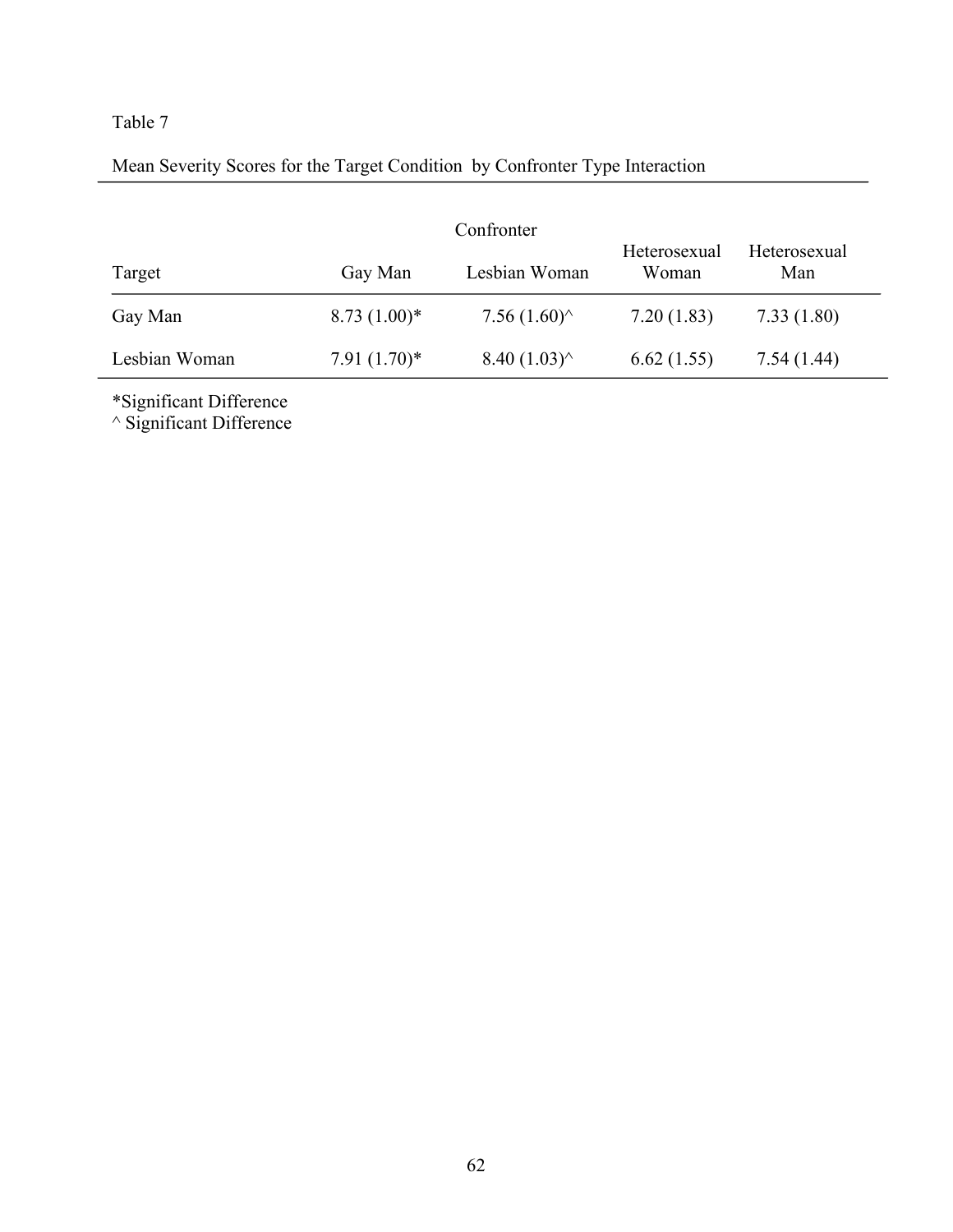# Mean Severity Scores for the Target Condition by Confronter Type Interaction

| Confronter    |                |                       |                       |                     |  |
|---------------|----------------|-----------------------|-----------------------|---------------------|--|
| Target        | Gay Man        | Lesbian Woman         | Heterosexual<br>Woman | Heterosexual<br>Man |  |
| Gay Man       | $8.73(1.00)*$  | 7.56 $(1.60)$         | 7.20(1.83)            | 7.33(1.80)          |  |
| Lesbian Woman | $7.91(1.70)^*$ | $8.40(1.03)^{\wedge}$ | 6.62(1.55)            | 7.54(1.44)          |  |

\*Significant Difference

^ Significant Difference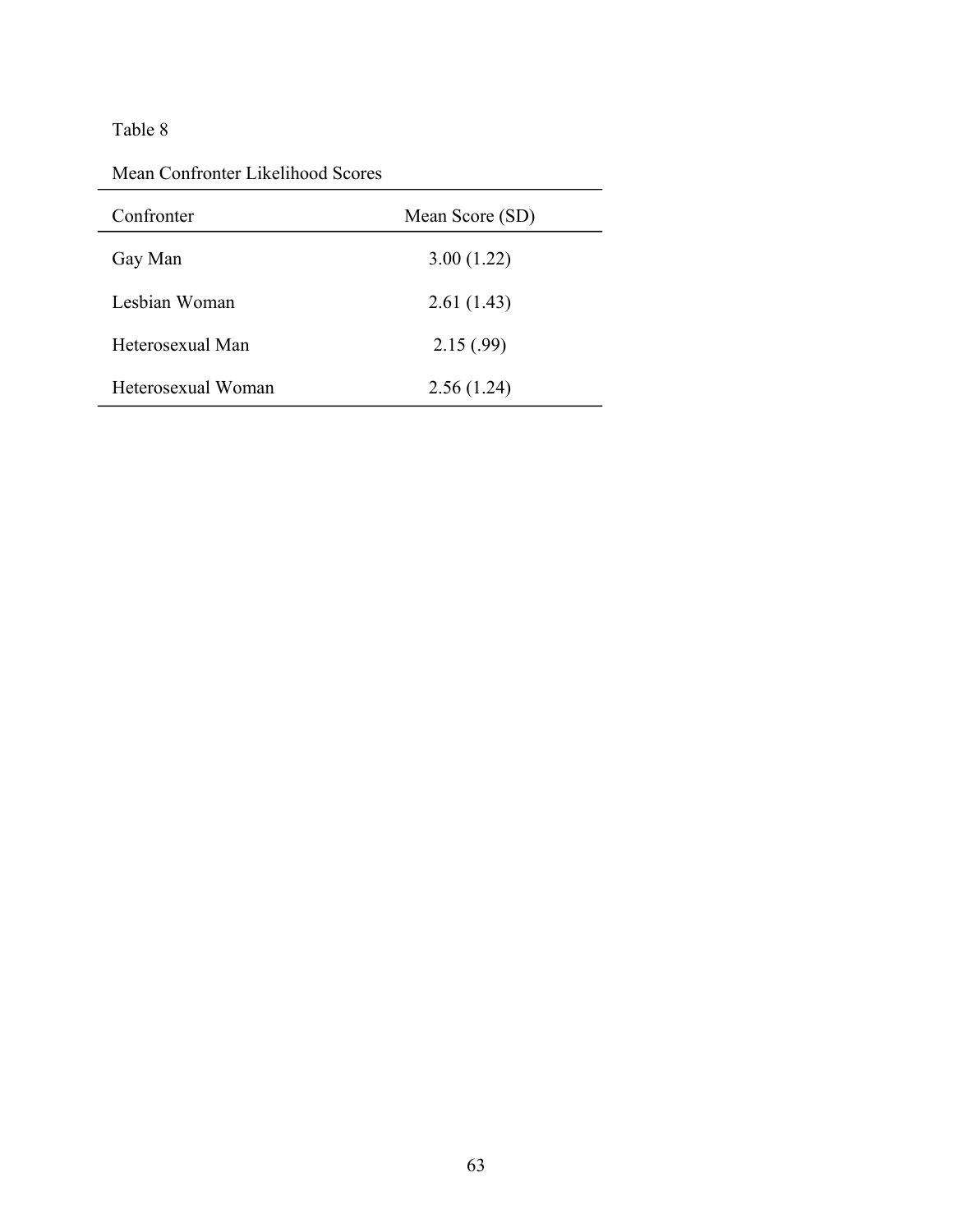# Table 8

Mean Confronter Likelihood Scores

| Confronter         | Mean Score (SD) |
|--------------------|-----------------|
| Gay Man            | 3.00(1.22)      |
| Lesbian Woman      | 2.61(1.43)      |
| Heterosexual Man   | 2.15(.99)       |
| Heterosexual Woman | 2.56(1.24)      |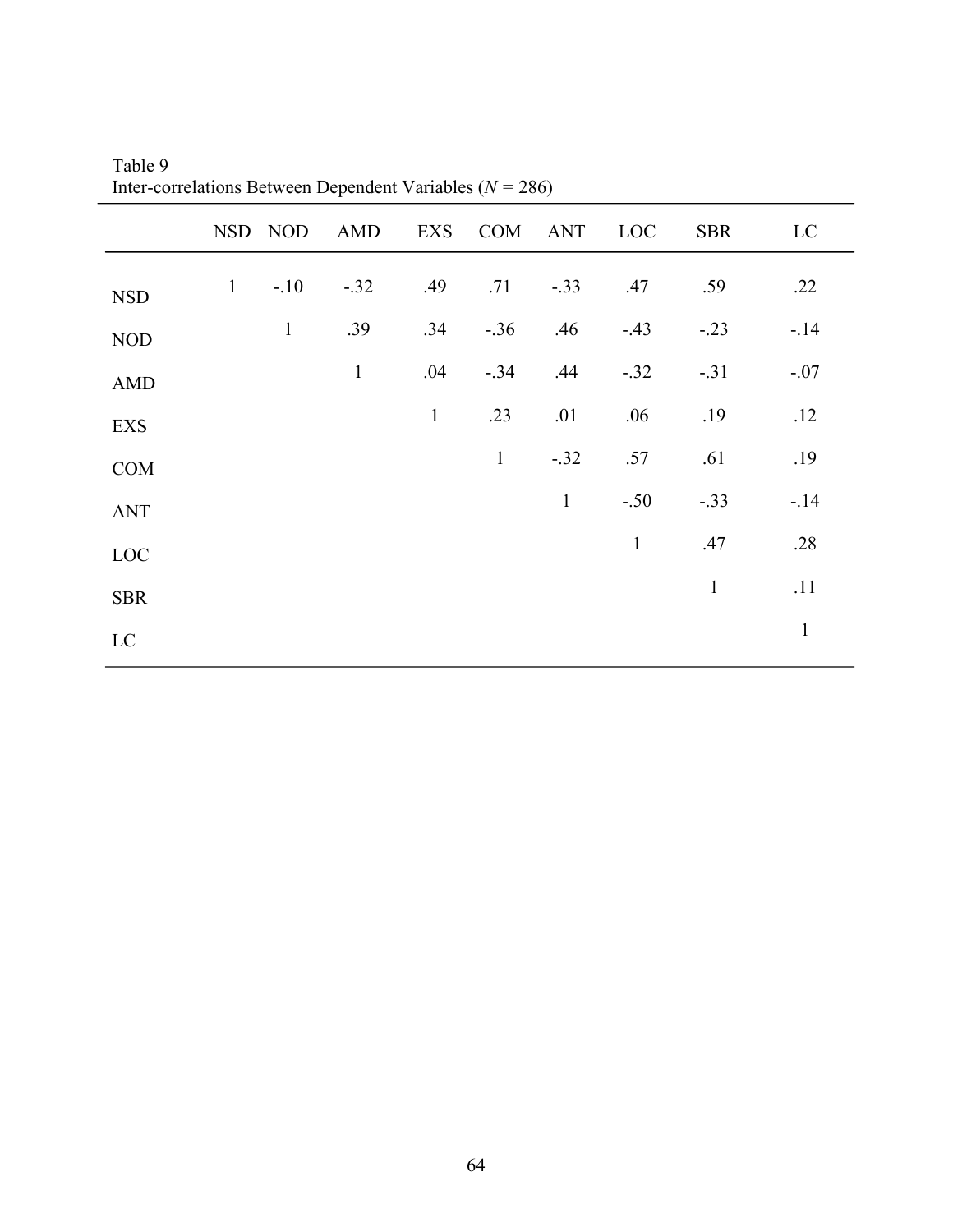|                             |   |              | NSD NOD AMD  |              | EXS COM ANT LOC |              |              | <b>SBR</b>   | LC           |
|-----------------------------|---|--------------|--------------|--------------|-----------------|--------------|--------------|--------------|--------------|
| $\ensuremath{\mathsf{NSD}}$ | 1 | $-.10$       | $-.32$       | .49          | .71             | $-.33$       | .47          | .59          | .22          |
| <b>NOD</b>                  |   | $\mathbf{1}$ | .39          | .34          | $-.36$          | .46          | $-43$        | $-.23$       | $-14$        |
| <b>AMD</b>                  |   |              | $\mathbf{1}$ | .04          | $-.34$          | .44          | $-.32$       | $-.31$       | $-.07$       |
| EXS                         |   |              |              | $\mathbf{1}$ | .23             | .01          | .06          | .19          | .12          |
| COM                         |   |              |              |              | $\mathbf{1}$    | $-.32$       | .57          | .61          | .19          |
| <b>ANT</b>                  |   |              |              |              |                 | $\mathbf{1}$ | $-.50$       | $-.33$       | $-14$        |
| LOC                         |   |              |              |              |                 |              | $\mathbf{1}$ | .47          | .28          |
| <b>SBR</b>                  |   |              |              |              |                 |              |              | $\mathbf{1}$ | .11          |
| $\mathbf{LC}$               |   |              |              |              |                 |              |              |              | $\mathbf{1}$ |

Table 9 Inter-correlations Between Dependent Variables (*N =* 286)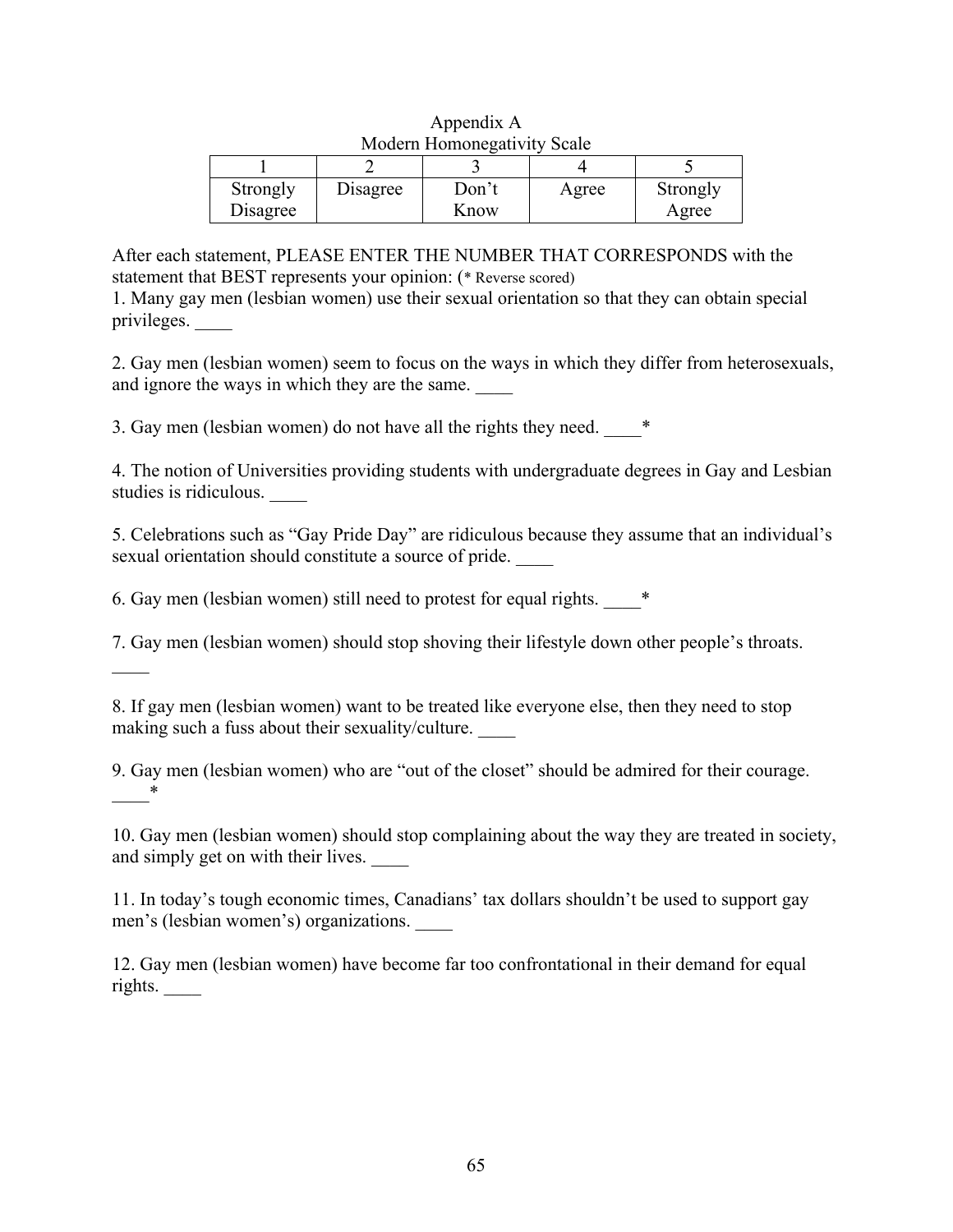| <b>NOUGHE LIQINONG SAILVILY SUATE</b> |          |               |       |                   |  |  |
|---------------------------------------|----------|---------------|-------|-------------------|--|--|
|                                       |          |               |       |                   |  |  |
| Strongly<br>Disagree                  | Disagree | Don't<br>Know | Agree | Strongly<br>Agree |  |  |

| Appendix A                         |  |
|------------------------------------|--|
| <b>Modern Homonegativity Scale</b> |  |

After each statement, PLEASE ENTER THE NUMBER THAT CORRESPONDS with the statement that BEST represents your opinion: (\* Reverse scored)

1. Many gay men (lesbian women) use their sexual orientation so that they can obtain special privileges. \_\_\_\_

2. Gay men (lesbian women) seem to focus on the ways in which they differ from heterosexuals, and ignore the ways in which they are the same.

3. Gay men (lesbian women) do not have all the rights they need.  $*$ 

4. The notion of Universities providing students with undergraduate degrees in Gay and Lesbian studies is ridiculous. \_\_\_\_

5. Celebrations such as "Gay Pride Day" are ridiculous because they assume that an individual's sexual orientation should constitute a source of pride.

6. Gay men (lesbian women) still need to protest for equal rights. \_\_\_\_\*

 $\overline{\phantom{a}}$ 

7. Gay men (lesbian women) should stop shoving their lifestyle down other people's throats.

8. If gay men (lesbian women) want to be treated like everyone else, then they need to stop making such a fuss about their sexuality/culture.

9. Gay men (lesbian women) who are "out of the closet" should be admired for their courage.  $*$ 

10. Gay men (lesbian women) should stop complaining about the way they are treated in society, and simply get on with their lives.

11. In today's tough economic times, Canadians' tax dollars shouldn't be used to support gay men's (lesbian women's) organizations. \_\_\_\_

12. Gay men (lesbian women) have become far too confrontational in their demand for equal rights. \_\_\_\_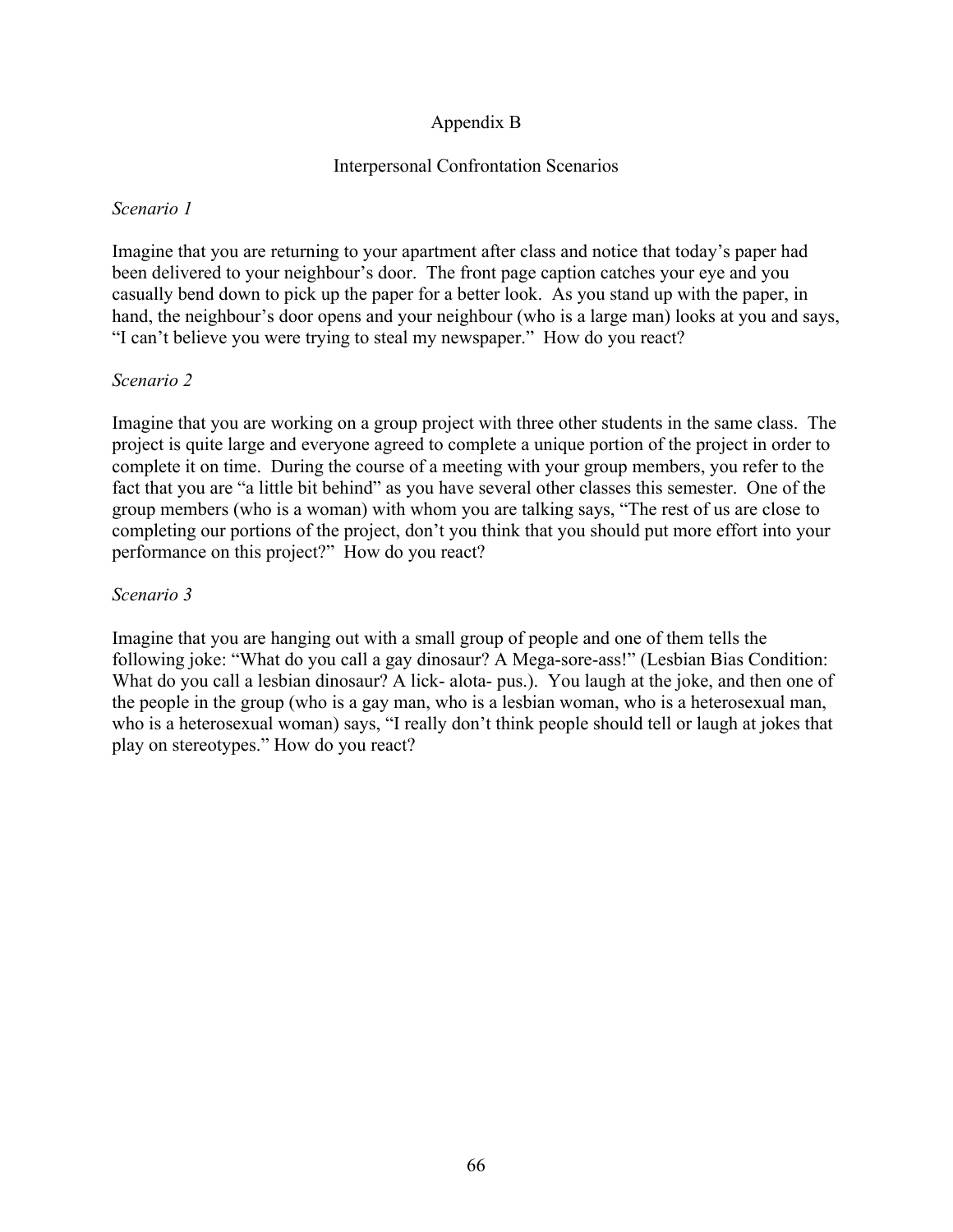# Appendix B

## Interpersonal Confrontation Scenarios

### *Scenario 1*

Imagine that you are returning to your apartment after class and notice that today's paper had been delivered to your neighbour's door. The front page caption catches your eye and you casually bend down to pick up the paper for a better look. As you stand up with the paper, in hand, the neighbour's door opens and your neighbour (who is a large man) looks at you and says, "I can't believe you were trying to steal my newspaper." How do you react?

## *Scenario 2*

Imagine that you are working on a group project with three other students in the same class. The project is quite large and everyone agreed to complete a unique portion of the project in order to complete it on time. During the course of a meeting with your group members, you refer to the fact that you are "a little bit behind" as you have several other classes this semester. One of the group members (who is a woman) with whom you are talking says, "The rest of us are close to completing our portions of the project, don't you think that you should put more effort into your performance on this project?" How do you react?

### *Scenario 3*

Imagine that you are hanging out with a small group of people and one of them tells the following joke: "What do you call a gay dinosaur? A Mega-sore-ass!" (Lesbian Bias Condition: What do you call a lesbian dinosaur? A lick- alota- pus.). You laugh at the joke, and then one of the people in the group (who is a gay man, who is a lesbian woman, who is a heterosexual man, who is a heterosexual woman) says, "I really don't think people should tell or laugh at jokes that play on stereotypes." How do you react?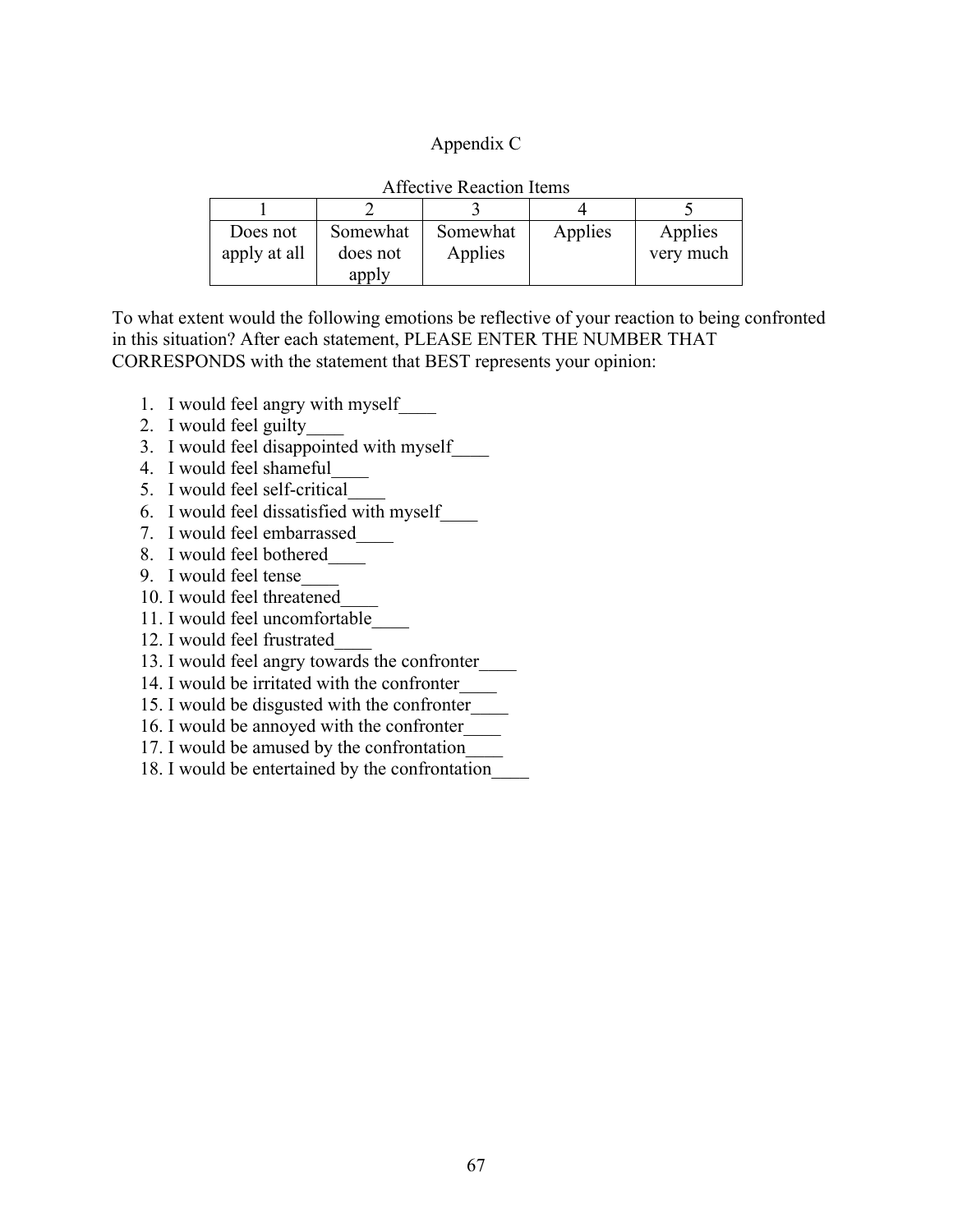### Appendix C

| <b>Affective Reaction Items</b> |          |          |         |           |  |  |
|---------------------------------|----------|----------|---------|-----------|--|--|
|                                 |          |          |         |           |  |  |
| Does not                        | Somewhat | Somewhat | Applies | Applies   |  |  |
| apply at all                    | does not | Applies  |         | very much |  |  |
|                                 | apply    |          |         |           |  |  |

To what extent would the following emotions be reflective of your reaction to being confronted in this situation? After each statement, PLEASE ENTER THE NUMBER THAT CORRESPONDS with the statement that BEST represents your opinion:

- 1. I would feel angry with myself\_\_\_\_
- 2. I would feel guilty\_\_\_\_
- 3. I would feel disappointed with myself\_\_\_\_
- 4. I would feel shameful\_\_\_\_
- 5. I would feel self-critical\_\_\_\_
- 6. I would feel dissatisfied with myself\_\_\_\_
- 7. I would feel embarrassed\_\_\_\_
- 8. I would feel bothered\_\_\_\_
- 9. I would feel tense\_\_\_\_
- 10. I would feel threatened\_\_\_\_
- 11. I would feel uncomfortable\_\_\_\_
- 12. I would feel frustrated\_\_\_\_
- 13. I would feel angry towards the confronter\_\_\_\_\_\_
- 14. I would be irritated with the confronter\_\_\_\_
- 15. I would be disgusted with the confronter\_\_\_\_
- 16. I would be annoyed with the confronter\_\_\_\_
- 17. I would be amused by the confrontation\_\_\_\_
- 18. I would be entertained by the confrontation\_\_\_\_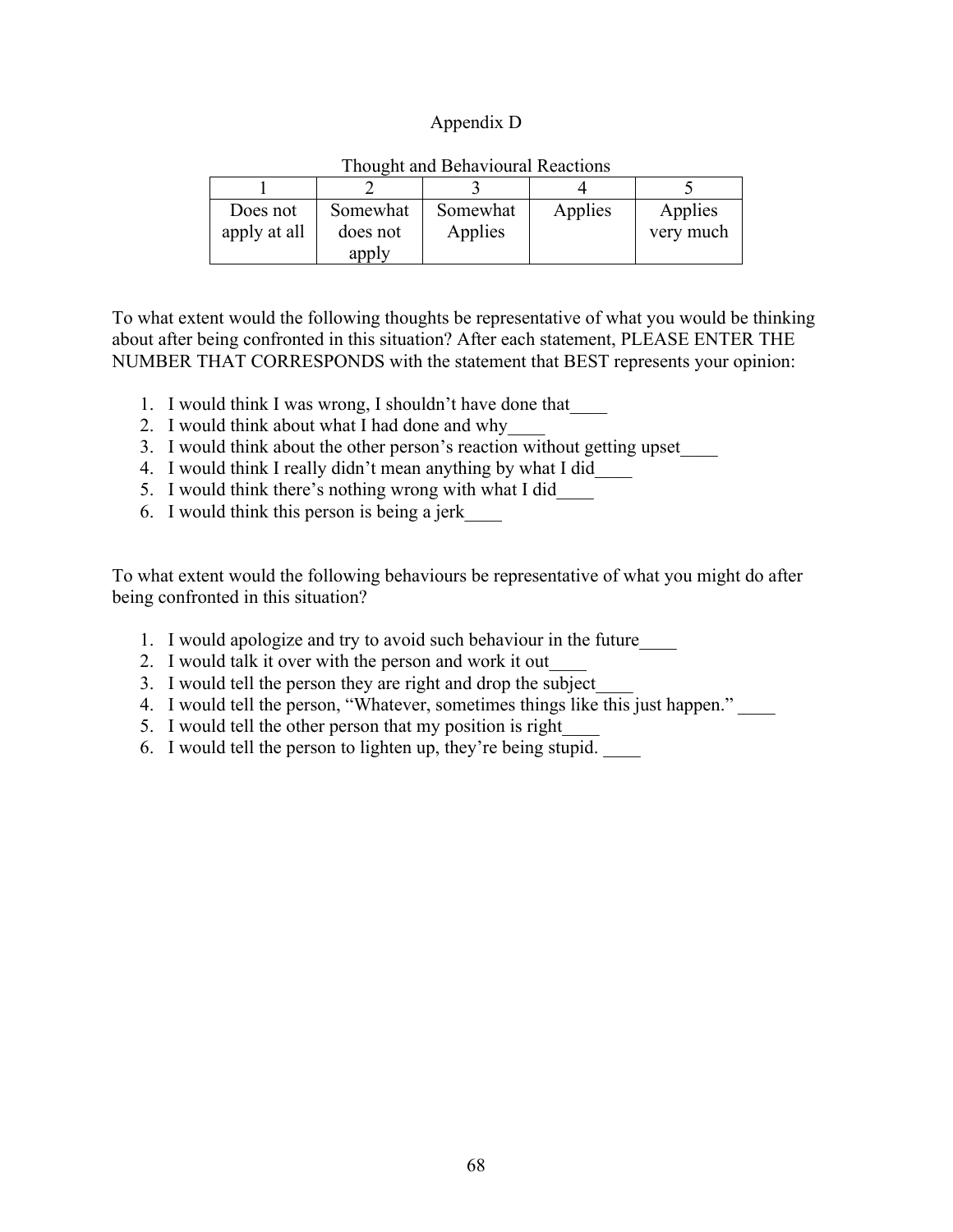### Appendix D

| Does not<br>apply at all | Somewhat<br>does not<br>apply | Somewhat<br>Applies | Applies | Applies<br>very much |
|--------------------------|-------------------------------|---------------------|---------|----------------------|

### Thought and Behavioural Reactions

To what extent would the following thoughts be representative of what you would be thinking about after being confronted in this situation? After each statement, PLEASE ENTER THE NUMBER THAT CORRESPONDS with the statement that BEST represents your opinion:

- 1. I would think I was wrong, I shouldn't have done that\_\_\_\_
- 2. I would think about what I had done and why\_\_\_\_
- 3. I would think about the other person's reaction without getting upset\_\_\_\_
- 4. I would think I really didn't mean anything by what I did\_\_\_\_
- 5. I would think there's nothing wrong with what I did\_\_\_\_
- 6. I would think this person is being a jerk\_\_\_\_

To what extent would the following behaviours be representative of what you might do after being confronted in this situation?

- 1. I would apologize and try to avoid such behaviour in the future\_\_\_\_
- 2. I would talk it over with the person and work it out\_\_\_\_
- 3. I would tell the person they are right and drop the subject\_\_\_\_
- 4. I would tell the person, "Whatever, sometimes things like this just happen." \_\_\_\_
- 5. I would tell the other person that my position is right
- 6. I would tell the person to lighten up, they're being stupid.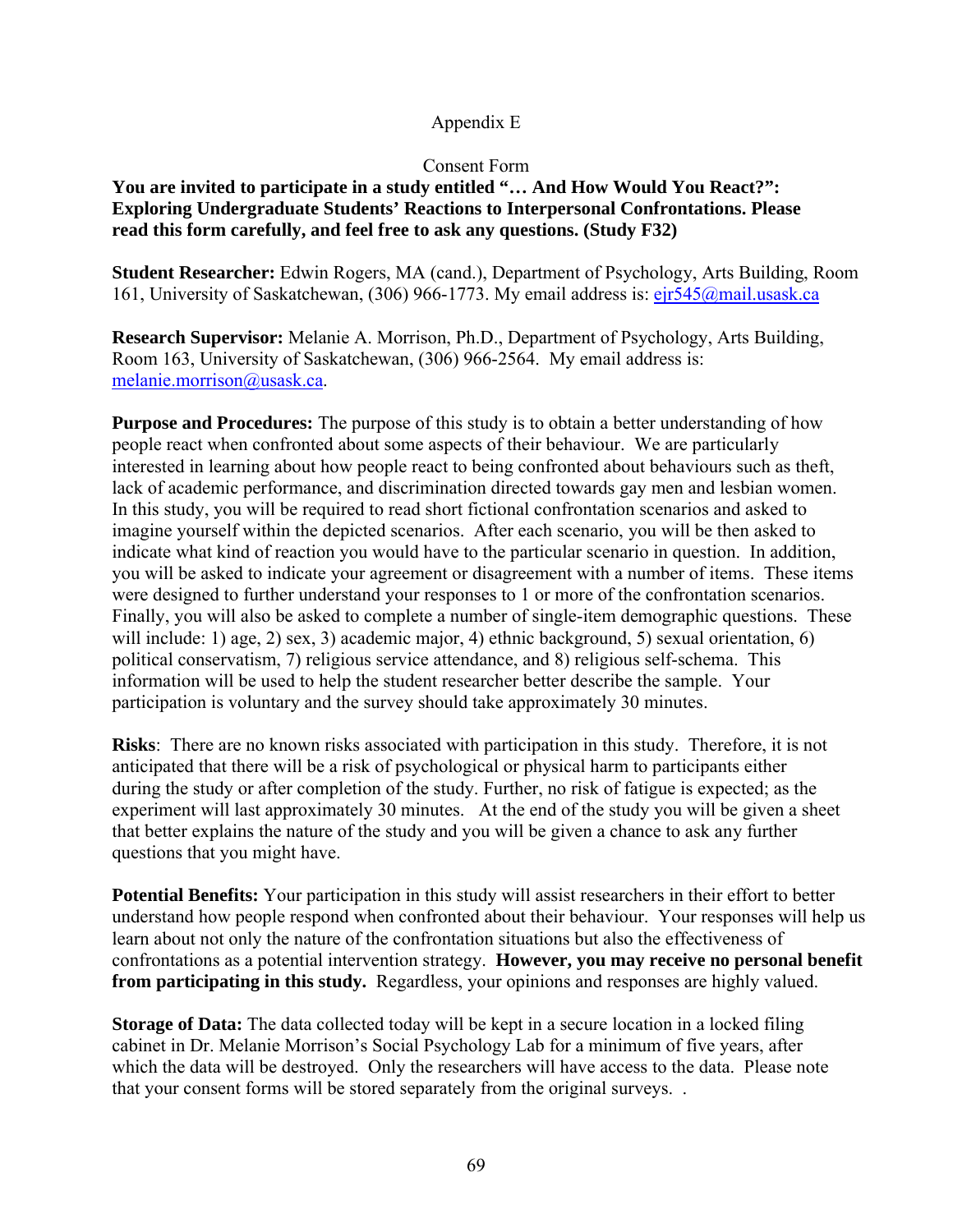# Appendix E

### Consent Form

## **You are invited to participate in a study entitled "… And How Would You React?": Exploring Undergraduate Students' Reactions to Interpersonal Confrontations. Please read this form carefully, and feel free to ask any questions. (Study F32)**

**Student Researcher:** Edwin Rogers, MA (cand.), Department of Psychology, Arts Building, Room 161, University of Saskatchewan, (306) 966-1773. My email address is: ejr545@mail.usask.ca

**Research Supervisor:** Melanie A. Morrison, Ph.D., Department of Psychology, Arts Building, Room 163, University of Saskatchewan, (306) 966-2564. My email address is: melanie.morrison@usask.ca.

**Purpose and Procedures:** The purpose of this study is to obtain a better understanding of how people react when confronted about some aspects of their behaviour. We are particularly interested in learning about how people react to being confronted about behaviours such as theft, lack of academic performance, and discrimination directed towards gay men and lesbian women. In this study, you will be required to read short fictional confrontation scenarios and asked to imagine yourself within the depicted scenarios. After each scenario, you will be then asked to indicate what kind of reaction you would have to the particular scenario in question. In addition, you will be asked to indicate your agreement or disagreement with a number of items. These items were designed to further understand your responses to 1 or more of the confrontation scenarios. Finally, you will also be asked to complete a number of single-item demographic questions. These will include: 1) age, 2) sex, 3) academic major, 4) ethnic background, 5) sexual orientation, 6) political conservatism, 7) religious service attendance, and 8) religious self-schema. This information will be used to help the student researcher better describe the sample. Your participation is voluntary and the survey should take approximately 30 minutes.

**Risks**: There are no known risks associated with participation in this study. Therefore, it is not anticipated that there will be a risk of psychological or physical harm to participants either during the study or after completion of the study. Further, no risk of fatigue is expected; as the experiment will last approximately 30 minutes. At the end of the study you will be given a sheet that better explains the nature of the study and you will be given a chance to ask any further questions that you might have.

**Potential Benefits:** Your participation in this study will assist researchers in their effort to better understand how people respond when confronted about their behaviour. Your responses will help us learn about not only the nature of the confrontation situations but also the effectiveness of confrontations as a potential intervention strategy. **However, you may receive no personal benefit from participating in this study.** Regardless, your opinions and responses are highly valued.

**Storage of Data:** The data collected today will be kept in a secure location in a locked filing cabinet in Dr. Melanie Morrison's Social Psychology Lab for a minimum of five years, after which the data will be destroyed. Only the researchers will have access to the data. Please note that your consent forms will be stored separately from the original surveys. .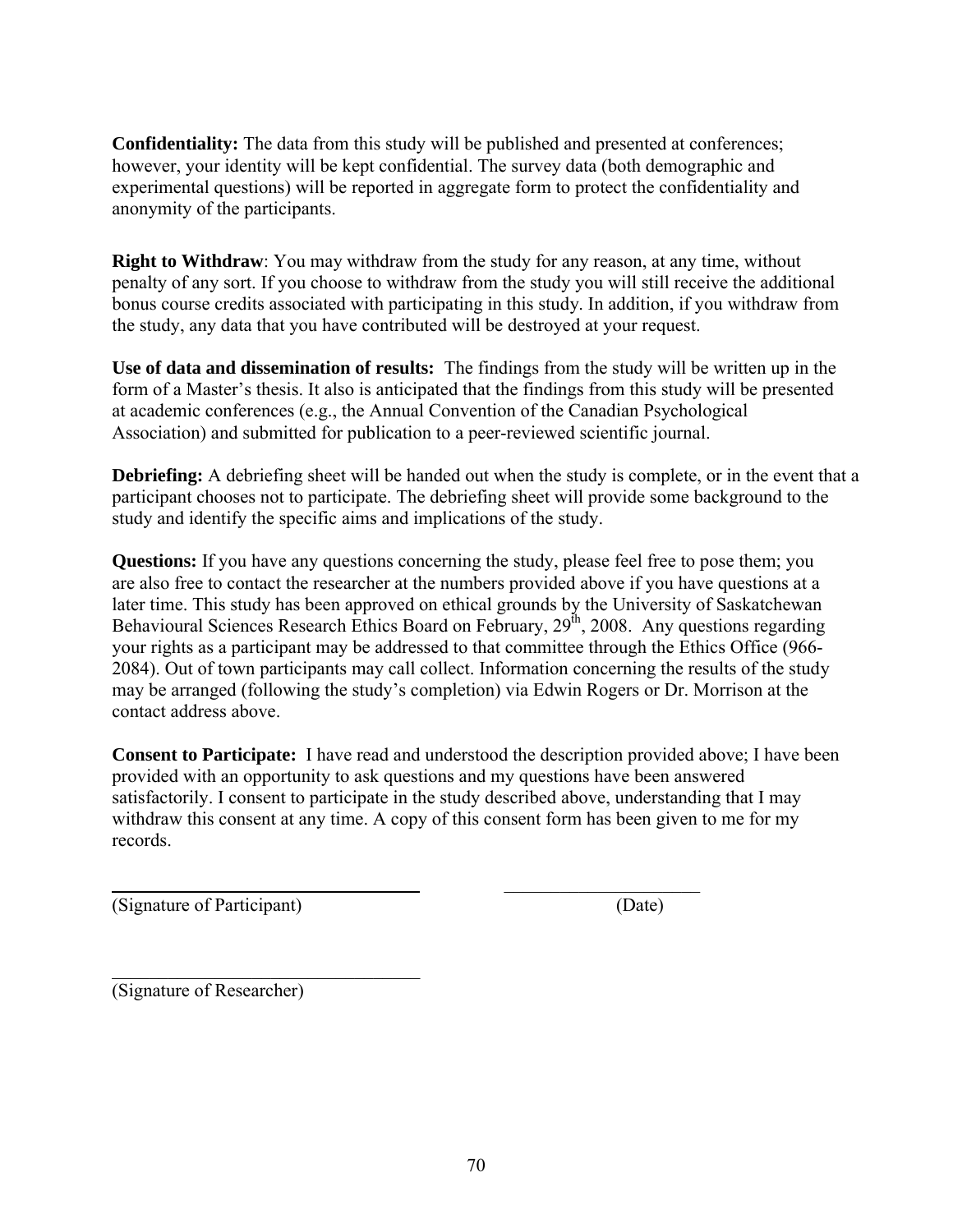**Confidentiality:** The data from this study will be published and presented at conferences; however, your identity will be kept confidential. The survey data (both demographic and experimental questions) will be reported in aggregate form to protect the confidentiality and anonymity of the participants.

**Right to Withdraw**: You may withdraw from the study for any reason, at any time, without penalty of any sort. If you choose to withdraw from the study you will still receive the additional bonus course credits associated with participating in this study. In addition, if you withdraw from the study, any data that you have contributed will be destroyed at your request.

**Use of data and dissemination of results:** The findings from the study will be written up in the form of a Master's thesis. It also is anticipated that the findings from this study will be presented at academic conferences (e.g., the Annual Convention of the Canadian Psychological Association) and submitted for publication to a peer-reviewed scientific journal.

**Debriefing:** A debriefing sheet will be handed out when the study is complete, or in the event that a participant chooses not to participate. The debriefing sheet will provide some background to the study and identify the specific aims and implications of the study.

**Questions:** If you have any questions concerning the study, please feel free to pose them; you are also free to contact the researcher at the numbers provided above if you have questions at a later time. This study has been approved on ethical grounds by the University of Saskatchewan Behavioural Sciences Research Ethics Board on February, 29<sup>th</sup>, 2008. Any questions regarding your rights as a participant may be addressed to that committee through the Ethics Office (966- 2084). Out of town participants may call collect. Information concerning the results of the study may be arranged (following the study's completion) via Edwin Rogers or Dr. Morrison at the contact address above.

**Consent to Participate:** I have read and understood the description provided above; I have been provided with an opportunity to ask questions and my questions have been answered satisfactorily. I consent to participate in the study described above, understanding that I may withdraw this consent at any time. A copy of this consent form has been given to me for my records.

 $\overline{\phantom{a}}$  , where  $\overline{\phantom{a}}$  , where  $\overline{\phantom{a}}$  ,  $\overline{\phantom{a}}$  ,  $\overline{\phantom{a}}$  ,  $\overline{\phantom{a}}$  ,  $\overline{\phantom{a}}$  ,  $\overline{\phantom{a}}$  ,  $\overline{\phantom{a}}$  ,  $\overline{\phantom{a}}$  ,  $\overline{\phantom{a}}$  ,  $\overline{\phantom{a}}$  ,  $\overline{\phantom{a}}$  ,  $\overline{\phantom{a}}$  ,  $\overline{\phantom{a}}$  ,

(Signature of Participant) (Date)

 $\mathcal{L}_\text{max}$  , where  $\mathcal{L}_\text{max}$  and  $\mathcal{L}_\text{max}$  and  $\mathcal{L}_\text{max}$ (Signature of Researcher)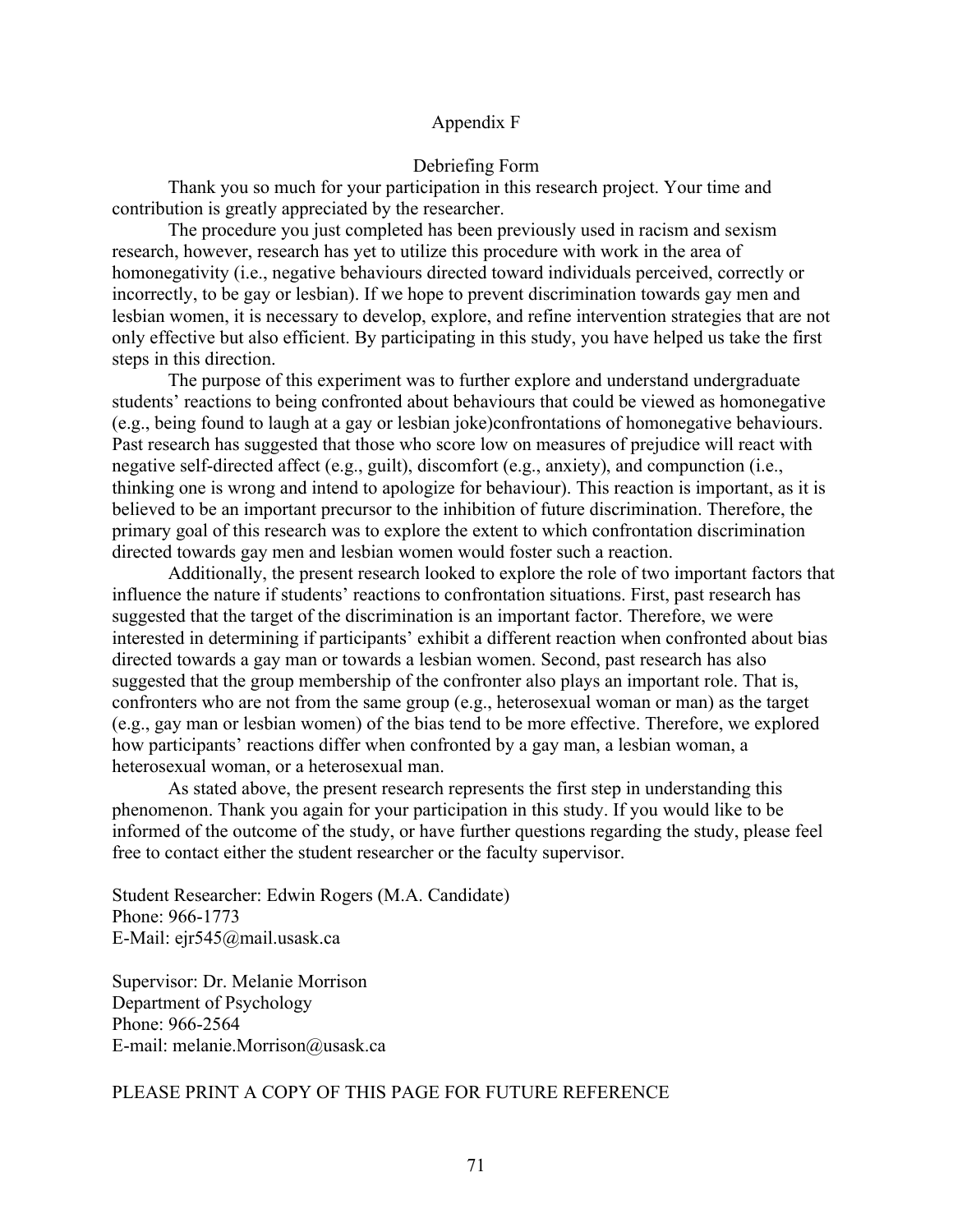#### Appendix F

#### Debriefing Form

Thank you so much for your participation in this research project. Your time and contribution is greatly appreciated by the researcher.

The procedure you just completed has been previously used in racism and sexism research, however, research has yet to utilize this procedure with work in the area of homonegativity (i.e., negative behaviours directed toward individuals perceived, correctly or incorrectly, to be gay or lesbian). If we hope to prevent discrimination towards gay men and lesbian women, it is necessary to develop, explore, and refine intervention strategies that are not only effective but also efficient. By participating in this study, you have helped us take the first steps in this direction.

The purpose of this experiment was to further explore and understand undergraduate students' reactions to being confronted about behaviours that could be viewed as homonegative (e.g., being found to laugh at a gay or lesbian joke)confrontations of homonegative behaviours. Past research has suggested that those who score low on measures of prejudice will react with negative self-directed affect (e.g., guilt), discomfort (e.g., anxiety), and compunction (i.e., thinking one is wrong and intend to apologize for behaviour). This reaction is important, as it is believed to be an important precursor to the inhibition of future discrimination. Therefore, the primary goal of this research was to explore the extent to which confrontation discrimination directed towards gay men and lesbian women would foster such a reaction.

Additionally, the present research looked to explore the role of two important factors that influence the nature if students' reactions to confrontation situations. First, past research has suggested that the target of the discrimination is an important factor. Therefore, we were interested in determining if participants' exhibit a different reaction when confronted about bias directed towards a gay man or towards a lesbian women. Second, past research has also suggested that the group membership of the confronter also plays an important role. That is, confronters who are not from the same group (e.g., heterosexual woman or man) as the target (e.g., gay man or lesbian women) of the bias tend to be more effective. Therefore, we explored how participants' reactions differ when confronted by a gay man, a lesbian woman, a heterosexual woman, or a heterosexual man.

As stated above, the present research represents the first step in understanding this phenomenon. Thank you again for your participation in this study. If you would like to be informed of the outcome of the study, or have further questions regarding the study, please feel free to contact either the student researcher or the faculty supervisor.

Student Researcher: Edwin Rogers (M.A. Candidate) Phone: 966-1773 E-Mail: ejr545@mail.usask.ca

Supervisor: Dr. Melanie Morrison Department of Psychology Phone: 966-2564 E-mail: melanie.Morrison@usask.ca

#### PLEASE PRINT A COPY OF THIS PAGE FOR FUTURE REFERENCE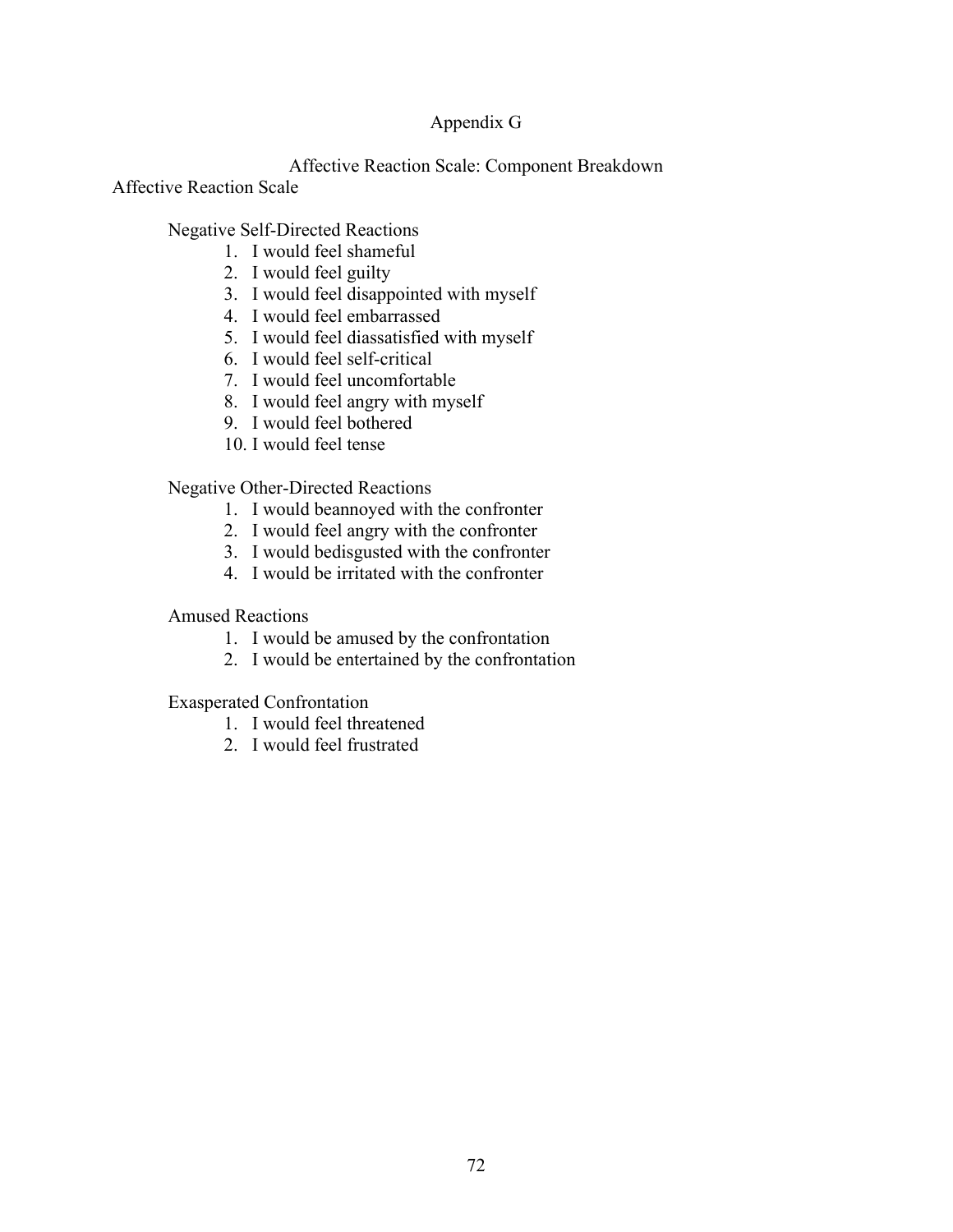### Appendix G

### Affective Reaction Scale: Component Breakdown

Affective Reaction Scale

# Negative Self-Directed Reactions

- 1. I would feel shameful
- 2. I would feel guilty
- 3. I would feel disappointed with myself
- 4. I would feel embarrassed
- 5. I would feel diassatisfied with myself
- 6. I would feel self-critical
- 7. I would feel uncomfortable
- 8. I would feel angry with myself
- 9. I would feel bothered
- 10. I would feel tense

## Negative Other-Directed Reactions

- 1. I would beannoyed with the confronter
- 2. I would feel angry with the confronter
- 3. I would bedisgusted with the confronter
- 4. I would be irritated with the confronter

Amused Reactions

- 1. I would be amused by the confrontation
- 2. I would be entertained by the confrontation

## Exasperated Confrontation

- 1. I would feel threatened
- 2. I would feel frustrated